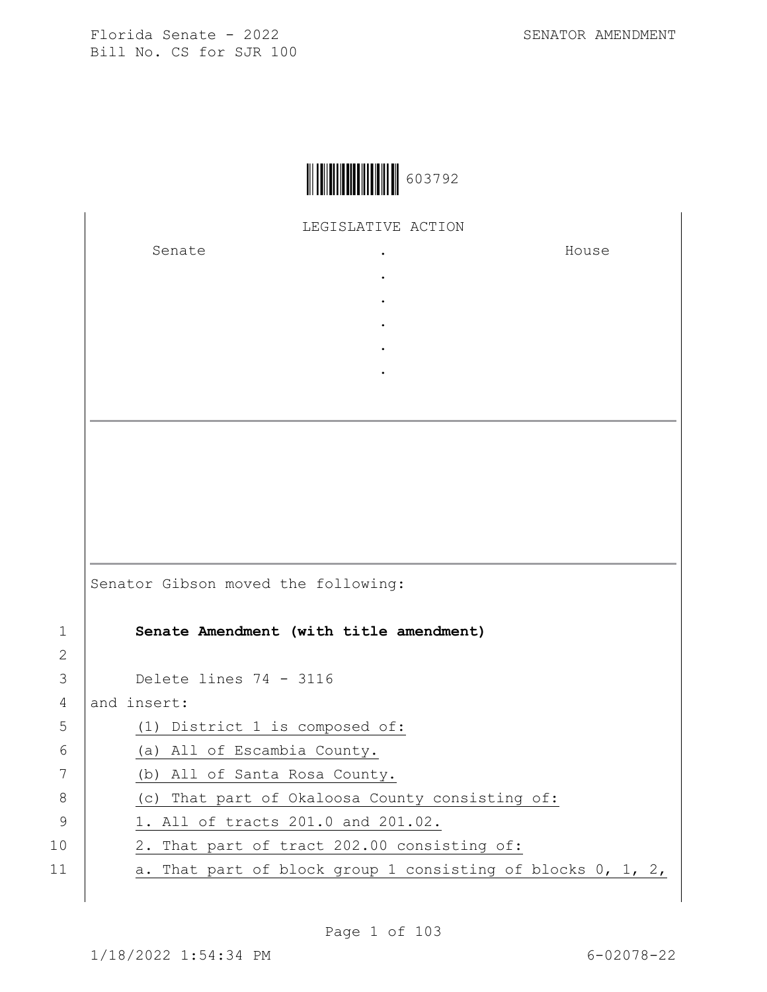

## LEGISLATIVE ACTION

. . . . .

Senate .

House

|    | Senator Gibson moved the following:                             |
|----|-----------------------------------------------------------------|
| 1  | Senate Amendment (with title amendment)                         |
| 2  |                                                                 |
| 3  | Delete lines $74 - 3116$                                        |
| 4  | and insert:                                                     |
| 5  | (1) District 1 is composed of:                                  |
| 6  | (a) All of Escambia County.                                     |
| 7  | (b) All of Santa Rosa County.                                   |
| 8  | (c) That part of Okaloosa County consisting of:                 |
| 9  | 1. All of tracts 201.0 and 201.02.                              |
| 10 | 2. That part of tract 202.00 consisting of:                     |
| 11 | a. That part of block group 1 consisting of blocks $0, 1, 2, 1$ |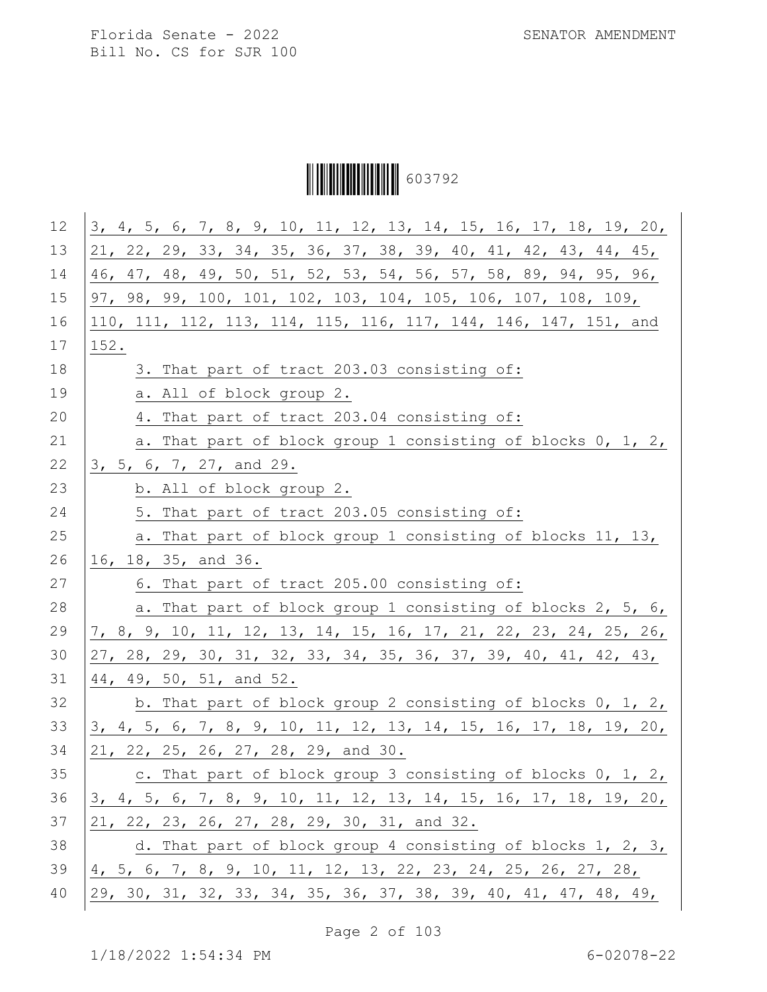Ì6037929Î603792

| 12 | 3, 4, 5, 6, 7, 8, 9, 10, 11, 12, 13, 14, 15, 16, 17, 18, 19, 20, |
|----|------------------------------------------------------------------|
| 13 | 21, 22, 29, 33, 34, 35, 36, 37, 38, 39, 40, 41, 42, 43, 44, 45,  |
| 14 | 46, 47, 48, 49, 50, 51, 52, 53, 54, 56, 57, 58, 89, 94, 95, 96,  |
| 15 | 97, 98, 99, 100, 101, 102, 103, 104, 105, 106, 107, 108, 109,    |
| 16 | 110, 111, 112, 113, 114, 115, 116, 117, 144, 146, 147, 151, and  |
| 17 | 152.                                                             |
| 18 | 3. That part of tract 203.03 consisting of:                      |
| 19 | a. All of block group 2.                                         |
| 20 | 4. That part of tract 203.04 consisting of:                      |
| 21 | a. That part of block group 1 consisting of blocks 0, 1, 2,      |
| 22 | 3, 5, 6, 7, 27, and 29.                                          |
| 23 | b. All of block group 2.                                         |
| 24 | 5. That part of tract 203.05 consisting of:                      |
| 25 | a. That part of block group 1 consisting of blocks 11, 13,       |
| 26 | 16, 18, 35, and 36.                                              |
| 27 | 6. That part of tract 205.00 consisting of:                      |
| 28 | a. That part of block group 1 consisting of blocks 2, 5, 6,      |
| 29 | 7, 8, 9, 10, 11, 12, 13, 14, 15, 16, 17, 21, 22, 23, 24, 25, 26, |
| 30 | 27, 28, 29, 30, 31, 32, 33, 34, 35, 36, 37, 39, 40, 41, 42, 43,  |
| 31 | 44, 49, 50, 51, and 52.                                          |
| 32 | b. That part of block group 2 consisting of blocks $0, 1, 2, 1$  |
| 33 | 3, 4, 5, 6, 7, 8, 9, 10, 11, 12, 13, 14, 15, 16, 17, 18, 19, 20, |
| 34 | 21, 22, 25, 26, 27, 28, 29, and 30.                              |
| 35 | c. That part of block group 3 consisting of blocks 0, 1, 2,      |
| 36 | 3, 4, 5, 6, 7, 8, 9, 10, 11, 12, 13, 14, 15, 16, 17, 18, 19, 20, |
| 37 | 21, 22, 23, 26, 27, 28, 29, 30, 31, and 32.                      |
| 38 | d. That part of block group 4 consisting of blocks 1, 2, 3,      |
| 39 | 4, 5, 6, 7, 8, 9, 10, 11, 12, 13, 22, 23, 24, 25, 26, 27, 28,    |
| 40 | 29, 30, 31, 32, 33, 34, 35, 36, 37, 38, 39, 40, 41, 47, 48, 49,  |
|    |                                                                  |

Page 2 of 103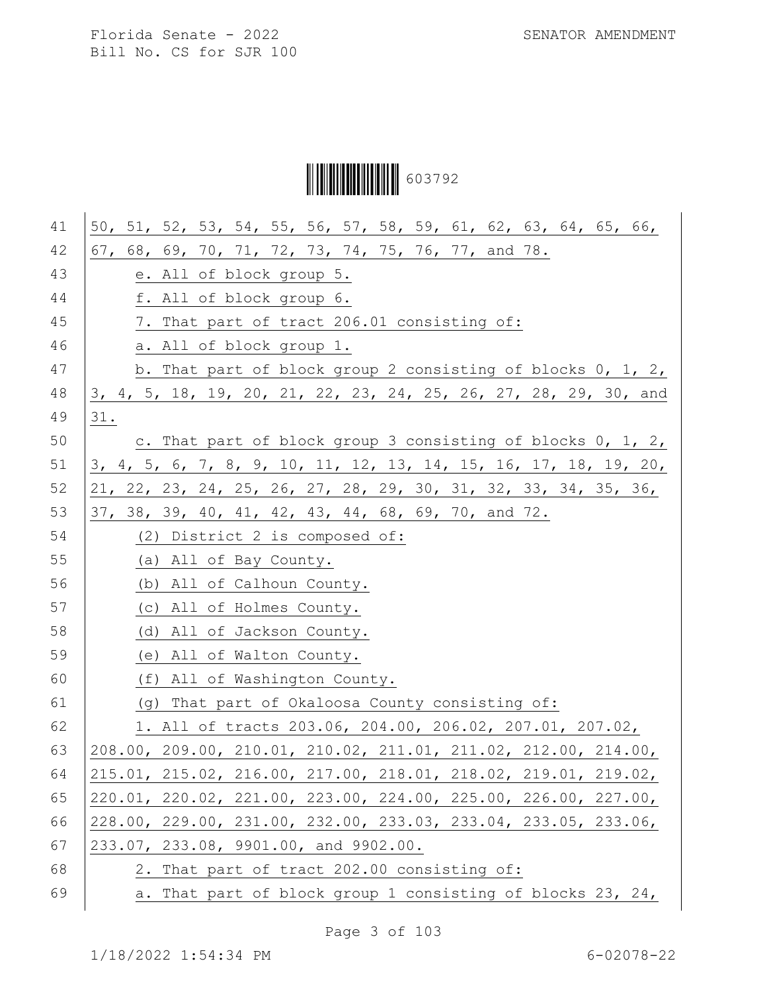# Ì6037929Î603792

| 41 | 50, 51, 52, 53, 54, 55, 56, 57, 58, 59, 61, 62, 63, 64, 65, 66,  |
|----|------------------------------------------------------------------|
| 42 | 67, 68, 69, 70, 71, 72, 73, 74, 75, 76, 77, and 78.              |
| 43 | e. All of block group 5.                                         |
| 44 | f. All of block group 6.                                         |
| 45 | 7. That part of tract 206.01 consisting of:                      |
| 46 | a. All of block group 1.                                         |
| 47 | b. That part of block group 2 consisting of blocks 0, 1, 2,      |
| 48 | 3, 4, 5, 18, 19, 20, 21, 22, 23, 24, 25, 26, 27, 28, 29, 30, and |
| 49 | 31.                                                              |
| 50 | c. That part of block group 3 consisting of blocks 0, 1, 2,      |
| 51 | 3, 4, 5, 6, 7, 8, 9, 10, 11, 12, 13, 14, 15, 16, 17, 18, 19, 20, |
| 52 | 21, 22, 23, 24, 25, 26, 27, 28, 29, 30, 31, 32, 33, 34, 35, 36,  |
| 53 | 37, 38, 39, 40, 41, 42, 43, 44, 68, 69, 70, and 72.              |
| 54 | (2) District 2 is composed of:                                   |
| 55 | (a) All of Bay County.                                           |
| 56 | (b) All of Calhoun County.                                       |
| 57 | (c) All of Holmes County.                                        |
| 58 | (d) All of Jackson County.                                       |
| 59 | (e) All of Walton County.                                        |
| 60 | (f) All of Washington County.                                    |
| 61 | (g) That part of Okaloosa County consisting of:                  |
| 62 | 1. All of tracts 203.06, 204.00, 206.02, 207.01, 207.02,         |
| 63 | 208.00, 209.00, 210.01, 210.02, 211.01, 211.02, 212.00, 214.00,  |
| 64 | 215.01, 215.02, 216.00, 217.00, 218.01, 218.02, 219.01, 219.02,  |
| 65 | 220.01, 220.02, 221.00, 223.00, 224.00, 225.00, 226.00, 227.00,  |
| 66 | 228.00, 229.00, 231.00, 232.00, 233.03, 233.04, 233.05, 233.06,  |
| 67 | 233.07, 233.08, 9901.00, and 9902.00.                            |
| 68 | 2. That part of tract 202.00 consisting of:                      |
| 69 | a. That part of block group 1 consisting of blocks 23, 24,       |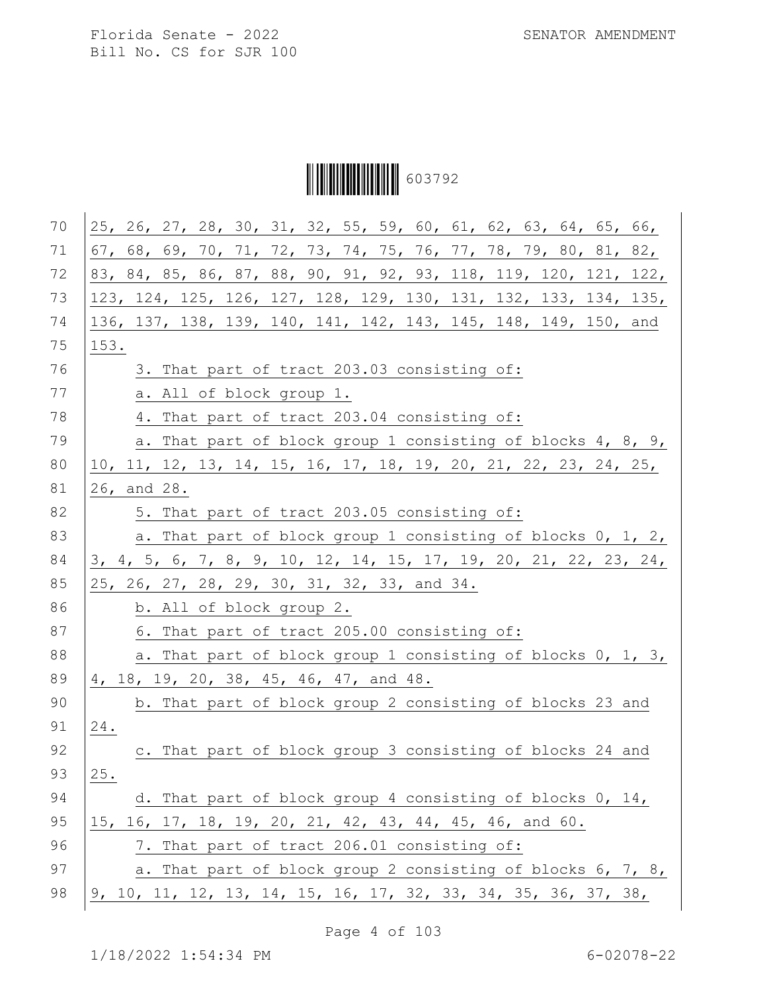Ì6037929Î603792

| 70 | 25, 26, 27, 28, 30, 31, 32, 55, 59, 60, 61, 62, 63, 64, 65, 66,  |
|----|------------------------------------------------------------------|
| 71 | 67, 68, 69, 70, 71, 72, 73, 74, 75, 76, 77, 78, 79, 80, 81, 82,  |
| 72 | 83, 84, 85, 86, 87, 88, 90, 91, 92, 93, 118, 119, 120, 121, 122, |
| 73 | 123, 124, 125, 126, 127, 128, 129, 130, 131, 132, 133, 134, 135, |
| 74 | 136, 137, 138, 139, 140, 141, 142, 143, 145, 148, 149, 150, and  |
| 75 | 153.                                                             |
| 76 | 3. That part of tract 203.03 consisting of:                      |
| 77 | a. All of block group 1.                                         |
| 78 | 4. That part of tract 203.04 consisting of:                      |
| 79 | a. That part of block group 1 consisting of blocks 4, 8, 9,      |
| 80 | 10, 11, 12, 13, 14, 15, 16, 17, 18, 19, 20, 21, 22, 23, 24, 25,  |
| 81 | 26, and 28.                                                      |
| 82 | 5. That part of tract 203.05 consisting of:                      |
| 83 | a. That part of block group 1 consisting of blocks 0, 1, 2,      |
| 84 | 3, 4, 5, 6, 7, 8, 9, 10, 12, 14, 15, 17, 19, 20, 21, 22, 23, 24, |
| 85 | 25, 26, 27, 28, 29, 30, 31, 32, 33, and 34.                      |
| 86 | b. All of block group 2.                                         |
| 87 | 6. That part of tract 205.00 consisting of:                      |
| 88 | a. That part of block group 1 consisting of blocks 0, 1, 3,      |
| 89 | 4, 18, 19, 20, 38, 45, 46, 47, and 48.                           |
| 90 | b. That part of block group 2 consisting of blocks 23 and        |
| 91 | 24.                                                              |
| 92 | c. That part of block group 3 consisting of blocks 24 and        |
| 93 | 25.                                                              |
| 94 | d. That part of block group 4 consisting of blocks 0, 14,        |
| 95 | 15, 16, 17, 18, 19, 20, 21, 42, 43, 44, 45, 46, and 60.          |
| 96 | 7. That part of tract 206.01 consisting of:                      |
| 97 | a. That part of block group 2 consisting of blocks 6, 7, 8,      |
| 98 | $9, 10, 11, 12, 13, 14, 15, 16, 17, 32, 33, 34, 35, 36, 37, 38,$ |
|    |                                                                  |

Page 4 of 103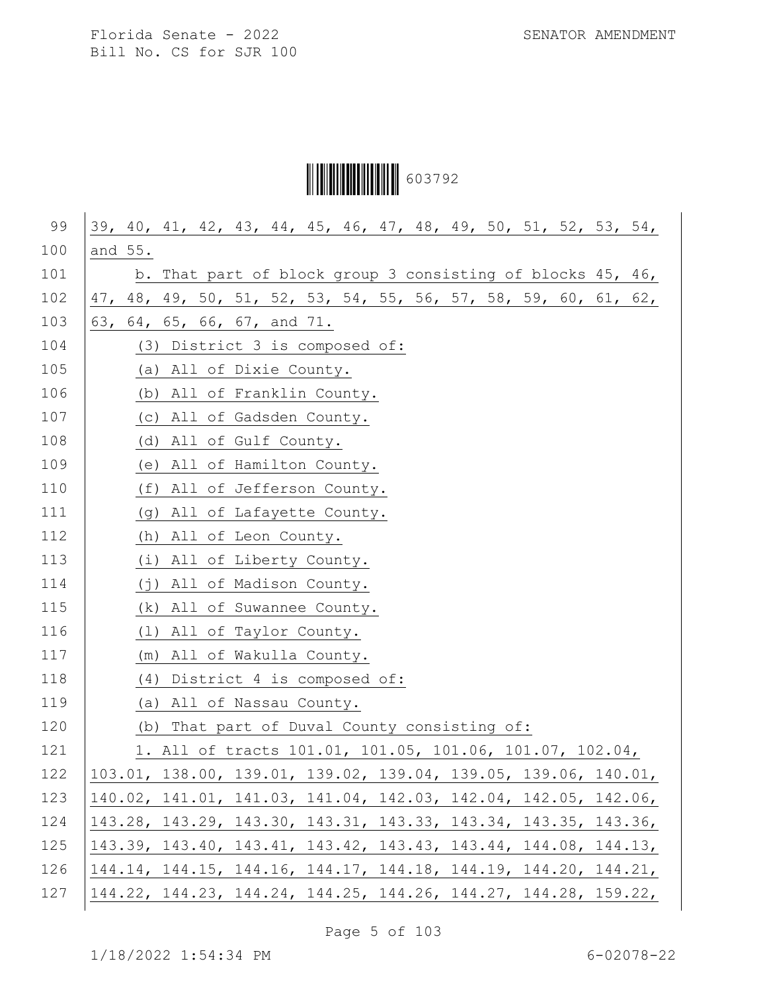# Ì6037929Î603792

| 99  | 39, 40, 41, 42, 43, 44, 45, 46, 47, 48, 49, 50, 51, 52, 53, 54, |
|-----|-----------------------------------------------------------------|
| 100 | and 55.                                                         |
| 101 | b. That part of block group 3 consisting of blocks 45, 46,      |
| 102 | 47, 48, 49, 50, 51, 52, 53, 54, 55, 56, 57, 58, 59, 60, 61, 62, |
| 103 | 63, 64, 65, 66, 67, and 71.                                     |
| 104 | (3) District 3 is composed of:                                  |
| 105 | (a) All of Dixie County.                                        |
| 106 | (b) All of Franklin County.                                     |
| 107 | (c) All of Gadsden County.                                      |
| 108 | (d) All of Gulf County.                                         |
| 109 | (e) All of Hamilton County.                                     |
| 110 | (f) All of Jefferson County.                                    |
| 111 | (g) All of Lafayette County.                                    |
| 112 | (h) All of Leon County.                                         |
| 113 | (i) All of Liberty County.                                      |
| 114 | (j) All of Madison County.                                      |
| 115 | (k) All of Suwannee County.                                     |
| 116 | (1) All of Taylor County.                                       |
| 117 | (m) All of Wakulla County.                                      |
| 118 | (4) District 4 is composed of:                                  |
| 119 | (a) All of Nassau County.                                       |
| 120 | (b) That part of Duval County consisting of:                    |
| 121 | 1. All of tracts 101.01, 101.05, 101.06, 101.07, 102.04,        |
| 122 | 103.01, 138.00, 139.01, 139.02, 139.04, 139.05, 139.06, 140.01, |
| 123 | 140.02, 141.01, 141.03, 141.04, 142.03, 142.04, 142.05, 142.06, |
| 124 | 143.28, 143.29, 143.30, 143.31, 143.33, 143.34, 143.35, 143.36, |
| 125 | 143.39, 143.40, 143.41, 143.42, 143.43, 143.44, 144.08, 144.13, |
| 126 | 144.14, 144.15, 144.16, 144.17, 144.18, 144.19, 144.20, 144.21, |
| 127 | 144.22, 144.23, 144.24, 144.25, 144.26, 144.27, 144.28, 159.22, |

Page 5 of 103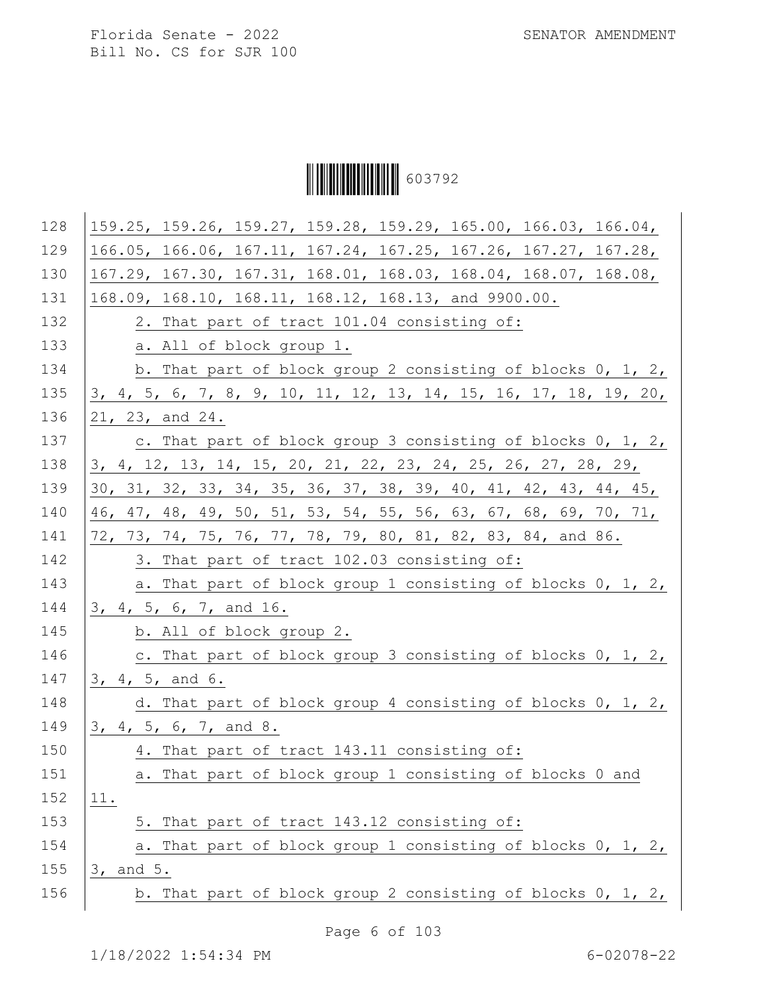Ì6037929Î603792

| 128 | 159.25, 159.26, 159.27, 159.28, 159.29, 165.00, 166.03, 166.04,  |
|-----|------------------------------------------------------------------|
| 129 | 166.05, 166.06, 167.11, 167.24, 167.25, 167.26, 167.27, 167.28,  |
| 130 | 167.29, 167.30, 167.31, 168.01, 168.03, 168.04, 168.07, 168.08,  |
| 131 | 168.09, 168.10, 168.11, 168.12, 168.13, and 9900.00.             |
| 132 | 2. That part of tract 101.04 consisting of:                      |
| 133 | a. All of block group 1.                                         |
| 134 | b. That part of block group 2 consisting of blocks 0, 1, 2,      |
| 135 | 3, 4, 5, 6, 7, 8, 9, 10, 11, 12, 13, 14, 15, 16, 17, 18, 19, 20, |
| 136 | 21, 23, and 24.                                                  |
| 137 | c. That part of block group 3 consisting of blocks 0, 1, 2,      |
| 138 | 3, 4, 12, 13, 14, 15, 20, 21, 22, 23, 24, 25, 26, 27, 28, 29,    |
| 139 | 30, 31, 32, 33, 34, 35, 36, 37, 38, 39, 40, 41, 42, 43, 44, 45,  |
| 140 | 46, 47, 48, 49, 50, 51, 53, 54, 55, 56, 63, 67, 68, 69, 70, 71,  |
| 141 | 72, 73, 74, 75, 76, 77, 78, 79, 80, 81, 82, 83, 84, and 86.      |
| 142 | 3. That part of tract 102.03 consisting of:                      |
| 143 | a. That part of block group 1 consisting of blocks 0, 1, 2,      |
| 144 | 3, 4, 5, 6, 7, and 16.                                           |
| 145 | b. All of block group 2.                                         |
| 146 | c. That part of block group 3 consisting of blocks 0, 1, 2,      |
| 147 | 3, 4, 5, and 6.                                                  |
| 148 | d. That part of block group 4 consisting of blocks 0, 1, 2,      |
| 149 | 3, 4, 5, 6, 7, and 8.                                            |
| 150 | 4. That part of tract 143.11 consisting of:                      |
| 151 | a. That part of block group 1 consisting of blocks 0 and         |
| 152 | 11.                                                              |
| 153 | 5. That part of tract 143.12 consisting of:                      |
| 154 | a. That part of block group 1 consisting of blocks 0, 1, 2,      |
| 155 | 3, and 5.                                                        |
| 156 | b. That part of block group 2 consisting of blocks 0, 1, 2,      |
|     |                                                                  |

Page 6 of 103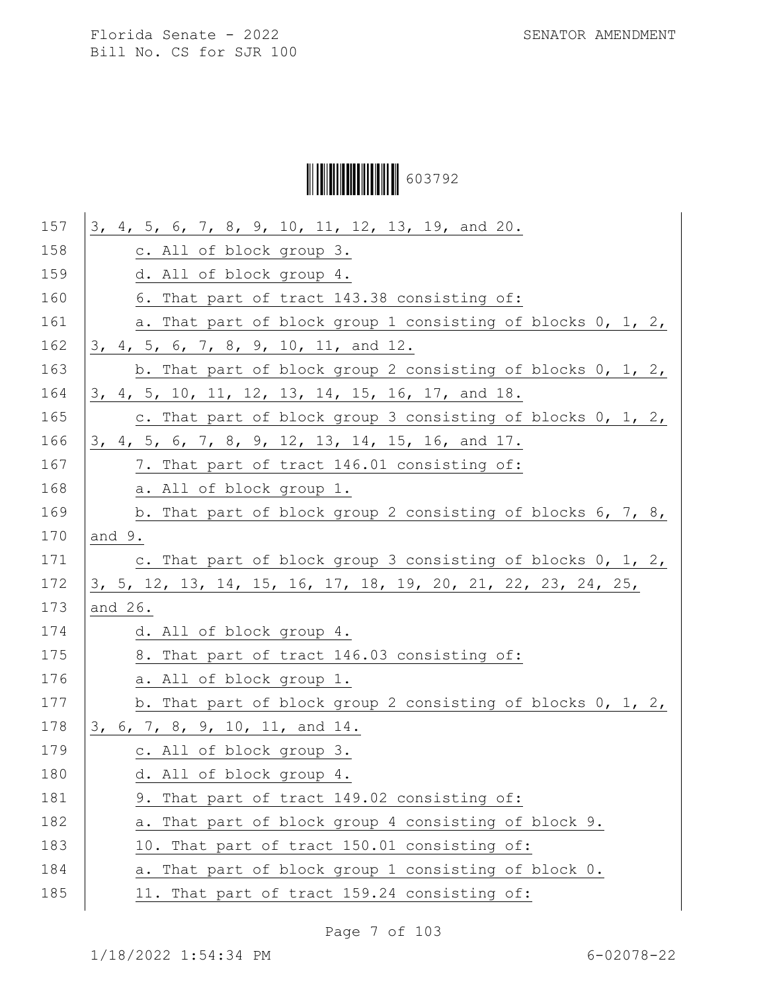Ì6037929Î603792

| 157 | 3, 4, 5, 6, 7, 8, 9, 10, 11, 12, 13, 19, and 20.                |
|-----|-----------------------------------------------------------------|
| 158 | c. All of block group 3.                                        |
| 159 | d. All of block group 4.                                        |
| 160 | 6. That part of tract 143.38 consisting of:                     |
| 161 | a. That part of block group 1 consisting of blocks 0, 1, 2,     |
| 162 | 3, 4, 5, 6, 7, 8, 9, 10, 11, and 12.                            |
| 163 | b. That part of block group 2 consisting of blocks $0, 1, 2, 1$ |
| 164 | 3, 4, 5, 10, 11, 12, 13, 14, 15, 16, 17, and 18.                |
| 165 | c. That part of block group 3 consisting of blocks 0, 1, 2,     |
| 166 | 3, 4, 5, 6, 7, 8, 9, 12, 13, 14, 15, 16, and 17.                |
| 167 | 7. That part of tract 146.01 consisting of:                     |
| 168 | a. All of block group 1.                                        |
| 169 | b. That part of block group 2 consisting of blocks 6, 7, 8,     |
| 170 | and 9.                                                          |
| 171 | c. That part of block group 3 consisting of blocks $0, 1, 2,$   |
| 172 | 3, 5, 12, 13, 14, 15, 16, 17, 18, 19, 20, 21, 22, 23, 24, 25,   |
| 173 | and 26.                                                         |
| 174 | d. All of block group 4.                                        |
| 175 | 8. That part of tract 146.03 consisting of:                     |
| 176 | a. All of block group 1.                                        |
| 177 | b. That part of block group 2 consisting of blocks 0, 1, 2,     |
| 178 | 3, 6, 7, 8, 9, 10, 11, and 14.                                  |
| 179 | c. All of block group 3.                                        |
| 180 | d. All of block group 4.                                        |
| 181 | 9. That part of tract 149.02 consisting of:                     |
| 182 | a. That part of block group 4 consisting of block 9.            |
| 183 | 10. That part of tract 150.01 consisting of:                    |
| 184 | a. That part of block group 1 consisting of block 0.            |
| 185 | 11. That part of tract 159.24 consisting of:                    |
|     |                                                                 |

Page 7 of 103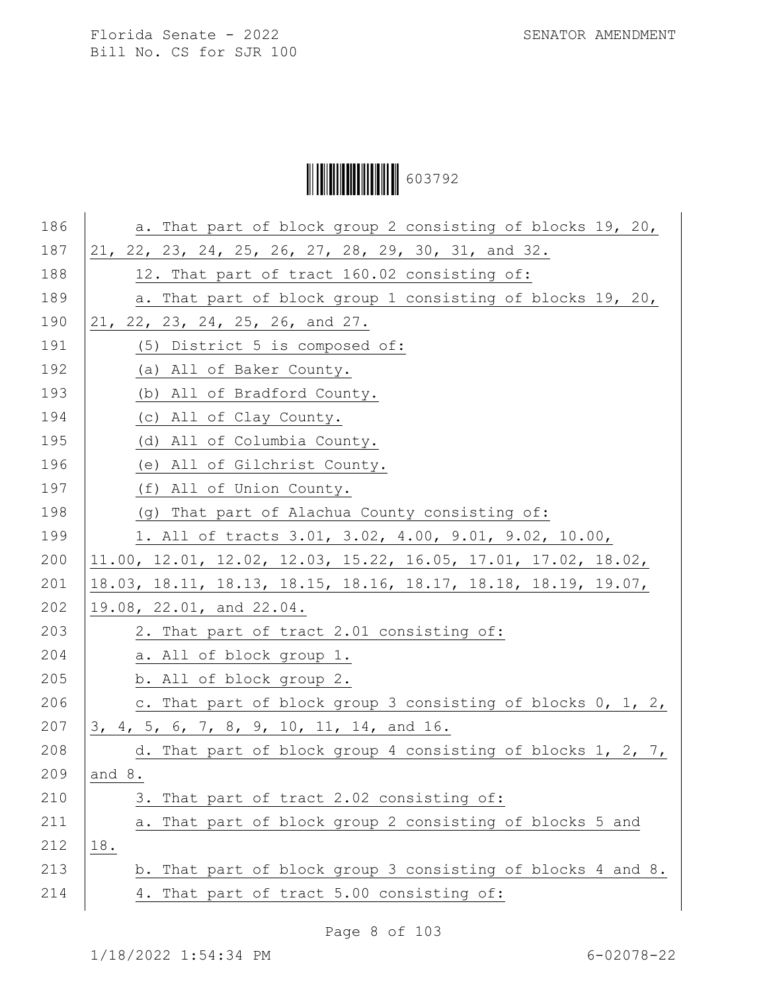Ì6037929Î603792

| 186 | a. That part of block group 2 consisting of blocks 19, 20,        |
|-----|-------------------------------------------------------------------|
| 187 | 21, 22, 23, 24, 25, 26, 27, 28, 29, 30, 31, and 32.               |
| 188 | 12. That part of tract 160.02 consisting of:                      |
| 189 | a. That part of block group 1 consisting of blocks 19, 20,        |
| 190 | 21, 22, 23, 24, 25, 26, and 27.                                   |
| 191 | (5) District 5 is composed of:                                    |
| 192 | (a) All of Baker County.                                          |
| 193 | (b) All of Bradford County.                                       |
| 194 | (c) All of Clay County.                                           |
| 195 | (d) All of Columbia County.                                       |
| 196 | (e) All of Gilchrist County.                                      |
| 197 | (f) All of Union County.                                          |
| 198 | (g) That part of Alachua County consisting of:                    |
| 199 | 1. All of tracts 3.01, 3.02, 4.00, 9.01, 9.02, 10.00,             |
| 200 | $11.00$ , 12.01, 12.02, 12.03, 15.22, 16.05, 17.01, 17.02, 18.02, |
| 201 | 18.03, 18.11, 18.13, 18.15, 18.16, 18.17, 18.18, 18.19, 19.07,    |
| 202 | 19.08, 22.01, and 22.04.                                          |
| 203 | 2. That part of tract 2.01 consisting of:                         |
| 204 | a. All of block group 1.                                          |
| 205 | b. All of block group 2.                                          |
| 206 | c. That part of block group 3 consisting of blocks 0, 1, 2,       |
| 207 | 3, 4, 5, 6, 7, 8, 9, 10, 11, 14, and 16.                          |
| 208 | d. That part of block group 4 consisting of blocks 1, 2, 7,       |
| 209 | and 8.                                                            |
| 210 | 3. That part of tract 2.02 consisting of:                         |
| 211 | That part of block group 2 consisting of blocks 5 and<br>а.       |
| 212 | 18.                                                               |
| 213 | b. That part of block group 3 consisting of blocks 4 and 8.       |
| 214 | 4. That part of tract 5.00 consisting of:                         |

Page 8 of 103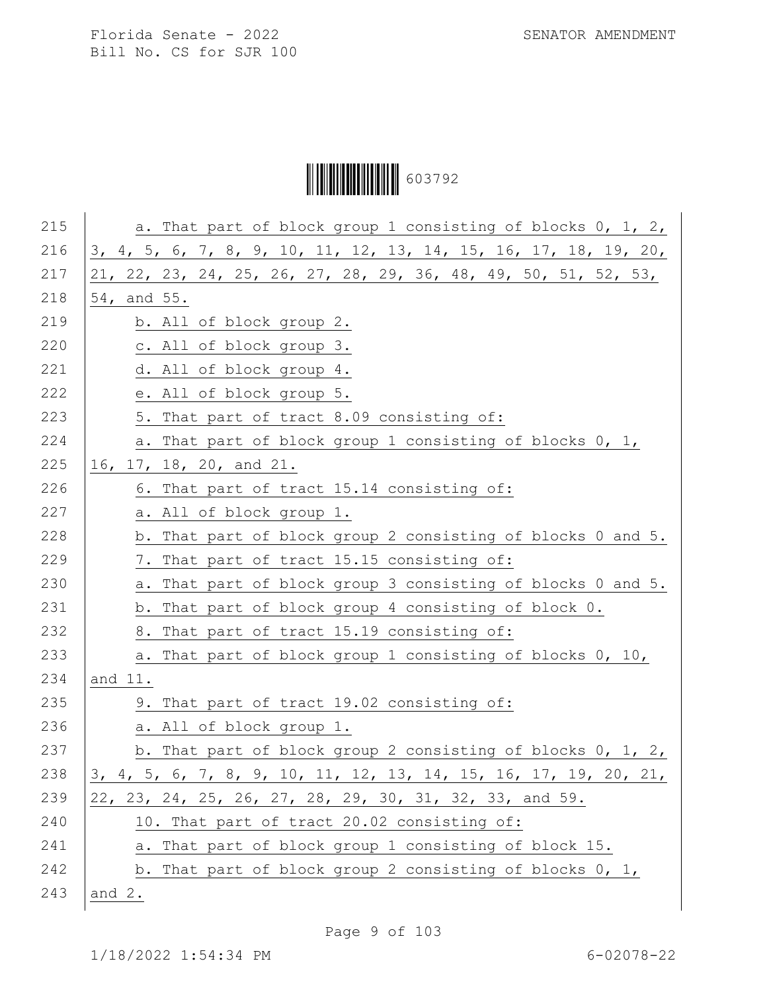Ì6037929Î603792

| 215 | a. That part of block group 1 consisting of blocks 0, 1, 2,       |
|-----|-------------------------------------------------------------------|
| 216 | 3, 4, 5, 6, 7, 8, 9, 10, 11, 12, 13, 14, 15, 16, 17, 18, 19, 20,  |
| 217 | $21, 22, 23, 24, 25, 26, 27, 28, 29, 36, 48, 49, 50, 51, 52, 53,$ |
| 218 | 54, and 55.                                                       |
| 219 | b. All of block group 2.                                          |
| 220 | c. All of block group 3.                                          |
| 221 | d. All of block group 4.                                          |
| 222 | e. All of block group 5.                                          |
| 223 | 5. That part of tract 8.09 consisting of:                         |
| 224 | a. That part of block group 1 consisting of blocks 0, 1,          |
| 225 | 16, 17, 18, 20, and 21.                                           |
| 226 | 6. That part of tract 15.14 consisting of:                        |
| 227 | a. All of block group 1.                                          |
| 228 | b. That part of block group 2 consisting of blocks 0 and 5.       |
| 229 | 7. That part of tract 15.15 consisting of:                        |
| 230 | That part of block group 3 consisting of blocks 0 and 5.<br>a.    |
| 231 | b. That part of block group 4 consisting of block 0.              |
| 232 | 8. That part of tract 15.19 consisting of:                        |
| 233 | a. That part of block group 1 consisting of blocks 0, 10,         |
| 234 | and 11.                                                           |
| 235 | 9. That part of tract 19.02 consisting of:                        |
| 236 | a. All of block group 1.                                          |
| 237 | b. That part of block group 2 consisting of blocks $0, 1, 2, 1$   |
| 238 | 3, 4, 5, 6, 7, 8, 9, 10, 11, 12, 13, 14, 15, 16, 17, 19, 20, 21,  |
| 239 | 22, 23, 24, 25, 26, 27, 28, 29, 30, 31, 32, 33, and 59.           |
| 240 | 10. That part of tract 20.02 consisting of:                       |
| 241 | a. That part of block group 1 consisting of block 15.             |
| 242 | b. That part of block group 2 consisting of blocks 0, 1,          |
| 243 | and $2$ .                                                         |

Page 9 of 103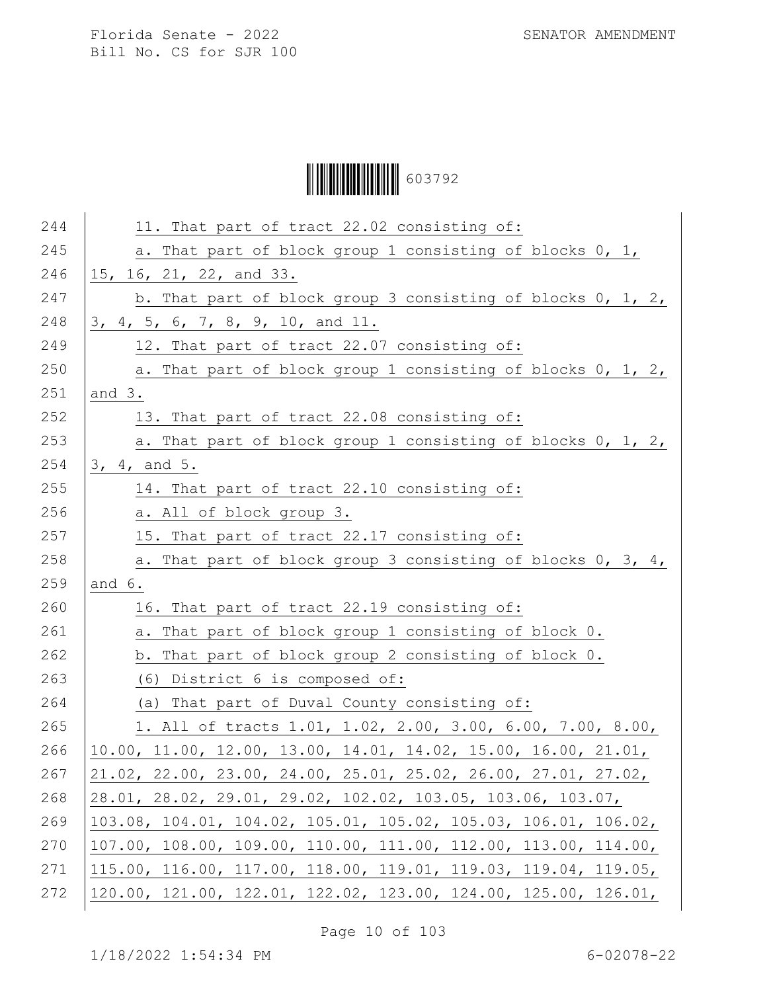Ì6037929Î603792

| 11. That part of tract 22.02 consisting of:                                               |
|-------------------------------------------------------------------------------------------|
| a. That part of block group 1 consisting of blocks 0, 1,                                  |
| 15, 16, 21, 22, and 33.                                                                   |
| b. That part of block group 3 consisting of blocks 0, 1, 2,                               |
| 3, 4, 5, 6, 7, 8, 9, 10, and 11.                                                          |
| 12. That part of tract 22.07 consisting of:                                               |
| a. That part of block group 1 consisting of blocks 0, 1, 2,                               |
| and $3.$                                                                                  |
| 13. That part of tract 22.08 consisting of:                                               |
| a. That part of block group 1 consisting of blocks 0, 1, 2,                               |
| 3, 4, and 5.                                                                              |
| 14. That part of tract 22.10 consisting of:                                               |
| a. All of block group 3.                                                                  |
| 15. That part of tract 22.17 consisting of:                                               |
| a. That part of block group 3 consisting of blocks 0, 3, 4,                               |
| and 6.                                                                                    |
| 16. That part of tract 22.19 consisting of:                                               |
| a. That part of block group 1 consisting of block 0.                                      |
| b. That part of block group 2 consisting of block 0.                                      |
| (6) District 6 is composed of:                                                            |
| (a) That part of Duval County consisting of:                                              |
| 1. All of tracts 1.01, 1.02, 2.00, 3.00, 6.00, 7.00, 8.00,                                |
| $10.00, 11.00, 12.00, 13.00, 14.01, 14.02, 15.00, 16.00, 21.01,$                          |
| $21.02$ , $22.00$ , $23.00$ , $24.00$ , $25.01$ , $25.02$ , $26.00$ , $27.01$ , $27.02$ , |
| 28.01, 28.02, 29.01, 29.02, 102.02, 103.05, 103.06, 103.07,                               |
| 103.08, 104.01, 104.02, 105.01, 105.02, 105.03, 106.01, 106.02,                           |
| 107.00, 108.00, 109.00, 110.00, 111.00, 112.00, 113.00, 114.00,                           |
| 115.00, 116.00, 117.00, 118.00, 119.01, 119.03, 119.04, 119.05,                           |
| 120.00, 121.00, 122.01, 122.02, 123.00, 124.00, 125.00, 126.01,                           |
|                                                                                           |

Page 10 of 103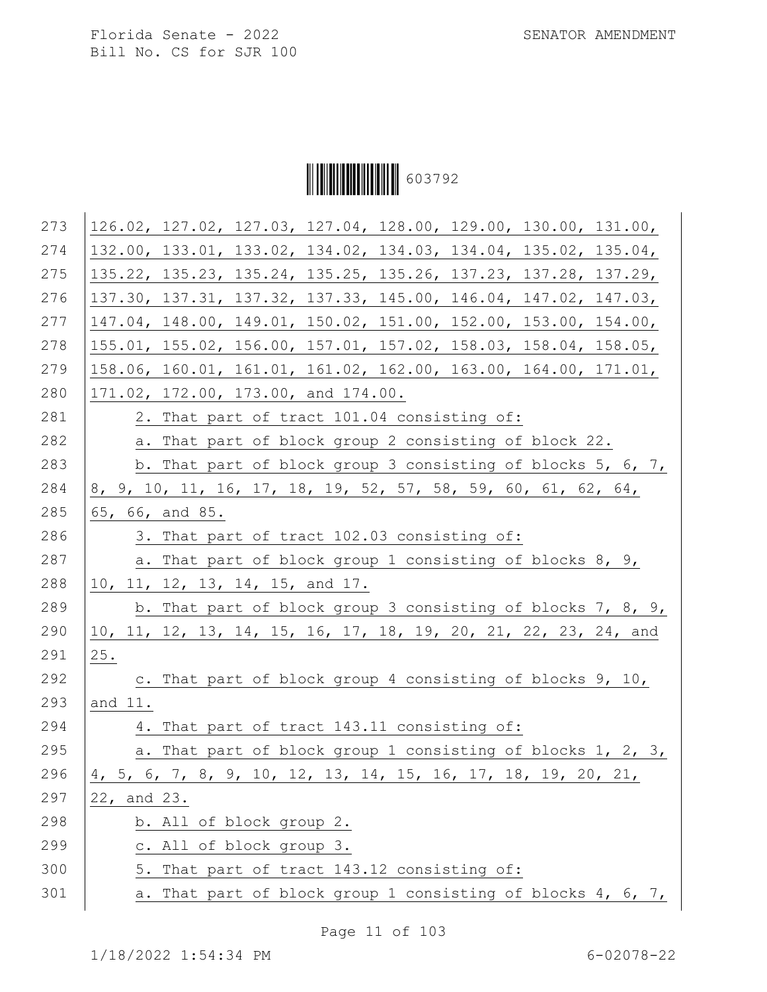Ì6037929Î603792

| 273 | 126.02, 127.02, 127.03, 127.04, 128.00, 129.00, 130.00, 131.00, |
|-----|-----------------------------------------------------------------|
| 274 | 132.00, 133.01, 133.02, 134.02, 134.03, 134.04, 135.02, 135.04, |
| 275 | 135.22, 135.23, 135.24, 135.25, 135.26, 137.23, 137.28, 137.29, |
| 276 | 137.30, 137.31, 137.32, 137.33, 145.00, 146.04, 147.02, 147.03, |
| 277 | 147.04, 148.00, 149.01, 150.02, 151.00, 152.00, 153.00, 154.00, |
| 278 | 155.01, 155.02, 156.00, 157.01, 157.02, 158.03, 158.04, 158.05, |
| 279 | 158.06, 160.01, 161.01, 161.02, 162.00, 163.00, 164.00, 171.01, |
| 280 | 171.02, 172.00, 173.00, and 174.00.                             |
| 281 | 2. That part of tract 101.04 consisting of:                     |
| 282 | a. That part of block group 2 consisting of block 22.           |
| 283 | b. That part of block group 3 consisting of blocks 5, 6, 7,     |
| 284 | 8, 9, 10, 11, 16, 17, 18, 19, 52, 57, 58, 59, 60, 61, 62, 64,   |
| 285 | 65, 66, and 85.                                                 |
| 286 | 3. That part of tract 102.03 consisting of:                     |
| 287 | a. That part of block group 1 consisting of blocks 8, 9,        |
| 288 | 10, 11, 12, 13, 14, 15, and 17.                                 |
| 289 | b. That part of block group 3 consisting of blocks 7, 8, 9,     |
| 290 | 10, 11, 12, 13, 14, 15, 16, 17, 18, 19, 20, 21, 22, 23, 24, and |
| 291 | 25.                                                             |
| 292 | c. That part of block group 4 consisting of blocks 9, 10,       |
| 293 | and 11.                                                         |
| 294 | 4. That part of tract 143.11 consisting of:                     |
| 295 | a. That part of block group 1 consisting of blocks 1, 2, 3,     |
| 296 | 4, 5, 6, 7, 8, 9, 10, 12, 13, 14, 15, 16, 17, 18, 19, 20, 21,   |
| 297 | 22, and 23.                                                     |
| 298 | b. All of block group 2.                                        |
| 299 | c. All of block group 3.                                        |
| 300 | That part of tract 143.12 consisting of:<br>5.                  |
| 301 | That part of block group 1 consisting of blocks 4, 6, 7,<br>a.  |
|     |                                                                 |

Page 11 of 103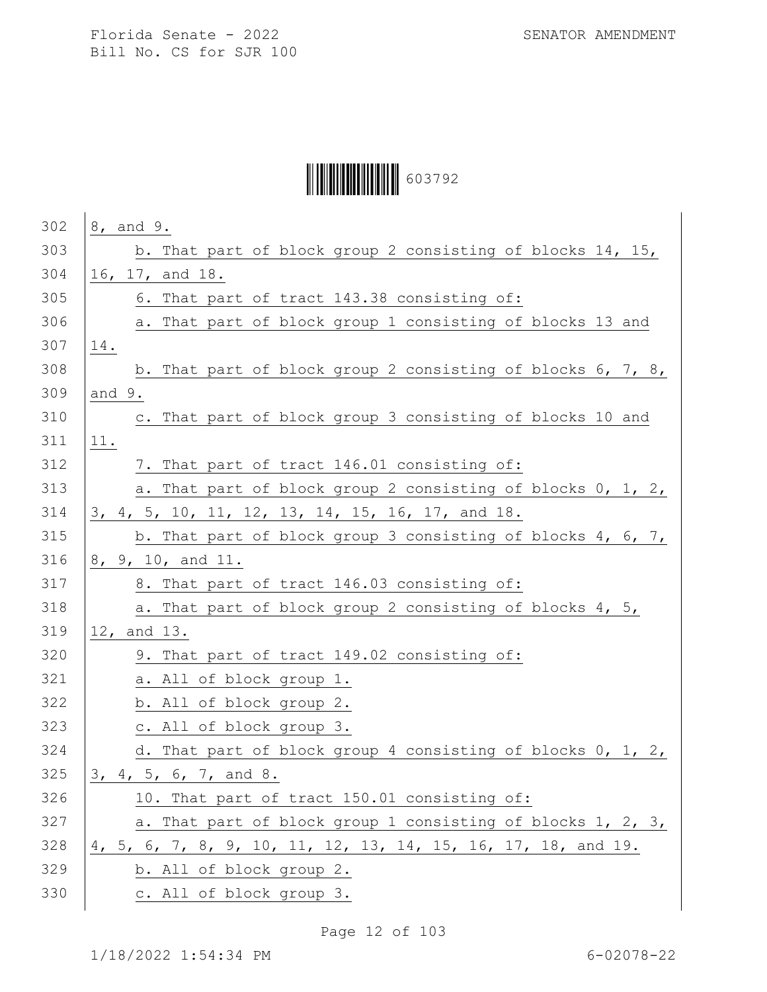# Ì6037929Î603792

| 302 | 8, and 9.                                                     |
|-----|---------------------------------------------------------------|
| 303 | b. That part of block group 2 consisting of blocks 14, 15,    |
| 304 | 16, 17, and 18.                                               |
| 305 | 6. That part of tract 143.38 consisting of:                   |
| 306 | a. That part of block group 1 consisting of blocks 13 and     |
| 307 | 14.                                                           |
| 308 | b. That part of block group 2 consisting of blocks 6, 7, 8,   |
| 309 | and $9.$                                                      |
| 310 | c. That part of block group 3 consisting of blocks 10 and     |
| 311 | 11.                                                           |
| 312 | 7. That part of tract 146.01 consisting of:                   |
| 313 | a. That part of block group 2 consisting of blocks 0, 1, 2,   |
| 314 | 3, 4, 5, 10, 11, 12, 13, 14, 15, 16, 17, and 18.              |
| 315 | b. That part of block group 3 consisting of blocks 4, 6, 7,   |
| 316 | 8, 9, 10, and 11.                                             |
| 317 | 8. That part of tract 146.03 consisting of:                   |
| 318 | a. That part of block group 2 consisting of blocks 4, 5,      |
| 319 | 12, and 13.                                                   |
| 320 | 9. That part of tract 149.02 consisting of:                   |
| 321 | a. All of block group 1.                                      |
| 322 | b. All of block group 2.                                      |
| 323 | c. All of block group 3.                                      |
| 324 | d. That part of block group 4 consisting of blocks 0, 1, 2,   |
| 325 | 3, 4, 5, 6, 7, and 8.                                         |
| 326 | 10. That part of tract 150.01 consisting of:                  |
| 327 | a. That part of block group 1 consisting of blocks 1, 2, 3,   |
| 328 | 4, 5, 6, 7, 8, 9, 10, 11, 12, 13, 14, 15, 16, 17, 18, and 19. |
| 329 | b. All of block group 2.                                      |
| 330 | c. All of block group 3.                                      |

Page 12 of 103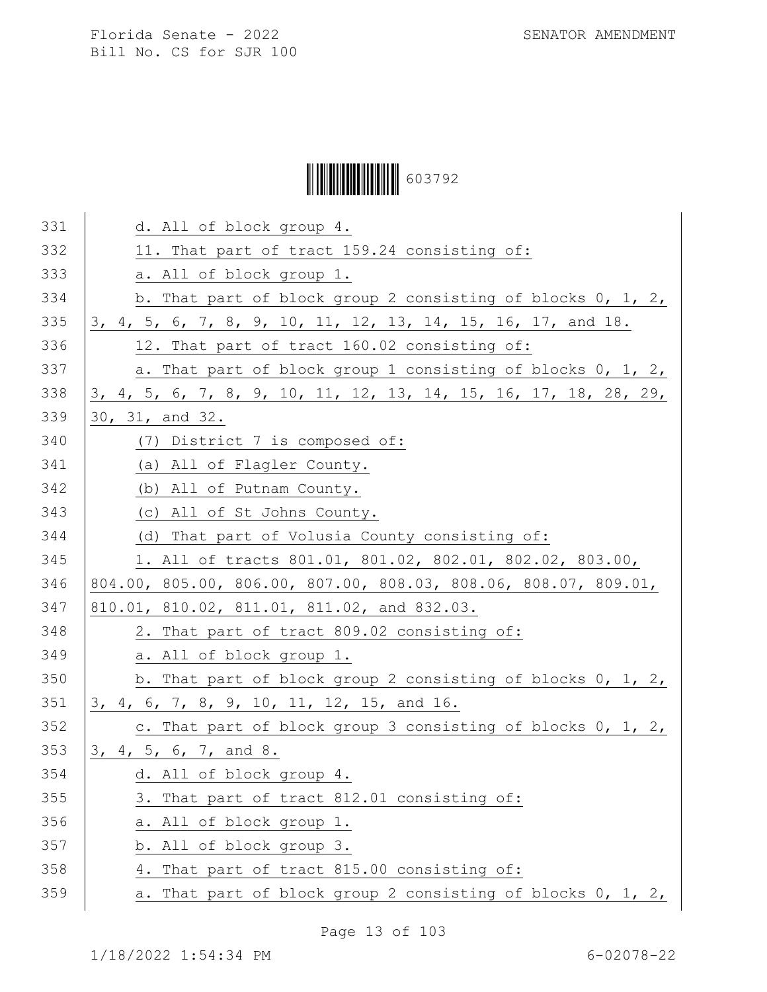# Ì6037929Î603792

| 331 | d. All of block group 4.                                         |
|-----|------------------------------------------------------------------|
| 332 | 11. That part of tract 159.24 consisting of:                     |
| 333 | a. All of block group 1.                                         |
| 334 | b. That part of block group 2 consisting of blocks 0, 1, 2,      |
| 335 | 3, 4, 5, 6, 7, 8, 9, 10, 11, 12, 13, 14, 15, 16, 17, and 18.     |
| 336 | 12. That part of tract 160.02 consisting of:                     |
| 337 | a. That part of block group 1 consisting of blocks 0, 1, 2,      |
| 338 | 3, 4, 5, 6, 7, 8, 9, 10, 11, 12, 13, 14, 15, 16, 17, 18, 28, 29, |
| 339 | 30, 31, and 32.                                                  |
| 340 | (7) District 7 is composed of:                                   |
| 341 | (a) All of Flagler County.                                       |
| 342 | (b) All of Putnam County.                                        |
| 343 | (c) All of St Johns County.                                      |
| 344 | (d) That part of Volusia County consisting of:                   |
| 345 | 1. All of tracts 801.01, 801.02, 802.01, 802.02, 803.00,         |
| 346 | 804.00, 805.00, 806.00, 807.00, 808.03, 808.06, 808.07, 809.01,  |
| 347 | 810.01, 810.02, 811.01, 811.02, and 832.03.                      |
| 348 | 2. That part of tract 809.02 consisting of:                      |
| 349 | a. All of block group 1.                                         |
| 350 | b. That part of block group 2 consisting of blocks 0, 1, 2,      |
| 351 | 3, 4, 6, 7, 8, 9, 10, 11, 12, 15, and 16.                        |
| 352 | c. That part of block group 3 consisting of blocks 0, 1, 2,      |
| 353 | 3, 4, 5, 6, 7, and 8.                                            |
| 354 | d. All of block group 4.                                         |
| 355 | 3. That part of tract 812.01 consisting of:                      |
| 356 | a. All of block group 1.                                         |
| 357 | b. All of block group 3.                                         |
| 358 | 4. That part of tract 815.00 consisting of:                      |
| 359 | That part of block group 2 consisting of blocks 0, 1, 2,<br>а.   |

Page 13 of 103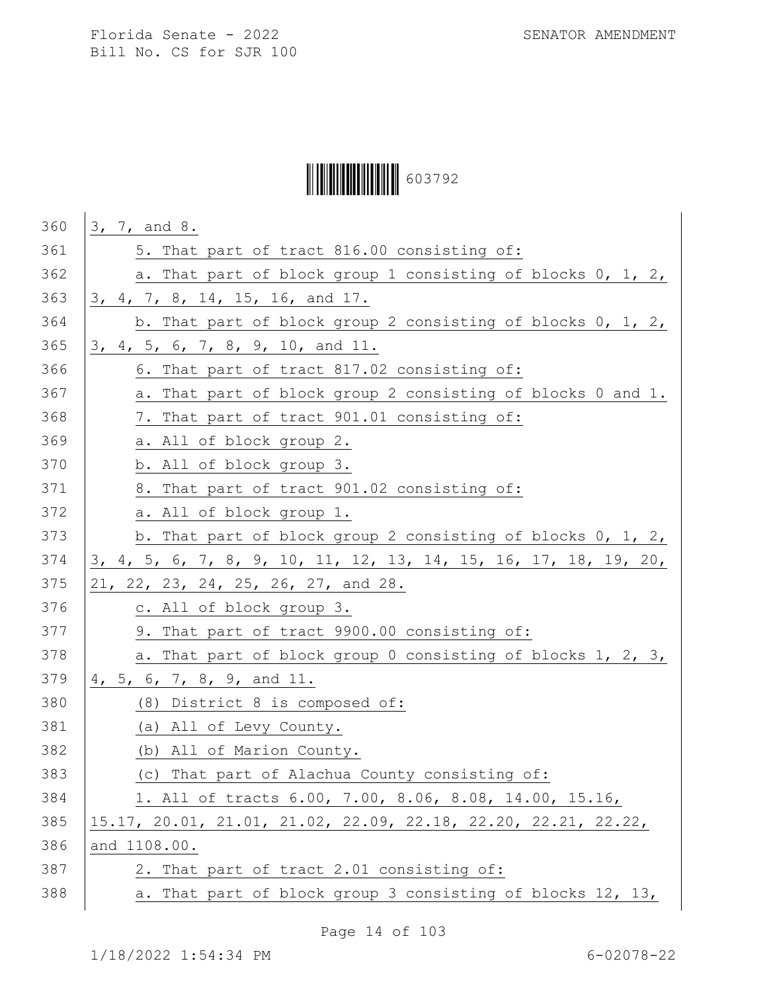Ì6037929Î603792

| 360 | 3, 7, and 8.                                                      |
|-----|-------------------------------------------------------------------|
| 361 | 5. That part of tract 816.00 consisting of:                       |
| 362 | a. That part of block group 1 consisting of blocks 0, 1, 2,       |
| 363 | 3, 4, 7, 8, 14, 15, 16, and 17.                                   |
| 364 | b. That part of block group 2 consisting of blocks 0, 1, 2,       |
| 365 | 3, 4, 5, 6, 7, 8, 9, 10, and 11.                                  |
| 366 | 6. That part of tract 817.02 consisting of:                       |
| 367 | a. That part of block group 2 consisting of blocks 0 and 1.       |
| 368 | 7. That part of tract 901.01 consisting of:                       |
| 369 | a. All of block group 2.                                          |
| 370 | b. All of block group 3.                                          |
| 371 | 8. That part of tract 901.02 consisting of:                       |
| 372 | a. All of block group 1.                                          |
| 373 | b. That part of block group 2 consisting of blocks 0, 1, 2,       |
| 374 | 3, 4, 5, 6, 7, 8, 9, 10, 11, 12, 13, 14, 15, 16, 17, 18, 19, 20,  |
| 375 | 21, 22, 23, 24, 25, 26, 27, and 28.                               |
| 376 | c. All of block group 3.                                          |
| 377 | 9. That part of tract 9900.00 consisting of:                      |
| 378 | a. That part of block group 0 consisting of blocks 1, 2, 3,       |
| 379 | 4, 5, 6, 7, 8, 9, and 11.                                         |
| 380 | (8) District 8 is composed of:                                    |
| 381 | (a) All of Levy County.                                           |
| 382 | (b) All of Marion County.                                         |
| 383 | (c) That part of Alachua County consisting of:                    |
| 384 | 1. All of tracts 6.00, 7.00, 8.06, 8.08, 14.00, 15.16,            |
| 385 | $15.17$ , 20.01, 21.01, 21.02, 22.09, 22.18, 22.20, 22.21, 22.22, |
| 386 | and 1108.00.                                                      |
| 387 | 2. That part of tract 2.01 consisting of:                         |
| 388 | a. That part of block group 3 consisting of blocks 12, 13,        |

Page 14 of 103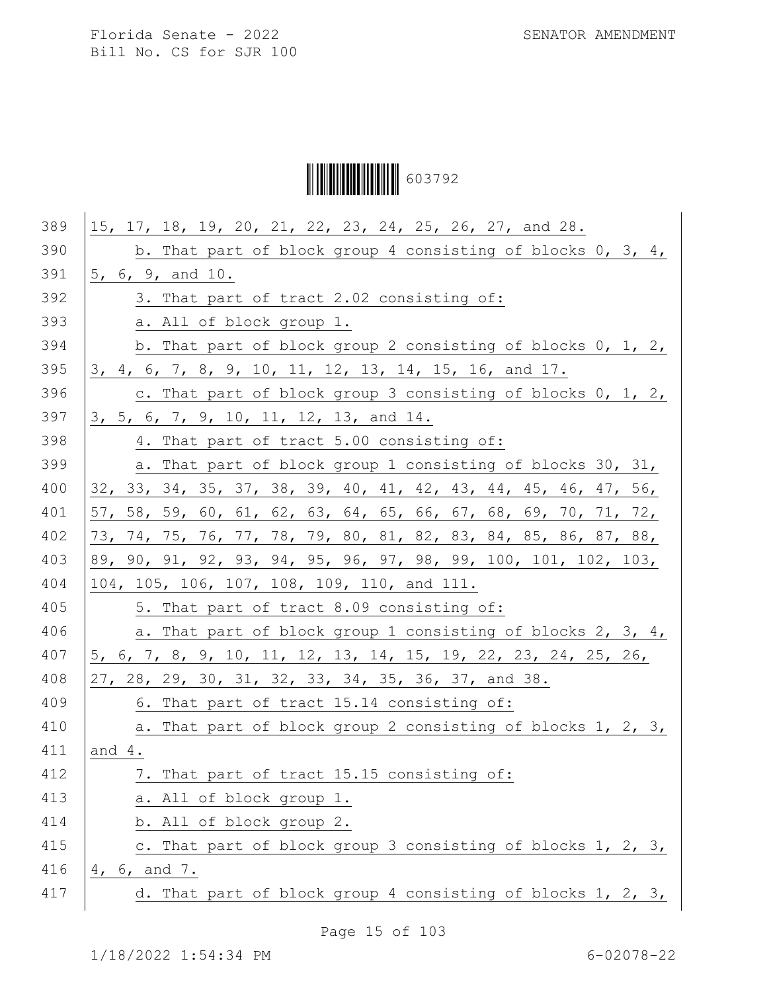Ì6037929Î603792

| 389 | 15, 17, 18, 19, 20, 21, 22, 23, 24, 25, 26, 27, and 28.                 |
|-----|-------------------------------------------------------------------------|
| 390 | b. That part of block group 4 consisting of blocks $0, 3, 4,$           |
| 391 | 5, 6, 9, and 10.                                                        |
| 392 | 3. That part of tract 2.02 consisting of:                               |
| 393 | a. All of block group 1.                                                |
| 394 | b. That part of block group 2 consisting of blocks 0, 1, 2,             |
| 395 | 3, 4, 6, 7, 8, 9, 10, 11, 12, 13, 14, 15, 16, and 17.                   |
| 396 | c. That part of block group 3 consisting of blocks 0, 1, 2,             |
| 397 | 3, 5, 6, 7, 9, 10, 11, 12, 13, and 14.                                  |
| 398 | 4. That part of tract 5.00 consisting of:                               |
| 399 | a. That part of block group 1 consisting of blocks 30, 31,              |
| 400 | 32, 33, 34, 35, 37, 38, 39, 40, 41, 42, 43, 44, 45, 46, 47, 56,         |
| 401 | 57, 58, 59, 60, 61, 62, 63, 64, 65, 66, 67, 68, 69, 70, 71, 72,         |
| 402 | 73, 74, 75 <u>, 76, 77, 78, 79, 80, 81, 82, 83, 84, 85, 86, 87, 88,</u> |
| 403 | 89, 90, 91, 92, 93, 94, 95, 96, 97, 98, 99, 100, 101, 102, 103,         |
| 404 | 104, 105, 106, 107, 108, 109, 110, and 111.                             |
| 405 | 5. That part of tract 8.09 consisting of:                               |
| 406 | a. That part of block group 1 consisting of blocks 2, 3, 4,             |
| 407 | 5, 6, 7, 8, 9, 10, 11, 12, 13, 14, 15, 19, 22, 23, 24, 25, 26,          |
| 408 | 27, 28, 29, 30, 31, 32, 33, 34, 35, 36, 37, and 38.                     |
| 409 | 6. That part of tract 15.14 consisting of:                              |
| 410 | a. That part of block group 2 consisting of blocks 1, 2, 3,             |
| 411 | and $4.$                                                                |
| 412 | 7. That part of tract 15.15 consisting of:                              |
| 413 | a. All of block group 1.                                                |
| 414 | b. All of block group 2.                                                |
| 415 | c. That part of block group 3 consisting of blocks 1, 2, 3,             |
| 416 | 4, 6, and 7.                                                            |
| 417 | d. That part of block group 4 consisting of blocks 1, 2, 3,             |
|     |                                                                         |

Page 15 of 103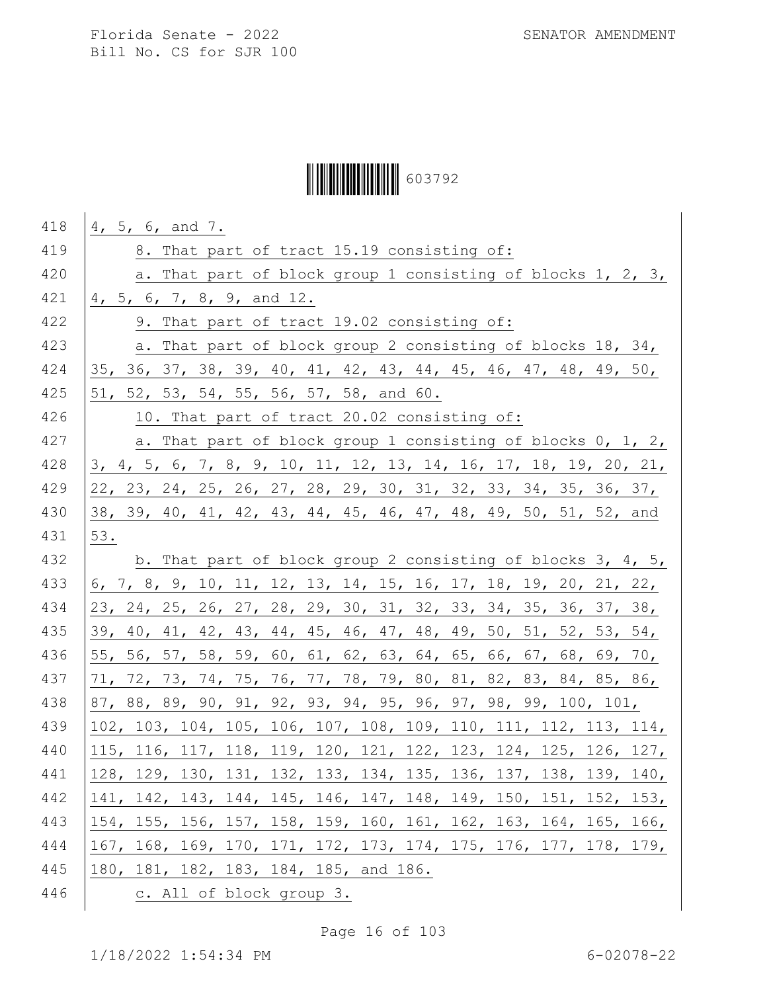# Ì6037929Î603792

| 418 | 4, 5, 6, and 7.                                                  |
|-----|------------------------------------------------------------------|
| 419 | 8. That part of tract 15.19 consisting of:                       |
| 420 | a. That part of block group 1 consisting of blocks 1, 2, 3,      |
| 421 | 4, 5, 6, 7, 8, 9, and 12.                                        |
| 422 | 9. That part of tract 19.02 consisting of:                       |
| 423 | a. That part of block group 2 consisting of blocks 18, 34,       |
| 424 | 35, 36, 37, 38, 39, 40, 41, 42, 43, 44, 45, 46, 47, 48, 49, 50,  |
| 425 | 51, 52, 53, 54, 55, 56, 57, 58, and 60.                          |
| 426 | 10. That part of tract 20.02 consisting of:                      |
| 427 | a. That part of block group 1 consisting of blocks 0, 1, 2,      |
| 428 | 3, 4, 5, 6, 7, 8, 9, 10, 11, 12, 13, 14, 16, 17, 18, 19, 20, 21, |
| 429 | 22, 23, 24, 25, 26, 27, 28, 29, 30, 31, 32, 33, 34, 35, 36, 37,  |
| 430 | 38, 39, 40, 41, 42, 43, 44, 45, 46, 47, 48, 49, 50, 51, 52, and  |
| 431 | 53.                                                              |
| 432 | b. That part of block group 2 consisting of blocks 3, 4, 5,      |
| 433 | 6, 7, 8, 9, 10, 11, 12, 13, 14, 15, 16, 17, 18, 19, 20, 21, 22,  |
| 434 | 23, 24, 25, 26, 27, 28, 29, 30, 31, 32, 33, 34, 35, 36, 37, 38,  |
| 435 | 39, 40, 41, 42, 43, 44, 45, 46, 47, 48, 49, 50, 51, 52, 53, 54,  |
| 436 | 55, 56, 57, 58, 59, 60, 61, 62, 63, 64, 65, 66, 67, 68, 69, 70,  |
| 437 | 71, 72, 73, 74, 75, 76, 77, 78, 79, 80, 81, 82, 83, 84, 85, 86,  |
| 438 | 87, 88, 89, 90, 91, 92, 93, 94, 95, 96, 97, 98, 99, 100, 101,    |
| 439 | 102, 103, 104, 105, 106, 107, 108, 109, 110, 111, 112, 113, 114, |
| 440 | 115, 116, 117, 118, 119, 120, 121, 122, 123, 124, 125, 126, 127, |
| 441 | 128, 129, 130, 131, 132, 133, 134, 135, 136, 137, 138, 139, 140, |
| 442 | 141, 142, 143, 144, 145, 146, 147, 148, 149, 150, 151, 152, 153, |
| 443 | 154, 155, 156, 157, 158, 159, 160, 161, 162, 163, 164, 165, 166, |
| 444 | 167, 168, 169, 170, 171, 172, 173, 174, 175, 176, 177, 178, 179, |
| 445 | 180, 181, 182, 183, 184, 185, and 186.                           |
| 446 | c. All of block group 3.                                         |

Page 16 of 103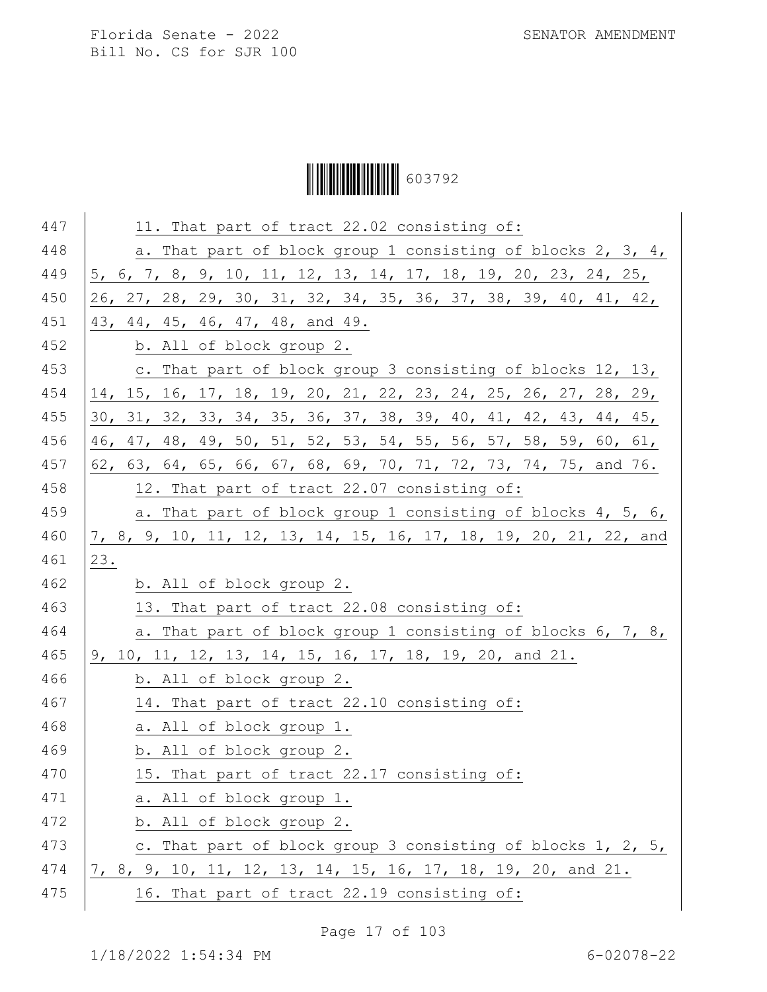Ì6037929Î603792

| 447 | 11. That part of tract 22.02 consisting of:                      |
|-----|------------------------------------------------------------------|
| 448 | a. That part of block group 1 consisting of blocks 2, 3, 4,      |
| 449 | 5, 6, 7, 8, 9, 10, 11, 12, 13, 14, 17, 18, 19, 20, 23, 24, 25,   |
| 450 | 26, 27, 28, 29, 30, 31, 32, 34, 35, 36, 37, 38, 39, 40, 41, 42,  |
| 451 | 43, 44, 45, 46, 47, 48, and 49.                                  |
| 452 | b. All of block group 2.                                         |
| 453 | c. That part of block group 3 consisting of blocks 12, 13,       |
| 454 | 14, 15, 16, 17, 18, 19, 20, 21, 22, 23, 24, 25, 26, 27, 28, 29,  |
| 455 | 30, 31, 32, 33, 34, 35, 36, 37, 38, 39, 40, 41, 42, 43, 44, 45,  |
| 456 | 46, 47, 48, 49, 50, 51, 52, 53, 54, 55, 56, 57, 58, 59, 60, 61,  |
| 457 | 62, 63, 64, 65, 66, 67, 68, 69, 70, 71, 72, 73, 74, 75, and 76.  |
| 458 | 12. That part of tract 22.07 consisting of:                      |
| 459 | a. That part of block group 1 consisting of blocks 4, 5, 6,      |
| 460 | 7, 8, 9, 10, 11, 12, 13, 14, 15, 16, 17, 18, 19, 20, 21, 22, and |
| 461 | 23.                                                              |
| 462 | b. All of block group 2.                                         |
| 463 | 13. That part of tract 22.08 consisting of:                      |
| 464 | a. That part of block group 1 consisting of blocks 6, 7, 8,      |
| 465 | 9, 10, 11, 12, 13, 14, 15, 16, 17, 18, 19, 20, and 21.           |
| 466 | b. All of block group 2.                                         |
| 467 | 14. That part of tract 22.10 consisting of:                      |
| 468 | a. All of block group 1.                                         |
| 469 | b. All of block group 2.                                         |
| 470 | 15. That part of tract 22.17 consisting of:                      |
| 471 | a. All of block group 1.                                         |
| 472 | b. All of block group 2.                                         |
| 473 | c. That part of block group 3 consisting of blocks 1, 2, 5,      |
| 474 | 7, 8, 9, 10, 11, 12, 13, 14, 15, 16, 17, 18, 19, 20, and 21.     |
| 475 | 16. That part of tract 22.19 consisting of:                      |
|     |                                                                  |

Page 17 of 103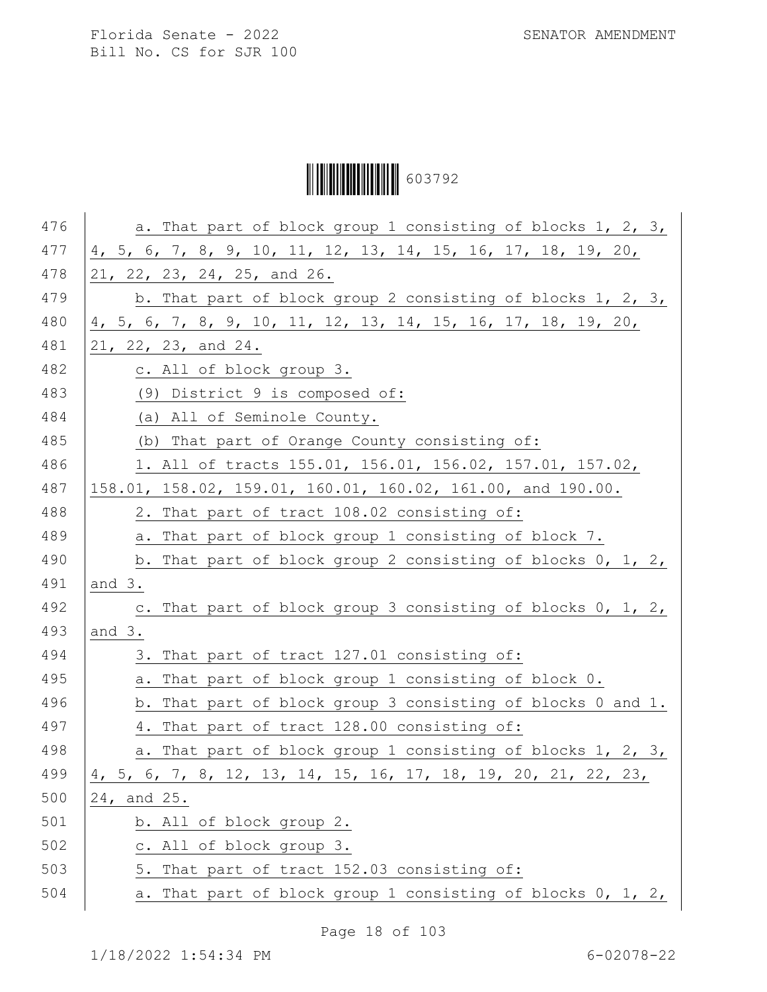# Ì6037929Î603792

| 476 | a. That part of block group 1 consisting of blocks 1, 2, 3,    |
|-----|----------------------------------------------------------------|
| 477 | 4, 5, 6, 7, 8, 9, 10, 11, 12, 13, 14, 15, 16, 17, 18, 19, 20,  |
| 478 | 21, 22, 23, 24, 25, and 26.                                    |
| 479 | b. That part of block group 2 consisting of blocks 1, 2, 3,    |
| 480 | 4, 5, 6, 7, 8, 9, 10, 11, 12, 13, 14, 15, 16, 17, 18, 19, 20,  |
| 481 | 21, 22, 23, and 24.                                            |
| 482 | c. All of block group 3.                                       |
| 483 | (9) District 9 is composed of:                                 |
| 484 | (a) All of Seminole County.                                    |
| 485 | (b) That part of Orange County consisting of:                  |
| 486 | 1. All of tracts 155.01, 156.01, 156.02, 157.01, 157.02,       |
| 487 | 158.01, 158.02, 159.01, 160.01, 160.02, 161.00, and 190.00.    |
| 488 | 2. That part of tract 108.02 consisting of:                    |
| 489 | a. That part of block group 1 consisting of block 7.           |
| 490 | b. That part of block group 2 consisting of blocks 0, 1, 2,    |
| 491 | and 3.                                                         |
| 492 | c. That part of block group 3 consisting of blocks 0, 1, 2,    |
| 493 | and $3.$                                                       |
| 494 | 3. That part of tract 127.01 consisting of:                    |
| 495 | That part of block group 1 consisting of block 0.<br>а.        |
| 496 | b. That part of block group 3 consisting of blocks 0 and 1.    |
| 497 | 4. That part of tract 128.00 consisting of:                    |
| 498 | a. That part of block group 1 consisting of blocks 1, 2, 3,    |
| 499 | 4, 5, 6, 7, 8, 12, 13, 14, 15, 16, 17, 18, 19, 20, 21, 22, 23, |
| 500 | 24, and 25.                                                    |
| 501 | b. All of block group 2.                                       |
| 502 | c. All of block group 3.                                       |
| 503 | 5. That part of tract 152.03 consisting of:                    |
| 504 | a. That part of block group 1 consisting of blocks 0, 1, 2,    |

Page 18 of 103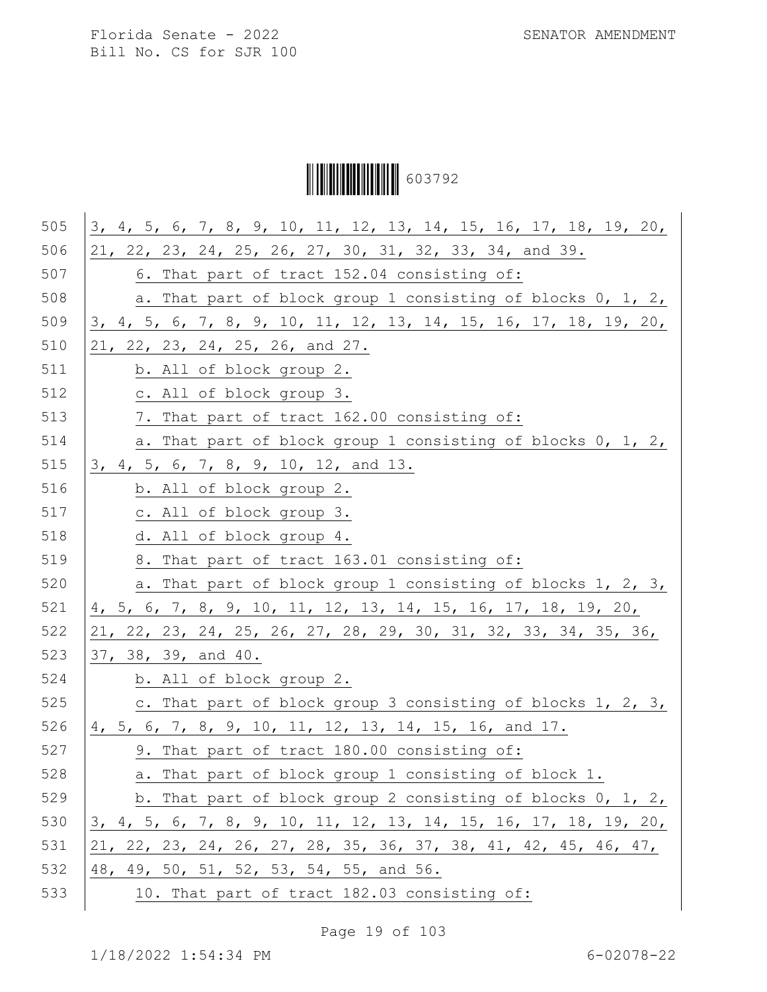Ì6037929Î603792

| 505 | 3, 4, 5, 6, 7, 8, 9, 10, 11, 12, 13, 14, 15, 16, 17, 18, 19, 20, |
|-----|------------------------------------------------------------------|
| 506 | 21, 22, 23, 24, 25, 26, 27, 30, 31, 32, 33, 34, and 39.          |
| 507 | 6. That part of tract 152.04 consisting of:                      |
| 508 | a. That part of block group 1 consisting of blocks 0, 1, 2,      |
| 509 | 3, 4, 5, 6, 7, 8, 9, 10, 11, 12, 13, 14, 15, 16, 17, 18, 19, 20, |
| 510 | 21, 22, 23, 24, 25, 26, and 27.                                  |
| 511 | b. All of block group 2.                                         |
| 512 | c. All of block group 3.                                         |
| 513 | 7. That part of tract 162.00 consisting of:                      |
| 514 | a. That part of block group 1 consisting of blocks 0, 1, 2,      |
| 515 | 3, 4, 5, 6, 7, 8, 9, 10, 12, and 13.                             |
| 516 | b. All of block group 2.                                         |
| 517 | c. All of block group 3.                                         |
| 518 | d. All of block group 4.                                         |
| 519 | 8. That part of tract 163.01 consisting of:                      |
| 520 | a. That part of block group 1 consisting of blocks 1, 2, 3,      |
| 521 | 4, 5, 6, 7, 8, 9, 10, 11, 12, 13, 14, 15, 16, 17, 18, 19, 20,    |
| 522 | 21, 22, 23, 24, 25, 26, 27, 28, 29, 30, 31, 32, 33, 34, 35, 36,  |
| 523 | 37, 38, 39, and 40.                                              |
| 524 | b. All of block group 2.                                         |
| 525 | c. That part of block group 3 consisting of blocks 1, 2, 3,      |
| 526 | 4, 5, 6, 7, 8, 9, 10, 11, 12, 13, 14, 15, 16, and 17.            |
| 527 | 9. That part of tract 180.00 consisting of:                      |
| 528 | a. That part of block group 1 consisting of block 1.             |
| 529 | b. That part of block group 2 consisting of blocks 0, 1, 2,      |
| 530 | 3, 4, 5, 6, 7, 8, 9, 10, 11, 12, 13, 14, 15, 16, 17, 18, 19, 20, |
| 531 | 21, 22, 23, 24, 26, 27, 28, 35, 36, 37, 38, 41, 42, 45, 46, 47,  |
| 532 | 48, 49, 50, 51, 52, 53, 54, 55, and 56.                          |
| 533 | 10. That part of tract 182.03 consisting of:                     |

Page 19 of 103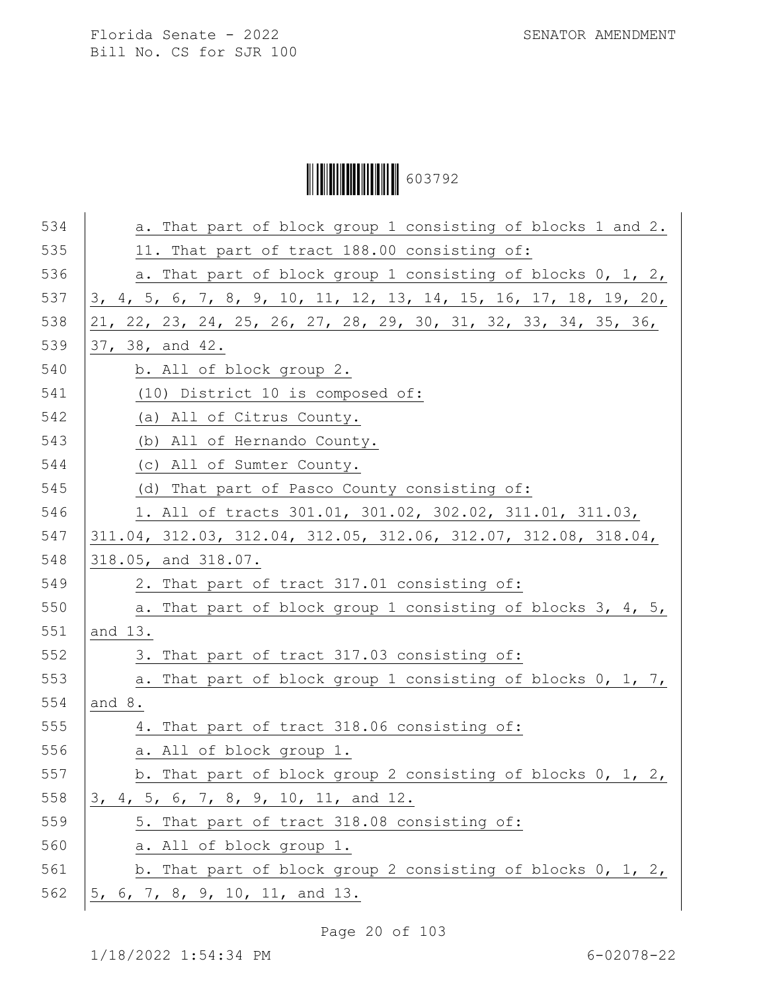# Ì6037929Î603792

| 534 | a. That part of block group 1 consisting of blocks 1 and 2.      |
|-----|------------------------------------------------------------------|
| 535 | 11. That part of tract 188.00 consisting of:                     |
| 536 | a. That part of block group 1 consisting of blocks 0, 1, 2,      |
| 537 | 3, 4, 5, 6, 7, 8, 9, 10, 11, 12, 13, 14, 15, 16, 17, 18, 19, 20, |
| 538 | 21, 22, 23, 24, 25, 26, 27, 28, 29, 30, 31, 32, 33, 34, 35, 36,  |
| 539 | 37, 38, and 42.                                                  |
| 540 | b. All of block group 2.                                         |
| 541 | (10) District 10 is composed of:                                 |
| 542 | (a) All of Citrus County.                                        |
| 543 | (b) All of Hernando County.                                      |
| 544 | (c) All of Sumter County.                                        |
| 545 | (d) That part of Pasco County consisting of:                     |
| 546 | 1. All of tracts 301.01, 301.02, 302.02, 311.01, 311.03,         |
| 547 | 311.04, 312.03, 312.04, 312.05, 312.06, 312.07, 312.08, 318.04,  |
| 548 | 318.05, and 318.07.                                              |
| 549 | 2. That part of tract 317.01 consisting of:                      |
| 550 | a. That part of block group 1 consisting of blocks 3, 4, 5,      |
| 551 | and 13.                                                          |
| 552 | 3. That part of tract 317.03 consisting of:                      |
| 553 | a. That part of block group 1 consisting of blocks 0, 1, 7,      |
| 554 | and 8.                                                           |
| 555 | 4. That part of tract 318.06 consisting of:                      |
| 556 | a. All of block group 1.                                         |
| 557 | b. That part of block group 2 consisting of blocks 0, 1, 2,      |
| 558 | 3, 4, 5, 6, 7, 8, 9, 10, 11, and 12.                             |
| 559 | 5. That part of tract 318.08 consisting of:                      |
| 560 | a. All of block group 1.                                         |
| 561 | b. That part of block group 2 consisting of blocks 0, 1, 2,      |
| 562 | 5, 6, 7, 8, 9, 10, 11, and 13.                                   |

Page 20 of 103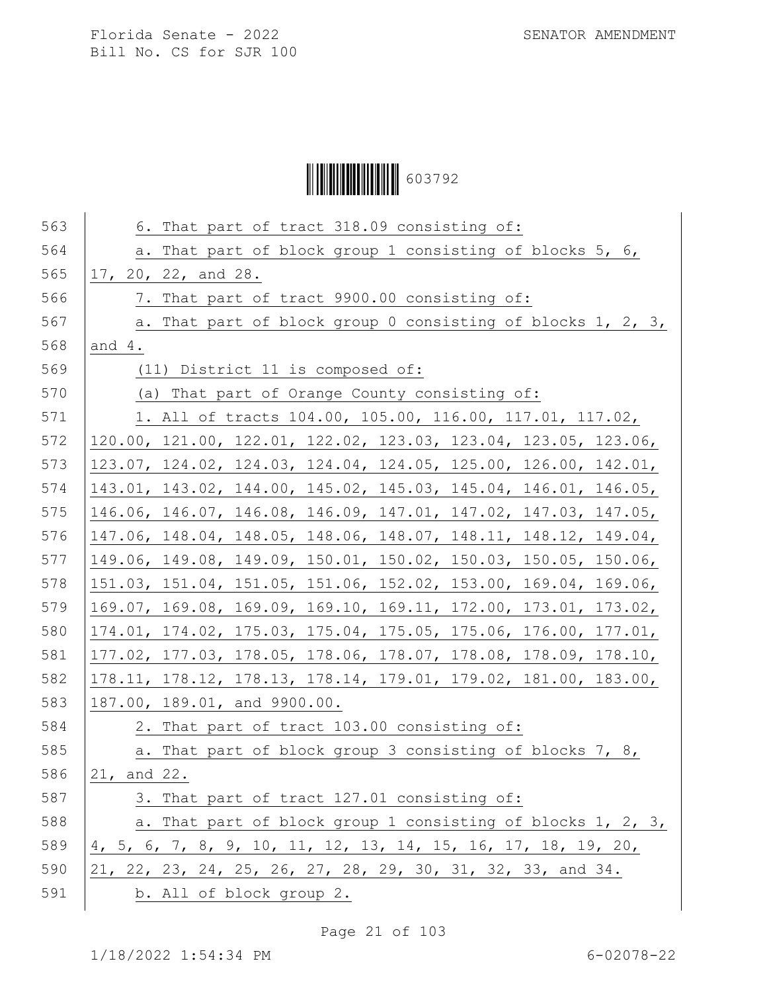Ì6037929Î603792

| 563 | 6. That part of tract 318.09 consisting of:                     |
|-----|-----------------------------------------------------------------|
| 564 | a. That part of block group 1 consisting of blocks 5, 6,        |
| 565 | 17, 20, 22, and 28.                                             |
| 566 | 7. That part of tract 9900.00 consisting of:                    |
| 567 | a. That part of block group 0 consisting of blocks 1, 2, 3,     |
| 568 | and $4.$                                                        |
| 569 | (11) District 11 is composed of:                                |
| 570 | (a) That part of Orange County consisting of:                   |
| 571 | 1. All of tracts 104.00, 105.00, 116.00, 117.01, 117.02,        |
| 572 | 120.00, 121.00, 122.01, 122.02, 123.03, 123.04, 123.05, 123.06, |
| 573 | 123.07, 124.02, 124.03, 124.04, 124.05, 125.00, 126.00, 142.01, |
| 574 | 143.01, 143.02, 144.00, 145.02, 145.03, 145.04, 146.01, 146.05, |
| 575 | 146.06, 146.07, 146.08, 146.09, 147.01, 147.02, 147.03, 147.05, |
| 576 | 147.06, 148.04, 148.05, 148.06, 148.07, 148.11, 148.12, 149.04, |
| 577 | 149.06, 149.08, 149.09, 150.01, 150.02, 150.03, 150.05, 150.06, |
| 578 | 151.03, 151.04, 151.05, 151.06, 152.02, 153.00, 169.04, 169.06, |
| 579 | 169.07, 169.08, 169.09, 169.10, 169.11, 172.00, 173.01, 173.02, |
| 580 | 174.01, 174.02, 175.03, 175.04, 175.05, 175.06, 176.00, 177.01, |
| 581 | 177.02, 177.03, 178.05, 178.06, 178.07, 178.08, 178.09, 178.10, |
| 582 | 178.11, 178.12, 178.13, 178.14, 179.01, 179.02, 181.00, 183.00, |
| 583 | 187.00, 189.01, and 9900.00.                                    |
| 584 | 2. That part of tract 103.00 consisting of:                     |
| 585 | a. That part of block group 3 consisting of blocks 7, 8,        |
| 586 | 21, and 22.                                                     |
| 587 | 3. That part of tract 127.01 consisting of:                     |
| 588 | a. That part of block group 1 consisting of blocks 1, 2, 3,     |
| 589 | 4, 5, 6, 7, 8, 9, 10, 11, 12, 13, 14, 15, 16, 17, 18, 19, 20,   |
| 590 | 21, 22, 23, 24, 25, 26, 27, 28, 29, 30, 31, 32, 33, and 34.     |
| 591 | b. All of block group 2.                                        |
|     |                                                                 |

Page 21 of 103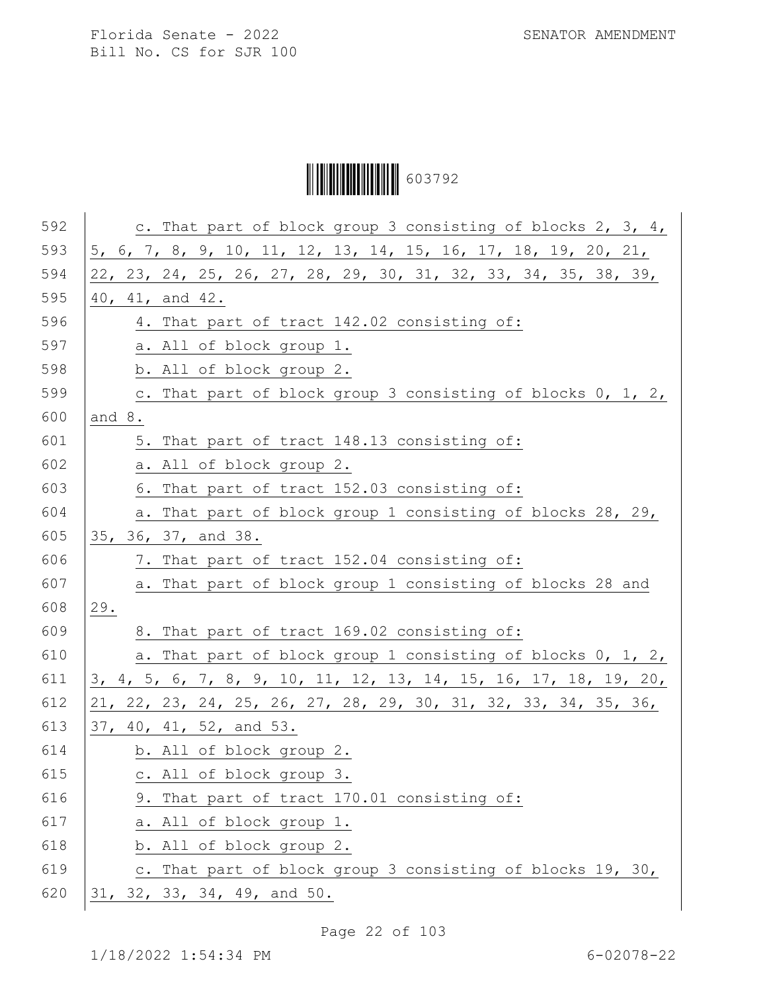Ì6037929Î603792

| 592 | c. That part of block group 3 consisting of blocks 2, 3, 4,      |
|-----|------------------------------------------------------------------|
| 593 | 5, 6, 7, 8, 9, 10, 11, 12, 13, 14, 15, 16, 17, 18, 19, 20, 21,   |
| 594 | 22, 23, 24, 25, 26, 27, 28, 29, 30, 31, 32, 33, 34, 35, 38, 39,  |
| 595 | 40, 41, and 42.                                                  |
| 596 | 4. That part of tract 142.02 consisting of:                      |
| 597 | a. All of block group 1.                                         |
| 598 | b. All of block group 2.                                         |
| 599 | c. That part of block group 3 consisting of blocks 0, 1, 2,      |
| 600 | and $8.$                                                         |
| 601 | 5. That part of tract 148.13 consisting of:                      |
| 602 | a. All of block group 2.                                         |
| 603 | 6. That part of tract 152.03 consisting of:                      |
| 604 | a. That part of block group 1 consisting of blocks 28, 29,       |
| 605 | 35, 36, 37, and 38.                                              |
| 606 | 7. That part of tract 152.04 consisting of:                      |
| 607 | a. That part of block group 1 consisting of blocks 28 and        |
| 608 | 29.                                                              |
| 609 | 8. That part of tract 169.02 consisting of:                      |
| 610 | a. That part of block group 1 consisting of blocks 0, 1, 2,      |
| 611 | 3, 4, 5, 6, 7, 8, 9, 10, 11, 12, 13, 14, 15, 16, 17, 18, 19, 20, |
| 612 | 21, 22, 23, 24, 25, 26, 27, 28, 29, 30, 31, 32, 33, 34, 35, 36,  |
| 613 | 37, 40, 41, 52, and 53.                                          |
| 614 | b. All of block group 2.                                         |
| 615 | c. All of block group 3.                                         |
| 616 | 9. That part of tract 170.01 consisting of:                      |
| 617 | a. All of block group 1.                                         |
| 618 | b. All of block group 2.                                         |
| 619 | c. That part of block group 3 consisting of blocks 19, 30,       |
| 620 | 31, 32, 33, 34, 49, and 50.                                      |
|     |                                                                  |

Page 22 of 103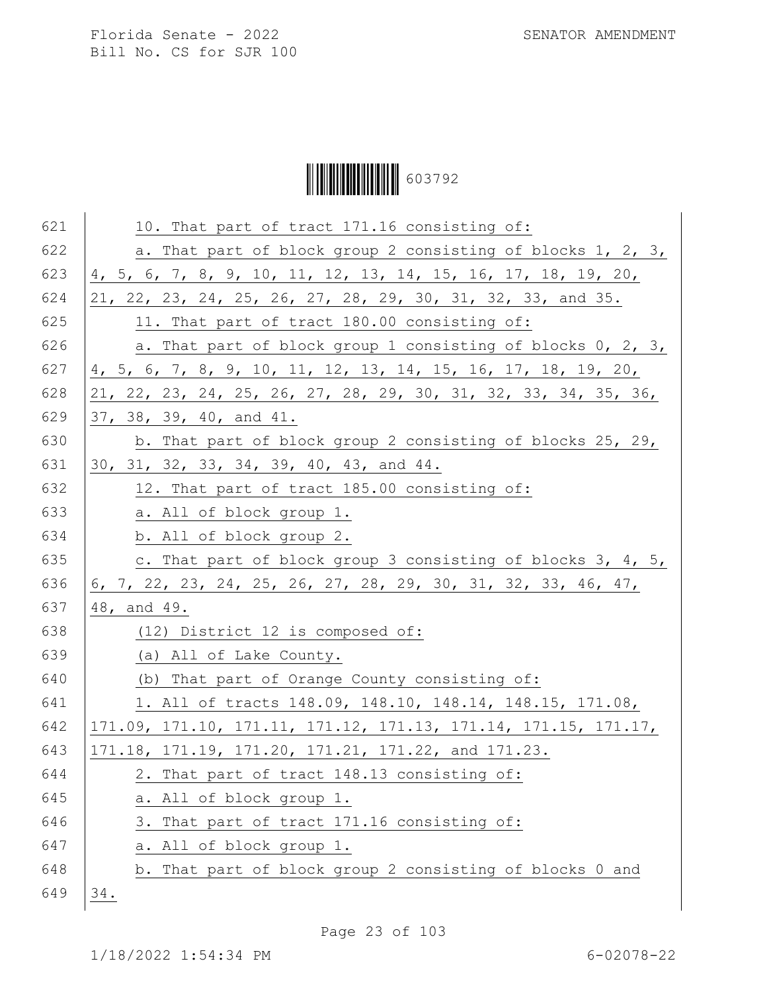Ì6037929Î603792

| 621 | 10. That part of tract 171.16 consisting of:                    |
|-----|-----------------------------------------------------------------|
| 622 | a. That part of block group 2 consisting of blocks 1, 2, 3,     |
| 623 | 4, 5, 6, 7, 8, 9, 10, 11, 12, 13, 14, 15, 16, 17, 18, 19, 20,   |
| 624 | 21, 22, 23, 24, 25, 26, 27, 28, 29, 30, 31, 32, 33, and 35.     |
| 625 | 11. That part of tract 180.00 consisting of:                    |
| 626 | a. That part of block group 1 consisting of blocks 0, 2, 3,     |
| 627 | 4, 5, 6, 7, 8, 9, 10, 11, 12, 13, 14, 15, 16, 17, 18, 19, 20,   |
| 628 | 21, 22, 23, 24, 25, 26, 27, 28, 29, 30, 31, 32, 33, 34, 35, 36, |
| 629 | 37, 38, 39, 40, and 41.                                         |
| 630 | b. That part of block group 2 consisting of blocks 25, 29,      |
| 631 | 30, 31, 32, 33, 34, 39, 40, 43, and 44.                         |
| 632 | 12. That part of tract 185.00 consisting of:                    |
| 633 | a. All of block group 1.                                        |
| 634 | b. All of block group 2.                                        |
| 635 | c. That part of block group 3 consisting of blocks 3, 4, 5,     |
| 636 | 6, 7, 22, 23, 24, 25, 26, 27, 28, 29, 30, 31, 32, 33, 46, 47,   |
| 637 | 48, and 49.                                                     |
| 638 | (12) District 12 is composed of:                                |
| 639 | (a) All of Lake County.                                         |
| 640 | (b) That part of Orange County consisting of:                   |
| 641 | 1. All of tracts 148.09, 148.10, 148.14, 148.15, 171.08,        |
| 642 | 171.09, 171.10, 171.11, 171.12, 171.13, 171.14, 171.15, 171.17, |
| 643 | 171.18, 171.19, 171.20, 171.21, 171.22, and 171.23.             |
| 644 | 2. That part of tract 148.13 consisting of:                     |
| 645 | a. All of block group 1.                                        |
| 646 | 3. That part of tract 171.16 consisting of:                     |
| 647 | a. All of block group 1.                                        |
| 648 | b. That part of block group 2 consisting of blocks 0 and        |
| 649 | 34.                                                             |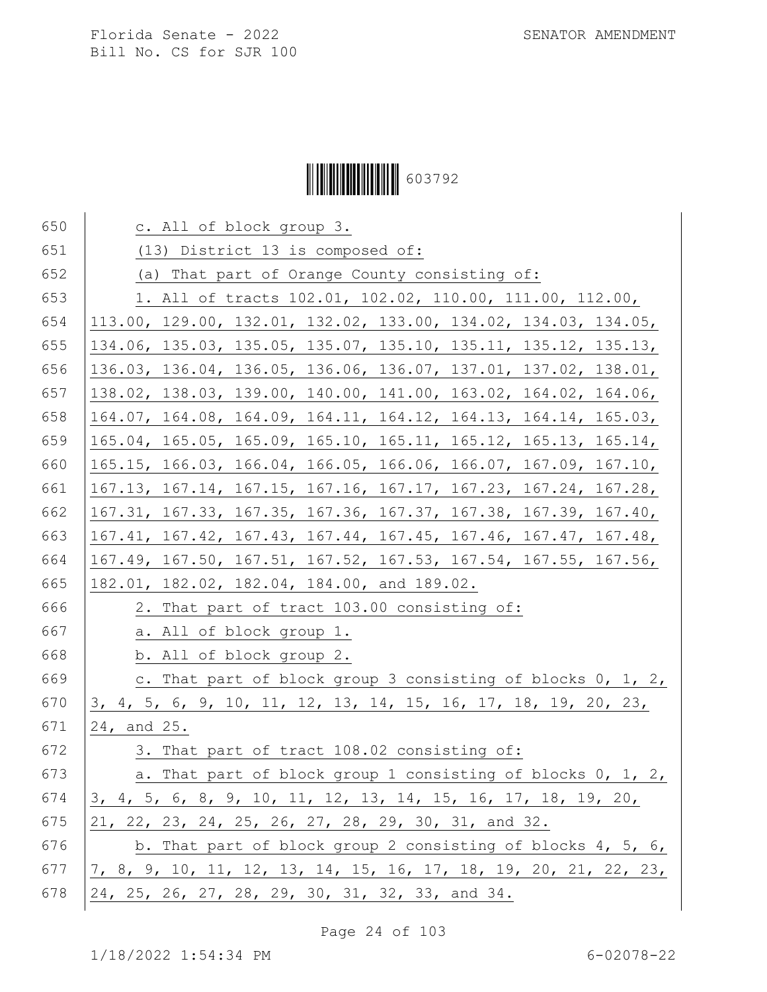# Ì6037929Î603792

| 650 | c. All of block group 3.                                         |
|-----|------------------------------------------------------------------|
| 651 | (13) District 13 is composed of:                                 |
| 652 | (a) That part of Orange County consisting of:                    |
| 653 | 1. All of tracts 102.01, 102.02, 110.00, 111.00, 112.00,         |
| 654 | 113.00, 129.00, 132.01, 132.02, 133.00, 134.02, 134.03, 134.05,  |
| 655 | 134.06, 135.03, 135.05, 135.07, 135.10, 135.11, 135.12, 135.13,  |
| 656 | 136.03, 136.04, 136.05, 136.06, 136.07, 137.01, 137.02, 138.01,  |
| 657 | 138.02, 138.03, 139.00, 140.00, 141.00, 163.02, 164.02, 164.06,  |
| 658 | 164.07, 164.08, 164.09, 164.11, 164.12, 164.13, 164.14, 165.03,  |
| 659 | 165.04, 165.05, 165.09, 165.10, 165.11, 165.12, 165.13, 165.14,  |
| 660 | 165.15, 166.03, 166.04, 166.05, 166.06, 166.07, 167.09, 167.10,  |
| 661 | 167.13, 167.14, 167.15, 167.16, 167.17, 167.23, 167.24, 167.28,  |
| 662 | 167.31, 167.33, 167.35, 167.36, 167.37, 167.38, 167.39, 167.40,  |
| 663 | 167.41, 167.42, 167.43, 167.44, 167.45, 167.46, 167.47, 167.48,  |
| 664 | 167.49, 167.50, 167.51, 167.52, 167.53, 167.54, 167.55, 167.56,  |
| 665 | 182.01, 182.02, 182.04, 184.00, and 189.02.                      |
| 666 | 2. That part of tract 103.00 consisting of:                      |
| 667 | a. All of block group 1.                                         |
| 668 | b. All of block group 2.                                         |
| 669 | c. That part of block group 3 consisting of blocks 0, 1, 2,      |
| 670 | 3, 4, 5, 6, 9, 10, 11, 12, 13, 14, 15, 16, 17, 18, 19, 20, 23,   |
| 671 | 24, and 25.                                                      |
| 672 | 3. That part of tract 108.02 consisting of:                      |
| 673 | a. That part of block group 1 consisting of blocks 0, 1, 2,      |
| 674 | 3, 4, 5, 6, 8, 9, 10, 11, 12, 13, 14, 15, 16, 17, 18, 19, 20,    |
| 675 | 21, 22, 23, 24, 25, 26, 27, 28, 29, 30, 31, and 32.              |
| 676 | b. That part of block group 2 consisting of blocks $4, 5, 6,$    |
| 677 | 7, 8, 9, 10, 11, 12, 13, 14, 15, 16, 17, 18, 19, 20, 21, 22, 23, |
| 678 | 24, 25, 26, 27, 28, 29, 30, 31, 32, 33, and 34.                  |

Page 24 of 103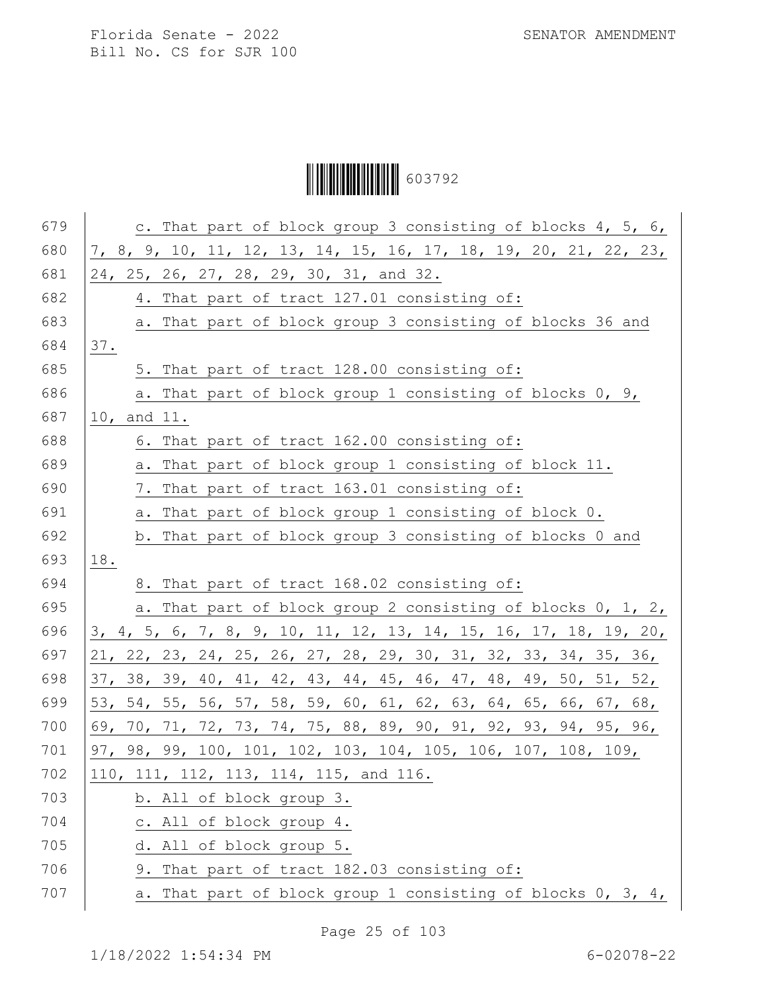# Ì6037929Î603792

| 679 | c. That part of block group 3 consisting of blocks 4, 5, 6,      |
|-----|------------------------------------------------------------------|
| 680 | 7, 8, 9, 10, 11, 12, 13, 14, 15, 16, 17, 18, 19, 20, 21, 22, 23, |
| 681 | 24, 25, 26, 27, 28, 29, 30, 31, and 32.                          |
| 682 | 4. That part of tract 127.01 consisting of:                      |
| 683 | a. That part of block group 3 consisting of blocks 36 and        |
| 684 | 37.                                                              |
| 685 | 5. That part of tract 128.00 consisting of:                      |
| 686 | a. That part of block group 1 consisting of blocks 0, 9,         |
| 687 | 10, and 11.                                                      |
| 688 | 6. That part of tract 162.00 consisting of:                      |
| 689 | a. That part of block group 1 consisting of block 11.            |
| 690 | 7. That part of tract 163.01 consisting of:                      |
| 691 | a. That part of block group 1 consisting of block 0.             |
| 692 | b. That part of block group 3 consisting of blocks 0 and         |
| 693 | 18.                                                              |
| 694 | 8. That part of tract 168.02 consisting of:                      |
| 695 | a. That part of block group 2 consisting of blocks 0, 1, 2,      |
| 696 | 3, 4, 5, 6, 7, 8, 9, 10, 11, 12, 13, 14, 15, 16, 17, 18, 19, 20, |
| 697 | 21, 22, 23, 24, 25, 26, 27, 28, 29, 30, 31, 32, 33, 34, 35, 36,  |
| 698 | 37, 38, 39, 40, 41, 42, 43, 44, 45, 46, 47, 48, 49, 50, 51, 52,  |
| 699 | 53, 54, 55, 56, 57, 58, 59, 60, 61, 62, 63, 64, 65, 66, 67, 68,  |
| 700 | 69, 70, 71, 72, 73, 74, 75, 88, 89, 90, 91, 92, 93, 94, 95, 96,  |
| 701 | 97, 98, 99, 100, 101, 102, 103, 104, 105, 106, 107, 108, 109,    |
| 702 | 110, 111, 112, 113, 114, 115, and 116.                           |
| 703 | b. All of block group 3.                                         |
| 704 | c. All of block group 4.                                         |
| 705 | d. All of block group 5.                                         |
| 706 | 9. That part of tract 182.03 consisting of:                      |
| 707 | That part of block group 1 consisting of blocks $0, 3, 4,$<br>а. |

Page 25 of 103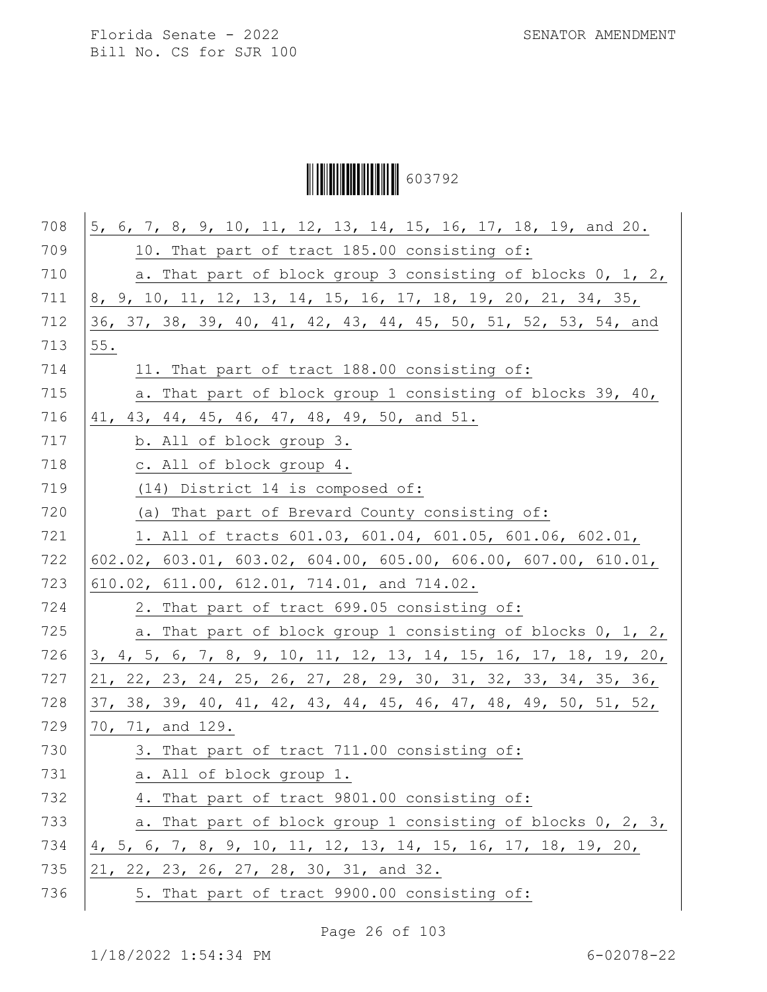Florida Senate - 2022 SENATOR AMENDMENT

Bill No. CS for SJR 100

Ì6037929Î603792

| 708 | 5, 6, 7, 8, 9, 10, 11, 12, 13, 14, 15, 16, 17, 18, 19, and 20.   |
|-----|------------------------------------------------------------------|
| 709 | 10. That part of tract 185.00 consisting of:                     |
| 710 | a. That part of block group 3 consisting of blocks 0, 1, 2,      |
| 711 | 8, 9, 10, 11, 12, 13, 14, 15, 16, 17, 18, 19, 20, 21, 34, 35,    |
| 712 | 36, 37, 38, 39, 40, 41, 42, 43, 44, 45, 50, 51, 52, 53, 54, and  |
| 713 | 55.                                                              |
| 714 | 11. That part of tract 188.00 consisting of:                     |
| 715 | a. That part of block group 1 consisting of blocks 39, 40,       |
| 716 | 41, 43, 44, 45, 46, 47, 48, 49, 50, and 51.                      |
| 717 | b. All of block group 3.                                         |
| 718 | c. All of block group 4.                                         |
| 719 | (14) District 14 is composed of:                                 |
| 720 | (a) That part of Brevard County consisting of:                   |
| 721 | 1. All of tracts 601.03, 601.04, 601.05, 601.06, 602.01,         |
| 722 | 602.02, 603.01, 603.02, 604.00, 605.00, 606.00, 607.00, 610.01,  |
| 723 | 610.02, 611.00, 612.01, 714.01, and 714.02.                      |
| 724 | 2. That part of tract 699.05 consisting of:                      |
| 725 | a. That part of block group 1 consisting of blocks 0, 1, 2,      |
| 726 | 3, 4, 5, 6, 7, 8, 9, 10, 11, 12, 13, 14, 15, 16, 17, 18, 19, 20, |
| 727 | 21, 22, 23, 24, 25, 26, 27, 28, 29, 30, 31, 32, 33, 34, 35, 36,  |
| 728 | 37, 38, 39, 40, 41, 42, 43, 44, 45, 46, 47, 48, 49, 50, 51, 52,  |
| 729 | 70, 71, and 129.                                                 |
| 730 | 3. That part of tract 711.00 consisting of:                      |
| 731 | a. All of block group 1.                                         |
| 732 | 4. That part of tract 9801.00 consisting of:                     |
| 733 | a. That part of block group 1 consisting of blocks 0, 2, 3,      |
| 734 | 4, 5, 6, 7, 8, 9, 10, 11, 12, 13, 14, 15, 16, 17, 18, 19, 20,    |
| 735 | 21, 22, 23, 26, 27, 28, 30, 31, and 32.                          |
| 736 | 5. That part of tract 9900.00 consisting of:                     |
|     |                                                                  |

Page 26 of 103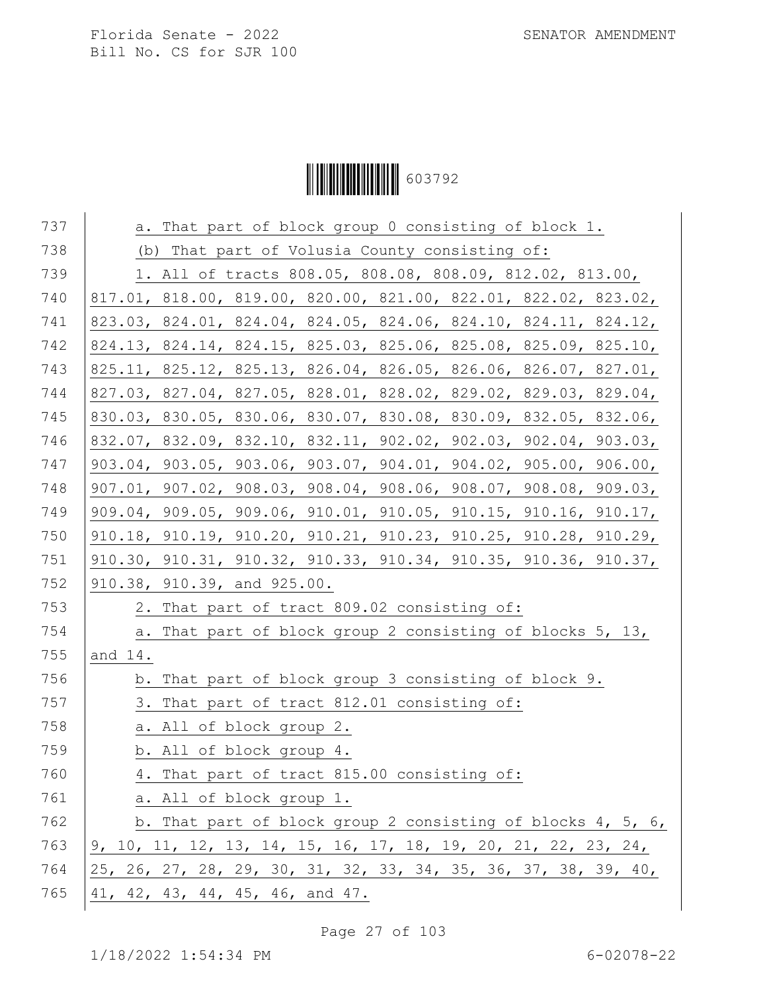# Ì6037929Î603792

| 737 | a. That part of block group 0 consisting of block 1.            |
|-----|-----------------------------------------------------------------|
| 738 | (b) That part of Volusia County consisting of:                  |
| 739 | 1. All of tracts 808.05, 808.08, 808.09, 812.02, 813.00,        |
| 740 | 817.01, 818.00, 819.00, 820.00, 821.00, 822.01, 822.02, 823.02, |
| 741 | 823.03, 824.01, 824.04, 824.05, 824.06, 824.10, 824.11, 824.12, |
| 742 | 824.13, 824.14, 824.15, 825.03, 825.06, 825.08, 825.09, 825.10, |
| 743 | 825.11, 825.12, 825.13, 826.04, 826.05, 826.06, 826.07, 827.01, |
| 744 | 827.03, 827.04, 827.05, 828.01, 828.02, 829.02, 829.03, 829.04, |
| 745 | 830.03, 830.05, 830.06, 830.07, 830.08, 830.09, 832.05, 832.06, |
| 746 | 832.07, 832.09, 832.10, 832.11, 902.02, 902.03, 902.04, 903.03, |
| 747 | 903.04, 903.05, 903.06, 903.07, 904.01, 904.02, 905.00, 906.00, |
| 748 | 907.01, 907.02, 908.03, 908.04, 908.06, 908.07, 908.08, 909.03, |
| 749 | 909.04, 909.05, 909.06, 910.01, 910.05, 910.15, 910.16, 910.17, |
| 750 | 910.18, 910.19, 910.20, 910.21, 910.23, 910.25, 910.28, 910.29, |
| 751 | 910.30, 910.31, 910.32, 910.33, 910.34, 910.35, 910.36, 910.37, |
| 752 | 910.38, 910.39, and 925.00.                                     |
| 753 | 2. That part of tract 809.02 consisting of:                     |
| 754 | a. That part of block group 2 consisting of blocks 5, 13,       |
| 755 | and 14.                                                         |
| 756 | b. That part of block group 3 consisting of block 9.            |
| 757 | 3. That part of tract 812.01 consisting of:                     |
| 758 | a. All of block group 2.                                        |
| 759 | b. All of block group 4.                                        |
| 760 | 4. That part of tract 815.00 consisting of:                     |
| 761 | a. All of block group 1.                                        |
| 762 | b. That part of block group 2 consisting of blocks 4, 5, 6,     |
| 763 | 9, 10, 11, 12, 13, 14, 15, 16, 17, 18, 19, 20, 21, 22, 23, 24,  |
| 764 | 25, 26, 27, 28, 29, 30, 31, 32, 33, 34, 35, 36, 37, 38, 39, 40, |
| 765 | 41, 42, 43, 44, 45, 46, and 47.                                 |

Page 27 of 103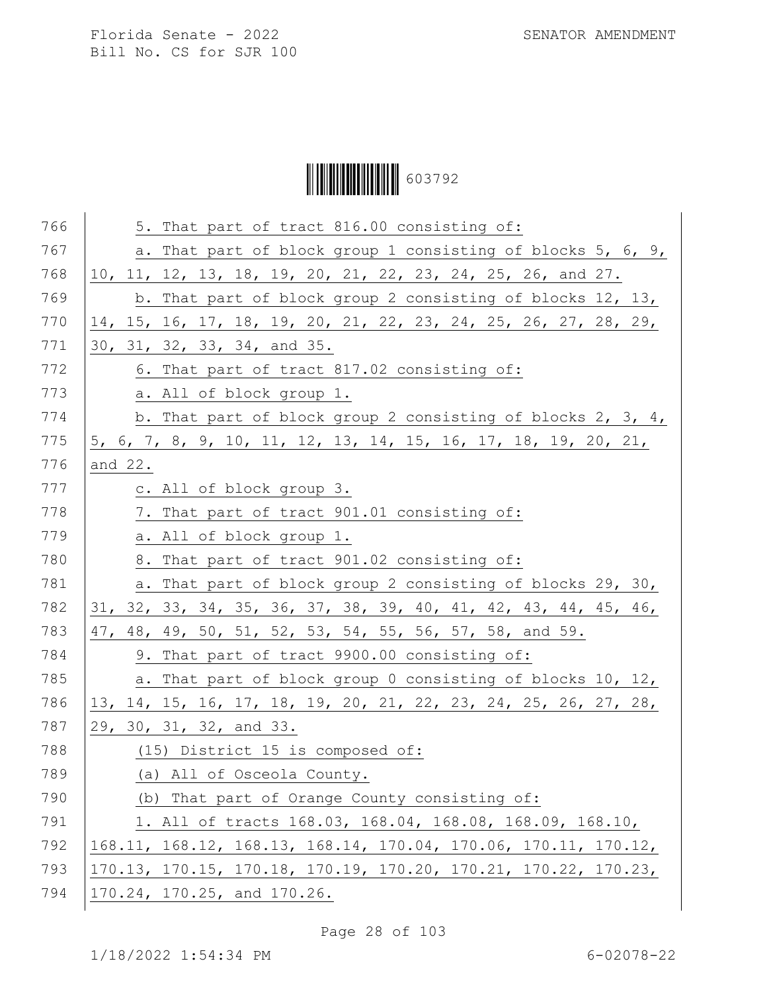Ì6037929Î603792

|         | 5. That part of tract 816.00 consisting of:                     |
|---------|-----------------------------------------------------------------|
|         | a. That part of block group 1 consisting of blocks 5, 6, 9,     |
|         | 10, 11, 12, 13, 18, 19, 20, 21, 22, 23, 24, 25, 26, and 27.     |
|         | b. That part of block group 2 consisting of blocks 12, 13,      |
|         | 14, 15, 16, 17, 18, 19, 20, 21, 22, 23, 24, 25, 26, 27, 28, 29, |
|         | 30, 31, 32, 33, 34, and 35.                                     |
|         | 6. That part of tract 817.02 consisting of:                     |
|         | a. All of block group 1.                                        |
|         | b. That part of block group 2 consisting of blocks 2, 3, 4,     |
|         | 5, 6, 7, 8, 9, 10, 11, 12, 13, 14, 15, 16, 17, 18, 19, 20, 21,  |
| and 22. |                                                                 |
|         | c. All of block group 3.                                        |
|         | 7. That part of tract 901.01 consisting of:                     |
|         | a. All of block group 1.                                        |
|         | 8. That part of tract 901.02 consisting of:                     |
|         | a. That part of block group 2 consisting of blocks 29, 30,      |
|         | 31, 32, 33, 34, 35, 36, 37, 38, 39, 40, 41, 42, 43, 44, 45, 46, |
|         | 47, 48, 49, 50, 51, 52, 53, 54, 55, 56, 57, 58, and 59.         |
|         | 9. That part of tract 9900.00 consisting of:                    |
|         | a. That part of block group 0 consisting of blocks 10, 12,      |
|         | 13, 14, 15, 16, 17, 18, 19, 20, 21, 22, 23, 24, 25, 26, 27, 28, |
|         | 29, 30, 31, 32, and 33.                                         |
|         | (15) District 15 is composed of:                                |
|         | (a) All of Osceola County.                                      |
|         | (b) That part of Orange County consisting of:                   |
|         | 1. All of tracts 168.03, 168.04, 168.08, 168.09, 168.10,        |
|         | 168.11, 168.12, 168.13, 168.14, 170.04, 170.06, 170.11, 170.12, |
|         | 170.13, 170.15, 170.18, 170.19, 170.20, 170.21, 170.22, 170.23, |
|         |                                                                 |

Page 28 of 103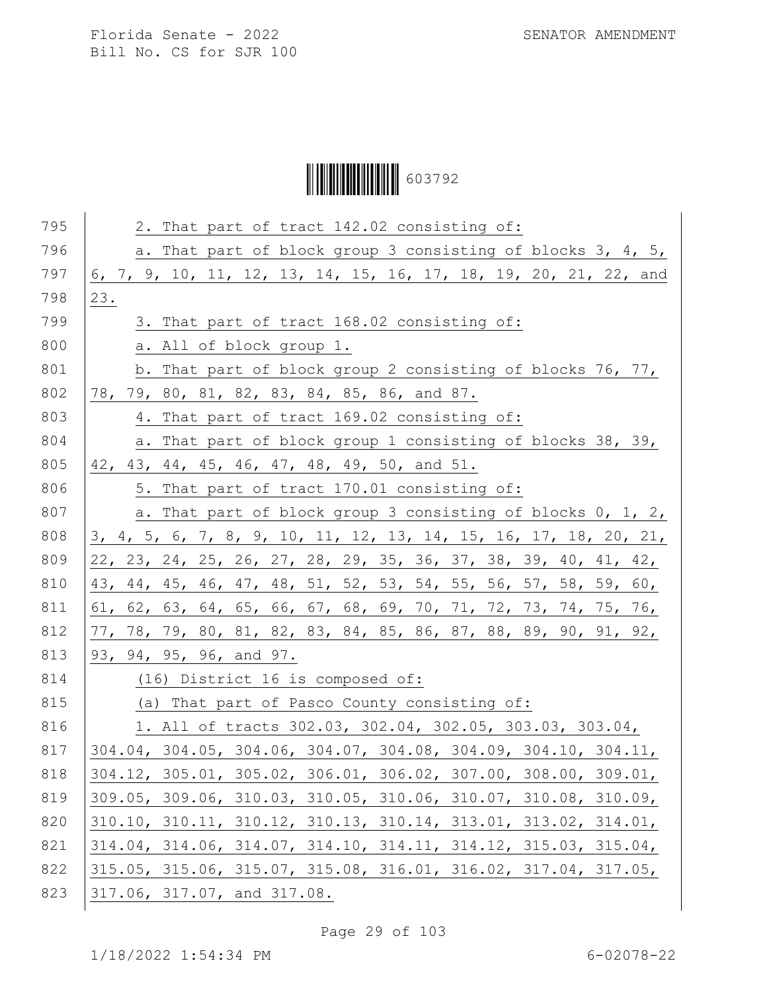Ì6037929Î603792

| 795 | 2. That part of tract 142.02 consisting of:                                             |
|-----|-----------------------------------------------------------------------------------------|
| 796 | a. That part of block group 3 consisting of blocks 3, 4, 5,                             |
| 797 | 6, 7, 9, 10, 11, 12, 13, 14, 15, 16, 17, 18, 19, 20, 21, 22, and                        |
| 798 | 23.                                                                                     |
| 799 | 3. That part of tract 168.02 consisting of:                                             |
| 800 | a. All of block group 1.                                                                |
| 801 | b. That part of block group 2 consisting of blocks 76, 77,                              |
| 802 | 78, 79, 80, 81, 82, 83, 84, 85, 86, and 87.                                             |
| 803 | 4. That part of tract 169.02 consisting of:                                             |
| 804 | a. That part of block group 1 consisting of blocks 38, 39,                              |
| 805 | 42, 43, 44, 45, 46, 47, 48, 49, 50, and 51.                                             |
| 806 | 5. That part of tract 170.01 consisting of:                                             |
| 807 | a. That part of block group 3 consisting of blocks 0, 1, 2,                             |
| 808 | 3, 4, 5, 6, 7, 8, 9, 10, 11, 12, 13, 14, 15, 16, 17, 18, 20, 21,                        |
| 809 | 22, 23, 24, 25, 26, 27, 28, 29, 35, 36, 37, 38, 39, 40, 41, 42,                         |
| 810 | 43, 44, 45, 46, 47, 48, 51, 52, 53, 54, 55, 56, 57, 58, 59, 60,                         |
| 811 | 61, 62, 63, 64, 65, 66, 67, 68, 69, 70, 71, 72, 73, 74, 75, 76,                         |
| 812 | 77, 78, 79, 80, 81, 82, 83, 84, 85, 86, 87, 88, 89, 90, 91, 92,                         |
| 813 | 93, 94, 95, 96, and 97.                                                                 |
| 814 | (16) District 16 is composed of:                                                        |
| 815 | (a) That part of Pasco County consisting of:                                            |
| 816 | 1. All of tracts 302.03, 302.04, 302.05, 303.03, 303.04,                                |
| 817 | $304.04$ , $304.05$ , $304.06$ , $304.07$ , $304.08$ , $304.09$ , $304.10$ , $304.11$ , |
| 818 | 304.12, 305.01, 305.02, 306.01, 306.02, 307.00, 308.00, 309.01,                         |
| 819 | 309.05, 309.06, 310.03, 310.05, 310.06, 310.07, 310.08, 310.09,                         |
| 820 | 310.10, 310.11, 310.12, 310.13, 310.14, 313.01, 313.02, 314.01,                         |
| 821 | $314.04$ , $314.06$ , $314.07$ , $314.10$ , $314.11$ , $314.12$ , $315.03$ , $315.04$ , |
| 822 | 315.05, 315.06, 315.07, 315.08, 316.01, 316.02, 317.04, 317.05,                         |
| 823 | 317.06, 317.07, and 317.08.                                                             |

Page 29 of 103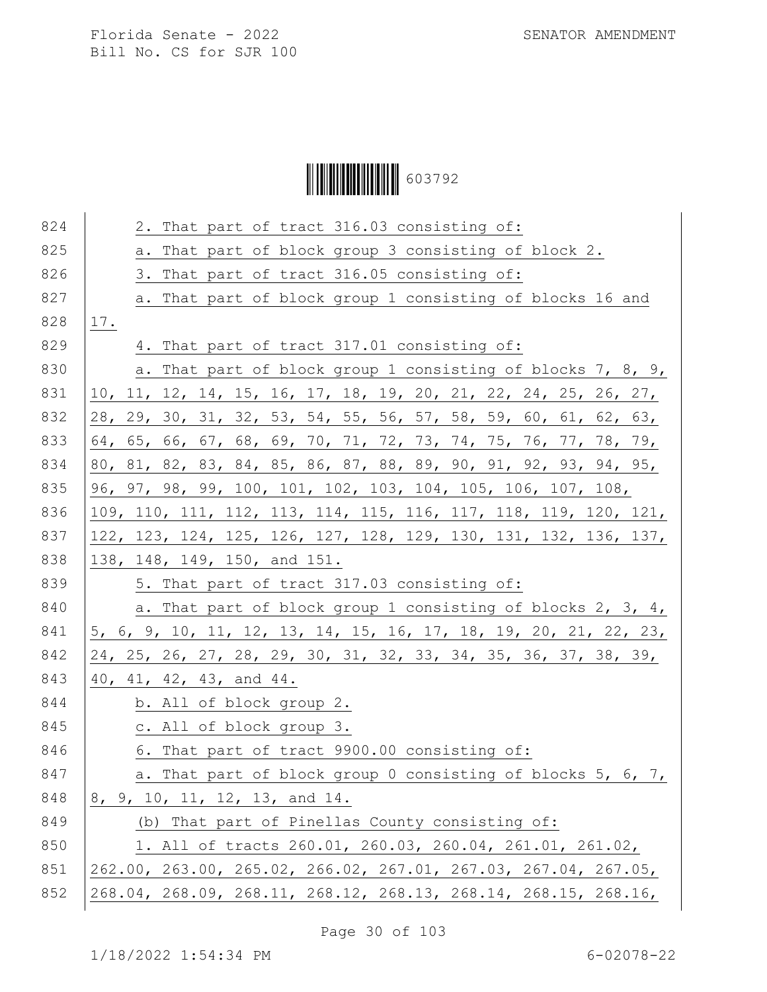# Ì6037929Î603792

| 824 | 2. That part of tract 316.03 consisting of:                      |
|-----|------------------------------------------------------------------|
| 825 | a. That part of block group 3 consisting of block 2.             |
| 826 | 3. That part of tract 316.05 consisting of:                      |
| 827 | a. That part of block group 1 consisting of blocks 16 and        |
| 828 | 17.                                                              |
| 829 | 4. That part of tract 317.01 consisting of:                      |
| 830 | a. That part of block group 1 consisting of blocks 7, 8, 9,      |
| 831 | 10, 11, 12, 14, 15, 16, 17, 18, 19, 20, 21, 22, 24, 25, 26, 27,  |
| 832 | 28, 29, 30, 31, 32, 53, 54, 55, 56, 57, 58, 59, 60, 61, 62, 63,  |
| 833 | 64, 65, 66, 67, 68, 69, 70, 71, 72, 73, 74, 75, 76, 77, 78, 79,  |
| 834 | 80, 81, 82, 83, 84, 85, 86, 87, 88, 89, 90, 91, 92, 93, 94, 95,  |
| 835 | 96, 97, 98, 99, 100, 101, 102, 103, 104, 105, 106, 107, 108,     |
| 836 | 109, 110, 111, 112, 113, 114, 115, 116, 117, 118, 119, 120, 121, |
| 837 | 122, 123, 124, 125, 126, 127, 128, 129, 130, 131, 132, 136, 137, |
| 838 | 138, 148, 149, 150, and 151.                                     |
| 839 | 5. That part of tract 317.03 consisting of:                      |
| 840 | a. That part of block group 1 consisting of blocks 2, 3, 4,      |
| 841 | 5, 6, 9, 10, 11, 12, 13, 14, 15, 16, 17, 18, 19, 20, 21, 22, 23, |
| 842 | 24, 25, 26, 27, 28, 29, 30, 31, 32, 33, 34, 35, 36, 37, 38, 39,  |
| 843 | 40, 41, 42, 43, and 44.                                          |
| 844 | b. All of block group 2.                                         |
| 845 | c. All of block group 3.                                         |
| 846 | 6. That part of tract 9900.00 consisting of:                     |
| 847 | a. That part of block group 0 consisting of blocks 5, 6, 7,      |
| 848 | 8, 9, 10, 11, 12, 13, and 14.                                    |
| 849 | (b) That part of Pinellas County consisting of:                  |
| 850 | 1. All of tracts 260.01, 260.03, 260.04, 261.01, 261.02,         |
| 851 | 262.00, 263.00, 265.02, 266.02, 267.01, 267.03, 267.04, 267.05,  |
| 852 | 268.04, 268.09, 268.11, 268.12, 268.13, 268.14, 268.15, 268.16,  |
|     |                                                                  |

Page 30 of 103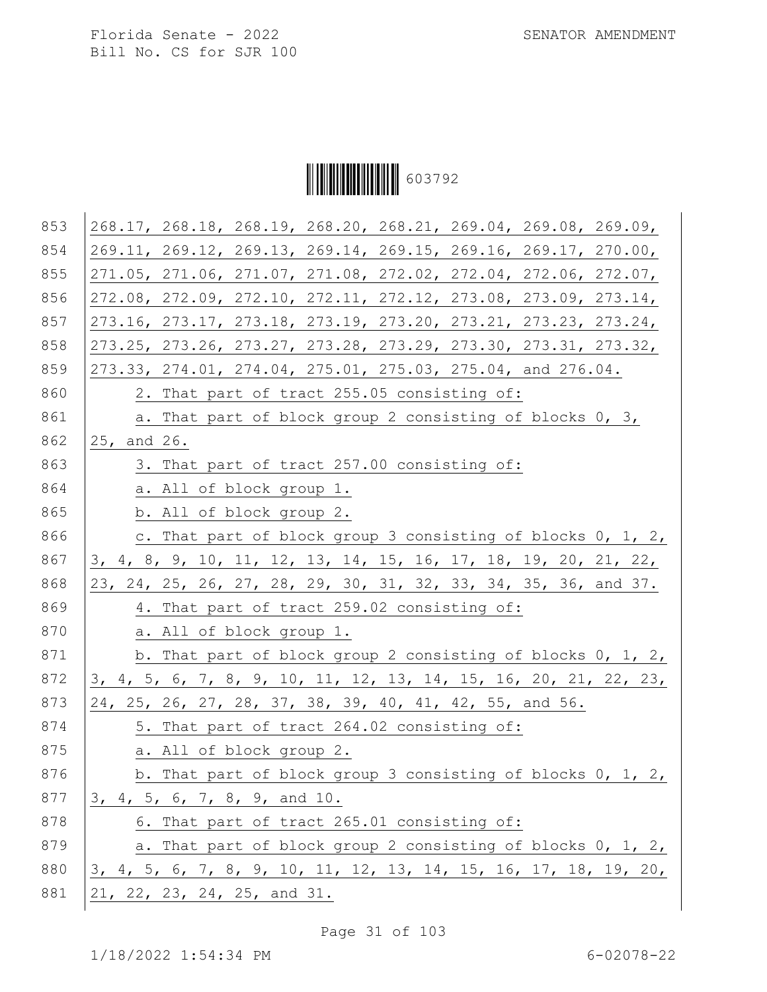Ì6037929Î603792

| 853 | 268.17, 268.18, 268.19, 268.20, 268.21, 269.04, 269.08, 269.09,                         |
|-----|-----------------------------------------------------------------------------------------|
| 854 | 269.11, 269.12, 269.13, 269.14, 269.15, 269.16, 269.17, 270.00,                         |
| 855 | 271.05, 271.06, 271.07, 271.08, 272.02, 272.04, 272.06, 272.07,                         |
| 856 | $272.08$ , $272.09$ , $272.10$ , $272.11$ , $272.12$ , $273.08$ , $273.09$ , $273.14$ , |
| 857 | 273.16, 273.17, 273.18, 273.19, 273.20, 273.21, 273.23, 273.24,                         |
| 858 | 273.25, 273.26, 273.27, 273.28, 273.29, 273.30, 273.31, 273.32,                         |
| 859 | 273.33, 274.01, 274.04, 275.01, 275.03, 275.04, and 276.04.                             |
| 860 | 2. That part of tract 255.05 consisting of:                                             |
| 861 | a. That part of block group 2 consisting of blocks 0, 3,                                |
| 862 | 25, and 26.                                                                             |
| 863 | 3. That part of tract 257.00 consisting of:                                             |
| 864 | a. All of block group 1.                                                                |
| 865 | b. All of block group 2.                                                                |
| 866 | c. That part of block group 3 consisting of blocks 0, 1, 2,                             |
| 867 | 3, 4, 8, 9, 10, 11, 12, 13, 14, 15, 16, 17, 18, 19, 20, 21, 22,                         |
| 868 | 23, 24, 25, 26, 27, 28, 29, 30, 31, 32, 33, 34, 35, 36, and 37.                         |
| 869 | 4. That part of tract 259.02 consisting of:                                             |
| 870 | a. All of block group 1.                                                                |
| 871 | b. That part of block group 2 consisting of blocks 0, 1, 2,                             |
| 872 | 3, 4, 5, 6, 7, 8, 9, 10, 11, 12, 13, 14, 15, 16, 20, 21, 22, 23,                        |
| 873 | 24, 25, 26, 27, 28, 37, 38, 39, 40, 41, 42, 55, and 56.                                 |
| 874 | 5. That part of tract 264.02 consisting of:                                             |
| 875 | a. All of block group 2.                                                                |
| 876 | b. That part of block group 3 consisting of blocks $0, 1, 2, 1$                         |
| 877 | 3, 4, 5, 6, 7, 8, 9, and 10.                                                            |
| 878 | 6. That part of tract 265.01 consisting of:                                             |
| 879 | a. That part of block group 2 consisting of blocks 0, 1, 2,                             |
| 880 | 3, 4, 5, 6, 7, 8, 9, 10, 11, 12, 13, 14, 15, 16, 17, 18, 19, 20,                        |
| 881 | $21, 22, 23, 24, 25,$ and 31.                                                           |
|     |                                                                                         |

Page 31 of 103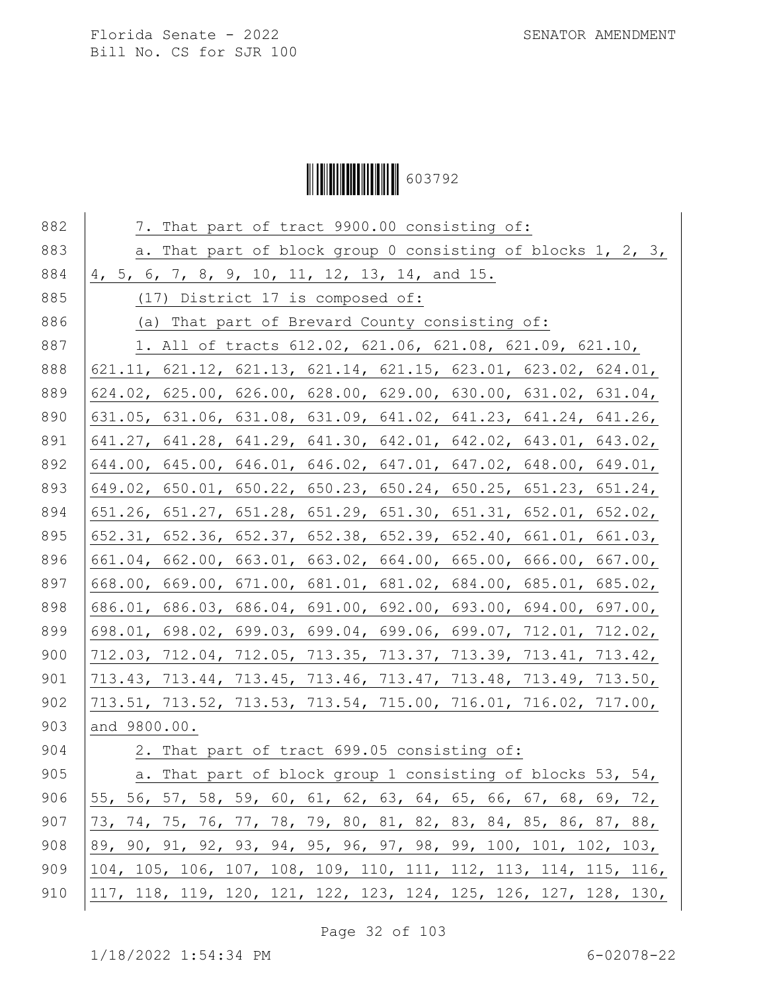# Ì6037929Î603792

| 882 | 7. That part of tract 9900.00 consisting of:                      |
|-----|-------------------------------------------------------------------|
| 883 | a. That part of block group 0 consisting of blocks 1, 2, 3,       |
| 884 | 4, 5, 6, 7, 8, 9, 10, 11, 12, 13, 14, and 15.                     |
| 885 | (17) District 17 is composed of:                                  |
| 886 | (a) That part of Brevard County consisting of:                    |
| 887 | 1. All of tracts 612.02, 621.06, 621.08, 621.09, 621.10,          |
| 888 | 621.11, 621.12, 621.13, 621.14, 621.15, 623.01, 623.02, 624.01,   |
| 889 | 624.02, 625.00, 626.00, 628.00, 629.00, 630.00, 631.02, 631.04,   |
| 890 | 631.05, 631.06, 631.08, 631.09, 641.02, 641.23, 641.24, 641.26,   |
| 891 | 641.27, 641.28, 641.29, 641.30, 642.01, 642.02, 643.01, 643.02,   |
| 892 | 644.00, 645.00, 646.01, 646.02, 647.01, 647.02, 648.00, 649.01,   |
| 893 | 649.02, 650.01, 650.22, 650.23, 650.24, 650.25, 651.23, 651.24,   |
| 894 | 651.26, 651.27, 651.28, 651.29, 651.30, 651.31, 652.01, 652.02,   |
| 895 | 652.31, 652.36, 652.37, 652.38, 652.39, 652.40, 661.01, 661.03,   |
| 896 | 661.04, 662.00, 663.01, 663.02, 664.00, 665.00, 666.00, 667.00,   |
| 897 | 668.00, 669.00, 671.00, 681.01, 681.02, 684.00, 685.01, 685.02,   |
| 898 | 686.01, 686.03, 686.04, 691.00, 692.00, 693.00, 694.00, 697.00,   |
| 899 | $698.01, 698.02, 699.03, 699.04, 699.06, 699.07, 712.01, 712.02,$ |
| 900 | 712.03, 712.04, 712.05, 713.35, 713.37, 713.39, 713.41, 713.42,   |
| 901 | 713.43, 713.44, 713.45, 713.46, 713.47, 713.48, 713.49, 713.50,   |
| 902 | 713.51, 713.52, 713.53, 713.54, 715.00, 716.01, 716.02, 717.00,   |
| 903 | and 9800.00.                                                      |
| 904 | 2. That part of tract 699.05 consisting of:                       |
| 905 | a. That part of block group 1 consisting of blocks 53, 54,        |
| 906 | 55, 56, 57, 58, 59, 60, 61, 62, 63, 64, 65, 66, 67, 68, 69, 72,   |
| 907 | 73, 74, 75, 76, 77, 78, 79, 80, 81, 82, 83, 84, 85, 86, 87, 88,   |
| 908 | 89, 90, 91, 92, 93, 94, 95, 96, 97, 98, 99, 100, 101, 102, 103,   |
| 909 | 104, 105, 106, 107, 108, 109, 110, 111, 112, 113, 114, 115, 116,  |
| 910 | 117, 118, 119, 120, 121, 122, 123, 124, 125, 126, 127, 128, 130,  |

Page 32 of 103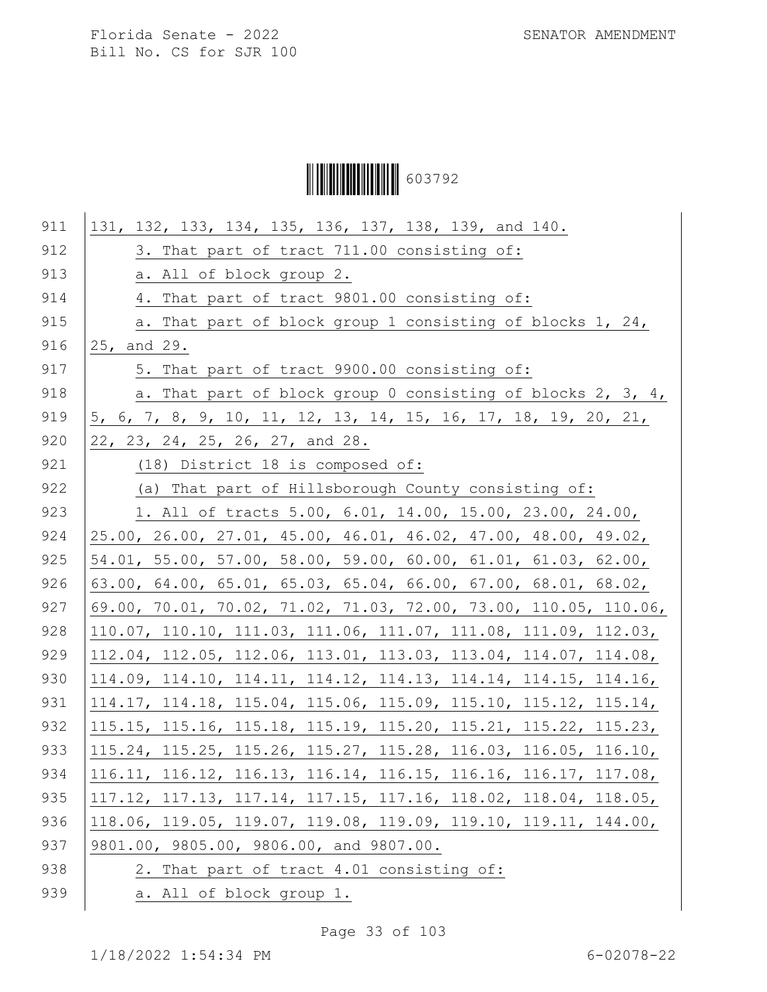Ì6037929Î603792

Page 33 of 103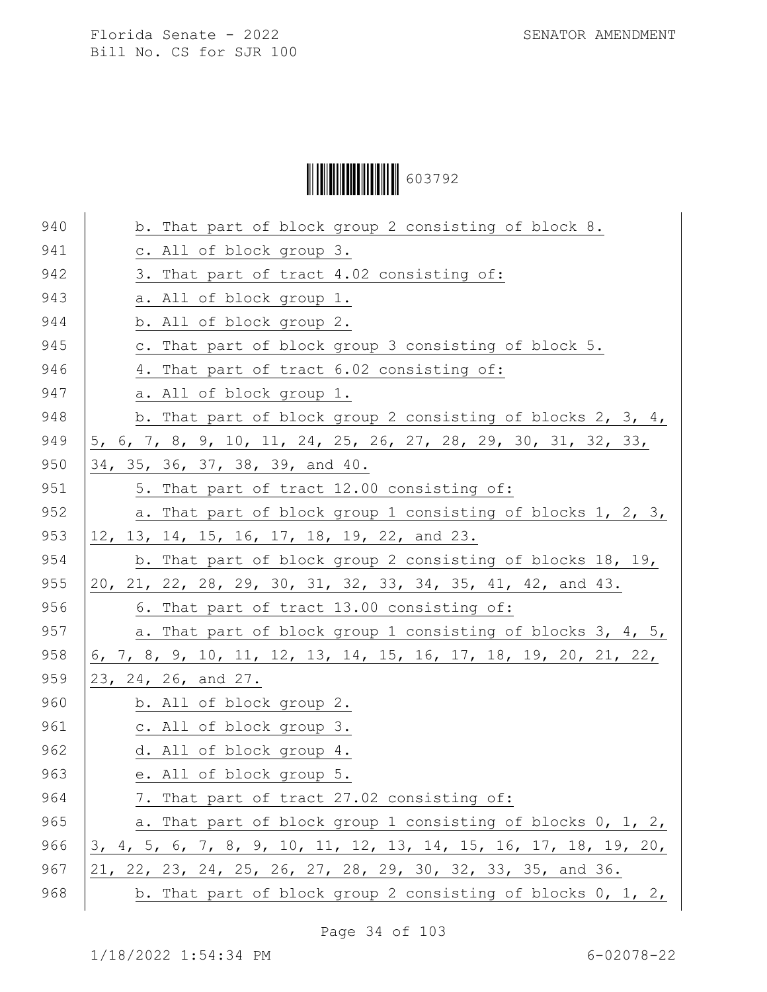Ì6037929Î603792

| 941<br>c. All of block group 3.<br>942<br>3. That part of tract 4.02 consisting of:<br>943<br>a. All of block group 1.<br>944<br>b. All of block group 2.<br>945<br>c. That part of block group 3 consisting of block 5.<br>946<br>4. That part of tract 6.02 consisting of:<br>947<br>a. All of block group 1.<br>948<br>b. That part of block group 2 consisting of blocks 2, 3, 4,<br>949<br>5, 6, 7, 8, 9, 10, 11, 24, 25, 26, 27, 28, 29, 30, 31, 32, 33,<br>950<br>34, 35, 36, 37, 38, 39, and 40.<br>951<br>5. That part of tract 12.00 consisting of:<br>952<br>a. That part of block group 1 consisting of blocks 1, 2, 3,<br>953<br>12, 13, 14, 15, 16, 17, 18, 19, 22, and 23.<br>954<br>b. That part of block group 2 consisting of blocks 18, 19,<br>955<br>20, 21, 22, 28, 29, 30, 31, 32, 33, 34, 35, 41, 42, and 43.<br>956<br>6. That part of tract 13.00 consisting of:<br>957<br>a. That part of block group 1 consisting of blocks 3, 4, 5,<br>958<br>6, 7, 8, 9, 10, 11, 12, 13, 14, 15, 16, 17, 18, 19, 20, 21, 22,<br>959<br>23, 24, 26, and 27.<br>960<br>b. All of block group 2.<br>961<br>c. All of block group 3.<br>962<br>d. All of block group 4.<br>963<br>e. All of block group 5.<br>964<br>7. That part of tract 27.02 consisting of:<br>965<br>966<br>3, 4, 5, 6, 7, 8, 9, 10, 11, 12, 13, 14, 15, 16, 17, 18, 19, 20,<br>967<br>21, 22, 23, 24, 25, 26, 27, 28, 29, 30, 32, 33, 35, and 36.<br>968<br>b. That part of block group 2 consisting of blocks $0, 1, 2, 1$ |     |                                                             |
|------------------------------------------------------------------------------------------------------------------------------------------------------------------------------------------------------------------------------------------------------------------------------------------------------------------------------------------------------------------------------------------------------------------------------------------------------------------------------------------------------------------------------------------------------------------------------------------------------------------------------------------------------------------------------------------------------------------------------------------------------------------------------------------------------------------------------------------------------------------------------------------------------------------------------------------------------------------------------------------------------------------------------------------------------------------------------------------------------------------------------------------------------------------------------------------------------------------------------------------------------------------------------------------------------------------------------------------------------------------------------------------------------------------------------------------------------------------------------------------------------------|-----|-------------------------------------------------------------|
|                                                                                                                                                                                                                                                                                                                                                                                                                                                                                                                                                                                                                                                                                                                                                                                                                                                                                                                                                                                                                                                                                                                                                                                                                                                                                                                                                                                                                                                                                                            | 940 | b. That part of block group 2 consisting of block 8.        |
|                                                                                                                                                                                                                                                                                                                                                                                                                                                                                                                                                                                                                                                                                                                                                                                                                                                                                                                                                                                                                                                                                                                                                                                                                                                                                                                                                                                                                                                                                                            |     |                                                             |
|                                                                                                                                                                                                                                                                                                                                                                                                                                                                                                                                                                                                                                                                                                                                                                                                                                                                                                                                                                                                                                                                                                                                                                                                                                                                                                                                                                                                                                                                                                            |     |                                                             |
|                                                                                                                                                                                                                                                                                                                                                                                                                                                                                                                                                                                                                                                                                                                                                                                                                                                                                                                                                                                                                                                                                                                                                                                                                                                                                                                                                                                                                                                                                                            |     |                                                             |
|                                                                                                                                                                                                                                                                                                                                                                                                                                                                                                                                                                                                                                                                                                                                                                                                                                                                                                                                                                                                                                                                                                                                                                                                                                                                                                                                                                                                                                                                                                            |     |                                                             |
|                                                                                                                                                                                                                                                                                                                                                                                                                                                                                                                                                                                                                                                                                                                                                                                                                                                                                                                                                                                                                                                                                                                                                                                                                                                                                                                                                                                                                                                                                                            |     |                                                             |
|                                                                                                                                                                                                                                                                                                                                                                                                                                                                                                                                                                                                                                                                                                                                                                                                                                                                                                                                                                                                                                                                                                                                                                                                                                                                                                                                                                                                                                                                                                            |     |                                                             |
|                                                                                                                                                                                                                                                                                                                                                                                                                                                                                                                                                                                                                                                                                                                                                                                                                                                                                                                                                                                                                                                                                                                                                                                                                                                                                                                                                                                                                                                                                                            |     |                                                             |
|                                                                                                                                                                                                                                                                                                                                                                                                                                                                                                                                                                                                                                                                                                                                                                                                                                                                                                                                                                                                                                                                                                                                                                                                                                                                                                                                                                                                                                                                                                            |     |                                                             |
|                                                                                                                                                                                                                                                                                                                                                                                                                                                                                                                                                                                                                                                                                                                                                                                                                                                                                                                                                                                                                                                                                                                                                                                                                                                                                                                                                                                                                                                                                                            |     |                                                             |
|                                                                                                                                                                                                                                                                                                                                                                                                                                                                                                                                                                                                                                                                                                                                                                                                                                                                                                                                                                                                                                                                                                                                                                                                                                                                                                                                                                                                                                                                                                            |     |                                                             |
|                                                                                                                                                                                                                                                                                                                                                                                                                                                                                                                                                                                                                                                                                                                                                                                                                                                                                                                                                                                                                                                                                                                                                                                                                                                                                                                                                                                                                                                                                                            |     |                                                             |
|                                                                                                                                                                                                                                                                                                                                                                                                                                                                                                                                                                                                                                                                                                                                                                                                                                                                                                                                                                                                                                                                                                                                                                                                                                                                                                                                                                                                                                                                                                            |     |                                                             |
|                                                                                                                                                                                                                                                                                                                                                                                                                                                                                                                                                                                                                                                                                                                                                                                                                                                                                                                                                                                                                                                                                                                                                                                                                                                                                                                                                                                                                                                                                                            |     |                                                             |
|                                                                                                                                                                                                                                                                                                                                                                                                                                                                                                                                                                                                                                                                                                                                                                                                                                                                                                                                                                                                                                                                                                                                                                                                                                                                                                                                                                                                                                                                                                            |     |                                                             |
|                                                                                                                                                                                                                                                                                                                                                                                                                                                                                                                                                                                                                                                                                                                                                                                                                                                                                                                                                                                                                                                                                                                                                                                                                                                                                                                                                                                                                                                                                                            |     |                                                             |
|                                                                                                                                                                                                                                                                                                                                                                                                                                                                                                                                                                                                                                                                                                                                                                                                                                                                                                                                                                                                                                                                                                                                                                                                                                                                                                                                                                                                                                                                                                            |     |                                                             |
|                                                                                                                                                                                                                                                                                                                                                                                                                                                                                                                                                                                                                                                                                                                                                                                                                                                                                                                                                                                                                                                                                                                                                                                                                                                                                                                                                                                                                                                                                                            |     |                                                             |
|                                                                                                                                                                                                                                                                                                                                                                                                                                                                                                                                                                                                                                                                                                                                                                                                                                                                                                                                                                                                                                                                                                                                                                                                                                                                                                                                                                                                                                                                                                            |     |                                                             |
|                                                                                                                                                                                                                                                                                                                                                                                                                                                                                                                                                                                                                                                                                                                                                                                                                                                                                                                                                                                                                                                                                                                                                                                                                                                                                                                                                                                                                                                                                                            |     |                                                             |
|                                                                                                                                                                                                                                                                                                                                                                                                                                                                                                                                                                                                                                                                                                                                                                                                                                                                                                                                                                                                                                                                                                                                                                                                                                                                                                                                                                                                                                                                                                            |     |                                                             |
|                                                                                                                                                                                                                                                                                                                                                                                                                                                                                                                                                                                                                                                                                                                                                                                                                                                                                                                                                                                                                                                                                                                                                                                                                                                                                                                                                                                                                                                                                                            |     |                                                             |
|                                                                                                                                                                                                                                                                                                                                                                                                                                                                                                                                                                                                                                                                                                                                                                                                                                                                                                                                                                                                                                                                                                                                                                                                                                                                                                                                                                                                                                                                                                            |     |                                                             |
|                                                                                                                                                                                                                                                                                                                                                                                                                                                                                                                                                                                                                                                                                                                                                                                                                                                                                                                                                                                                                                                                                                                                                                                                                                                                                                                                                                                                                                                                                                            |     |                                                             |
|                                                                                                                                                                                                                                                                                                                                                                                                                                                                                                                                                                                                                                                                                                                                                                                                                                                                                                                                                                                                                                                                                                                                                                                                                                                                                                                                                                                                                                                                                                            |     |                                                             |
|                                                                                                                                                                                                                                                                                                                                                                                                                                                                                                                                                                                                                                                                                                                                                                                                                                                                                                                                                                                                                                                                                                                                                                                                                                                                                                                                                                                                                                                                                                            |     | a. That part of block group 1 consisting of blocks 0, 1, 2, |
|                                                                                                                                                                                                                                                                                                                                                                                                                                                                                                                                                                                                                                                                                                                                                                                                                                                                                                                                                                                                                                                                                                                                                                                                                                                                                                                                                                                                                                                                                                            |     |                                                             |
|                                                                                                                                                                                                                                                                                                                                                                                                                                                                                                                                                                                                                                                                                                                                                                                                                                                                                                                                                                                                                                                                                                                                                                                                                                                                                                                                                                                                                                                                                                            |     |                                                             |
|                                                                                                                                                                                                                                                                                                                                                                                                                                                                                                                                                                                                                                                                                                                                                                                                                                                                                                                                                                                                                                                                                                                                                                                                                                                                                                                                                                                                                                                                                                            |     |                                                             |

Page 34 of 103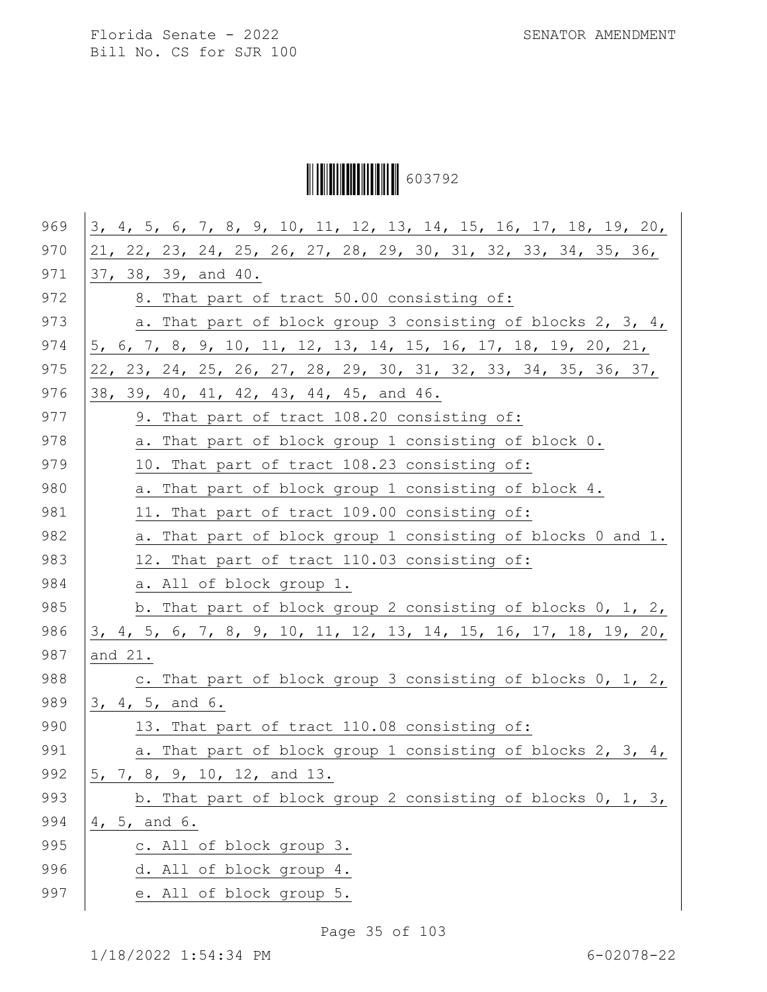Ì6037929Î603792

| 969 | 3, 4, 5, 6, 7, 8, 9, 10, 11, 12, 13, 14, 15, 16, 17, 18, 19, 20, |
|-----|------------------------------------------------------------------|
| 970 | 21, 22, 23, 24, 25, 26, 27, 28, 29, 30, 31, 32, 33, 34, 35, 36,  |
| 971 | 37, 38, 39, and 40.                                              |
| 972 | 8. That part of tract 50.00 consisting of:                       |
| 973 | a. That part of block group 3 consisting of blocks 2, 3, 4,      |
| 974 | 5, 6, 7, 8, 9, 10, 11, 12, 13, 14, 15, 16, 17, 18, 19, 20, 21,   |
| 975 | 22, 23, 24, 25, 26, 27, 28, 29, 30, 31, 32, 33, 34, 35, 36, 37,  |
| 976 | 38, 39, 40, 41, 42, 43, 44, 45, and 46.                          |
| 977 | 9. That part of tract 108.20 consisting of:                      |
| 978 | a. That part of block group 1 consisting of block 0.             |
| 979 | 10. That part of tract 108.23 consisting of:                     |
| 980 | a. That part of block group 1 consisting of block 4.             |
| 981 | 11. That part of tract 109.00 consisting of:                     |
| 982 | a. That part of block group 1 consisting of blocks 0 and 1.      |
| 983 | 12. That part of tract 110.03 consisting of:                     |
| 984 | a. All of block group 1.                                         |
| 985 | b. That part of block group 2 consisting of blocks $0, 1, 2, 1$  |
| 986 | 3, 4, 5, 6, 7, 8, 9, 10, 11, 12, 13, 14, 15, 16, 17, 18, 19, 20, |
| 987 | and 21.                                                          |
| 988 | c. That part of block group 3 consisting of blocks 0, 1, 2,      |
| 989 | 3, 4, 5, and 6.                                                  |
| 990 | 13. That part of tract 110.08 consisting of:                     |
| 991 | a. That part of block group 1 consisting of blocks 2, 3, 4,      |
| 992 | 5, 7, 8, 9, 10, 12, and 13.                                      |
| 993 | b. That part of block group 2 consisting of blocks $0, 1, 3, 1$  |
| 994 | 4, 5, and 6.                                                     |
| 995 | c. All of block group 3.                                         |
| 996 | d. All of block group 4.                                         |
| 997 | e. All of block group 5.                                         |

Page 35 of 103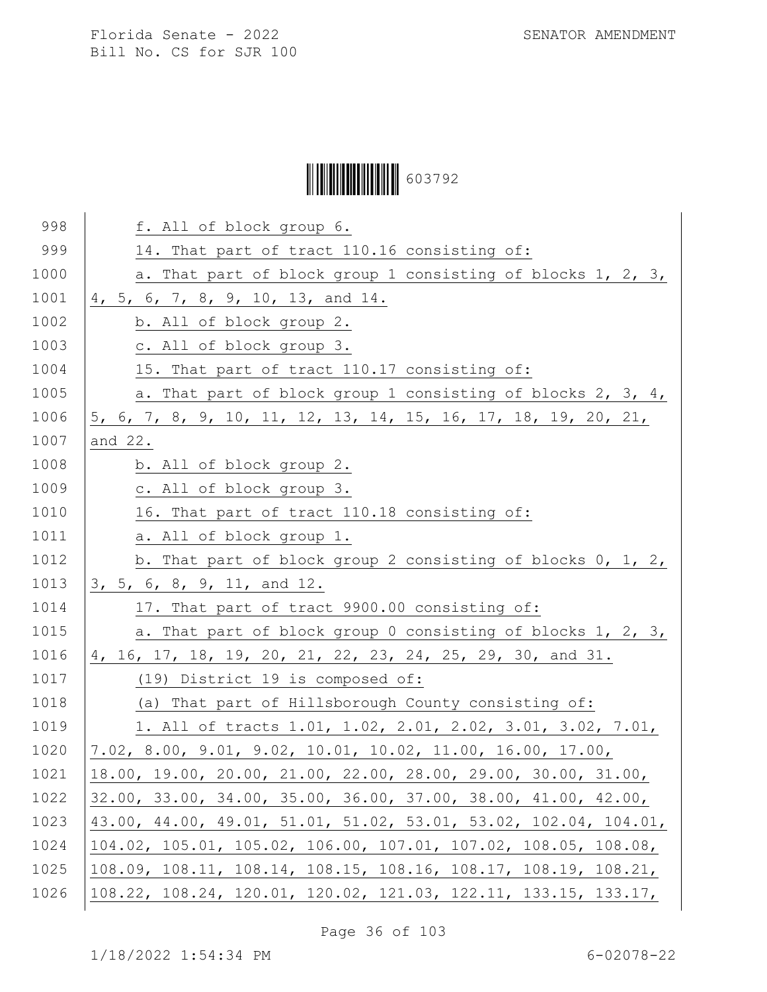# Ì6037929Î603792

| 998  | f. All of block group 6.                                         |
|------|------------------------------------------------------------------|
| 999  | 14. That part of tract 110.16 consisting of:                     |
| 1000 | a. That part of block group 1 consisting of blocks 1, 2, 3,      |
| 1001 | 4, 5, 6, 7, 8, 9, 10, 13, and 14.                                |
| 1002 | b. All of block group 2.                                         |
| 1003 | c. All of block group 3.                                         |
| 1004 | 15. That part of tract 110.17 consisting of:                     |
| 1005 | a. That part of block group 1 consisting of blocks 2, 3, 4,      |
| 1006 | 5, 6, 7, 8, 9, 10, 11, 12, 13, 14, 15, 16, 17, 18, 19, 20, 21,   |
| 1007 | and 22.                                                          |
| 1008 | b. All of block group 2.                                         |
| 1009 | c. All of block group 3.                                         |
| 1010 | 16. That part of tract 110.18 consisting of:                     |
| 1011 | a. All of block group 1.                                         |
| 1012 | b. That part of block group 2 consisting of blocks $0, 1, 2, 1$  |
| 1013 | 3, 5, 6, 8, 9, 11, and 12.                                       |
| 1014 | 17. That part of tract 9900.00 consisting of:                    |
| 1015 | a. That part of block group 0 consisting of blocks 1, 2, 3,      |
| 1016 | 4, 16, 17, 18, 19, 20, 21, 22, 23, 24, 25, 29, 30, and 31.       |
| 1017 | (19) District 19 is composed of:                                 |
| 1018 | (a) That part of Hillsborough County consisting of:              |
| 1019 | 1. All of tracts 1.01, 1.02, 2.01, 2.02, 3.01, 3.02, 7.01,       |
| 1020 | 7.02, 8.00, 9.01, 9.02, 10.01, 10.02, 11.00, 16.00, 17.00,       |
| 1021 | 18.00, 19.00, 20.00, 21.00, 22.00, 28.00, 29.00, 30.00, 31.00,   |
| 1022 | 32.00, 33.00, 34.00, 35.00, 36.00, 37.00, 38.00, 41.00, 42.00,   |
| 1023 | 43.00, 44.00, 49.01, 51.01, 51.02, 53.01, 53.02, 102.04, 104.01, |
| 1024 | 104.02, 105.01, 105.02, 106.00, 107.01, 107.02, 108.05, 108.08,  |
| 1025 | 108.09, 108.11, 108.14, 108.15, 108.16, 108.17, 108.19, 108.21,  |
| 1026 | 108.22, 108.24, 120.01, 120.02, 121.03, 122.11, 133.15, 133.17,  |

Page 36 of 103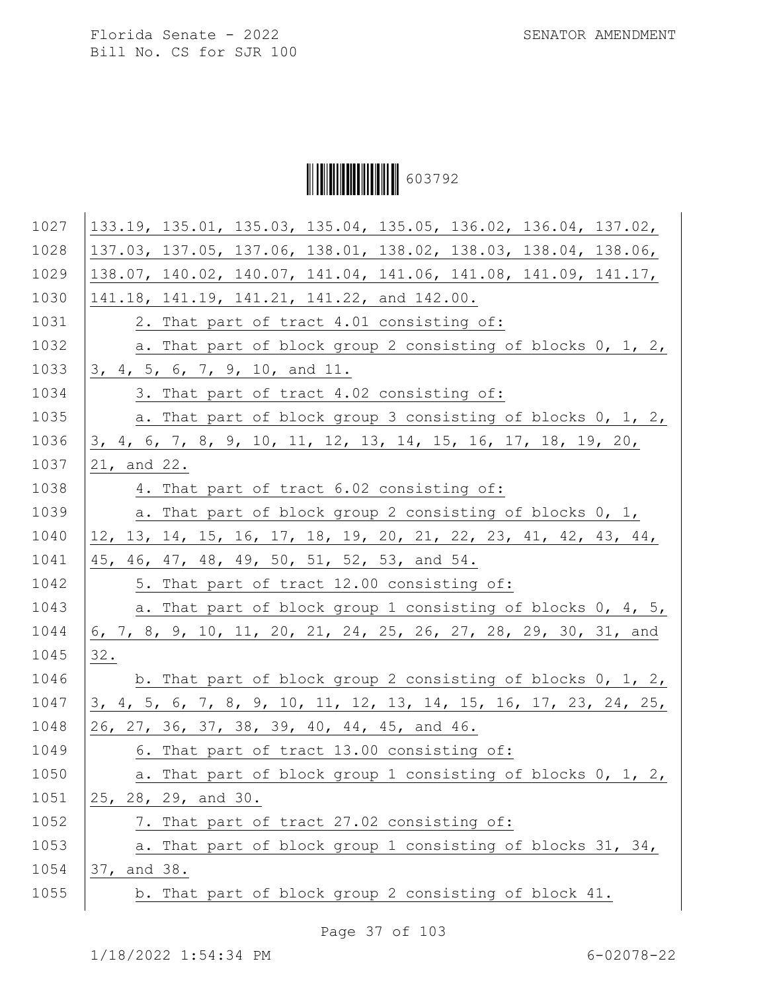Ì6037929Î603792

| 1027 | 133.19, 135.01, 135.03, 135.04, 135.05, 136.02, 136.04, 137.02,   |
|------|-------------------------------------------------------------------|
| 1028 | 137.03, 137.05, 137.06, 138.01, 138.02, 138.03, 138.04, 138.06,   |
| 1029 | 138.07, 140.02, 140.07, 141.04, 141.06, 141.08, 141.09, 141.17,   |
| 1030 | 141.18, 141.19, 141.21, 141.22, and 142.00.                       |
| 1031 | 2. That part of tract 4.01 consisting of:                         |
| 1032 | a. That part of block group 2 consisting of blocks 0, 1, 2,       |
| 1033 | 3, 4, 5, 6, 7, 9, 10, and 11.                                     |
| 1034 | 3. That part of tract 4.02 consisting of:                         |
| 1035 | a. That part of block group 3 consisting of blocks 0, 1, 2,       |
| 1036 | 3, 4, 6, 7, 8, 9, 10, 11, 12, 13, 14, 15, 16, 17, 18, 19, 20,     |
| 1037 | 21, and 22.                                                       |
| 1038 | 4. That part of tract 6.02 consisting of:                         |
| 1039 | a. That part of block group 2 consisting of blocks 0, 1,          |
| 1040 | $12, 13, 14, 15, 16, 17, 18, 19, 20, 21, 22, 23, 41, 42, 43, 44,$ |
| 1041 | 45, 46, 47, 48, 49, 50, 51, 52, 53, and 54.                       |
| 1042 | 5. That part of tract 12.00 consisting of:                        |
| 1043 | a. That part of block group 1 consisting of blocks 0, 4, 5,       |
| 1044 | 6, 7, 8, 9, 10, 11, 20, 21, 24, 25, 26, 27, 28, 29, 30, 31, and   |
| 1045 | 32.                                                               |
| 1046 | b. That part of block group 2 consisting of blocks $0, 1, 2, 1$   |
| 1047 | 3, 4, 5, 6, 7, 8, 9, 10, 11, 12, 13, 14, 15, 16, 17, 23, 24, 25,  |
| 1048 | 26, 27, 36, 37, 38, 39, 40, 44, 45, and 46.                       |
| 1049 | 6. That part of tract 13.00 consisting of:                        |
| 1050 | a. That part of block group 1 consisting of blocks 0, 1, 2,       |
| 1051 | 25, 28, 29, and 30.                                               |
| 1052 | 7. That part of tract 27.02 consisting of:                        |
| 1053 | a. That part of block group 1 consisting of blocks 31, 34,        |
| 1054 | 37, and 38.                                                       |
| 1055 | b. That part of block group 2 consisting of block 41.             |
|      |                                                                   |

Page 37 of 103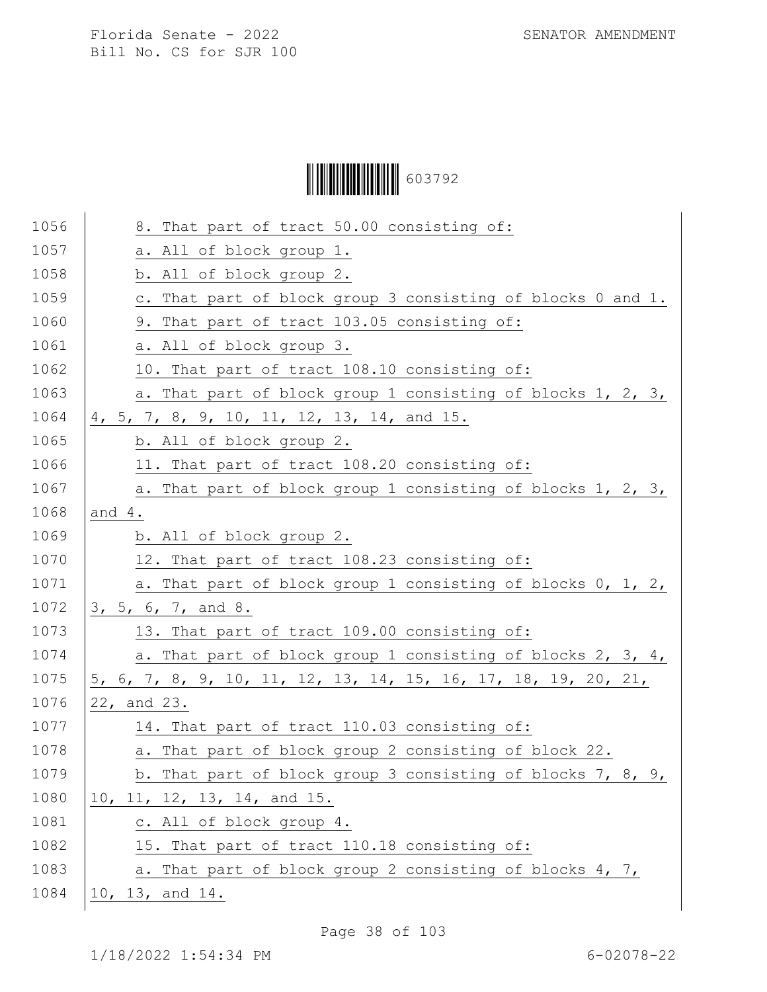Ì6037929Î603792

| 1056 | 8. That part of tract 50.00 consisting of:                     |
|------|----------------------------------------------------------------|
| 1057 | a. All of block group 1.                                       |
| 1058 | b. All of block group 2.                                       |
| 1059 | c. That part of block group 3 consisting of blocks 0 and 1.    |
| 1060 | 9. That part of tract 103.05 consisting of:                    |
| 1061 | a. All of block group 3.                                       |
| 1062 | 10. That part of tract 108.10 consisting of:                   |
| 1063 | a. That part of block group 1 consisting of blocks 1, 2, 3,    |
| 1064 | 4, 5, 7, 8, 9, 10, 11, 12, 13, 14, and 15.                     |
| 1065 | b. All of block group 2.                                       |
| 1066 | 11. That part of tract 108.20 consisting of:                   |
| 1067 | a. That part of block group 1 consisting of blocks 1, 2, 3,    |
| 1068 | and $4.$                                                       |
| 1069 | b. All of block group 2.                                       |
| 1070 | 12. That part of tract 108.23 consisting of:                   |
| 1071 | a. That part of block group 1 consisting of blocks 0, 1, 2,    |
| 1072 | 3, 5, 6, 7, and 8.                                             |
| 1073 | 13. That part of tract 109.00 consisting of:                   |
| 1074 | a. That part of block group 1 consisting of blocks 2, 3, 4,    |
| 1075 | 5, 6, 7, 8, 9, 10, 11, 12, 13, 14, 15, 16, 17, 18, 19, 20, 21, |
| 1076 | 22, and 23.                                                    |
| 1077 | 14. That part of tract 110.03 consisting of:                   |
| 1078 | a. That part of block group 2 consisting of block 22.          |
| 1079 | b. That part of block group 3 consisting of blocks 7, 8, 9,    |
| 1080 | 10, 11, 12, 13, 14, and 15.                                    |
| 1081 | c. All of block group 4.                                       |
| 1082 | 15. That part of tract 110.18 consisting of:                   |
| 1083 | a. That part of block group 2 consisting of blocks 4, 7,       |
| 1084 | 10, 13, and 14.                                                |
|      |                                                                |

Page 38 of 103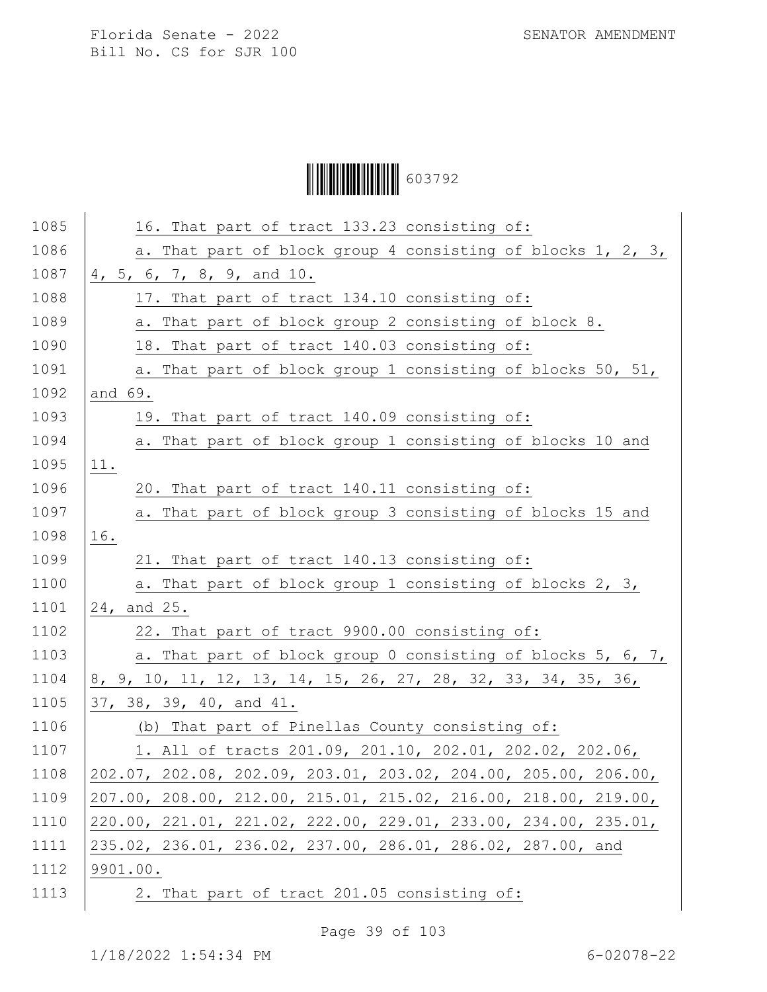Ì6037929Î603792

| 1085 | 16. That part of tract 133.23 consisting of:                    |
|------|-----------------------------------------------------------------|
| 1086 | a. That part of block group 4 consisting of blocks 1, 2, 3,     |
| 1087 | 4, 5, 6, 7, 8, 9, and 10.                                       |
| 1088 | 17. That part of tract 134.10 consisting of:                    |
| 1089 | a. That part of block group 2 consisting of block 8.            |
| 1090 | 18. That part of tract 140.03 consisting of:                    |
| 1091 | a. That part of block group 1 consisting of blocks 50, 51,      |
| 1092 | and 69.                                                         |
| 1093 | 19. That part of tract 140.09 consisting of:                    |
| 1094 | a. That part of block group 1 consisting of blocks 10 and       |
| 1095 | 11.                                                             |
| 1096 | 20. That part of tract 140.11 consisting of:                    |
| 1097 | a. That part of block group 3 consisting of blocks 15 and       |
| 1098 | 16.                                                             |
| 1099 | 21. That part of tract 140.13 consisting of:                    |
| 1100 | a. That part of block group 1 consisting of blocks 2, 3,        |
| 1101 | 24, and 25.                                                     |
| 1102 | 22. That part of tract 9900.00 consisting of:                   |
| 1103 | a. That part of block group 0 consisting of blocks 5, 6, 7,     |
| 1104 | 8, 9, 10, 11, 12, 13, 14, 15, 26, 27, 28, 32, 33, 34, 35, 36,   |
| 1105 | 37, 38, 39, 40, and 41.                                         |
| 1106 | (b) That part of Pinellas County consisting of:                 |
| 1107 | 1. All of tracts 201.09, 201.10, 202.01, 202.02, 202.06,        |
| 1108 | 202.07, 202.08, 202.09, 203.01, 203.02, 204.00, 205.00, 206.00, |
| 1109 | 207.00, 208.00, 212.00, 215.01, 215.02, 216.00, 218.00, 219.00, |
| 1110 | 220.00, 221.01, 221.02, 222.00, 229.01, 233.00, 234.00, 235.01, |
| 1111 | 235.02, 236.01, 236.02, 237.00, 286.01, 286.02, 287.00, and     |
| 1112 | 9901.00.                                                        |
| 1113 | 2. That part of tract 201.05 consisting of:                     |

Page 39 of 103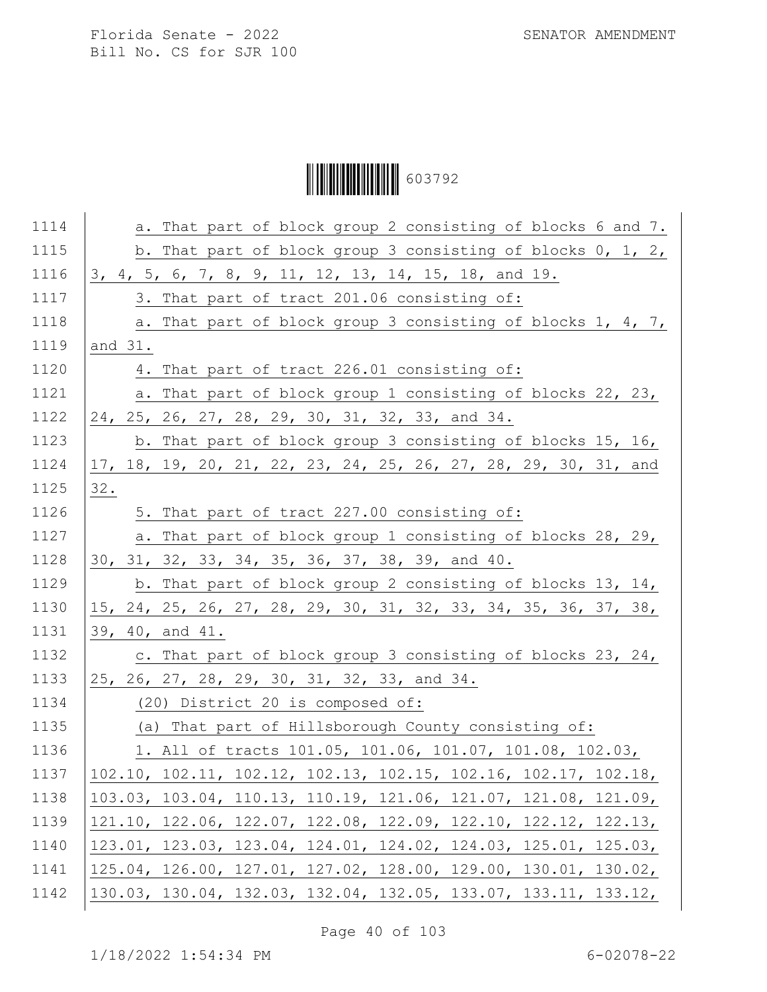## Ì6037929Î603792

| 1114 | a. That part of block group 2 consisting of blocks 6 and 7.     |
|------|-----------------------------------------------------------------|
| 1115 | b. That part of block group 3 consisting of blocks 0, 1, 2,     |
| 1116 | 3, 4, 5, 6, 7, 8, 9, 11, 12, 13, 14, 15, 18, and 19.            |
| 1117 | 3. That part of tract 201.06 consisting of:                     |
| 1118 | a. That part of block group 3 consisting of blocks 1, 4, 7,     |
| 1119 | and 31.                                                         |
| 1120 | 4. That part of tract 226.01 consisting of:                     |
| 1121 | a. That part of block group 1 consisting of blocks 22, 23,      |
| 1122 | 24, 25, 26, 27, 28, 29, 30, 31, 32, 33, and 34.                 |
| 1123 | b. That part of block group 3 consisting of blocks 15, 16,      |
| 1124 | 17, 18, 19, 20, 21, 22, 23, 24, 25, 26, 27, 28, 29, 30, 31, and |
| 1125 | 32.                                                             |
| 1126 | 5. That part of tract 227.00 consisting of:                     |
| 1127 | a. That part of block group 1 consisting of blocks 28, 29,      |
| 1128 | 30, 31, 32, 33, 34, 35, 36, 37, 38, 39, and 40.                 |
| 1129 | b. That part of block group 2 consisting of blocks 13, 14,      |
| 1130 | 15, 24, 25, 26, 27, 28, 29, 30, 31, 32, 33, 34, 35, 36, 37, 38, |
| 1131 | 39, 40, and 41.                                                 |
| 1132 | c. That part of block group 3 consisting of blocks 23, 24,      |
| 1133 | 25, 26, 27, 28, 29, 30, 31, 32, 33, and 34.                     |
| 1134 | (20) District 20 is composed of:                                |
| 1135 | (a) That part of Hillsborough County consisting of:             |
| 1136 | 1. All of tracts 101.05, 101.06, 101.07, 101.08, 102.03,        |
| 1137 | 102.10, 102.11, 102.12, 102.13, 102.15, 102.16, 102.17, 102.18, |
| 1138 | 103.03, 103.04, 110.13, 110.19, 121.06, 121.07, 121.08, 121.09, |
| 1139 | 121.10, 122.06, 122.07, 122.08, 122.09, 122.10, 122.12, 122.13, |
| 1140 | 123.01, 123.03, 123.04, 124.01, 124.02, 124.03, 125.01, 125.03, |
| 1141 | 125.04, 126.00, 127.01, 127.02, 128.00, 129.00, 130.01, 130.02, |
| 1142 | 130.03, 130.04, 132.03, 132.04, 132.05, 133.07, 133.11, 133.12, |

Page 40 of 103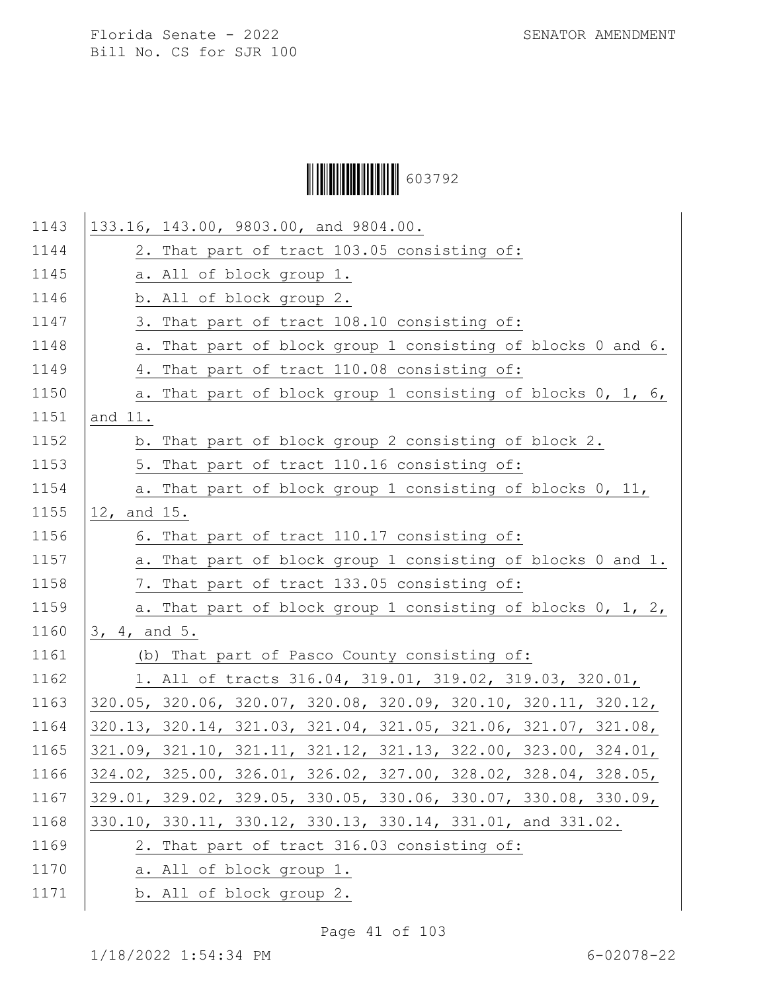Ì6037929Î603792

| 1143 | 133.16, 143.00, 9803.00, and 9804.00.                           |
|------|-----------------------------------------------------------------|
| 1144 | 2. That part of tract 103.05 consisting of:                     |
| 1145 | a. All of block group 1.                                        |
| 1146 | b. All of block group 2.                                        |
| 1147 | 3. That part of tract 108.10 consisting of:                     |
| 1148 | a. That part of block group 1 consisting of blocks 0 and 6.     |
| 1149 | 4. That part of tract 110.08 consisting of:                     |
| 1150 | a. That part of block group 1 consisting of blocks 0, 1, 6,     |
| 1151 | and 11.                                                         |
| 1152 | b. That part of block group 2 consisting of block 2.            |
| 1153 | 5. That part of tract 110.16 consisting of:                     |
| 1154 | a. That part of block group 1 consisting of blocks 0, 11,       |
| 1155 | 12, and 15.                                                     |
| 1156 | 6. That part of tract 110.17 consisting of:                     |
| 1157 | a. That part of block group 1 consisting of blocks 0 and 1.     |
| 1158 | 7. That part of tract 133.05 consisting of:                     |
| 1159 | a. That part of block group 1 consisting of blocks 0, 1, 2,     |
| 1160 | 3, 4, and 5.                                                    |
| 1161 | (b) That part of Pasco County consisting of:                    |
| 1162 | 1. All of tracts 316.04, 319.01, 319.02, 319.03, 320.01,        |
| 1163 | 320.05, 320.06, 320.07, 320.08, 320.09, 320.10, 320.11, 320.12, |
| 1164 | 320.13, 320.14, 321.03, 321.04, 321.05, 321.06, 321.07, 321.08, |
| 1165 | 321.09, 321.10, 321.11, 321.12, 321.13, 322.00, 323.00, 324.01, |
| 1166 | 324.02, 325.00, 326.01, 326.02, 327.00, 328.02, 328.04, 328.05, |
| 1167 | 329.01, 329.02, 329.05, 330.05, 330.06, 330.07, 330.08, 330.09, |
| 1168 | 330.10, 330.11, 330.12, 330.13, 330.14, 331.01, and 331.02.     |
| 1169 | 2. That part of tract 316.03 consisting of:                     |
| 1170 | a. All of block group 1.                                        |
| 1171 | b. All of block group 2.                                        |

Page 41 of 103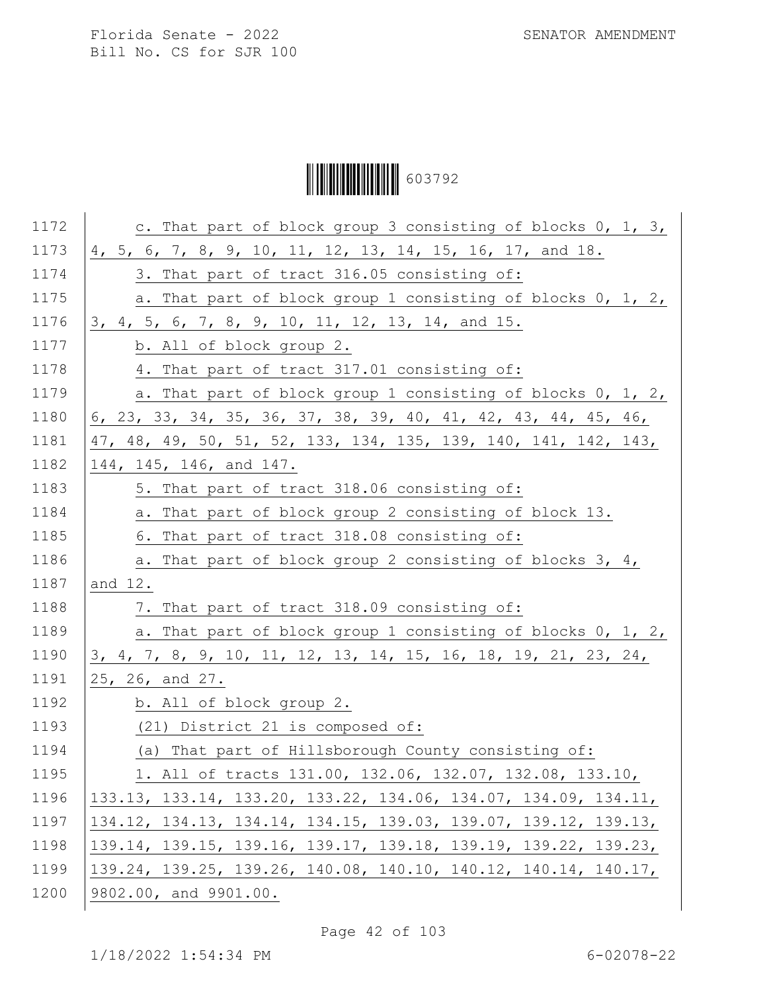Ì6037929Î603792

| 1172 | c. That part of block group 3 consisting of blocks 0, 1, 3,     |
|------|-----------------------------------------------------------------|
| 1173 | 4, 5, 6, 7, 8, 9, 10, 11, 12, 13, 14, 15, 16, 17, and 18.       |
| 1174 | 3. That part of tract 316.05 consisting of:                     |
| 1175 | a. That part of block group 1 consisting of blocks 0, 1, 2,     |
| 1176 | 3, 4, 5, 6, 7, 8, 9, 10, 11, 12, 13, 14, and 15.                |
| 1177 | b. All of block group 2.                                        |
| 1178 | 4. That part of tract 317.01 consisting of:                     |
| 1179 | a. That part of block group 1 consisting of blocks 0, 1, 2,     |
| 1180 | 6, 23, 33, 34, 35, 36, 37, 38, 39, 40, 41, 42, 43, 44, 45, 46,  |
| 1181 | 47, 48, 49, 50, 51, 52, 133, 134, 135, 139, 140, 141, 142, 143, |
| 1182 | 144, 145, 146, and 147.                                         |
| 1183 | 5. That part of tract 318.06 consisting of:                     |
| 1184 | a. That part of block group 2 consisting of block 13.           |
| 1185 | 6. That part of tract 318.08 consisting of:                     |
| 1186 | a. That part of block group 2 consisting of blocks 3, 4,        |
| 1187 | and 12.                                                         |
| 1188 | 7. That part of tract 318.09 consisting of:                     |
| 1189 | a. That part of block group 1 consisting of blocks 0, 1, 2,     |
| 1190 | 3, 4, 7, 8, 9, 10, 11, 12, 13, 14, 15, 16, 18, 19, 21, 23, 24,  |
| 1191 | 25, 26, and 27.                                                 |
| 1192 | b. All of block group 2.                                        |
| 1193 | (21) District 21 is composed of:                                |
| 1194 | (a) That part of Hillsborough County consisting of:             |
| 1195 | 1. All of tracts 131.00, 132.06, 132.07, 132.08, 133.10,        |
| 1196 | 133.13, 133.14, 133.20, 133.22, 134.06, 134.07, 134.09, 134.11, |
| 1197 | 134.12, 134.13, 134.14, 134.15, 139.03, 139.07, 139.12, 139.13, |
| 1198 | 139.14, 139.15, 139.16, 139.17, 139.18, 139.19, 139.22, 139.23, |
| 1199 | 139.24, 139.25, 139.26, 140.08, 140.10, 140.12, 140.14, 140.17, |
| 1200 | 9802.00, and 9901.00.                                           |

Page 42 of 103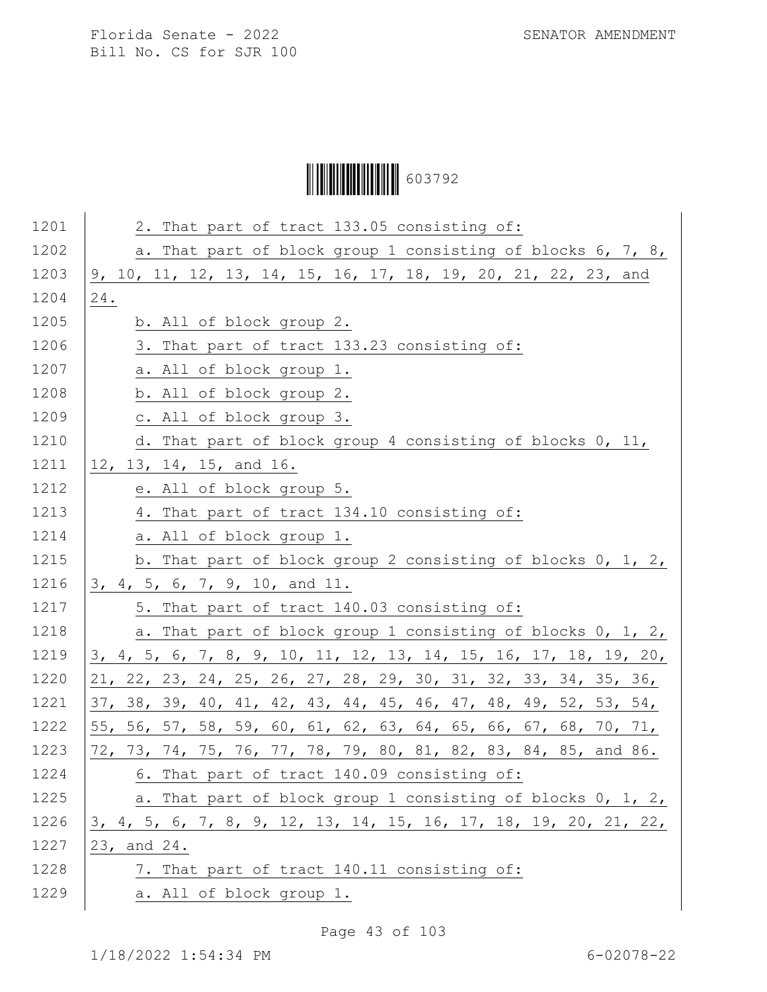Ì6037929Î603792

| 1201 | 2. That part of tract 133.05 consisting of:                             |
|------|-------------------------------------------------------------------------|
| 1202 | a. That part of block group 1 consisting of blocks 6, 7, 8,             |
| 1203 | 9, 10, 11, 12, 13, 14, 15, 16, 17, 18, 19, 20, 21, 22, 23, and          |
| 1204 | 24.                                                                     |
| 1205 | b. All of block group 2.                                                |
| 1206 | 3. That part of tract 133.23 consisting of:                             |
| 1207 | a. All of block group 1.                                                |
| 1208 | b. All of block group 2.                                                |
| 1209 | c. All of block group 3.                                                |
| 1210 | d. That part of block group 4 consisting of blocks 0, 11,               |
| 1211 | 12, 13, 14, 15, and 16.                                                 |
| 1212 | e. All of block group 5.                                                |
| 1213 | 4. That part of tract 134.10 consisting of:                             |
| 1214 | a. All of block group 1.                                                |
| 1215 | b. That part of block group 2 consisting of blocks 0, 1, 2,             |
| 1216 | 3, 4, 5, 6, 7, 9, 10, and 11.                                           |
| 1217 | 5. That part of tract 140.03 consisting of:                             |
| 1218 | a. That part of block group 1 consisting of blocks 0, 1, 2,             |
| 1219 | 3, 4, 5, 6, 7, 8, 9, 10, 11, 12, 13, 14, 15, 16, 17, 18, 19, 20,        |
| 1220 | 21, 22, 23, 24, 25, 26, 27, 28, 29, 30, 31, 32, 33, 34, 35, 36,         |
| 1221 | 37, 38, 39, 40, 41, 42, 43, 44, 45, 46, 47, 48, 49, 52, 53, 54,         |
| 1222 | 55, 56, 57, 58, 59, 60, 61, 62, 63, 64, 65, 66, 67, 68, 70, 71,         |
| 1223 | 72, 73, 74, 75, 76, 77, 78, 79, 80, 81, 82, 83, 84, 85, and 86.         |
| 1224 | 6. That part of tract 140.09 consisting of:                             |
| 1225 | a. That part of block group 1 consisting of blocks 0, 1, 2,             |
| 1226 | <u>3, 4, 5, 6, 7, 8, 9, 12, 13, 14, 15, 16, 17, 18, 19, 20, 21, 22,</u> |
| 1227 | 23, and 24.                                                             |
| 1228 | 7. That part of tract 140.11 consisting of:                             |
| 1229 | a. All of block group 1.                                                |
|      |                                                                         |

Page 43 of 103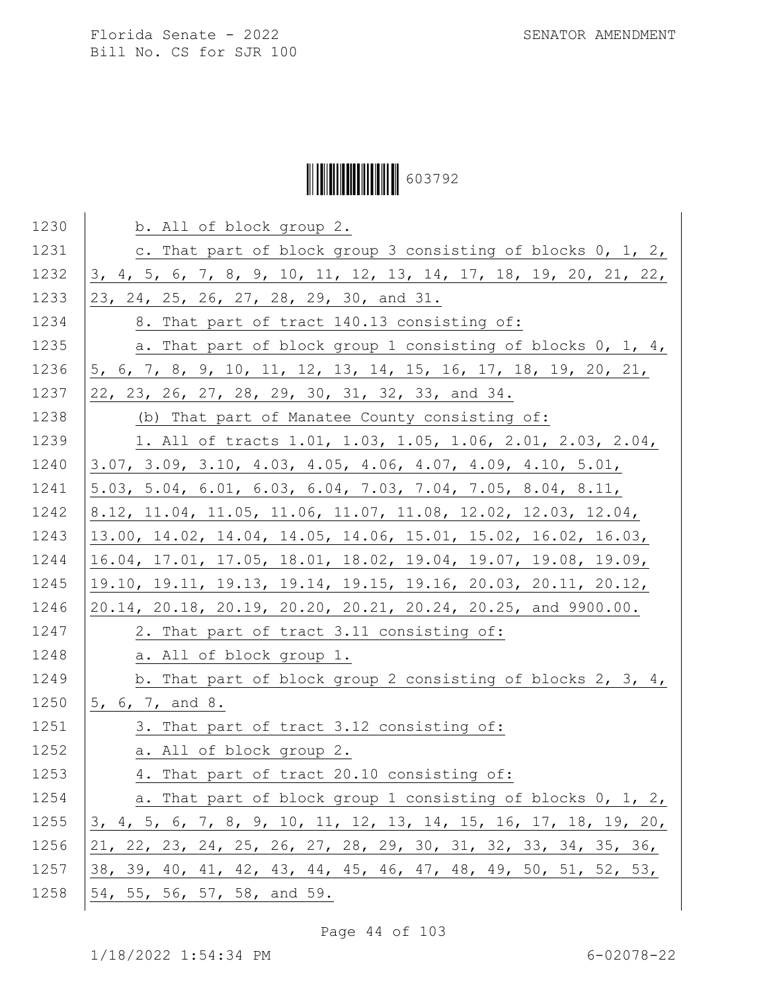# Ì6037929Î603792

| 1230 | b. All of block group 2.                                         |
|------|------------------------------------------------------------------|
| 1231 | c. That part of block group 3 consisting of blocks 0, 1, 2,      |
| 1232 | 3, 4, 5, 6, 7, 8, 9, 10, 11, 12, 13, 14, 17, 18, 19, 20, 21, 22, |
| 1233 | 23, 24, 25, 26, 27, 28, 29, 30, and 31.                          |
| 1234 | 8. That part of tract 140.13 consisting of:                      |
| 1235 | a. That part of block group 1 consisting of blocks 0, 1, 4,      |
| 1236 | 5, 6, 7, 8, 9, 10, 11, 12, 13, 14, 15, 16, 17, 18, 19, 20, 21,   |
| 1237 | 22, 23, 26, 27, 28, 29, 30, 31, 32, 33, and 34.                  |
| 1238 | (b) That part of Manatee County consisting of:                   |
| 1239 | 1. All of tracts 1.01, 1.03, 1.05, 1.06, 2.01, 2.03, 2.04,       |
| 1240 | $3.07, 3.09, 3.10, 4.03, 4.05, 4.06, 4.07, 4.09, 4.10, 5.01,$    |
| 1241 | 5.03, 5.04, 6.01, 6.03, 6.04, 7.03, 7.04, 7.05, 8.04, 8.11,      |
| 1242 | 8.12, 11.04, 11.05, 11.06, 11.07, 11.08, 12.02, 12.03, 12.04,    |
| 1243 | 13.00, 14.02, 14.04, 14.05, 14.06, 15.01, 15.02, 16.02, 16.03,   |
| 1244 | 16.04, 17.01, 17.05, 18.01, 18.02, 19.04, 19.07, 19.08, 19.09,   |
| 1245 | 19.10, 19.11, 19.13, 19.14, 19.15, 19.16, 20.03, 20.11, 20.12,   |
| 1246 | 20.14, 20.18, 20.19, 20.20, 20.21, 20.24, 20.25, and 9900.00.    |
| 1247 | 2. That part of tract 3.11 consisting of:                        |
| 1248 | a. All of block group 1.                                         |
| 1249 | b. That part of block group 2 consisting of blocks 2, 3, 4,      |
| 1250 | 5, 6, 7, and 8.                                                  |
| 1251 | 3. That part of tract 3.12 consisting of:                        |
| 1252 | a. All of block group 2.                                         |
| 1253 | 4. That part of tract 20.10 consisting of:                       |
| 1254 | a. That part of block group 1 consisting of blocks 0, 1, 2,      |
| 1255 | 3, 4, 5, 6, 7, 8, 9, 10, 11, 12, 13, 14, 15, 16, 17, 18, 19, 20, |
| 1256 | 21, 22, 23, 24, 25, 26, 27, 28, 29, 30, 31, 32, 33, 34, 35, 36,  |
| 1257 | 38, 39, 40, 41, 42, 43, 44, 45, 46, 47, 48, 49, 50, 51, 52, 53,  |
| 1258 | 54, 55, 56, 57, 58, and 59.                                      |

Page 44 of 103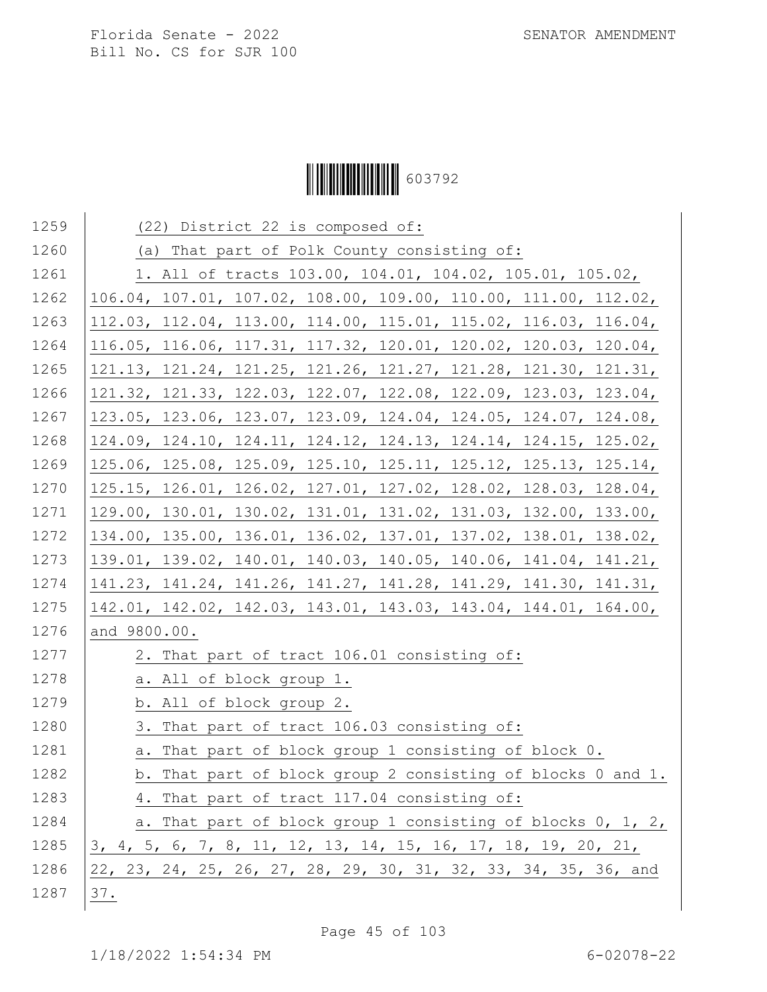## Ì6037929Î603792

| 1259 | (22) District 22 is composed of:                                |
|------|-----------------------------------------------------------------|
| 1260 | (a) That part of Polk County consisting of:                     |
| 1261 | 1. All of tracts 103.00, 104.01, 104.02, 105.01, 105.02,        |
| 1262 | 106.04, 107.01, 107.02, 108.00, 109.00, 110.00, 111.00, 112.02, |
| 1263 | 112.03, 112.04, 113.00, 114.00, 115.01, 115.02, 116.03, 116.04, |
| 1264 | 116.05, 116.06, 117.31, 117.32, 120.01, 120.02, 120.03, 120.04, |
| 1265 | 121.13, 121.24, 121.25, 121.26, 121.27, 121.28, 121.30, 121.31, |
| 1266 | 121.32, 121.33, 122.03, 122.07, 122.08, 122.09, 123.03, 123.04, |
| 1267 | 123.05, 123.06, 123.07, 123.09, 124.04, 124.05, 124.07, 124.08, |
| 1268 | 124.09, 124.10, 124.11, 124.12, 124.13, 124.14, 124.15, 125.02, |
| 1269 | 125.06, 125.08, 125.09, 125.10, 125.11, 125.12, 125.13, 125.14, |
| 1270 | 125.15, 126.01, 126.02, 127.01, 127.02, 128.02, 128.03, 128.04, |
| 1271 | 129.00, 130.01, 130.02, 131.01, 131.02, 131.03, 132.00, 133.00, |
| 1272 | 134.00, 135.00, 136.01, 136.02, 137.01, 137.02, 138.01, 138.02, |
| 1273 | 139.01, 139.02, 140.01, 140.03, 140.05, 140.06, 141.04, 141.21, |
| 1274 | 141.23, 141.24, 141.26, 141.27, 141.28, 141.29, 141.30, 141.31, |
| 1275 | 142.01, 142.02, 142.03, 143.01, 143.03, 143.04, 144.01, 164.00, |
| 1276 | and 9800.00.                                                    |
| 1277 | 2. That part of tract 106.01 consisting of:                     |
| 1278 | a. All of block group 1.                                        |
| 1279 | b. All of block group 2.                                        |
| 1280 | 3. That part of tract 106.03 consisting of:                     |
| 1281 | a. That part of block group 1 consisting of block 0.            |
| 1282 | b. That part of block group 2 consisting of blocks 0 and 1.     |
| 1283 | 4. That part of tract 117.04 consisting of:                     |
| 1284 | a. That part of block group 1 consisting of blocks 0, 1, 2,     |
| 1285 | 3, 4, 5, 6, 7, 8, 11, 12, 13, 14, 15, 16, 17, 18, 19, 20, 21,   |
| 1286 | 22, 23, 24, 25, 26, 27, 28, 29, 30, 31, 32, 33, 34, 35, 36, and |
| 1287 | 37.                                                             |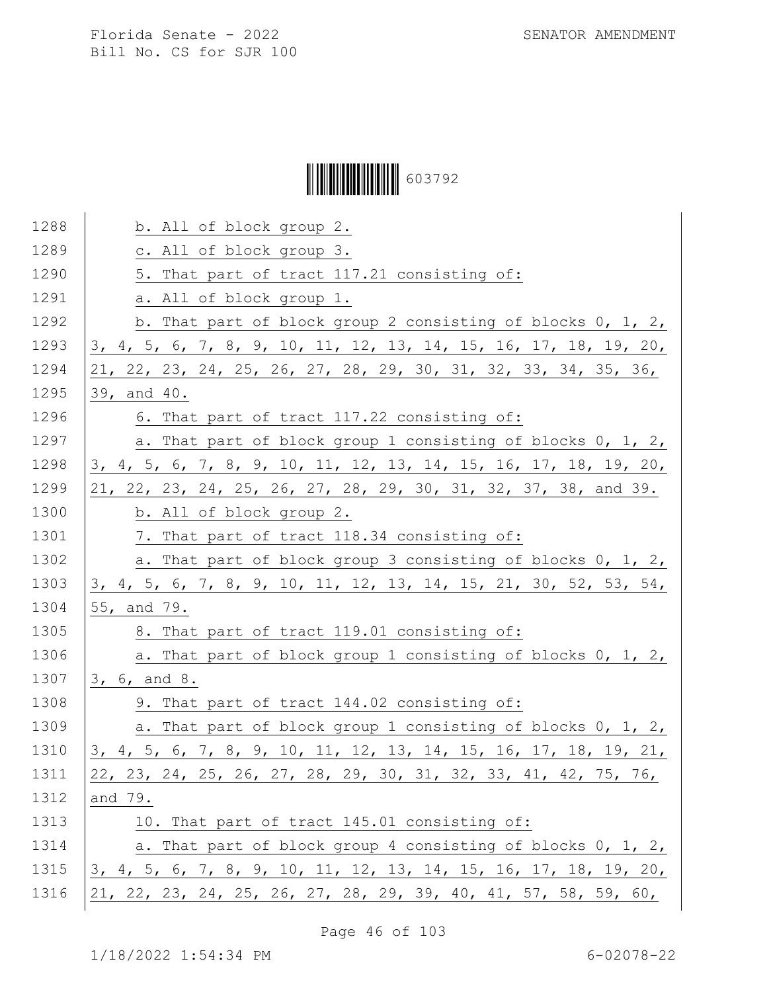# Ì6037929Î603792

| 1288 | b. All of block group 2.                                         |
|------|------------------------------------------------------------------|
| 1289 | c. All of block group 3.                                         |
| 1290 | 5. That part of tract 117.21 consisting of:                      |
| 1291 | a. All of block group 1.                                         |
| 1292 | b. That part of block group 2 consisting of blocks $0, 1, 2, 1$  |
| 1293 | 3, 4, 5, 6, 7, 8, 9, 10, 11, 12, 13, 14, 15, 16, 17, 18, 19, 20, |
| 1294 | 21, 22, 23, 24, 25, 26, 27, 28, 29, 30, 31, 32, 33, 34, 35, 36,  |
| 1295 | 39, and 40.                                                      |
| 1296 | 6. That part of tract 117.22 consisting of:                      |
| 1297 | a. That part of block group 1 consisting of blocks 0, 1, 2,      |
| 1298 | 3, 4, 5, 6, 7, 8, 9, 10, 11, 12, 13, 14, 15, 16, 17, 18, 19, 20, |
| 1299 | 21, 22, 23, 24, 25, 26, 27, 28, 29, 30, 31, 32, 37, 38, and 39.  |
| 1300 | b. All of block group 2.                                         |
| 1301 | 7. That part of tract 118.34 consisting of:                      |
| 1302 | a. That part of block group 3 consisting of blocks 0, 1, 2,      |
| 1303 | 3, 4, 5, 6, 7, 8, 9, 10, 11, 12, 13, 14, 15, 21, 30, 52, 53, 54, |
| 1304 | 55, and 79.                                                      |
| 1305 | 8. That part of tract 119.01 consisting of:                      |
| 1306 | a. That part of block group 1 consisting of blocks 0, 1, 2,      |
| 1307 | 3, 6, and 8.                                                     |
| 1308 | 9. That part of tract 144.02 consisting of:                      |
| 1309 | a. That part of block group 1 consisting of blocks 0, 1, 2,      |
| 1310 | 3, 4, 5, 6, 7, 8, 9, 10, 11, 12, 13, 14, 15, 16, 17, 18, 19, 21, |
| 1311 | 22, 23, 24, 25, 26, 27, 28, 29, 30, 31, 32, 33, 41, 42, 75, 76,  |
| 1312 | and 79.                                                          |
| 1313 | 10. That part of tract 145.01 consisting of:                     |
| 1314 | a. That part of block group 4 consisting of blocks 0, 1, 2,      |
| 1315 | 3, 4, 5, 6, 7, 8, 9, 10, 11, 12, 13, 14, 15, 16, 17, 18, 19, 20, |
| 1316 | 21, 22, 23, 24, 25, 26, 27, 28, 29, 39, 40, 41, 57, 58, 59, 60,  |
|      |                                                                  |

Page 46 of 103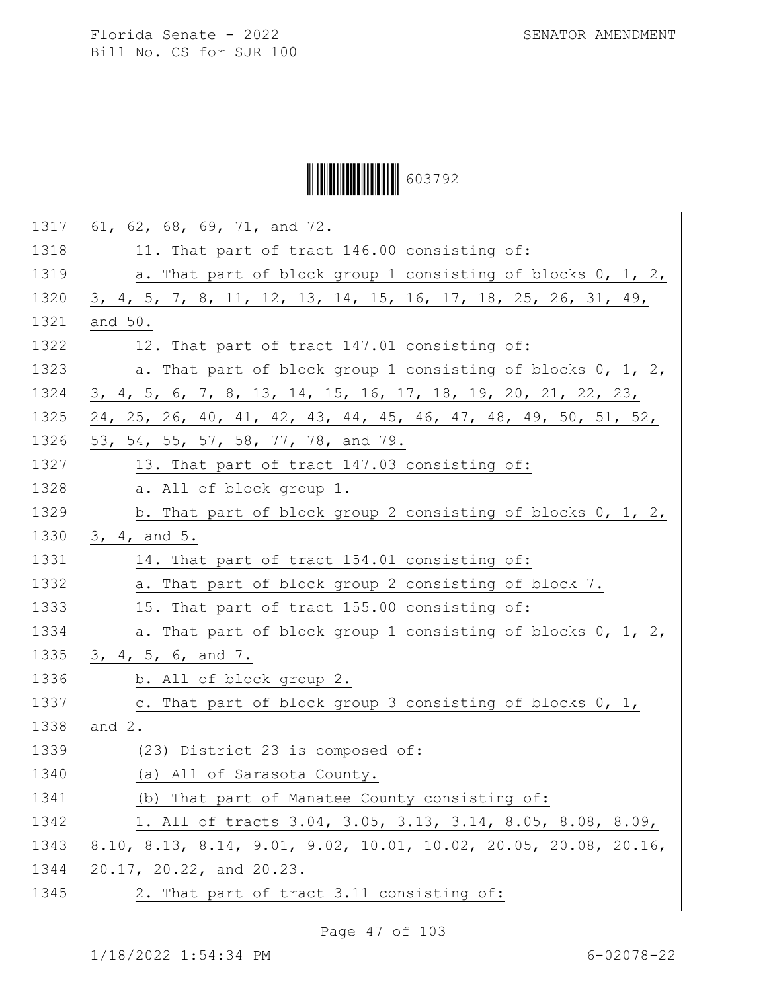# Ì6037929Î603792

| 1317 | 61, 62, 68, 69, 71, and 72.                                      |
|------|------------------------------------------------------------------|
| 1318 | 11. That part of tract 146.00 consisting of:                     |
| 1319 | a. That part of block group 1 consisting of blocks 0, 1, 2,      |
| 1320 | 3, 4, 5, 7, 8, 11, 12, 13, 14, 15, 16, 17, 18, 25, 26, 31, 49,   |
| 1321 | and 50.                                                          |
| 1322 | 12. That part of tract 147.01 consisting of:                     |
| 1323 | a. That part of block group 1 consisting of blocks 0, 1, 2,      |
| 1324 | 3, 4, 5, 6, 7, 8, 13, 14, 15, 16, 17, 18, 19, 20, 21, 22, 23,    |
| 1325 | 24, 25, 26, 40, 41, 42, 43, 44, 45, 46, 47, 48, 49, 50, 51, 52,  |
| 1326 | 53, 54, 55, 57, 58, 77, 78, and 79.                              |
| 1327 | 13. That part of tract 147.03 consisting of:                     |
| 1328 | a. All of block group 1.                                         |
| 1329 | b. That part of block group 2 consisting of blocks 0, 1, 2,      |
| 1330 | 3, 4, and 5.                                                     |
| 1331 | 14. That part of tract 154.01 consisting of:                     |
| 1332 | a. That part of block group 2 consisting of block 7.             |
| 1333 | 15. That part of tract 155.00 consisting of:                     |
| 1334 | a. That part of block group 1 consisting of blocks 0, 1, 2,      |
| 1335 | 3, 4, 5, 6, and 7.                                               |
| 1336 | b. All of block group 2.                                         |
| 1337 | c. That part of block group 3 consisting of blocks 0, 1,         |
| 1338 | and $2$ .                                                        |
| 1339 | (23) District 23 is composed of:                                 |
| 1340 | All of Sarasota County.<br>(a)                                   |
| 1341 | (b) That part of Manatee County consisting of:                   |
| 1342 | 1. All of tracts 3.04, 3.05, 3.13, 3.14, 8.05, 8.08, 8.09,       |
| 1343 | 8.10, 8.13, 8.14, 9.01, 9.02, 10.01, 10.02, 20.05, 20.08, 20.16, |
| 1344 | 20.17, 20.22, and 20.23.                                         |
| 1345 | 2. That part of tract 3.11 consisting of:                        |

Page 47 of 103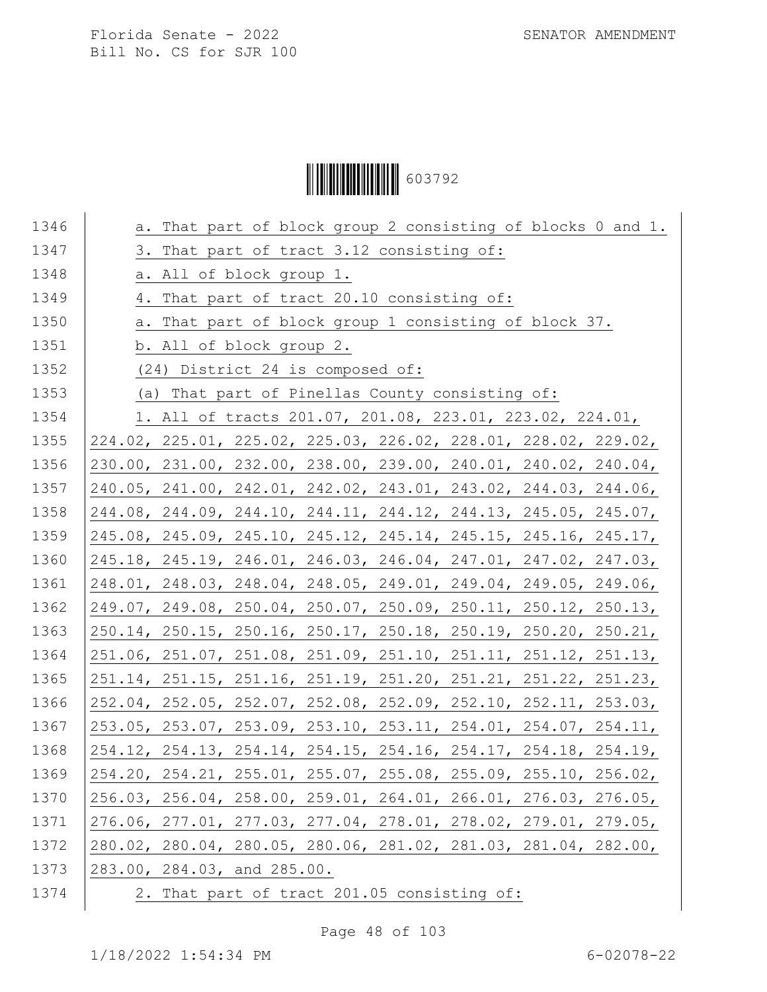# Ì6037929Î603792

| 1346 | a. That part of block group 2 consisting of blocks 0 and 1.                             |
|------|-----------------------------------------------------------------------------------------|
| 1347 | 3. That part of tract 3.12 consisting of:                                               |
| 1348 | a. All of block group 1.                                                                |
| 1349 | 4. That part of tract 20.10 consisting of:                                              |
| 1350 | a. That part of block group 1 consisting of block 37.                                   |
| 1351 | b. All of block group 2.                                                                |
| 1352 | (24) District 24 is composed of:                                                        |
| 1353 | (a) That part of Pinellas County consisting of:                                         |
| 1354 | 1. All of tracts 201.07, 201.08, 223.01, 223.02, 224.01,                                |
| 1355 | 224.02, 225.01, 225.02, 225.03, 226.02, 228.01, 228.02, 229.02,                         |
| 1356 | 230.00, 231.00, 232.00, 238.00, 239.00, 240.01, 240.02, 240.04,                         |
| 1357 | 240.05, 241.00, 242.01, 242.02, 243.01, 243.02, 244.03, 244.06,                         |
| 1358 | 244.08, 244.09, 244.10, 244.11, 244.12, 244.13, 245.05, 245.07,                         |
| 1359 | 245.08, 245.09, 245.10, 245.12, 245.14, 245.15, 245.16, 245.17,                         |
| 1360 | 245.18, 245.19, 246.01, 246.03, 246.04, 247.01, 247.02, 247.03,                         |
| 1361 | 248.01, 248.03, 248.04, 248.05, 249.01, 249.04, 249.05, 249.06,                         |
| 1362 | 249.07, 249.08, 250.04, 250.07, 250.09, 250.11, 250.12, 250.13,                         |
| 1363 | 250.14, 250.15, 250.16, 250.17, 250.18, 250.19, 250.20, 250.21,                         |
| 1364 | 251.06, 251.07, 251.08, 251.09, 251.10, 251.11, 251.12, 251.13,                         |
| 1365 | 251.14, 251.15, 251.16, 251.19, 251.20, 251.21, 251.22, 251.23,                         |
| 1366 | 252.04, 252.05, 252.07, 252.08, 252.09, 252.10, 252.11, 253.03,                         |
| 1367 | 253.05, 253.07, 253.09, 253.10, 253.11, 254.01, 254.07, 254.11,                         |
| 1368 | $254.12$ , $254.13$ , $254.14$ , $254.15$ , $254.16$ , $254.17$ , $254.18$ , $254.19$ , |
| 1369 | 254.20, 254.21, 255.01, 255.07, 255.08, 255.09, 255.10, 256.02,                         |
| 1370 | 256.03, 256.04, 258.00, 259.01, 264.01, 266.01, 276.03, 276.05,                         |
| 1371 | 276.06, 277.01, 277.03, 277.04, 278.01, 278.02, 279.01, 279.05,                         |
| 1372 | 280.02, 280.04, 280.05, 280.06, 281.02, 281.03, 281.04, 282.00,                         |
| 1373 | 283.00, 284.03, and 285.00.                                                             |
| 1374 | 2. That part of tract 201.05 consisting of:                                             |

Page 48 of 103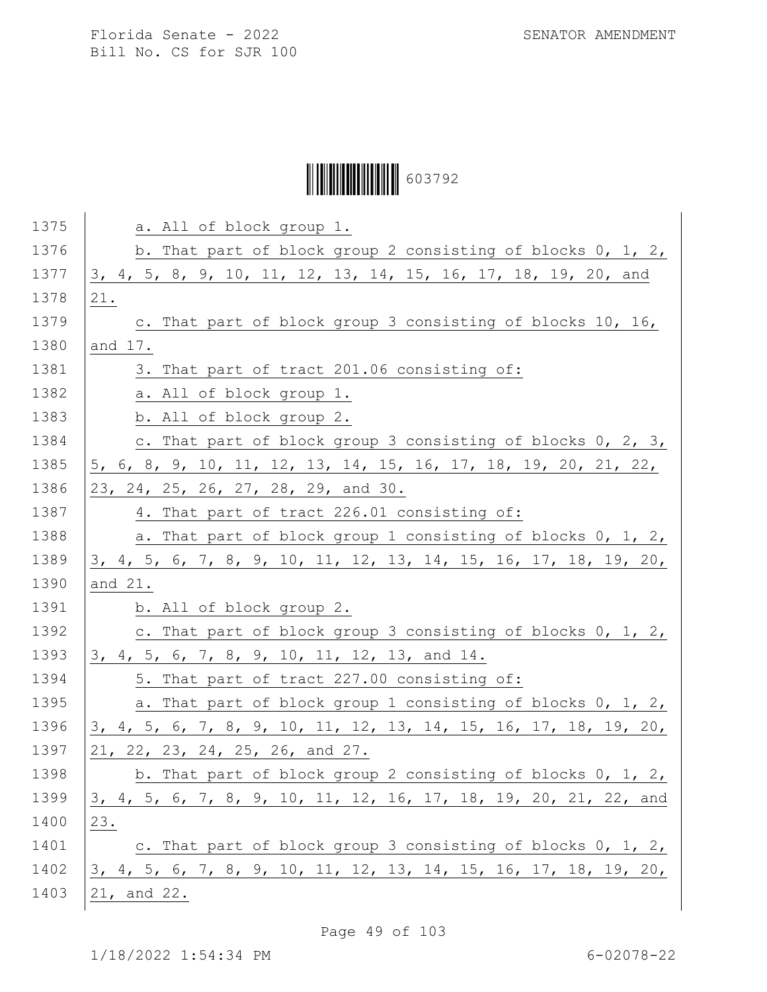# Ì6037929Î603792

| 1375 | a. All of block group 1.                                         |
|------|------------------------------------------------------------------|
| 1376 | b. That part of block group 2 consisting of blocks 0, 1, 2,      |
| 1377 | 3, 4, 5, 8, 9, 10, 11, 12, 13, 14, 15, 16, 17, 18, 19, 20, and   |
| 1378 | 21.                                                              |
| 1379 | c. That part of block group 3 consisting of blocks 10, 16,       |
| 1380 | and 17.                                                          |
| 1381 | 3. That part of tract 201.06 consisting of:                      |
| 1382 | a. All of block group 1.                                         |
| 1383 | b. All of block group 2.                                         |
| 1384 | c. That part of block group 3 consisting of blocks 0, 2, 3,      |
| 1385 | 5, 6, 8, 9, 10, 11, 12, 13, 14, 15, 16, 17, 18, 19, 20, 21, 22,  |
| 1386 | 23, 24, 25, 26, 27, 28, 29, and 30.                              |
| 1387 | 4. That part of tract 226.01 consisting of:                      |
| 1388 | a. That part of block group 1 consisting of blocks 0, 1, 2,      |
| 1389 | 3, 4, 5, 6, 7, 8, 9, 10, 11, 12, 13, 14, 15, 16, 17, 18, 19, 20, |
| 1390 | and 21.                                                          |
| 1391 | b. All of block group 2.                                         |
| 1392 | c. That part of block group 3 consisting of blocks 0, 1, 2,      |
| 1393 | 3, 4, 5, 6, 7, 8, 9, 10, 11, 12, 13, and 14.                     |
| 1394 | 5. That part of tract 227.00 consisting of:                      |
| 1395 | a. That part of block group 1 consisting of blocks 0, 1, 2,      |
| 1396 | 3, 4, 5, 6, 7, 8, 9, 10, 11, 12, 13, 14, 15, 16, 17, 18, 19, 20, |
| 1397 | 21, 22, 23, 24, 25, 26, and 27.                                  |
| 1398 | b. That part of block group 2 consisting of blocks 0, 1, 2,      |
| 1399 | 3, 4, 5, 6, 7, 8, 9, 10, 11, 12, 16, 17, 18, 19, 20, 21, 22, and |
| 1400 | 23.                                                              |
| 1401 | c. That part of block group 3 consisting of blocks 0, 1, 2,      |
| 1402 | 3, 4, 5, 6, 7, 8, 9, 10, 11, 12, 13, 14, 15, 16, 17, 18, 19, 20, |
| 1403 | 21, and 22.                                                      |
|      |                                                                  |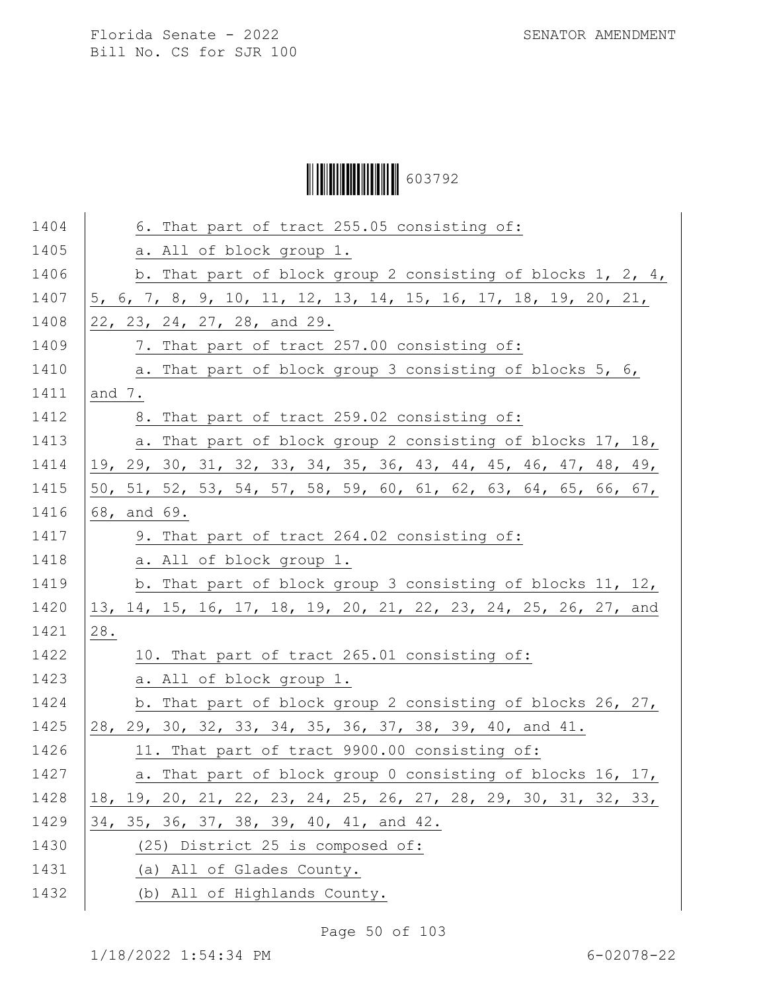Ì6037929Î603792

| 1404 | 6. That part of tract 255.05 consisting of:                     |
|------|-----------------------------------------------------------------|
| 1405 | a. All of block group 1.                                        |
| 1406 | b. That part of block group 2 consisting of blocks $1, 2, 4,$   |
| 1407 | 5, 6, 7, 8, 9, 10, 11, 12, 13, 14, 15, 16, 17, 18, 19, 20, 21,  |
| 1408 | 22, 23, 24, 27, 28, and 29.                                     |
| 1409 | 7. That part of tract 257.00 consisting of:                     |
| 1410 | a. That part of block group 3 consisting of blocks 5, 6,        |
| 1411 | and 7.                                                          |
| 1412 | 8. That part of tract 259.02 consisting of:                     |
| 1413 | a. That part of block group 2 consisting of blocks 17, 18,      |
| 1414 | 19, 29, 30, 31, 32, 33, 34, 35, 36, 43, 44, 45, 46, 47, 48, 49, |
| 1415 | 50, 51, 52, 53, 54, 57, 58, 59, 60, 61, 62, 63, 64, 65, 66, 67, |
| 1416 | 68, and 69.                                                     |
| 1417 | 9. That part of tract 264.02 consisting of:                     |
| 1418 | a. All of block group 1.                                        |
| 1419 | b. That part of block group 3 consisting of blocks 11, 12,      |
| 1420 | 13, 14, 15, 16, 17, 18, 19, 20, 21, 22, 23, 24, 25, 26, 27, and |
| 1421 | 28.                                                             |
| 1422 | 10. That part of tract 265.01 consisting of:                    |
| 1423 | a. All of block group 1.                                        |
| 1424 | b. That part of block group 2 consisting of blocks 26, 27,      |
| 1425 | 28, 29, 30, 32, 33, 34, 35, 36, 37, 38, 39, 40, and 41.         |
| 1426 | 11. That part of tract 9900.00 consisting of:                   |
| 1427 | a. That part of block group 0 consisting of blocks 16, 17,      |
| 1428 | 18, 19, 20, 21, 22, 23, 24, 25, 26, 27, 28, 29, 30, 31, 32, 33, |
| 1429 | 34, 35, 36, 37, 38, 39, 40, 41, and 42.                         |
| 1430 | (25) District 25 is composed of:                                |
| 1431 | (a) All of Glades County.                                       |
| 1432 | (b) All of Highlands County.                                    |

Page 50 of 103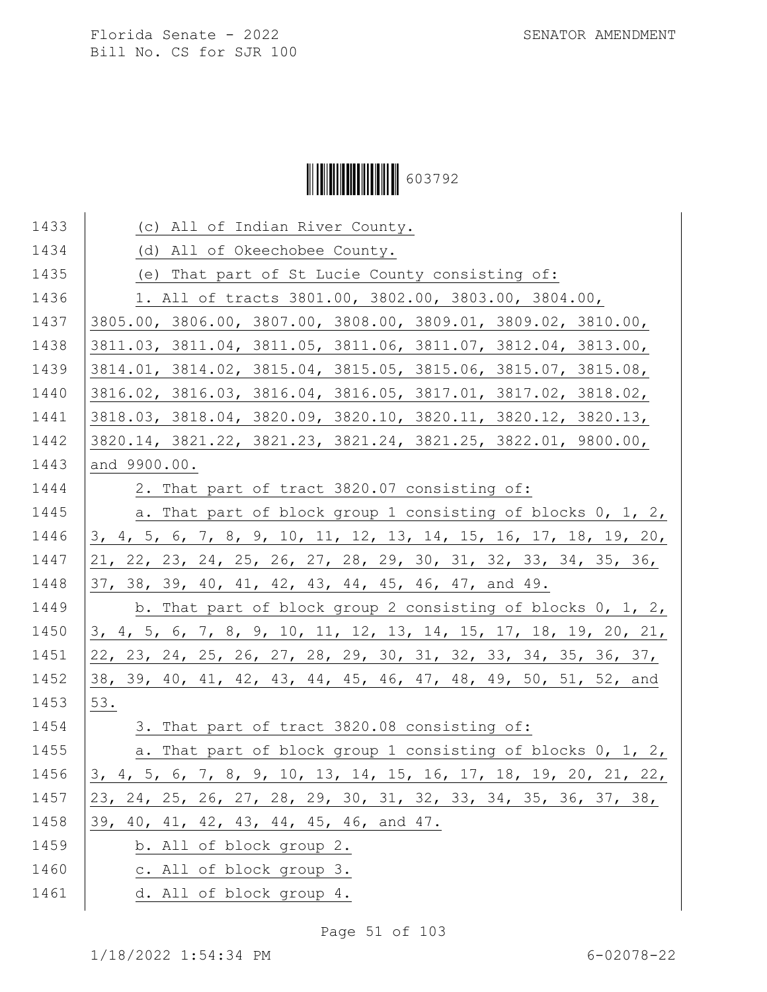# Ì6037929Î603792

| 1433 | (c) All of Indian River County.                                  |
|------|------------------------------------------------------------------|
| 1434 | (d) All of Okeechobee County.                                    |
| 1435 | (e) That part of St Lucie County consisting of:                  |
| 1436 | 1. All of tracts 3801.00, 3802.00, 3803.00, 3804.00,             |
| 1437 | 3805.00, 3806.00, 3807.00, 3808.00, 3809.01, 3809.02, 3810.00,   |
| 1438 | 3811.03, 3811.04, 3811.05, 3811.06, 3811.07, 3812.04, 3813.00,   |
| 1439 | 3814.01, 3814.02, 3815.04, 3815.05, 3815.06, 3815.07, 3815.08,   |
| 1440 | 3816.02, 3816.03, 3816.04, 3816.05, 3817.01, 3817.02, 3818.02,   |
| 1441 | 3818.03, 3818.04, 3820.09, 3820.10, 3820.11, 3820.12, 3820.13,   |
| 1442 | 3820.14, 3821.22, 3821.23, 3821.24, 3821.25, 3822.01, 9800.00,   |
| 1443 | and 9900.00.                                                     |
| 1444 | 2. That part of tract 3820.07 consisting of:                     |
| 1445 | a. That part of block group 1 consisting of blocks 0, 1, 2,      |
| 1446 | 3, 4, 5, 6, 7, 8, 9, 10, 11, 12, 13, 14, 15, 16, 17, 18, 19, 20, |
| 1447 | 21, 22, 23, 24, 25, 26, 27, 28, 29, 30, 31, 32, 33, 34, 35, 36,  |
| 1448 | 37, 38, 39, 40, 41, 42, 43, 44, 45, 46, 47, and 49.              |
| 1449 | b. That part of block group 2 consisting of blocks 0, 1, 2,      |
| 1450 | 3, 4, 5, 6, 7, 8, 9, 10, 11, 12, 13, 14, 15, 17, 18, 19, 20, 21, |
| 1451 | 22, 23, 24, 25, 26, 27, 28, 29, 30, 31, 32, 33, 34, 35, 36, 37,  |
| 1452 | 38, 39, 40, 41, 42, 43, 44, 45, 46, 47, 48, 49, 50, 51, 52, and  |
| 1453 | 53.                                                              |
| 1454 | 3. That part of tract 3820.08 consisting of:                     |
| 1455 | a. That part of block group 1 consisting of blocks 0, 1, 2,      |
| 1456 | 3, 4, 5, 6, 7, 8, 9, 10, 13, 14, 15, 16, 17, 18, 19, 20, 21, 22, |
| 1457 | 23, 24, 25, 26, 27, 28, 29, 30, 31, 32, 33, 34, 35, 36, 37, 38,  |
| 1458 | 39, 40, 41, 42, 43, 44, 45, 46, and 47.                          |
| 1459 | b. All of block group 2.                                         |
| 1460 | c. All of block group 3.                                         |
| 1461 | d. All of block group 4.                                         |
|      |                                                                  |

Page 51 of 103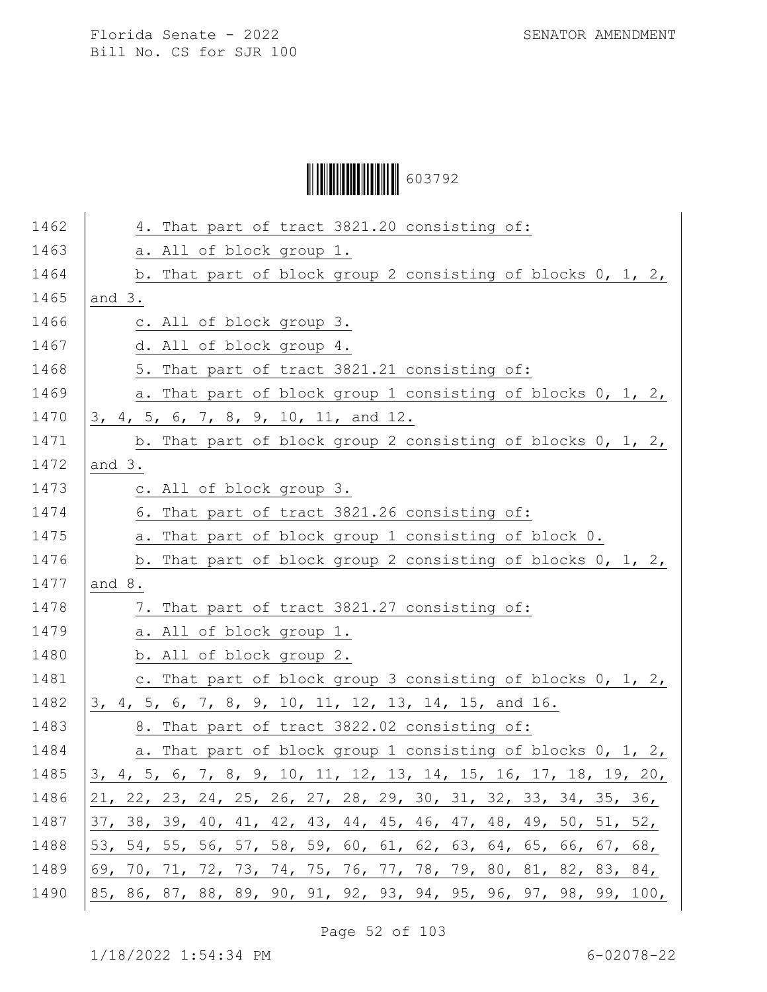Ì6037929Î603792

| 1462 | 4. That part of tract 3821.20 consisting of:                     |
|------|------------------------------------------------------------------|
| 1463 | a. All of block group 1.                                         |
| 1464 | b. That part of block group 2 consisting of blocks 0, 1, 2,      |
| 1465 | and $3.$                                                         |
| 1466 | c. All of block group 3.                                         |
| 1467 | d. All of block group 4.                                         |
| 1468 | 5. That part of tract 3821.21 consisting of:                     |
| 1469 | a. That part of block group 1 consisting of blocks 0, 1, 2,      |
| 1470 | 3, 4, 5, 6, 7, 8, 9, 10, 11, and 12.                             |
| 1471 | b. That part of block group 2 consisting of blocks $0, 1, 2,$    |
| 1472 | and $3.$                                                         |
| 1473 | c. All of block group 3.                                         |
| 1474 | 6. That part of tract 3821.26 consisting of:                     |
| 1475 | a. That part of block group 1 consisting of block 0.             |
| 1476 | b. That part of block group 2 consisting of blocks $0, 1, 2, 1$  |
| 1477 | and 8.                                                           |
| 1478 | 7. That part of tract 3821.27 consisting of:                     |
| 1479 | a. All of block group 1.                                         |
| 1480 | b. All of block group 2.                                         |
| 1481 | c. That part of block group 3 consisting of blocks 0, 1, 2,      |
| 1482 | 3, 4, 5, 6, 7, 8, 9, 10, 11, 12, 13, 14, 15, and 16.             |
| 1483 | 8. That part of tract 3822.02 consisting of:                     |
| 1484 | a. That part of block group 1 consisting of blocks 0, 1, 2,      |
| 1485 | 3, 4, 5, 6, 7, 8, 9, 10, 11, 12, 13, 14, 15, 16, 17, 18, 19, 20, |
| 1486 | 21, 22, 23, 24, 25, 26, 27, 28, 29, 30, 31, 32, 33, 34, 35, 36,  |
| 1487 | 37, 38, 39, 40, 41, 42, 43, 44, 45, 46, 47, 48, 49, 50, 51, 52,  |
| 1488 | 53, 54, 55, 56, 57, 58, 59, 60, 61, 62, 63, 64, 65, 66, 67, 68,  |
| 1489 | 69, 70, 71, 72, 73, 74, 75, 76, 77, 78, 79, 80, 81, 82, 83, 84,  |
| 1490 | 85, 86, 87, 88, 89, 90, 91, 92, 93, 94, 95, 96, 97, 98, 99, 100, |

Page 52 of 103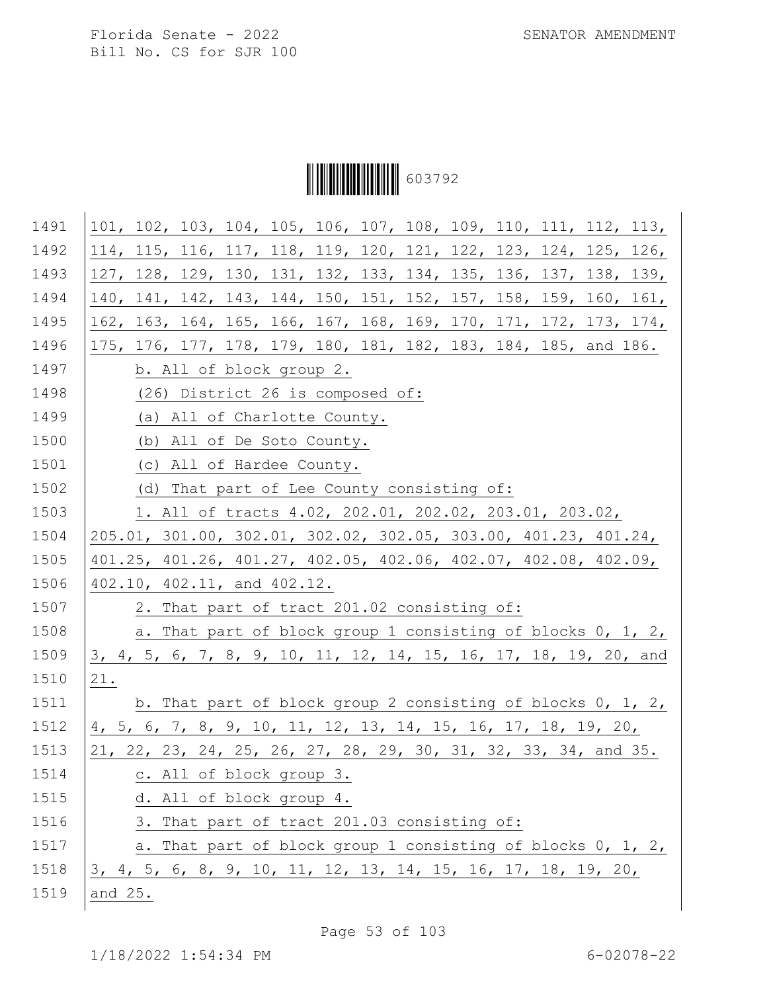Ì6037929Î603792

| 1491 | 101, 102, 103, 104, 105, 106, 107, 108, 109, 110, 111, 112, 113, |
|------|------------------------------------------------------------------|
| 1492 | 114, 115, 116, 117, 118, 119, 120, 121, 122, 123, 124, 125, 126, |
| 1493 | 127, 128, 129, 130, 131, 132, 133, 134, 135, 136, 137, 138, 139, |
| 1494 | 140, 141, 142, 143, 144, 150, 151, 152, 157, 158, 159, 160, 161, |
| 1495 | 162, 163, 164, 165, 166, 167, 168, 169, 170, 171, 172, 173, 174, |
| 1496 | 175, 176, 177, 178, 179, 180, 181, 182, 183, 184, 185, and 186.  |
| 1497 | b. All of block group 2.                                         |
| 1498 | (26) District 26 is composed of:                                 |
| 1499 | (a) All of Charlotte County.                                     |
| 1500 | (b) All of De Soto County.                                       |
| 1501 | (c) All of Hardee County.                                        |
| 1502 | (d) That part of Lee County consisting of:                       |
| 1503 | 1. All of tracts 4.02, 202.01, 202.02, 203.01, 203.02,           |
| 1504 | 205.01, 301.00, 302.01, 302.02, 302.05, 303.00, 401.23, 401.24,  |
| 1505 | 401.25, 401.26, 401.27, 402.05, 402.06, 402.07, 402.08, 402.09,  |
| 1506 | 402.10, 402.11, and 402.12.                                      |
| 1507 | 2. That part of tract 201.02 consisting of:                      |
| 1508 | a. That part of block group 1 consisting of blocks 0, 1, 2,      |
| 1509 | 3, 4, 5, 6, 7, 8, 9, 10, 11, 12, 14, 15, 16, 17, 18, 19, 20, and |
| 1510 | 21.                                                              |
| 1511 | b. That part of block group 2 consisting of blocks $0, 1, 2, 1$  |
| 1512 | 4, 5, 6, 7, 8, 9, 10, 11, 12, 13, 14, 15, 16, 17, 18, 19, 20,    |
| 1513 | 21, 22, 23, 24, 25, 26, 27, 28, 29, 30, 31, 32, 33, 34, and 35.  |
| 1514 | c. All of block group 3.                                         |
| 1515 | d. All of block group 4.                                         |
| 1516 | 3. That part of tract 201.03 consisting of:                      |
| 1517 | a. That part of block group 1 consisting of blocks 0, 1, 2,      |
| 1518 | 3, 4, 5, 6, 8, 9, 10, 11, 12, 13, 14, 15, 16, 17, 18, 19, 20,    |
| 1519 | and 25.                                                          |
|      |                                                                  |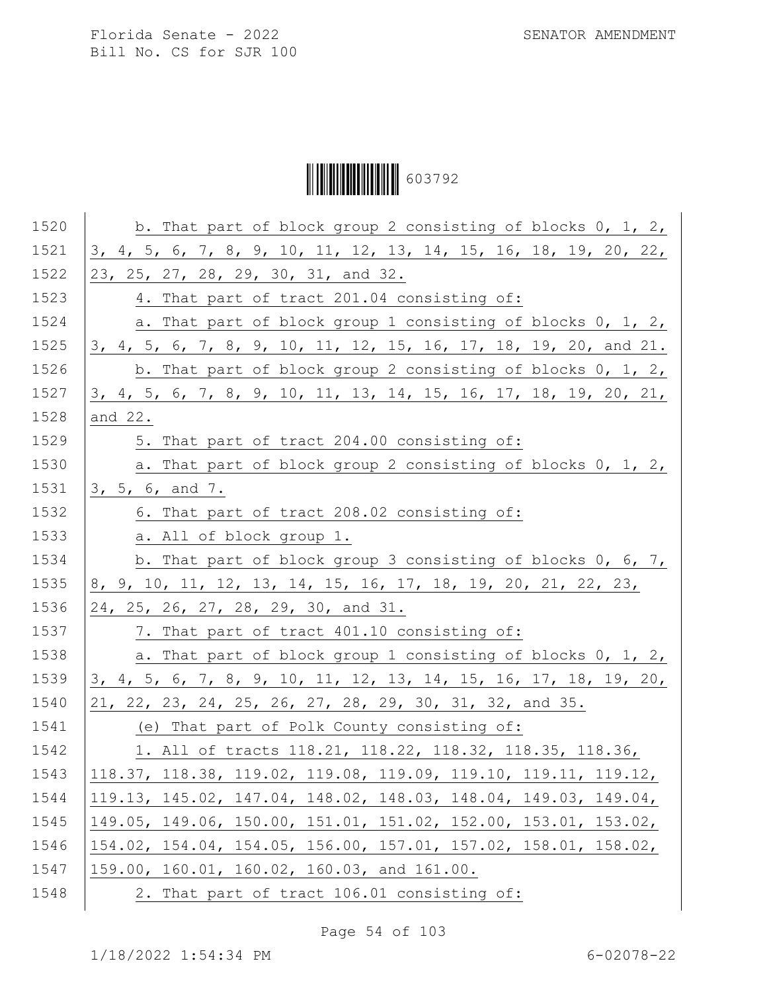Ì6037929Î603792

| 1520 | b. That part of block group 2 consisting of blocks 0, 1, 2,            |
|------|------------------------------------------------------------------------|
| 1521 | 3, 4, 5, 6, 7, 8, 9, 10, 11, 12, 13, 14, 15, 16, 18, 19, 20, 22,       |
| 1522 | 23, 25, 27, 28, 29, 30, 31, and 32.                                    |
| 1523 | 4. That part of tract 201.04 consisting of:                            |
| 1524 | a. That part of block group 1 consisting of blocks 0, 1, 2,            |
| 1525 | 3, 4, 5, 6, 7, 8, 9, 10, 11, 12, 15, 16, 17, 18, 19, 20, and 21.       |
| 1526 | b. That part of block group 2 consisting of blocks 0, 1, 2,            |
| 1527 | 3, 4, 5, 6, 7, 8, 9, 10, 11, 13, 14, 15, 16, 17, 18, 19, 20, 21,       |
| 1528 | and 22.                                                                |
| 1529 | 5. That part of tract 204.00 consisting of:                            |
| 1530 | a. That part of block group 2 consisting of blocks 0, 1, 2,            |
| 1531 | 3, 5, 6, and 7.                                                        |
| 1532 | 6. That part of tract 208.02 consisting of:                            |
| 1533 | a. All of block group 1.                                               |
| 1534 | b. That part of block group 3 consisting of blocks 0, 6, 7,            |
| 1535 | 8, 9, 10, 11, 12, 13, 14, 15, 16, 17, 18, 19, 20, 21, 22, 23,          |
| 1536 | 24, 25, 26, 27, 28, 29, 30, and 31.                                    |
| 1537 | 7. That part of tract 401.10 consisting of:                            |
| 1538 | a. That part of block group 1 consisting of blocks 0, 1, 2,            |
| 1539 | 3, 4, 5, 6, 7, 8, 9, 10, 11, 12, 13, 14, 15, 16, 17, 18, 19, 20,       |
| 1540 | 21, 22, 23, 24, 25, 26, 27, 28, 29, 30, 31, 32, and 35.                |
| 1541 | (e) That part of Polk County consisting of:                            |
| 1542 | 1. All of tracts 118.21, 118.22, 118.32, 118.35, 118.36,               |
| 1543 | 118.37, 118.38, 119.02, <u>119.08, 119.09, 119.10, 119.11, 119.12,</u> |
| 1544 | 119.13, 145.02, 147.04, 148.02, 148.03, 148.04, 149.03, 149.04,        |
| 1545 | 149.05, 149.06, 150.00, 151.01, 151.02, 152.00, 153.01, 153.02,        |
| 1546 | 154.02, 154.04, 154.05, 156.00, 157.01, 157.02, 158.01, 158.02,        |
| 1547 | 159.00, 160.01, 160.02, 160.03, and 161.00.                            |
| 1548 | 2. That part of tract 106.01 consisting of:                            |

Page 54 of 103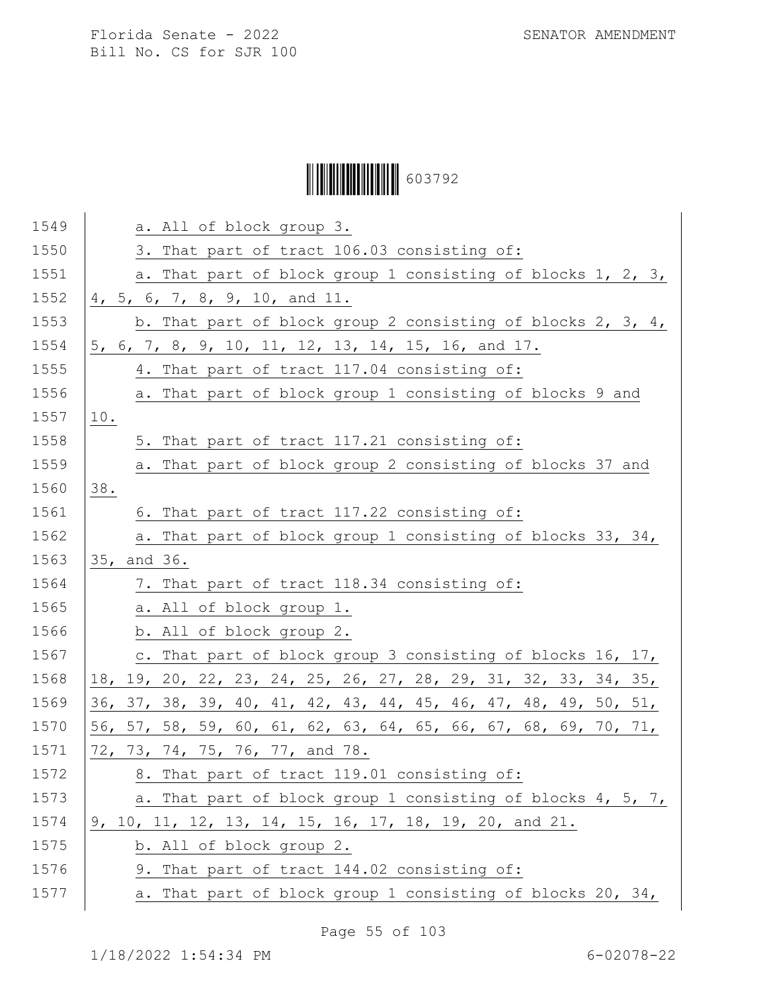# Ì6037929Î603792

| 1549 | a. All of block group 3.                                        |
|------|-----------------------------------------------------------------|
| 1550 | 3. That part of tract 106.03 consisting of:                     |
| 1551 | a. That part of block group 1 consisting of blocks 1, 2, 3,     |
| 1552 | 4, 5, 6, 7, 8, 9, 10, and 11.                                   |
| 1553 | b. That part of block group 2 consisting of blocks 2, 3, 4,     |
| 1554 | 5, 6, 7, 8, 9, 10, 11, 12, 13, 14, 15, 16, and 17.              |
| 1555 | 4. That part of tract 117.04 consisting of:                     |
| 1556 | a. That part of block group 1 consisting of blocks 9 and        |
| 1557 | 10.                                                             |
| 1558 | 5. That part of tract 117.21 consisting of:                     |
| 1559 | a. That part of block group 2 consisting of blocks 37 and       |
| 1560 | 38.                                                             |
| 1561 | 6. That part of tract 117.22 consisting of:                     |
| 1562 | a. That part of block group 1 consisting of blocks 33, 34,      |
| 1563 | 35, and 36.                                                     |
| 1564 | 7. That part of tract 118.34 consisting of:                     |
| 1565 | a. All of block group 1.                                        |
| 1566 | b. All of block group 2.                                        |
| 1567 | c. That part of block group 3 consisting of blocks 16, 17,      |
| 1568 | 18, 19, 20, 22, 23, 24, 25, 26, 27, 28, 29, 31, 32, 33, 34, 35, |
| 1569 | 36, 37, 38, 39, 40, 41, 42, 43, 44, 45, 46, 47, 48, 49, 50, 51, |
| 1570 | 56, 57, 58, 59, 60, 61, 62, 63, 64, 65, 66, 67, 68, 69, 70, 71, |
| 1571 | 72, 73, 74, 75, 76, 77, and 78.                                 |
| 1572 | 8. That part of tract 119.01 consisting of:                     |
| 1573 | a. That part of block group 1 consisting of blocks 4, 5, 7,     |
| 1574 | 9, 10, 11, 12, 13, 14, 15, 16, 17, 18, 19, 20, and 21.          |
| 1575 | b. All of block group 2.                                        |
| 1576 | 9. That part of tract 144.02 consisting of:                     |
| 1577 | a. That part of block group 1 consisting of blocks 20, 34,      |
|      |                                                                 |

Page 55 of 103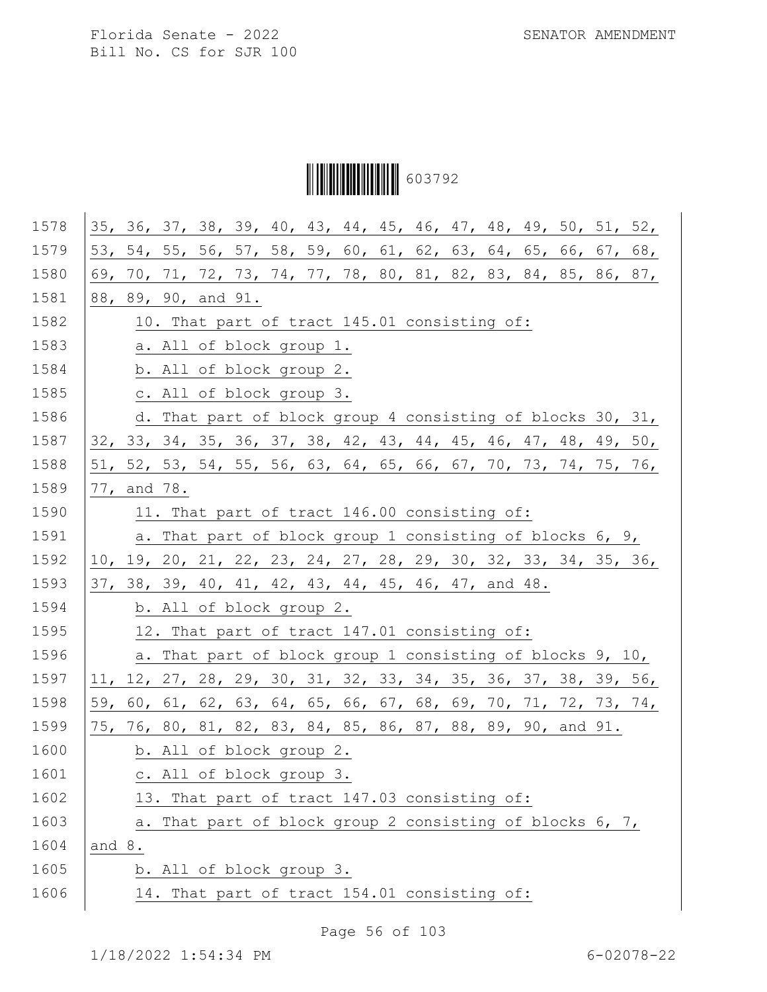Ì6037929Î603792

| 1578 |        |                          |  |  |  | 35, 36, 37, 38, 39, 40, 43, 44, 45, 46, 47, 48, 49, 50, 51, 52, |  |  |  |
|------|--------|--------------------------|--|--|--|-----------------------------------------------------------------|--|--|--|
| 1579 |        |                          |  |  |  | 53, 54, 55, 56, 57, 58, 59, 60, 61, 62, 63, 64, 65, 66, 67, 68, |  |  |  |
| 1580 |        |                          |  |  |  | 69, 70, 71, 72, 73, 74, 77, 78, 80, 81, 82, 83, 84, 85, 86, 87, |  |  |  |
| 1581 |        | 88, 89, 90, and 91.      |  |  |  |                                                                 |  |  |  |
| 1582 |        |                          |  |  |  | 10. That part of tract 145.01 consisting of:                    |  |  |  |
| 1583 |        | a. All of block group 1. |  |  |  |                                                                 |  |  |  |
| 1584 |        | b. All of block group 2. |  |  |  |                                                                 |  |  |  |
| 1585 |        | c. All of block group 3. |  |  |  |                                                                 |  |  |  |
| 1586 |        |                          |  |  |  | d. That part of block group 4 consisting of blocks 30, 31,      |  |  |  |
| 1587 |        |                          |  |  |  | 32, 33, 34, 35, 36, 37, 38, 42, 43, 44, 45, 46, 47, 48, 49, 50, |  |  |  |
| 1588 |        |                          |  |  |  | 51, 52, 53, 54, 55, 56, 63, 64, 65, 66, 67, 70, 73, 74, 75, 76, |  |  |  |
| 1589 |        | 77, and 78.              |  |  |  |                                                                 |  |  |  |
| 1590 |        |                          |  |  |  | 11. That part of tract 146.00 consisting of:                    |  |  |  |
| 1591 |        |                          |  |  |  | a. That part of block group 1 consisting of blocks 6, 9,        |  |  |  |
| 1592 |        |                          |  |  |  | 10, 19, 20, 21, 22, 23, 24, 27, 28, 29, 30, 32, 33, 34, 35, 36, |  |  |  |
| 1593 |        |                          |  |  |  | 37, 38, 39, 40, 41, 42, 43, 44, 45, 46, 47, and 48.             |  |  |  |
| 1594 |        | b. All of block group 2. |  |  |  |                                                                 |  |  |  |
| 1595 |        |                          |  |  |  | 12. That part of tract 147.01 consisting of:                    |  |  |  |
| 1596 |        |                          |  |  |  | a. That part of block group 1 consisting of blocks 9, 10,       |  |  |  |
| 1597 |        |                          |  |  |  | 11, 12, 27, 28, 29, 30, 31, 32, 33, 34, 35, 36, 37, 38, 39, 56, |  |  |  |
| 1598 |        |                          |  |  |  | 59, 60, 61, 62, 63, 64, 65, 66, 67, 68, 69, 70, 71, 72, 73, 74, |  |  |  |
| 1599 |        |                          |  |  |  | 75, 76, 80, 81, 82, 83, 84, 85, 86, 87, 88, 89, 90, and 91.     |  |  |  |
| 1600 |        | b. All of block group 2. |  |  |  |                                                                 |  |  |  |
| 1601 |        | c. All of block group 3. |  |  |  |                                                                 |  |  |  |
| 1602 |        |                          |  |  |  | 13. That part of tract 147.03 consisting of:                    |  |  |  |
| 1603 |        |                          |  |  |  | a. That part of block group 2 consisting of blocks 6, 7,        |  |  |  |
| 1604 | and 8. |                          |  |  |  |                                                                 |  |  |  |
| 1605 |        | b. All of block group 3. |  |  |  |                                                                 |  |  |  |
| 1606 |        |                          |  |  |  | 14. That part of tract 154.01 consisting of:                    |  |  |  |
|      |        |                          |  |  |  |                                                                 |  |  |  |

Page 56 of 103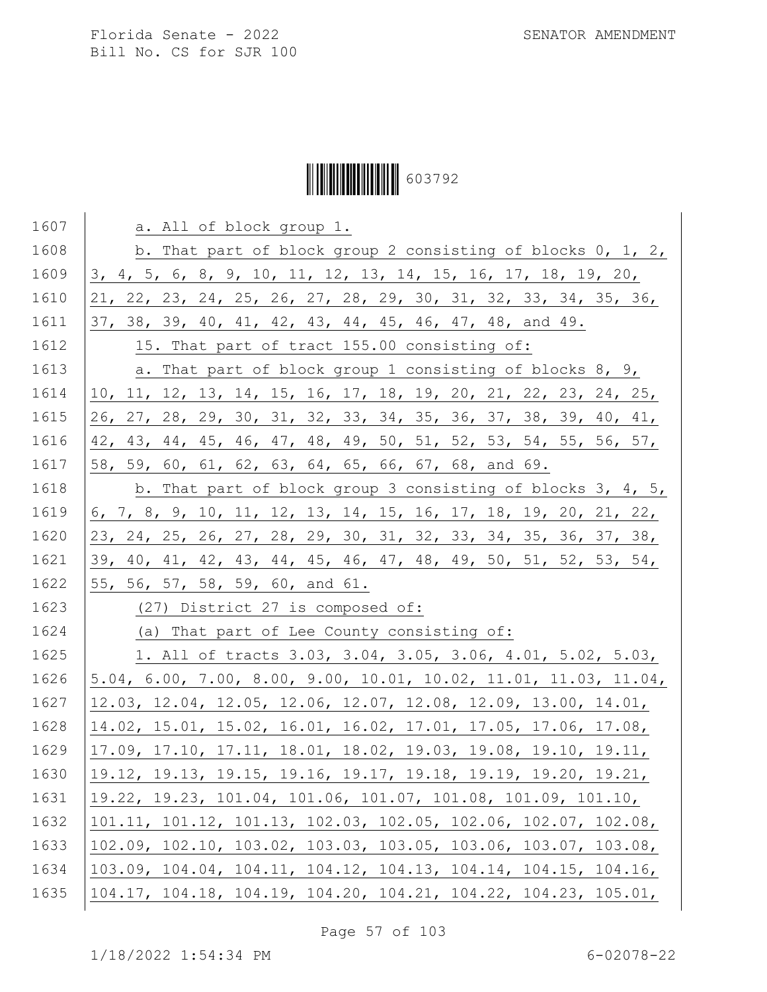# Ì6037929Î603792

| 1607 | a. All of block group 1.                                         |
|------|------------------------------------------------------------------|
| 1608 | b. That part of block group 2 consisting of blocks 0, 1, 2,      |
| 1609 | 3, 4, 5, 6, 8, 9, 10, 11, 12, 13, 14, 15, 16, 17, 18, 19, 20,    |
| 1610 | 21, 22, 23, 24, 25, 26, 27, 28, 29, 30, 31, 32, 33, 34, 35, 36,  |
| 1611 | 37, 38, 39, 40, 41, 42, 43, 44, 45, 46, 47, 48, and 49.          |
| 1612 | 15. That part of tract 155.00 consisting of:                     |
| 1613 | a. That part of block group 1 consisting of blocks 8, 9,         |
| 1614 | 10, 11, 12, 13, 14, 15, 16, 17, 18, 19, 20, 21, 22, 23, 24, 25,  |
| 1615 | 26, 27, 28, 29, 30, 31, 32, 33, 34, 35, 36, 37, 38, 39, 40, 41,  |
| 1616 | 42, 43, 44, 45, 46, 47, 48, 49, 50, 51, 52, 53, 54, 55, 56, 57,  |
| 1617 | 58, 59, 60, 61, 62, 63, 64, 65, 66, 67, 68, and 69.              |
| 1618 | b. That part of block group 3 consisting of blocks 3, 4, 5,      |
| 1619 | 6, 7, 8, 9, 10, 11, 12, 13, 14, 15, 16, 17, 18, 19, 20, 21, 22,  |
| 1620 | 23, 24, 25, 26, 27, 28, 29, 30, 31, 32, 33, 34, 35, 36, 37, 38,  |
| 1621 | 39, 40, 41, 42, 43, 44, 45, 46, 47, 48, 49, 50, 51, 52, 53, 54,  |
| 1622 | 55, 56, 57, 58, 59, 60, and 61.                                  |
| 1623 | (27) District 27 is composed of:                                 |
| 1624 | (a) That part of Lee County consisting of:                       |
| 1625 | 1. All of tracts 3.03, 3.04, 3.05, 3.06, 4.01, 5.02, 5.03,       |
| 1626 | 5.04, 6.00, 7.00, 8.00, 9.00, 10.01, 10.02, 11.01, 11.03, 11.04, |
| 1627 | 12.03, 12.04, 12.05, 12.06, 12.07, 12.08, 12.09, 13.00, 14.01,   |
| 1628 | 14.02, 15.01, 15.02, 16.01, 16.02, 17.01, 17.05, 17.06, 17.08,   |
| 1629 | 17.09, 17.10, 17.11, 18.01, 18.02, 19.03, 19.08, 19.10, 19.11,   |
| 1630 | 19.12, 19.13, 19.15, 19.16, 19.17, 19.18, 19.19, 19.20, 19.21,   |
| 1631 | 19.22, 19.23, 101.04, 101.06, 101.07, 101.08, 101.09, 101.10,    |
| 1632 | 101.11, 101.12, 101.13, 102.03, 102.05, 102.06, 102.07, 102.08,  |
| 1633 | 102.09, 102.10, 103.02, 103.03, 103.05, 103.06, 103.07, 103.08,  |
| 1634 | 103.09, 104.04, 104.11, 104.12, 104.13, 104.14, 104.15, 104.16,  |
| 1635 | 104.17, 104.18, 104.19, 104.20, 104.21, 104.22, 104.23, 105.01,  |
|      |                                                                  |

Page 57 of 103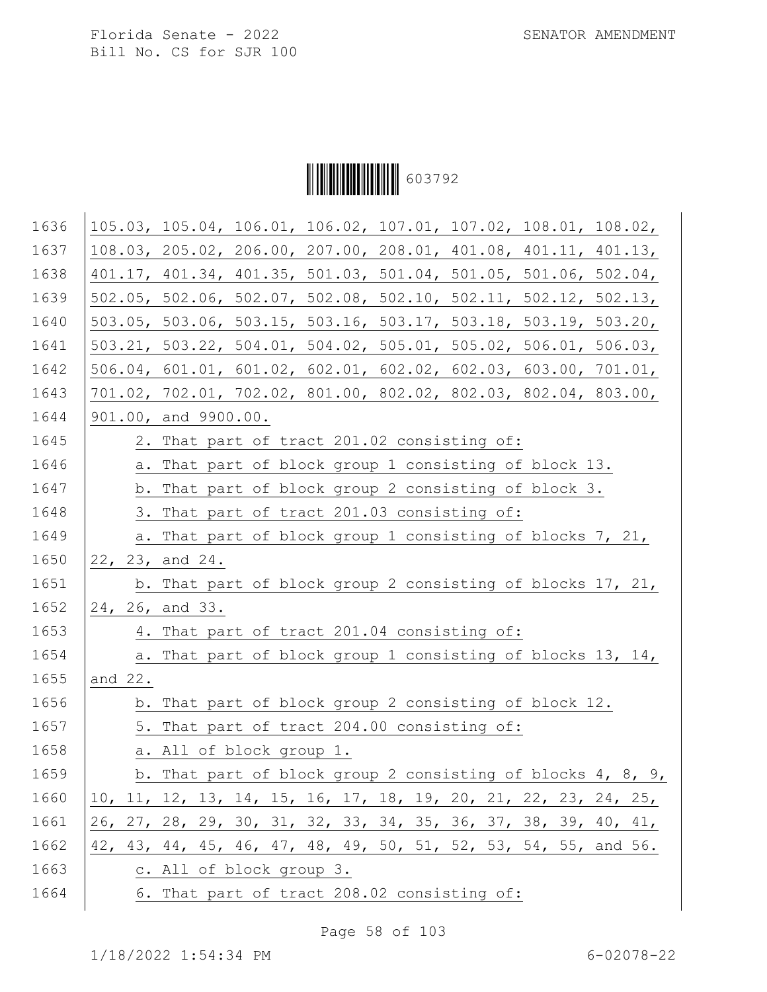Ì6037929Î603792

| 1636 | 105.03, 105.04, 106.01, 106.02, 107.01, 107.02, 108.01, 108.02, |
|------|-----------------------------------------------------------------|
| 1637 | 108.03, 205.02, 206.00, 207.00, 208.01, 401.08, 401.11, 401.13, |
| 1638 | 401.17, 401.34, 401.35, 501.03, 501.04, 501.05, 501.06, 502.04, |
| 1639 | 502.05, 502.06, 502.07, 502.08, 502.10, 502.11, 502.12, 502.13, |
| 1640 | 503.05, 503.06, 503.15, 503.16, 503.17, 503.18, 503.19, 503.20, |
| 1641 | 503.21, 503.22, 504.01, 504.02, 505.01, 505.02, 506.01, 506.03, |
| 1642 | 506.04, 601.01, 601.02, 602.01, 602.02, 602.03, 603.00, 701.01, |
| 1643 | 701.02, 702.01, 702.02, 801.00, 802.02, 802.03, 802.04, 803.00, |
| 1644 | 901.00, and 9900.00.                                            |
| 1645 | 2. That part of tract 201.02 consisting of:                     |
| 1646 | a. That part of block group 1 consisting of block 13.           |
| 1647 | b. That part of block group 2 consisting of block 3.            |
| 1648 | 3. That part of tract 201.03 consisting of:                     |
| 1649 | a. That part of block group 1 consisting of blocks 7, 21,       |
| 1650 | 22, 23, and 24.                                                 |
| 1651 | b. That part of block group 2 consisting of blocks 17, 21,      |
| 1652 | 24, 26, and 33.                                                 |
| 1653 | 4. That part of tract 201.04 consisting of:                     |
| 1654 | a. That part of block group 1 consisting of blocks 13, 14,      |
| 1655 | and 22.                                                         |
| 1656 | b. That part of block group 2 consisting of block 12.           |
| 1657 | 5. That part of tract 204.00 consisting of:                     |
| 1658 | a. All of block group 1.                                        |
| 1659 | b. That part of block group 2 consisting of blocks 4, 8, 9,     |
| 1660 | 10, 11, 12, 13, 14, 15, 16, 17, 18, 19, 20, 21, 22, 23, 24, 25, |
| 1661 | 26, 27, 28, 29, 30, 31, 32, 33, 34, 35, 36, 37, 38, 39, 40, 41, |
| 1662 | 42, 43, 44, 45, 46, 47, 48, 49, 50, 51, 52, 53, 54, 55, and 56. |
| 1663 | c. All of block group 3.                                        |
| 1664 | 6. That part of tract 208.02 consisting of:                     |

Page 58 of 103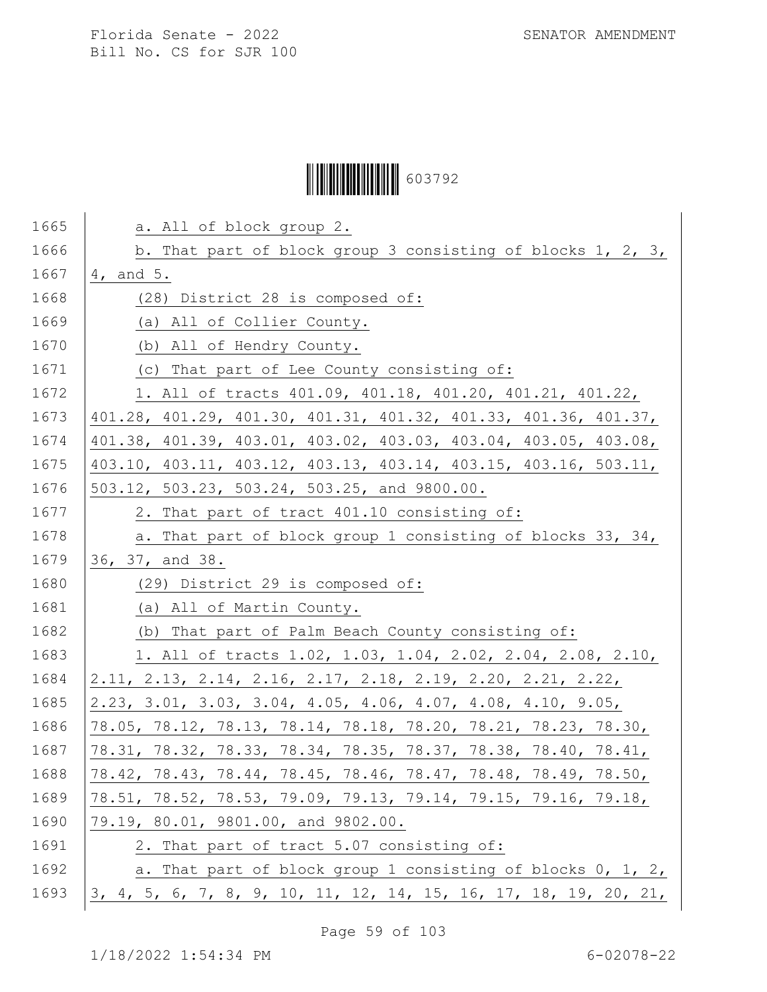# Ì6037929Î603792

| 1665 | a. All of block group 2.                                         |  |  |  |  |  |  |  |  |
|------|------------------------------------------------------------------|--|--|--|--|--|--|--|--|
| 1666 | b. That part of block group 3 consisting of blocks 1, 2, 3,      |  |  |  |  |  |  |  |  |
| 1667 | 4, and 5.                                                        |  |  |  |  |  |  |  |  |
| 1668 | (28) District 28 is composed of:                                 |  |  |  |  |  |  |  |  |
| 1669 | (a) All of Collier County.                                       |  |  |  |  |  |  |  |  |
| 1670 | (b) All of Hendry County.                                        |  |  |  |  |  |  |  |  |
| 1671 | (c) That part of Lee County consisting of:                       |  |  |  |  |  |  |  |  |
| 1672 | 1. All of tracts 401.09, 401.18, 401.20, 401.21, 401.22,         |  |  |  |  |  |  |  |  |
| 1673 | 401.28, 401.29, 401.30, 401.31, 401.32, 401.33, 401.36, 401.37,  |  |  |  |  |  |  |  |  |
| 1674 | 401.38, 401.39, 403.01, 403.02, 403.03, 403.04, 403.05, 403.08,  |  |  |  |  |  |  |  |  |
| 1675 | 403.10, 403.11, 403.12, 403.13, 403.14, 403.15, 403.16, 503.11,  |  |  |  |  |  |  |  |  |
| 1676 | 503.12, 503.23, 503.24, 503.25, and 9800.00.                     |  |  |  |  |  |  |  |  |
| 1677 | 2. That part of tract 401.10 consisting of:                      |  |  |  |  |  |  |  |  |
| 1678 | a. That part of block group 1 consisting of blocks 33, 34,       |  |  |  |  |  |  |  |  |
| 1679 | 36, 37, and 38.                                                  |  |  |  |  |  |  |  |  |
| 1680 | (29) District 29 is composed of:                                 |  |  |  |  |  |  |  |  |
| 1681 | (a) All of Martin County.                                        |  |  |  |  |  |  |  |  |
| 1682 | (b) That part of Palm Beach County consisting of:                |  |  |  |  |  |  |  |  |
| 1683 | 1. All of tracts 1.02, 1.03, 1.04, 2.02, 2.04, 2.08, 2.10,       |  |  |  |  |  |  |  |  |
| 1684 | 2.11, 2.13, 2.14, 2.16, 2.17, 2.18, 2.19, 2.20, 2.21, 2.22,      |  |  |  |  |  |  |  |  |
| 1685 | 2.23, 3.01, 3.03, 3.04, 4.05, 4.06, 4.07, 4.08, 4.10, 9.05,      |  |  |  |  |  |  |  |  |
| 1686 | 78.05, 78.12, 78.13, 78.14, 78.18, 78.20, 78.21, 78.23, 78.30,   |  |  |  |  |  |  |  |  |
| 1687 | 78.31, 78.32, 78.33, 78.34, 78.35, 78.37, 78.38, 78.40, 78.41,   |  |  |  |  |  |  |  |  |
| 1688 | 78.42, 78.43, 78.44, 78.45, 78.46, 78.47, 78.48, 78.49, 78.50,   |  |  |  |  |  |  |  |  |
| 1689 | 78.51, 78.52, 78.53, 79.09, 79.13, 79.14, 79.15, 79.16, 79.18,   |  |  |  |  |  |  |  |  |
| 1690 | 79.19, 80.01, 9801.00, and 9802.00.                              |  |  |  |  |  |  |  |  |
| 1691 | 2. That part of tract 5.07 consisting of:                        |  |  |  |  |  |  |  |  |
| 1692 | a. That part of block group 1 consisting of blocks 0, 1, 2,      |  |  |  |  |  |  |  |  |
| 1693 | 3, 4, 5, 6, 7, 8, 9, 10, 11, 12, 14, 15, 16, 17, 18, 19, 20, 21, |  |  |  |  |  |  |  |  |

Page 59 of 103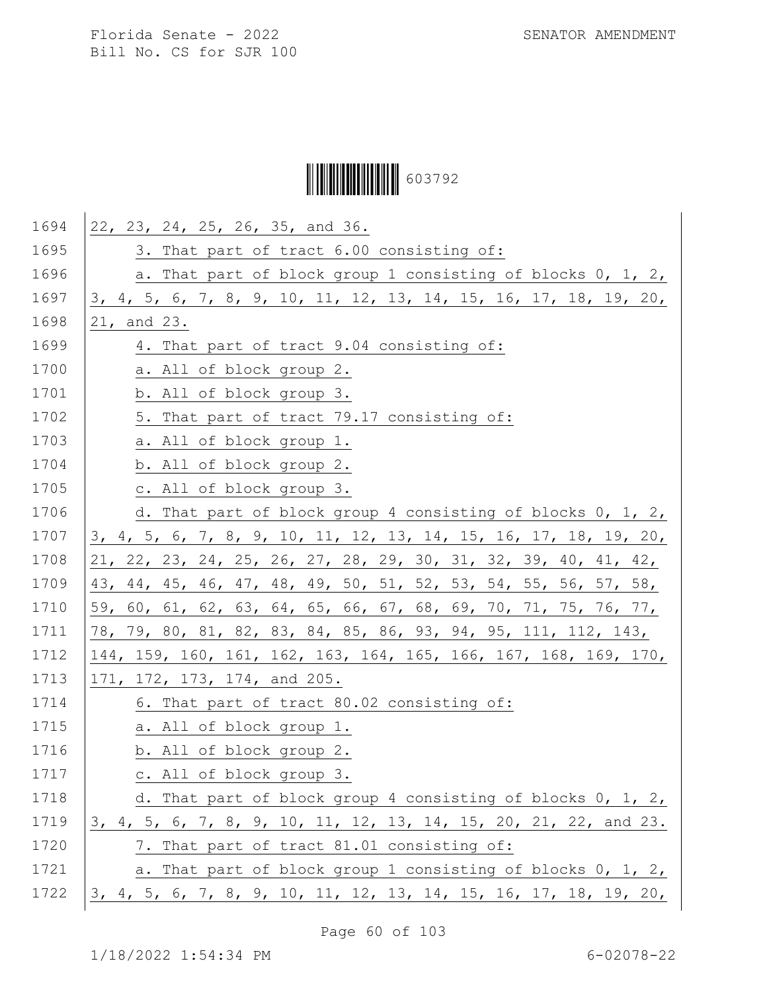# Ì6037929Î603792

| 1694 | 22, 23, 24, 25, 26, 35, and 36.                                  |
|------|------------------------------------------------------------------|
| 1695 | 3. That part of tract 6.00 consisting of:                        |
| 1696 | a. That part of block group 1 consisting of blocks 0, 1, 2,      |
| 1697 | 3, 4, 5, 6, 7, 8, 9, 10, 11, 12, 13, 14, 15, 16, 17, 18, 19, 20, |
| 1698 | 21, and 23.                                                      |
| 1699 | 4. That part of tract 9.04 consisting of:                        |
| 1700 | a. All of block group 2.                                         |
| 1701 | b. All of block group 3.                                         |
| 1702 | 5. That part of tract 79.17 consisting of:                       |
| 1703 | a. All of block group 1.                                         |
| 1704 | b. All of block group 2.                                         |
| 1705 | c. All of block group 3.                                         |
| 1706 | d. That part of block group 4 consisting of blocks 0, 1, 2,      |
| 1707 | 3, 4, 5, 6, 7, 8, 9, 10, 11, 12, 13, 14, 15, 16, 17, 18, 19, 20, |
| 1708 | 21, 22, 23, 24, 25, 26, 27, 28, 29, 30, 31, 32, 39, 40, 41, 42,  |
| 1709 | 43, 44, 45, 46, 47, 48, 49, 50, 51, 52, 53, 54, 55, 56, 57, 58,  |
| 1710 | 59, 60, 61, 62, 63, 64, 65, 66, 67, 68, 69, 70, 71, 75, 76, 77,  |
| 1711 | 78, 79, 80, 81, 82, 83, 84, 85, 86, 93, 94, 95, 111, 112, 143,   |
| 1712 | 144, 159, 160, 161, 162, 163, 164, 165, 166, 167, 168, 169, 170, |
| 1713 | 171, 172, 173, 174, and 205.                                     |
| 1714 | 6. That part of tract 80.02 consisting of:                       |
| 1715 | a. All of block group 1.                                         |
| 1716 | b. All of block group 2.                                         |
| 1717 | c. All of block group 3.                                         |
| 1718 | d. That part of block group 4 consisting of blocks 0, 1, 2,      |
| 1719 | 3, 4, 5, 6, 7, 8, 9, 10, 11, 12, 13, 14, 15, 20, 21, 22, and 23. |
| 1720 | 7. That part of tract 81.01 consisting of:                       |
| 1721 | a. That part of block group 1 consisting of blocks 0, 1, 2,      |
| 1722 | 3, 4, 5, 6, 7, 8, 9, 10, 11, 12, 13, 14, 15, 16, 17, 18, 19, 20, |

Page 60 of 103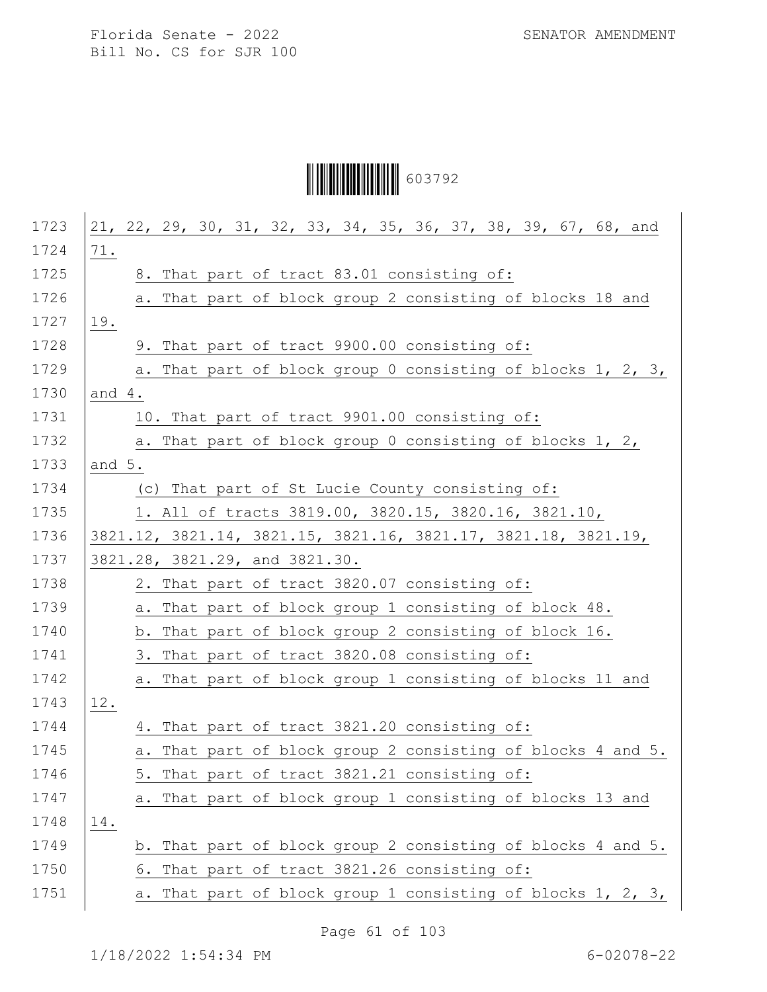# Ì6037929Î603792

| 1723 | 21, 22, 29, 30, 31, 32, 33, 34, 35, 36, 37, 38, 39, 67, 68, and |
|------|-----------------------------------------------------------------|
| 1724 | 71.                                                             |
| 1725 | 8. That part of tract 83.01 consisting of:                      |
| 1726 | a. That part of block group 2 consisting of blocks 18 and       |
| 1727 | 19.                                                             |
| 1728 | 9. That part of tract 9900.00 consisting of:                    |
| 1729 | a. That part of block group 0 consisting of blocks 1, 2, 3,     |
| 1730 | and $4.$                                                        |
| 1731 | 10. That part of tract 9901.00 consisting of:                   |
| 1732 | a. That part of block group 0 consisting of blocks 1, 2,        |
| 1733 | and 5.                                                          |
| 1734 | (c) That part of St Lucie County consisting of:                 |
| 1735 | 1. All of tracts 3819.00, 3820.15, 3820.16, 3821.10,            |
| 1736 | 3821.12, 3821.14, 3821.15, 3821.16, 3821.17, 3821.18, 3821.19,  |
| 1737 | 3821.28, 3821.29, and 3821.30.                                  |
| 1738 | 2. That part of tract 3820.07 consisting of:                    |
| 1739 | a. That part of block group 1 consisting of block 48.           |
| 1740 | b. That part of block group 2 consisting of block 16.           |
| 1741 | 3. That part of tract 3820.08 consisting of:                    |
| 1742 | a. That part of block group 1 consisting of blocks 11 and       |
| 1743 | 12.                                                             |
| 1744 | 4. That part of tract 3821.20 consisting of:                    |
| 1745 | a. That part of block group 2 consisting of blocks 4 and 5.     |
| 1746 | 5. That part of tract 3821.21 consisting of:                    |
| 1747 | a. That part of block group 1 consisting of blocks 13 and       |
| 1748 | 14.                                                             |
| 1749 | b. That part of block group 2 consisting of blocks 4 and 5.     |
| 1750 | 6. That part of tract 3821.26 consisting of:                    |
| 1751 | That part of block group 1 consisting of blocks 1, 2, 3,<br>а.  |
|      |                                                                 |

Page 61 of 103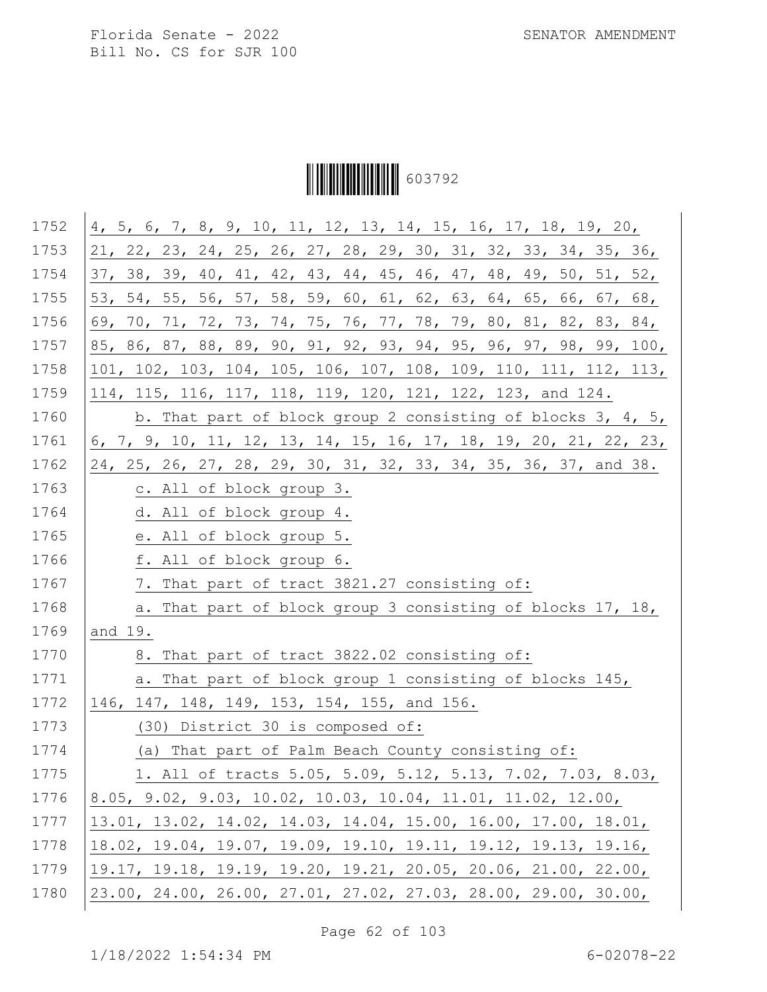Ì6037929Î603792

| 1752 | 4, 5, 6, 7, 8, 9, 10, 11, 12, 13, 14, 15, 16, 17, 18, 19, 20,    |
|------|------------------------------------------------------------------|
| 1753 | 21, 22, 23, 24, 25, 26, 27, 28, 29, 30, 31, 32, 33, 34, 35, 36,  |
| 1754 | 37, 38, 39, 40, 41, 42, 43, 44, 45, 46, 47, 48, 49, 50, 51, 52,  |
| 1755 | 53, 54, 55, 56, 57, 58, 59, 60, 61, 62, 63, 64, 65, 66, 67, 68,  |
| 1756 | 69, 70, 71, 72, 73, 74, 75, 76, 77, 78, 79, 80, 81, 82, 83, 84,  |
| 1757 | 85, 86, 87, 88, 89, 90, 91, 92, 93, 94, 95, 96, 97, 98, 99, 100, |
| 1758 | 101, 102, 103, 104, 105, 106, 107, 108, 109, 110, 111, 112, 113, |
| 1759 | 114, 115, 116, 117, 118, 119, 120, 121, 122, 123, and 124.       |
| 1760 | b. That part of block group 2 consisting of blocks 3, 4, 5,      |
| 1761 | 6, 7, 9, 10, 11, 12, 13, 14, 15, 16, 17, 18, 19, 20, 21, 22, 23, |
| 1762 | 24, 25, 26, 27, 28, 29, 30, 31, 32, 33, 34, 35, 36, 37, and 38.  |
| 1763 | c. All of block group 3.                                         |
| 1764 | d. All of block group 4.                                         |
| 1765 | e. All of block group 5.                                         |
| 1766 | f. All of block group 6.                                         |
| 1767 | 7. That part of tract 3821.27 consisting of:                     |
| 1768 | a. That part of block group 3 consisting of blocks 17, 18,       |
| 1769 | and 19.                                                          |
| 1770 | 8. That part of tract 3822.02 consisting of:                     |
| 1771 | a. That part of block group 1 consisting of blocks 145,          |
| 1772 | 146, 147, 148, 149, 153, 154, 155, and 156.                      |
| 1773 | (30) District 30 is composed of:                                 |
| 1774 | (a) That part of Palm Beach County consisting of:                |
| 1775 | 1. All of tracts 5.05, 5.09, 5.12, 5.13, 7.02, 7.03, 8.03,       |
| 1776 | 8.05, 9.02, 9.03, 10.02, 10.03, 10.04, 11.01, 11.02, 12.00,      |
| 1777 | 13.01, 13.02, 14.02, 14.03, 14.04, 15.00, 16.00, 17.00, 18.01,   |
| 1778 | 18.02, 19.04, 19.07, 19.09, 19.10, 19.11, 19.12, 19.13, 19.16,   |
| 1779 | 19.17, 19.18, 19.19, 19.20, 19.21, 20.05, 20.06, 21.00, 22.00,   |
| 1780 | 23.00, 24.00, 26.00, 27.01, 27.02, 27.03, 28.00, 29.00, 30.00,   |

Page 62 of 103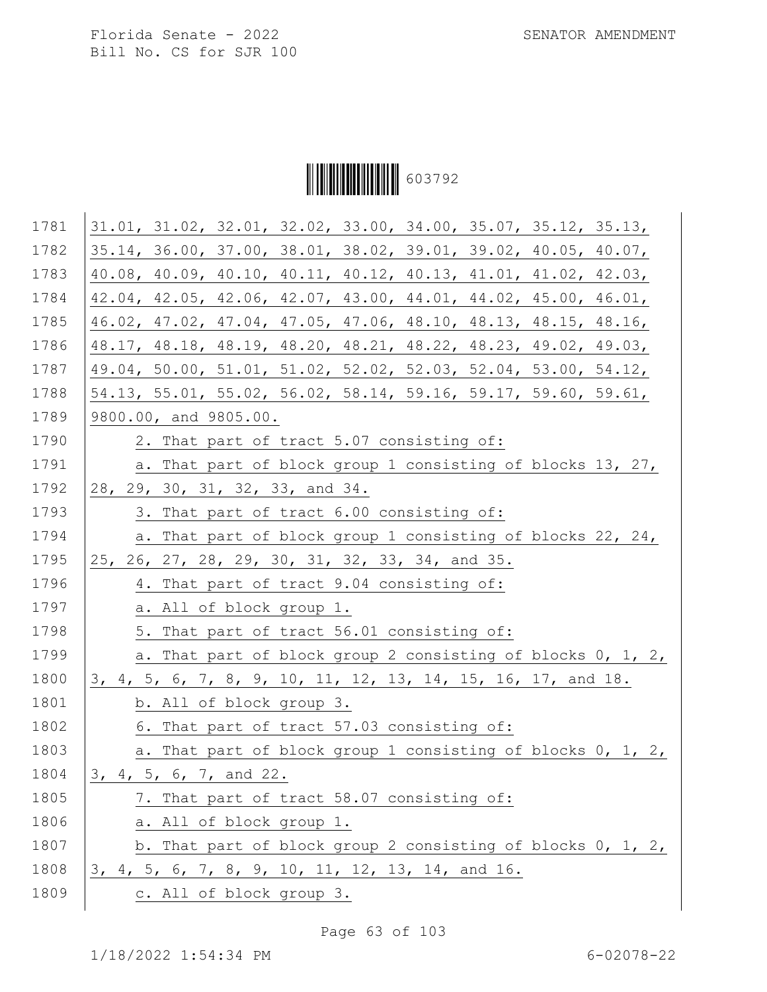Ì6037929Î603792

| 1781 | 31.01, 31.02, 32.01, 32.02, 33.00, 34.00, 35.07, 35.12, 35.13,                            |
|------|-------------------------------------------------------------------------------------------|
| 1782 | 35.14, 36.00, 37.00, 38.01, 38.02, 39.01, 39.02, 40.05, 40.07,                            |
| 1783 | 40.08, 40.09, 40.10, 40.11, 40.12, 40.13, 41.01, 41.02, 42.03,                            |
| 1784 | 42.04, 42.05, 42.06, 42.07, 43.00, 44.01, 44.02, 45.00, 46.01,                            |
| 1785 | 46.02, 47.02, 47.04, 47.05, 47.06, 48.10, 48.13, 48.15, 48.16,                            |
| 1786 | 48.17, 48.18, 48.19, 48.20, 48.21, 48.22, 48.23, 49.02, 49.03,                            |
| 1787 | 49.04, 50.00, 51.01, 51.02, 52.02, 52.03, 52.04, 53.00, 54.12,                            |
| 1788 | $54.13$ , $55.01$ , $55.02$ , $56.02$ , $58.14$ , $59.16$ , $59.17$ , $59.60$ , $59.61$ , |
| 1789 | 9800.00, and 9805.00.                                                                     |
| 1790 | 2. That part of tract 5.07 consisting of:                                                 |
| 1791 | a. That part of block group 1 consisting of blocks 13, 27,                                |
| 1792 | 28, 29, 30, 31, 32, 33, and 34.                                                           |
| 1793 | 3. That part of tract 6.00 consisting of:                                                 |
| 1794 | a. That part of block group 1 consisting of blocks 22, 24,                                |
| 1795 | 25, 26, 27, 28, 29, 30, 31, 32, 33, 34, and 35.                                           |
| 1796 | 4. That part of tract 9.04 consisting of:                                                 |
| 1797 | a. All of block group 1.                                                                  |
| 1798 | 5. That part of tract 56.01 consisting of:                                                |
| 1799 | a. That part of block group 2 consisting of blocks 0, 1, 2,                               |
| 1800 | 3, 4, 5, 6, 7, 8, 9, 10, 11, 12, 13, 14, 15, 16, 17, and 18.                              |
| 1801 | b. All of block group 3.                                                                  |
| 1802 | 6. That part of tract 57.03 consisting of:                                                |
| 1803 | a. That part of block group 1 consisting of blocks 0, 1, 2,                               |
| 1804 | 3, 4, 5, 6, 7, and 22.                                                                    |
| 1805 | 7. That part of tract 58.07 consisting of:                                                |
| 1806 | a. All of block group 1.                                                                  |
| 1807 | b. That part of block group 2 consisting of blocks 0, 1, 2,                               |
| 1808 | 3, 4, 5, 6, 7, 8, 9, 10, 11, 12, 13, 14, and 16.                                          |
| 1809 | c. All of block group 3.                                                                  |

Page 63 of 103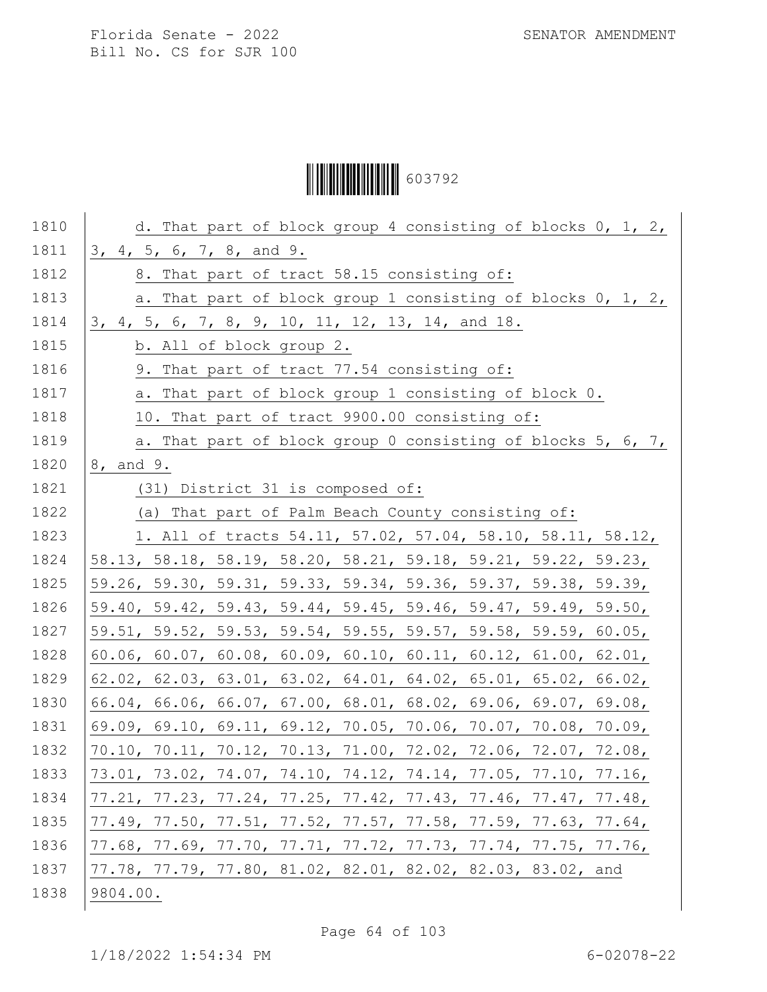Ì6037929Î603792

| 1811<br>3, 4, 5, 6, 7, 8, and 9.<br>1812<br>8. That part of tract 58.15 consisting of:<br>1813<br>a. That part of block group 1 consisting of blocks 0, 1, 2,<br>1814<br>3, 4, 5, 6, 7, 8, 9, 10, 11, 12, 13, 14, and 18.<br>1815<br>b. All of block group 2.<br>1816<br>9. That part of tract 77.54 consisting of:<br>1817<br>a. That part of block group 1 consisting of block 0.<br>1818<br>10. That part of tract 9900.00 consisting of:<br>1819<br>a. That part of block group 0 consisting of blocks 5, 6, 7,<br>1820<br>8, and 9.<br>1821<br>(31) District 31 is composed of:<br>1822<br>(a) That part of Palm Beach County consisting of:<br>1823<br>1. All of tracts 54.11, 57.02, 57.04, 58.10, 58.11, 58.12,<br>1824<br>58.13, 58.18, 58.19, 58.20, 58.21, 59.18, 59.21, 59.22, 59.23,<br>1825<br>59.26, 59.30, 59.31, 59.33, 59.34, 59.36, 59.37, 59.38, 59.39,<br>1826<br>59.40, 59.42, 59.43, 59.44, 59.45, 59.46, 59.47, 59.49, 59.50,<br>1827<br>59.51, 59.52, 59.53, 59.54, 59.55, 59.57, 59.58, 59.59, 60.05,<br>1828<br>60.06, 60.07, 60.08, 60.09, 60.10, 60.11, 60.12, 61.00, 62.01,<br>1829<br>$62.02$ , $62.03$ , $63.01$ , $63.02$ , $64.01$ , $64.02$ , $65.01$ , $65.02$ , $66.02$ ,<br>1830<br>$66.04$ , 66.06, 66.07, 67.00, 68.01, 68.02, 69.06, 69.07, 69.08,<br>1831<br>69.09, 69.10, 69.11, 69.12, 70.05, 70.06, 70.07, 70.08, 70.09,<br>1832<br>70.10, 70.11, 70.12, 70.13, 71.00, 72.02, 72.06, 72.07, 72.08,<br>1833<br>73.01, 73.02, 74.07, 74.10, 74.12, 74.14, 77.05, 77.10, 77.16,<br>1834<br>$77.21, 77.23, 77.24, 77.25, 77.42, 77.43, 77.46, 77.47, 77.48,$ |
|-------------------------------------------------------------------------------------------------------------------------------------------------------------------------------------------------------------------------------------------------------------------------------------------------------------------------------------------------------------------------------------------------------------------------------------------------------------------------------------------------------------------------------------------------------------------------------------------------------------------------------------------------------------------------------------------------------------------------------------------------------------------------------------------------------------------------------------------------------------------------------------------------------------------------------------------------------------------------------------------------------------------------------------------------------------------------------------------------------------------------------------------------------------------------------------------------------------------------------------------------------------------------------------------------------------------------------------------------------------------------------------------------------------------------------------------------------------------------------------------------------------------------------------------------------------------------------------------------------|
|                                                                                                                                                                                                                                                                                                                                                                                                                                                                                                                                                                                                                                                                                                                                                                                                                                                                                                                                                                                                                                                                                                                                                                                                                                                                                                                                                                                                                                                                                                                                                                                                       |
|                                                                                                                                                                                                                                                                                                                                                                                                                                                                                                                                                                                                                                                                                                                                                                                                                                                                                                                                                                                                                                                                                                                                                                                                                                                                                                                                                                                                                                                                                                                                                                                                       |
|                                                                                                                                                                                                                                                                                                                                                                                                                                                                                                                                                                                                                                                                                                                                                                                                                                                                                                                                                                                                                                                                                                                                                                                                                                                                                                                                                                                                                                                                                                                                                                                                       |
|                                                                                                                                                                                                                                                                                                                                                                                                                                                                                                                                                                                                                                                                                                                                                                                                                                                                                                                                                                                                                                                                                                                                                                                                                                                                                                                                                                                                                                                                                                                                                                                                       |
|                                                                                                                                                                                                                                                                                                                                                                                                                                                                                                                                                                                                                                                                                                                                                                                                                                                                                                                                                                                                                                                                                                                                                                                                                                                                                                                                                                                                                                                                                                                                                                                                       |
|                                                                                                                                                                                                                                                                                                                                                                                                                                                                                                                                                                                                                                                                                                                                                                                                                                                                                                                                                                                                                                                                                                                                                                                                                                                                                                                                                                                                                                                                                                                                                                                                       |
|                                                                                                                                                                                                                                                                                                                                                                                                                                                                                                                                                                                                                                                                                                                                                                                                                                                                                                                                                                                                                                                                                                                                                                                                                                                                                                                                                                                                                                                                                                                                                                                                       |
|                                                                                                                                                                                                                                                                                                                                                                                                                                                                                                                                                                                                                                                                                                                                                                                                                                                                                                                                                                                                                                                                                                                                                                                                                                                                                                                                                                                                                                                                                                                                                                                                       |
|                                                                                                                                                                                                                                                                                                                                                                                                                                                                                                                                                                                                                                                                                                                                                                                                                                                                                                                                                                                                                                                                                                                                                                                                                                                                                                                                                                                                                                                                                                                                                                                                       |
|                                                                                                                                                                                                                                                                                                                                                                                                                                                                                                                                                                                                                                                                                                                                                                                                                                                                                                                                                                                                                                                                                                                                                                                                                                                                                                                                                                                                                                                                                                                                                                                                       |
|                                                                                                                                                                                                                                                                                                                                                                                                                                                                                                                                                                                                                                                                                                                                                                                                                                                                                                                                                                                                                                                                                                                                                                                                                                                                                                                                                                                                                                                                                                                                                                                                       |
|                                                                                                                                                                                                                                                                                                                                                                                                                                                                                                                                                                                                                                                                                                                                                                                                                                                                                                                                                                                                                                                                                                                                                                                                                                                                                                                                                                                                                                                                                                                                                                                                       |
|                                                                                                                                                                                                                                                                                                                                                                                                                                                                                                                                                                                                                                                                                                                                                                                                                                                                                                                                                                                                                                                                                                                                                                                                                                                                                                                                                                                                                                                                                                                                                                                                       |
|                                                                                                                                                                                                                                                                                                                                                                                                                                                                                                                                                                                                                                                                                                                                                                                                                                                                                                                                                                                                                                                                                                                                                                                                                                                                                                                                                                                                                                                                                                                                                                                                       |
|                                                                                                                                                                                                                                                                                                                                                                                                                                                                                                                                                                                                                                                                                                                                                                                                                                                                                                                                                                                                                                                                                                                                                                                                                                                                                                                                                                                                                                                                                                                                                                                                       |
|                                                                                                                                                                                                                                                                                                                                                                                                                                                                                                                                                                                                                                                                                                                                                                                                                                                                                                                                                                                                                                                                                                                                                                                                                                                                                                                                                                                                                                                                                                                                                                                                       |
|                                                                                                                                                                                                                                                                                                                                                                                                                                                                                                                                                                                                                                                                                                                                                                                                                                                                                                                                                                                                                                                                                                                                                                                                                                                                                                                                                                                                                                                                                                                                                                                                       |
|                                                                                                                                                                                                                                                                                                                                                                                                                                                                                                                                                                                                                                                                                                                                                                                                                                                                                                                                                                                                                                                                                                                                                                                                                                                                                                                                                                                                                                                                                                                                                                                                       |
|                                                                                                                                                                                                                                                                                                                                                                                                                                                                                                                                                                                                                                                                                                                                                                                                                                                                                                                                                                                                                                                                                                                                                                                                                                                                                                                                                                                                                                                                                                                                                                                                       |
|                                                                                                                                                                                                                                                                                                                                                                                                                                                                                                                                                                                                                                                                                                                                                                                                                                                                                                                                                                                                                                                                                                                                                                                                                                                                                                                                                                                                                                                                                                                                                                                                       |
|                                                                                                                                                                                                                                                                                                                                                                                                                                                                                                                                                                                                                                                                                                                                                                                                                                                                                                                                                                                                                                                                                                                                                                                                                                                                                                                                                                                                                                                                                                                                                                                                       |
|                                                                                                                                                                                                                                                                                                                                                                                                                                                                                                                                                                                                                                                                                                                                                                                                                                                                                                                                                                                                                                                                                                                                                                                                                                                                                                                                                                                                                                                                                                                                                                                                       |
|                                                                                                                                                                                                                                                                                                                                                                                                                                                                                                                                                                                                                                                                                                                                                                                                                                                                                                                                                                                                                                                                                                                                                                                                                                                                                                                                                                                                                                                                                                                                                                                                       |
|                                                                                                                                                                                                                                                                                                                                                                                                                                                                                                                                                                                                                                                                                                                                                                                                                                                                                                                                                                                                                                                                                                                                                                                                                                                                                                                                                                                                                                                                                                                                                                                                       |
| 1835<br>77.49, 77.50, 77.51, 77.52, 77.57, 77.58, 77.59, 77.63, 77.64,                                                                                                                                                                                                                                                                                                                                                                                                                                                                                                                                                                                                                                                                                                                                                                                                                                                                                                                                                                                                                                                                                                                                                                                                                                                                                                                                                                                                                                                                                                                                |
| 1836<br>77.68, 77.69, 77.70, 77.71, 77.72, 77.73, 77.74, 77.75, 77.76,                                                                                                                                                                                                                                                                                                                                                                                                                                                                                                                                                                                                                                                                                                                                                                                                                                                                                                                                                                                                                                                                                                                                                                                                                                                                                                                                                                                                                                                                                                                                |
| 1837<br>77.78, 77.79, 77.80, 81.02, 82.01, 82.02, 82.03, 83.02, and                                                                                                                                                                                                                                                                                                                                                                                                                                                                                                                                                                                                                                                                                                                                                                                                                                                                                                                                                                                                                                                                                                                                                                                                                                                                                                                                                                                                                                                                                                                                   |
| 1838<br>9804.00.                                                                                                                                                                                                                                                                                                                                                                                                                                                                                                                                                                                                                                                                                                                                                                                                                                                                                                                                                                                                                                                                                                                                                                                                                                                                                                                                                                                                                                                                                                                                                                                      |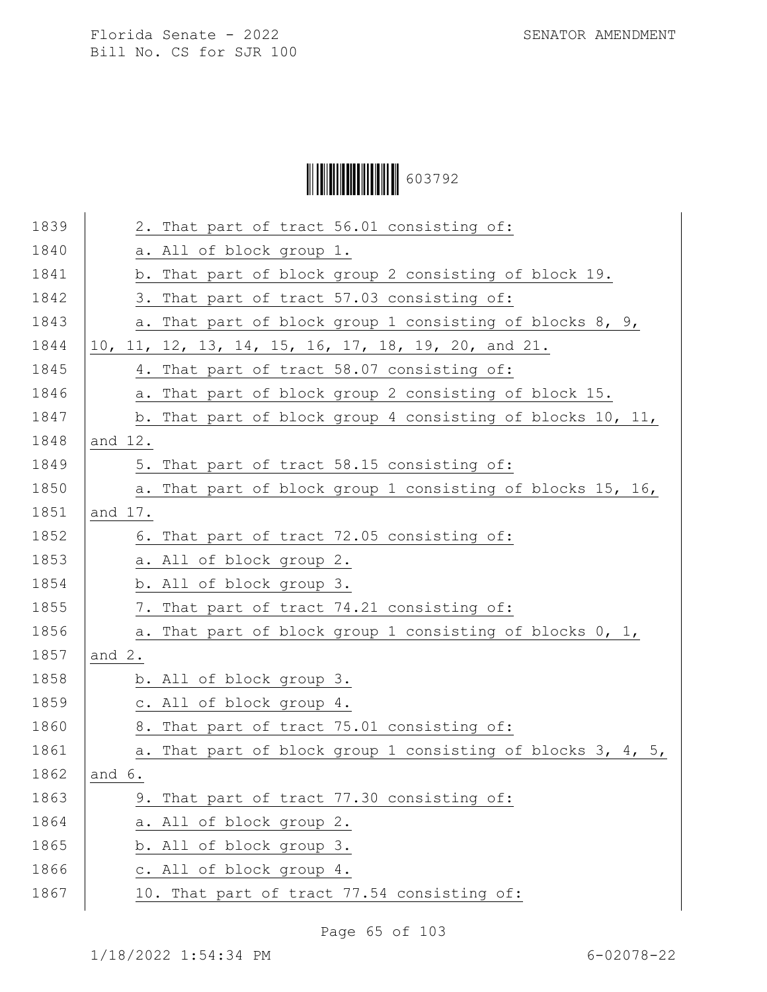# Ì6037929Î603792

| 1839 | 2. That part of tract 56.01 consisting of:                  |
|------|-------------------------------------------------------------|
| 1840 | a. All of block group 1.                                    |
| 1841 | b. That part of block group 2 consisting of block 19.       |
| 1842 | 3. That part of tract 57.03 consisting of:                  |
| 1843 | a. That part of block group 1 consisting of blocks 8, 9,    |
| 1844 | 10, 11, 12, 13, 14, 15, 16, 17, 18, 19, 20, and 21.         |
| 1845 | 4. That part of tract 58.07 consisting of:                  |
| 1846 | a. That part of block group 2 consisting of block 15.       |
| 1847 | b. That part of block group 4 consisting of blocks 10, 11,  |
| 1848 | and 12.                                                     |
| 1849 | 5. That part of tract 58.15 consisting of:                  |
| 1850 | a. That part of block group 1 consisting of blocks 15, 16,  |
| 1851 | and 17.                                                     |
| 1852 | 6. That part of tract 72.05 consisting of:                  |
| 1853 | a. All of block group 2.                                    |
| 1854 | b. All of block group 3.                                    |
| 1855 | 7. That part of tract 74.21 consisting of:                  |
| 1856 | a. That part of block group 1 consisting of blocks 0, 1,    |
| 1857 | and $2$ .                                                   |
| 1858 | b. All of block group 3.                                    |
| 1859 | c. All of block group 4.                                    |
| 1860 | 8. That part of tract 75.01 consisting of:                  |
| 1861 | a. That part of block group 1 consisting of blocks 3, 4, 5, |
| 1862 | and 6.                                                      |
| 1863 | 9. That part of tract 77.30 consisting of:                  |
| 1864 | a. All of block group 2.                                    |
| 1865 | b. All of block group 3.                                    |
| 1866 | c. All of block group 4.                                    |
| 1867 | 10. That part of tract 77.54 consisting of:                 |
|      |                                                             |

Page 65 of 103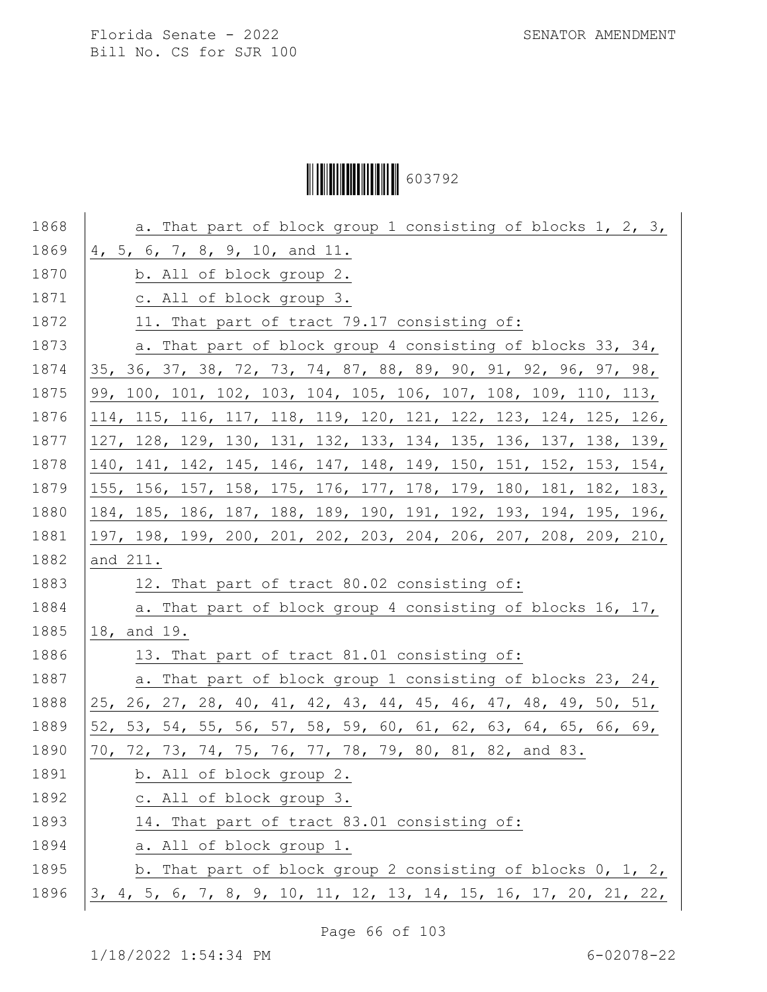# Ì6037929Î603792

| 1868 | a. That part of block group 1 consisting of blocks 1, 2, 3,             |
|------|-------------------------------------------------------------------------|
| 1869 | 4, 5, 6, 7, 8, 9, 10, and 11.                                           |
| 1870 | b. All of block group 2.                                                |
| 1871 | c. All of block group 3.                                                |
| 1872 | 11. That part of tract 79.17 consisting of:                             |
| 1873 | a. That part of block group 4 consisting of blocks 33, 34,              |
| 1874 | 35, 36, 37, 38, 72, 73, 74, 87, 88, 89, 90, 91, 92, 96, 97, 98,         |
| 1875 | 99, 100, 101, 102, 103, 104, 105, 106, 107, 108, 109, 110, 113,         |
| 1876 | 114, 115, 116, 117, 118, 119, 120, 121, 122, 123, 124, 125, 126,        |
| 1877 | 127, 128, 129, 130, 131, 132, 133, 134, 135, 136, 137, 138, 139,        |
| 1878 | 140, 141, 142, 145, 146, 147, 148, 149, 150, 151, 152, 153, 154,        |
| 1879 | 155, 156, 157, 158, 175, 176, 177, 178, 179, 180, 181, 182, 183,        |
| 1880 | 184, 185, 186, 187, 188, 189, 190, 191, 192, 193, 194, 195, 196,        |
| 1881 | 197, 198, 199, 200, 201, 202, 203, 204, 206, 207, 208, 209, 210,        |
| 1882 | and 211.                                                                |
| 1883 | 12. That part of tract 80.02 consisting of:                             |
| 1884 | a. That part of block group 4 consisting of blocks 16, 17,              |
| 1885 | 18, and 19.                                                             |
| 1886 | 13. That part of tract 81.01 consisting of:                             |
| 1887 | a. That part of block group 1 consisting of blocks 23, 24,              |
| 1888 | 25, 26, 27, 28, 40, 41, 42, 43, 44, 45, 46, 47, 48, 49, 50, 51,         |
| 1889 | 52, 53, 54, 55, 56, 57, 58, 59, 60, 61, 62, 63, 64, 65, 66, 69,         |
| 1890 | 70, 72, 73, 74, 75, 76, 77, 78, 79, 80, 81, 82, and 83.                 |
| 1891 | b. All of block group 2.                                                |
| 1892 | c. All of block group 3.                                                |
| 1893 | 14. That part of tract 83.01 consisting of:                             |
| 1894 | a. All of block group 1.                                                |
| 1895 | b. That part of block group 2 consisting of blocks $0, 1, 2, 1$         |
| 1896 | <u>3, 4, 5, 6, 7, 8, 9, 10, 11, 12, 13, 14, 15, 16, 17, 20, 21, 22,</u> |

Page 66 of 103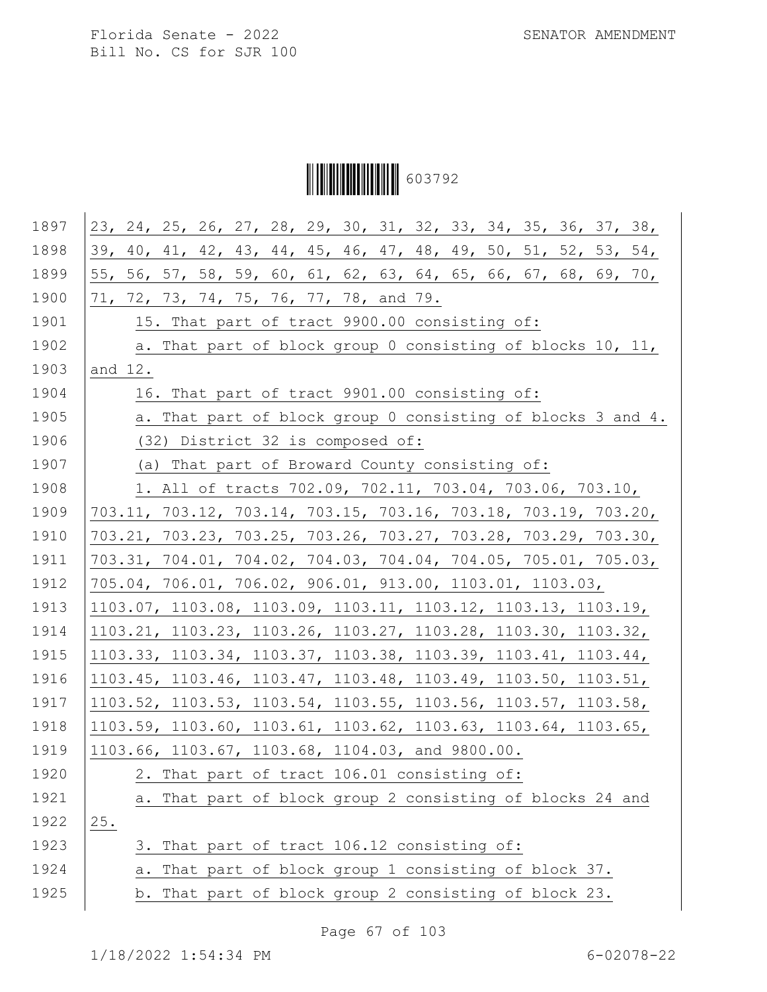Ì6037929Î603792

| 1897 | 23, 24, 25, 26, 27, 28, 29, 30, 31, 32, 33, 34, 35, 36, 37, 38, |
|------|-----------------------------------------------------------------|
| 1898 | 39, 40, 41, 42, 43, 44, 45, 46, 47, 48, 49, 50, 51, 52, 53, 54, |
| 1899 | 55, 56, 57, 58, 59, 60, 61, 62, 63, 64, 65, 66, 67, 68, 69, 70, |
| 1900 | 71, 72, 73, 74, 75, 76, 77, 78, and 79.                         |
| 1901 | 15. That part of tract 9900.00 consisting of:                   |
| 1902 | a. That part of block group 0 consisting of blocks 10, 11,      |
| 1903 | and 12.                                                         |
| 1904 | 16. That part of tract 9901.00 consisting of:                   |
| 1905 | a. That part of block group 0 consisting of blocks 3 and 4.     |
| 1906 | (32) District 32 is composed of:                                |
| 1907 | (a) That part of Broward County consisting of:                  |
| 1908 | 1. All of tracts 702.09, 702.11, 703.04, 703.06, 703.10,        |
| 1909 | 703.11, 703.12, 703.14, 703.15, 703.16, 703.18, 703.19, 703.20, |
| 1910 | 703.21, 703.23, 703.25, 703.26, 703.27, 703.28, 703.29, 703.30, |
| 1911 | 703.31, 704.01, 704.02, 704.03, 704.04, 704.05, 705.01, 705.03, |
| 1912 | 705.04, 706.01, 706.02, 906.01, 913.00, 1103.01, 1103.03,       |
| 1913 | 1103.07, 1103.08, 1103.09, 1103.11, 1103.12, 1103.13, 1103.19,  |
| 1914 | 1103.21, 1103.23, 1103.26, 1103.27, 1103.28, 1103.30, 1103.32,  |
| 1915 | 1103.33, 1103.34, 1103.37, 1103.38, 1103.39, 1103.41, 1103.44,  |
| 1916 | 1103.45, 1103.46, 1103.47, 1103.48, 1103.49, 1103.50, 1103.51,  |
| 1917 | 1103.52, 1103.53, 1103.54, 1103.55, 1103.56, 1103.57, 1103.58,  |
| 1918 | 1103.59, 1103.60, 1103.61, 1103.62, 1103.63, 1103.64, 1103.65,  |
| 1919 | 1103.66, 1103.67, 1103.68, 1104.03, and 9800.00.                |
| 1920 | 2. That part of tract 106.01 consisting of:                     |
| 1921 | a. That part of block group 2 consisting of blocks 24 and       |
| 1922 | 25.                                                             |
| 1923 | That part of tract 106.12 consisting of:<br>3.                  |
| 1924 | That part of block group 1 consisting of block 37.<br>а.        |
| 1925 | b. That part of block group 2 consisting of block 23.           |
|      |                                                                 |

Page 67 of 103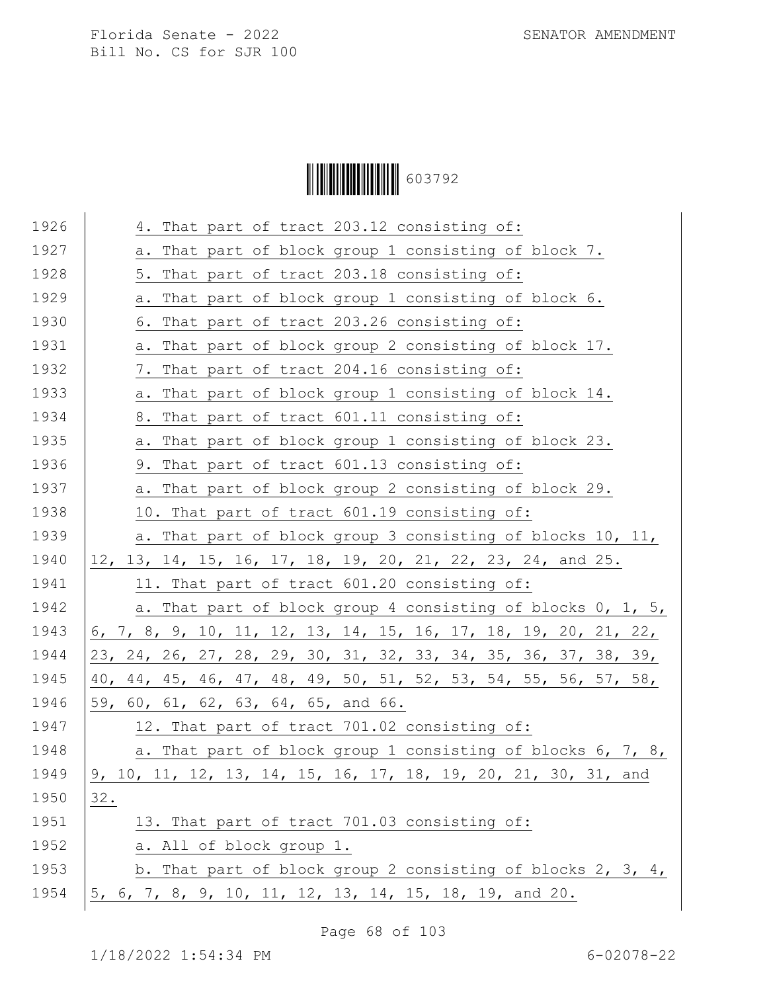Ì6037929Î603792

| 1926 | 4. That part of tract 203.12 consisting of:                     |
|------|-----------------------------------------------------------------|
|      |                                                                 |
| 1927 | a. That part of block group 1 consisting of block 7.            |
| 1928 | 5. That part of tract 203.18 consisting of:                     |
| 1929 | a. That part of block group 1 consisting of block 6.            |
| 1930 | 6. That part of tract 203.26 consisting of:                     |
| 1931 | a. That part of block group 2 consisting of block 17.           |
| 1932 | 7. That part of tract 204.16 consisting of:                     |
| 1933 | a. That part of block group 1 consisting of block 14.           |
| 1934 | 8. That part of tract 601.11 consisting of:                     |
| 1935 | a. That part of block group 1 consisting of block 23.           |
| 1936 | 9. That part of tract 601.13 consisting of:                     |
| 1937 | a. That part of block group 2 consisting of block 29.           |
| 1938 | 10. That part of tract 601.19 consisting of:                    |
| 1939 | a. That part of block group 3 consisting of blocks 10, 11,      |
| 1940 | 12, 13, 14, 15, 16, 17, 18, 19, 20, 21, 22, 23, 24, and 25.     |
| 1941 | 11. That part of tract 601.20 consisting of:                    |
| 1942 | a. That part of block group 4 consisting of blocks 0, 1, 5,     |
| 1943 | 6, 7, 8, 9, 10, 11, 12, 13, 14, 15, 16, 17, 18, 19, 20, 21, 22, |
| 1944 | 23, 24, 26, 27, 28, 29, 30, 31, 32, 33, 34, 35, 36, 37, 38, 39, |
| 1945 | 40, 44, 45, 46, 47, 48, 49, 50, 51, 52, 53, 54, 55, 56, 57, 58, |
| 1946 | 59, 60, 61, 62, 63, 64, 65, and 66.                             |
| 1947 | 12. That part of tract 701.02 consisting of:                    |
| 1948 | a. That part of block group 1 consisting of blocks 6, 7, 8,     |
| 1949 | 9, 10, 11, 12, 13, 14, 15, 16, 17, 18, 19, 20, 21, 30, 31, and  |
| 1950 | 32.                                                             |
| 1951 | 13. That part of tract 701.03 consisting of:                    |
| 1952 | a. All of block group 1.                                        |
| 1953 | b. That part of block group 2 consisting of blocks 2, 3, 4,     |
| 1954 | 5, 6, 7, 8, 9, 10, 11, 12, 13, 14, 15, 18, 19, and 20.          |

Page 68 of 103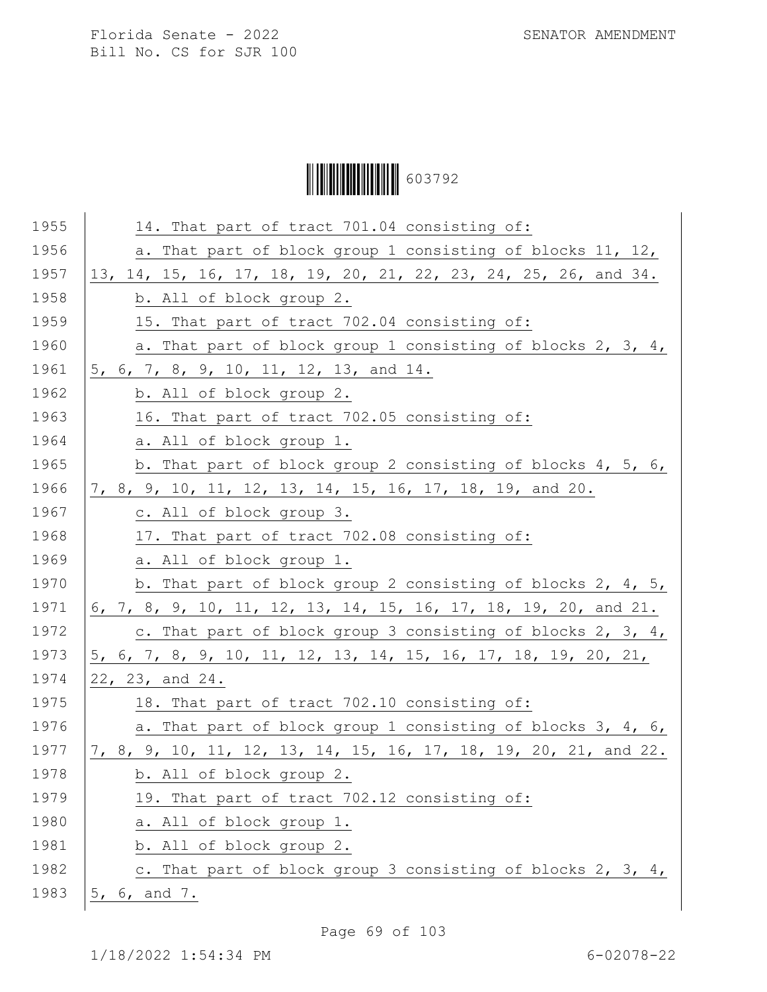Ì6037929Î603792

| 1955 | 14. That part of tract 701.04 consisting of:                     |
|------|------------------------------------------------------------------|
| 1956 | a. That part of block group 1 consisting of blocks 11, 12,       |
| 1957 | 13, 14, 15, 16, 17, 18, 19, 20, 21, 22, 23, 24, 25, 26, and 34.  |
| 1958 | b. All of block group 2.                                         |
| 1959 | 15. That part of tract 702.04 consisting of:                     |
| 1960 | a. That part of block group 1 consisting of blocks 2, 3, 4,      |
| 1961 | 5, 6, 7, 8, 9, 10, 11, 12, 13, and 14.                           |
| 1962 | b. All of block group 2.                                         |
| 1963 | 16. That part of tract 702.05 consisting of:                     |
| 1964 | a. All of block group 1.                                         |
| 1965 | b. That part of block group 2 consisting of blocks 4, 5, 6,      |
| 1966 | 7, 8, 9, 10, 11, 12, 13, 14, 15, 16, 17, 18, 19, and 20.         |
| 1967 | c. All of block group 3.                                         |
| 1968 | 17. That part of tract 702.08 consisting of:                     |
| 1969 | a. All of block group 1.                                         |
| 1970 | b. That part of block group 2 consisting of blocks 2, 4, 5,      |
| 1971 | 6, 7, 8, 9, 10, 11, 12, 13, 14, 15, 16, 17, 18, 19, 20, and 21.  |
| 1972 | c. That part of block group 3 consisting of blocks 2, 3, 4,      |
| 1973 | 5, 6, 7, 8, 9, 10, 11, 12, 13, 14, 15, 16, 17, 18, 19, 20, 21,   |
| 1974 | 22, 23, and 24.                                                  |
| 1975 | 18. That part of tract 702.10 consisting of:                     |
| 1976 | a. That part of block group 1 consisting of blocks 3, 4, 6,      |
| 1977 | 7, 8, 9, 10, 11, 12, 13, 14, 15, 16, 17, 18, 19, 20, 21, and 22. |
| 1978 | b. All of block group 2.                                         |
| 1979 | 19. That part of tract 702.12 consisting of:                     |
| 1980 | a. All of block group 1.                                         |
| 1981 | b. All of block group 2.                                         |
| 1982 | c. That part of block group 3 consisting of blocks 2, 3, 4,      |
| 1983 | 5, 6, and 7.                                                     |
|      |                                                                  |

Page 69 of 103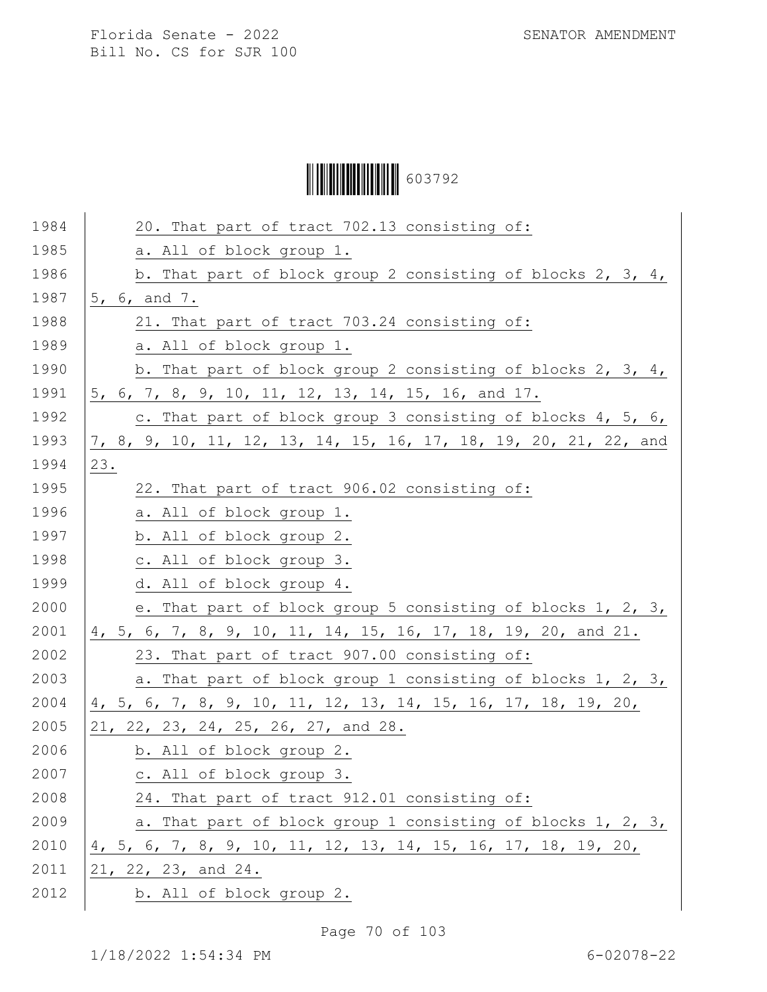# Ì6037929Î603792

| 1984 | 20. That part of tract 702.13 consisting of:                     |
|------|------------------------------------------------------------------|
| 1985 | a. All of block group 1.                                         |
| 1986 | b. That part of block group 2 consisting of blocks 2, 3, 4,      |
| 1987 | 5, 6, and 7.                                                     |
| 1988 | 21. That part of tract 703.24 consisting of:                     |
| 1989 | a. All of block group 1.                                         |
| 1990 | b. That part of block group 2 consisting of blocks 2, 3, 4,      |
| 1991 | 5, 6, 7, 8, 9, 10, 11, 12, 13, 14, 15, 16, and 17.               |
| 1992 | c. That part of block group 3 consisting of blocks 4, 5, 6,      |
| 1993 | 7, 8, 9, 10, 11, 12, 13, 14, 15, 16, 17, 18, 19, 20, 21, 22, and |
| 1994 | 23.                                                              |
| 1995 | 22. That part of tract 906.02 consisting of:                     |
| 1996 | a. All of block group 1.                                         |
| 1997 | b. All of block group 2.                                         |
| 1998 | c. All of block group 3.                                         |
| 1999 | d. All of block group 4.                                         |
| 2000 | e. That part of block group 5 consisting of blocks 1, 2, 3,      |
| 2001 | 4, 5, 6, 7, 8, 9, 10, 11, 14, 15, 16, 17, 18, 19, 20, and 21.    |
| 2002 | 23. That part of tract 907.00 consisting of:                     |
| 2003 | a. That part of block group 1 consisting of blocks 1, 2, 3,      |
| 2004 | 4, 5, 6, 7, 8, 9, 10, 11, 12, 13, 14, 15, 16, 17, 18, 19, 20,    |
| 2005 | 21, 22, 23, 24, 25, 26, 27, and 28.                              |
| 2006 | b. All of block group 2.                                         |
| 2007 | c. All of block group 3.                                         |
| 2008 | 24. That part of tract 912.01 consisting of:                     |
| 2009 | a. That part of block group 1 consisting of blocks 1, 2, 3,      |
| 2010 | 4, 5, 6, 7, 8, 9, 10, 11, 12, 13, 14, 15, 16, 17, 18, 19, 20,    |
| 2011 | 21, 22, 23, and 24.                                              |
| 2012 | b. All of block group 2.                                         |
|      |                                                                  |

Page 70 of 103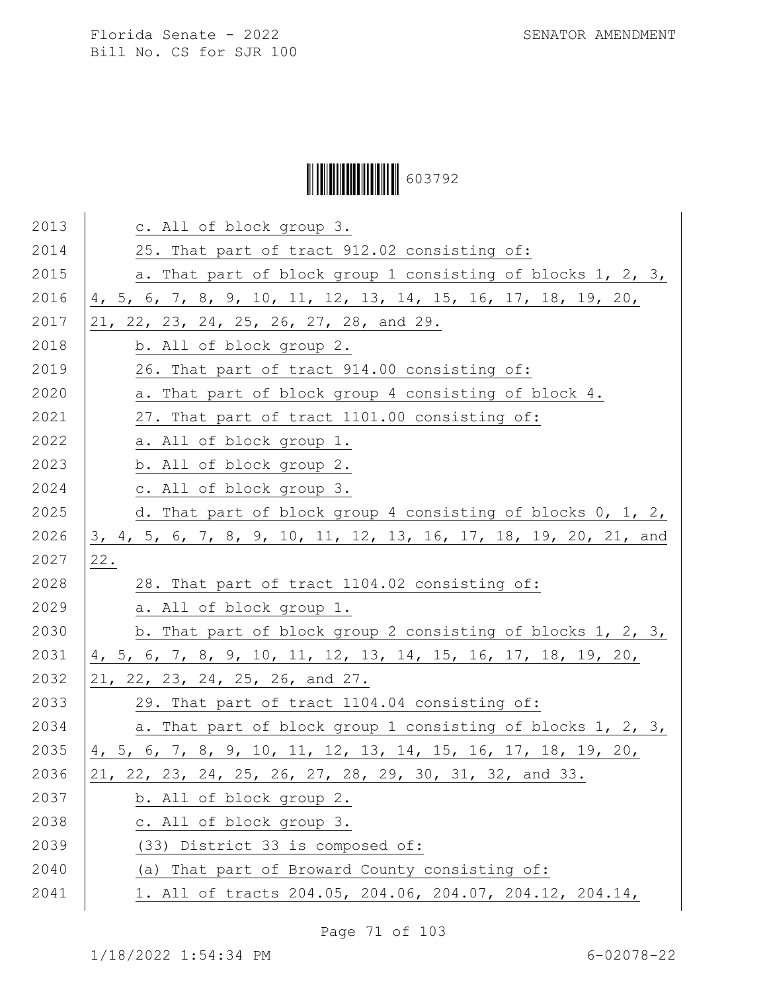# Ì6037929Î603792

| 2013 | c. All of block group 3.                                         |
|------|------------------------------------------------------------------|
| 2014 | 25. That part of tract 912.02 consisting of:                     |
| 2015 | a. That part of block group 1 consisting of blocks 1, 2, 3,      |
| 2016 | 4, 5, 6, 7, 8, 9, 10, 11, 12, 13, 14, 15, 16, 17, 18, 19, 20,    |
| 2017 | 21, 22, 23, 24, 25, 26, 27, 28, and 29.                          |
| 2018 | b. All of block group 2.                                         |
| 2019 | 26. That part of tract 914.00 consisting of:                     |
| 2020 | a. That part of block group 4 consisting of block 4.             |
| 2021 | 27. That part of tract 1101.00 consisting of:                    |
| 2022 | a. All of block group 1.                                         |
| 2023 | b. All of block group 2.                                         |
| 2024 | c. All of block group 3.                                         |
| 2025 | d. That part of block group 4 consisting of blocks 0, 1, 2,      |
| 2026 | 3, 4, 5, 6, 7, 8, 9, 10, 11, 12, 13, 16, 17, 18, 19, 20, 21, and |
| 2027 | 22.                                                              |
| 2028 | 28. That part of tract 1104.02 consisting of:                    |
| 2029 | a. All of block group 1.                                         |
| 2030 | b. That part of block group 2 consisting of blocks 1, 2, 3,      |
| 2031 | 4, 5, 6, 7, 8, 9, 10, 11, 12, 13, 14, 15, 16, 17, 18, 19, 20,    |
| 2032 | 21, 22, 23, 24, 25, 26, and 27.                                  |
| 2033 | 29. That part of tract 1104.04 consisting of:                    |
| 2034 | a. That part of block group 1 consisting of blocks 1, 2, 3,      |
| 2035 | 4, 5, 6, 7, 8, 9, 10, 11, 12, 13, 14, 15, 16, 17, 18, 19, 20,    |
| 2036 | 21, 22, 23, 24, 25, 26, 27, 28, 29, 30, 31, 32, and 33.          |
| 2037 | b. All of block group 2.                                         |
| 2038 | c. All of block group 3.                                         |
| 2039 | (33) District 33 is composed of:                                 |
| 2040 | (a) That part of Broward County consisting of:                   |
| 2041 | 1. All of tracts 204.05, 204.06, 204.07, 204.12, 204.14,         |

Page 71 of 103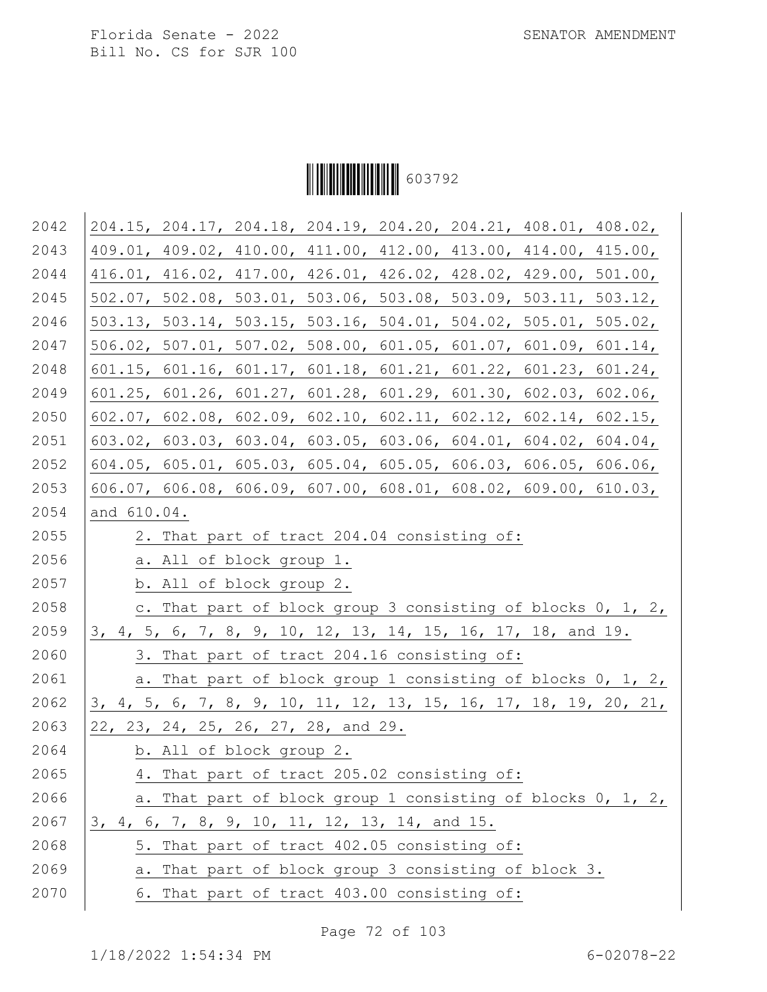

| 2042 | 204.15, 204.17, 204.18, 204.19, 204.20, 204.21, 408.01, 408.02,  |
|------|------------------------------------------------------------------|
| 2043 | 409.01, 409.02, 410.00, 411.00, 412.00, 413.00, 414.00, 415.00,  |
| 2044 | 416.01, 416.02, 417.00, 426.01, 426.02, 428.02, 429.00, 501.00,  |
| 2045 | 502.07, 502.08, 503.01, 503.06, 503.08, 503.09, 503.11, 503.12,  |
| 2046 | 503.13, 503.14, 503.15, 503.16, 504.01, 504.02, 505.01, 505.02,  |
| 2047 | 506.02, 507.01, 507.02, 508.00, 601.05, 601.07, 601.09, 601.14,  |
| 2048 | 601.15, 601.16, 601.17, 601.18, 601.21, 601.22, 601.23, 601.24,  |
| 2049 | 601.25, 601.26, 601.27, 601.28, 601.29, 601.30, 602.03, 602.06,  |
| 2050 | 602.07, 602.08, 602.09, 602.10, 602.11, 602.12, 602.14, 602.15,  |
| 2051 | 603.02, 603.03, 603.04, 603.05, 603.06, 604.01, 604.02, 604.04,  |
| 2052 | 604.05, 605.01, 605.03, 605.04, 605.05, 606.03, 606.05, 606.06,  |
| 2053 | 606.07, 606.08, 606.09, 607.00, 608.01, 608.02, 609.00, 610.03,  |
| 2054 | and 610.04.                                                      |
| 2055 | 2. That part of tract 204.04 consisting of:                      |
| 2056 | a. All of block group 1.                                         |
| 2057 | b. All of block group 2.                                         |
| 2058 | c. That part of block group 3 consisting of blocks 0, 1, 2,      |
| 2059 | 3, 4, 5, 6, 7, 8, 9, 10, 12, 13, 14, 15, 16, 17, 18, and 19.     |
| 2060 | 3. That part of tract 204.16 consisting of:                      |
| 2061 | a. That part of block group 1 consisting of blocks 0, 1, 2,      |
| 2062 | 3, 4, 5, 6, 7, 8, 9, 10, 11, 12, 13, 15, 16, 17, 18, 19, 20, 21, |
| 2063 | 22, 23, 24, 25, 26, 27, 28, and 29.                              |
| 2064 | b. All of block group 2.                                         |
| 2065 | 4. That part of tract 205.02 consisting of:                      |
| 2066 | a. That part of block group 1 consisting of blocks 0, 1, 2,      |
| 2067 | 3, 4, 6, 7, 8, 9, 10, 11, 12, 13, 14, and 15.                    |
| 2068 | 5. That part of tract 402.05 consisting of:                      |
| 2069 | a. That part of block group 3 consisting of block 3.             |
| 2070 | 6. That part of tract 403.00 consisting of:                      |

Page 72 of 103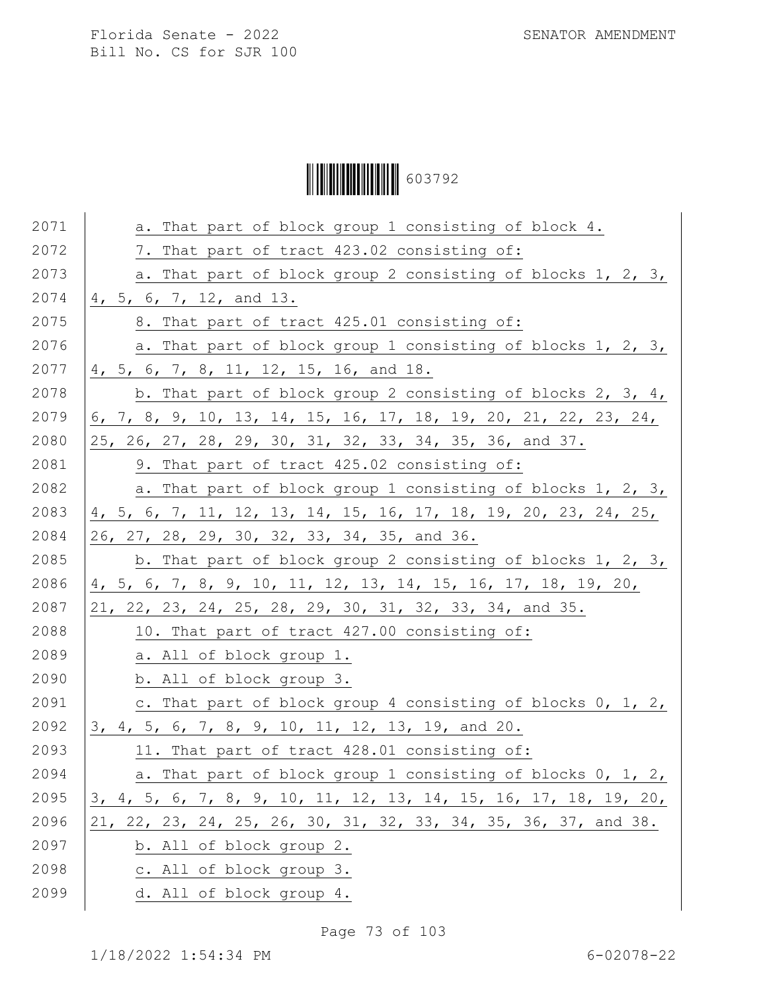Ì6037929Î603792

| 2071 | a. That part of block group 1 consisting of block 4.             |
|------|------------------------------------------------------------------|
| 2072 | 7. That part of tract 423.02 consisting of:                      |
| 2073 | a. That part of block group 2 consisting of blocks 1, 2, 3,      |
| 2074 | 4, 5, 6, 7, 12, and 13.                                          |
| 2075 | 8. That part of tract 425.01 consisting of:                      |
| 2076 | a. That part of block group 1 consisting of blocks 1, 2, 3,      |
| 2077 | 4, 5, 6, 7, 8, 11, 12, 15, 16, and 18.                           |
| 2078 | b. That part of block group 2 consisting of blocks 2, 3, 4,      |
| 2079 | 6, 7, 8, 9, 10, 13, 14, 15, 16, 17, 18, 19, 20, 21, 22, 23, 24,  |
| 2080 | 25, 26, 27, 28, 29, 30, 31, 32, 33, 34, 35, 36, and 37.          |
| 2081 | 9. That part of tract 425.02 consisting of:                      |
| 2082 | a. That part of block group 1 consisting of blocks 1, 2, 3,      |
| 2083 | 4, 5, 6, 7, 11, 12, 13, 14, 15, 16, 17, 18, 19, 20, 23, 24, 25,  |
| 2084 | 26, 27, 28, 29, 30, 32, 33, 34, 35, and 36.                      |
| 2085 | b. That part of block group 2 consisting of blocks 1, 2, 3,      |
| 2086 | 4, 5, 6, 7, 8, 9, 10, 11, 12, 13, 14, 15, 16, 17, 18, 19, 20,    |
| 2087 | 21, 22, 23, 24, 25, 28, 29, 30, 31, 32, 33, 34, and 35.          |
| 2088 | 10. That part of tract 427.00 consisting of:                     |
| 2089 | a. All of block group 1.                                         |
| 2090 | b. All of block group 3.                                         |
| 2091 | c. That part of block group 4 consisting of blocks 0, 1, 2,      |
| 2092 | 3, 4, 5, 6, 7, 8, 9, 10, 11, 12, 13, 19, and 20.                 |
| 2093 | 11. That part of tract 428.01 consisting of:                     |
| 2094 | a. That part of block group 1 consisting of blocks 0, 1, 2,      |
| 2095 | 3, 4, 5, 6, 7, 8, 9, 10, 11, 12, 13, 14, 15, 16, 17, 18, 19, 20, |
| 2096 | 21, 22, 23, 24, 25, 26, 30, 31, 32, 33, 34, 35, 36, 37, and 38.  |
| 2097 | b. All of block group 2.                                         |
| 2098 | c. All of block group 3.                                         |
| 2099 | d. All of block group 4.                                         |

Page 73 of 103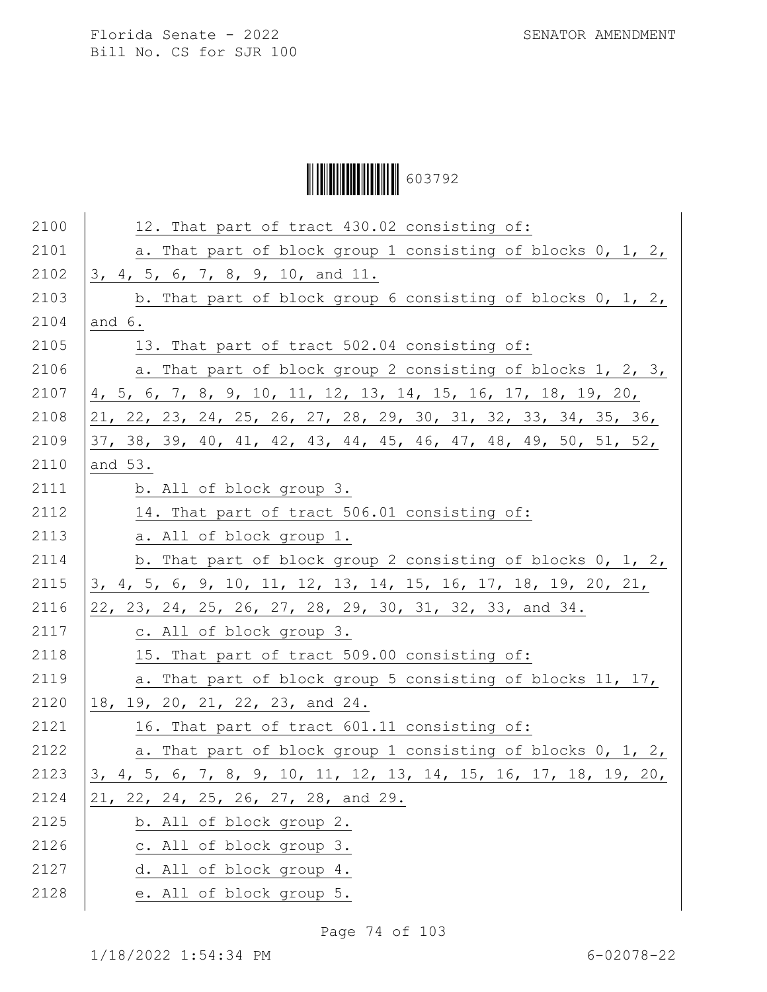Ì6037929Î603792

| 2100 | 12. That part of tract 430.02 consisting of:                             |
|------|--------------------------------------------------------------------------|
| 2101 | a. That part of block group 1 consisting of blocks 0, 1, 2,              |
| 2102 | 3, 4, 5, 6, 7, 8, 9, 10, and 11.                                         |
| 2103 | b. That part of block group 6 consisting of blocks 0, 1, 2,              |
| 2104 | and $6.$                                                                 |
| 2105 | 13. That part of tract 502.04 consisting of:                             |
| 2106 | a. That part of block group 2 consisting of blocks 1, 2, 3,              |
| 2107 | 4, 5, 6, 7, 8, 9, 10, 11, 12, 13, 14, 15, 16, 17, 18, 19, 20,            |
| 2108 | 21, 22, 23, 24, 25, 26, 27, 28, 29, 30, 31, 32, 33, 34, 35, 36,          |
| 2109 | 37, 38, 39, 40, 41, 42, 43, 44, 45, 46, 47, 48, 49, 50, 51, 52,          |
| 2110 | and 53.                                                                  |
| 2111 | b. All of block group 3.                                                 |
| 2112 | 14. That part of tract 506.01 consisting of:                             |
| 2113 | a. All of block group 1.                                                 |
| 2114 | b. That part of block group 2 consisting of blocks 0, 1, 2,              |
| 2115 | 3, 4, 5, 6, 9, 10, 11, 12, 13, 14, 15, 16, 17, 18, 19, 20, 21,           |
| 2116 | 22, 23, 24, 25, 26, 27, 28, 29, 30, 31, 32, 33, and 34.                  |
| 2117 | c. All of block group 3.                                                 |
| 2118 | 15. That part of tract 509.00 consisting of:                             |
| 2119 | a. That part of block group 5 consisting of blocks 11, 17,               |
| 2120 | 18, 19, 20, 21, 22, 23, and 24.                                          |
| 2121 | 16. That part of tract 601.11 consisting of:                             |
| 2122 | a. That part of block group 1 consisting of blocks 0, 1, 2,              |
| 2123 | <u>3</u> , 4, 5, 6, 7, 8, 9, 10, 11, 12, 13, 14, 15, 16, 17, 18, 19, 20, |
| 2124 | 21, 22, 24, 25, 26, 27, 28, and 29.                                      |
| 2125 | b. All of block group 2.                                                 |
| 2126 | c. All of block group 3.                                                 |
| 2127 | d. All of block group 4.                                                 |
| 2128 | e. All of block group 5.                                                 |
|      |                                                                          |

Page 74 of 103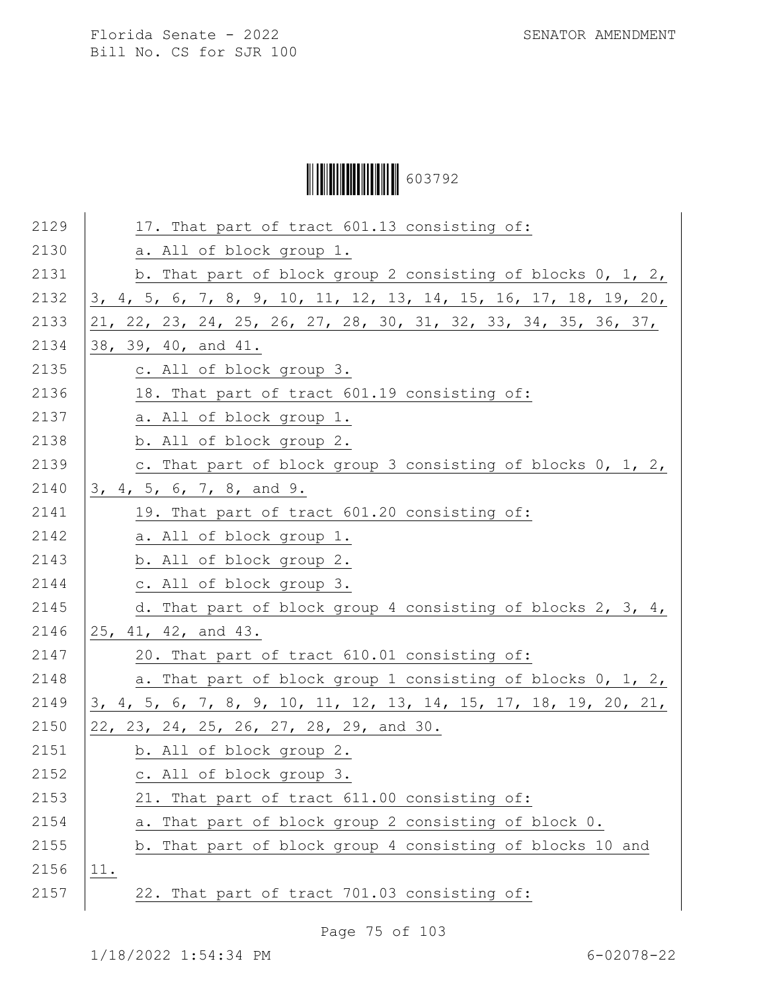Ì6037929Î603792

| 2129 | 17. That part of tract 601.13 consisting of:                     |
|------|------------------------------------------------------------------|
| 2130 | a. All of block group 1.                                         |
| 2131 | b. That part of block group 2 consisting of blocks 0, 1, 2,      |
| 2132 | 3, 4, 5, 6, 7, 8, 9, 10, 11, 12, 13, 14, 15, 16, 17, 18, 19, 20, |
| 2133 | 21, 22, 23, 24, 25, 26, 27, 28, 30, 31, 32, 33, 34, 35, 36, 37,  |
| 2134 | 38, 39, 40, and 41.                                              |
| 2135 | c. All of block group 3.                                         |
| 2136 | 18. That part of tract 601.19 consisting of:                     |
| 2137 | a. All of block group 1.                                         |
| 2138 | b. All of block group 2.                                         |
| 2139 | c. That part of block group 3 consisting of blocks 0, 1, 2,      |
| 2140 | 3, 4, 5, 6, 7, 8, and 9.                                         |
| 2141 | 19. That part of tract 601.20 consisting of:                     |
| 2142 | a. All of block group 1.                                         |
| 2143 | b. All of block group 2.                                         |
| 2144 | c. All of block group 3.                                         |
| 2145 | d. That part of block group 4 consisting of blocks 2, 3, 4,      |
| 2146 | 25, 41, 42, and 43.                                              |
| 2147 | 20. That part of tract 610.01 consisting of:                     |
| 2148 | a. That part of block group 1 consisting of blocks 0, 1, 2,      |
| 2149 | 3, 4, 5, 6, 7, 8, 9, 10, 11, 12, 13, 14, 15, 17, 18, 19, 20, 21, |
| 2150 | 22, 23, 24, 25, 26, 27, 28, 29, and 30.                          |
| 2151 | b. All of block group 2.                                         |
| 2152 | c. All of block group 3.                                         |
| 2153 | 21. That part of tract 611.00 consisting of:                     |
| 2154 | a. That part of block group 2 consisting of block 0.             |
| 2155 | b. That part of block group 4 consisting of blocks 10 and        |
| 2156 | 11.                                                              |
| 2157 | 22. That part of tract 701.03 consisting of:                     |
|      |                                                                  |

Page 75 of 103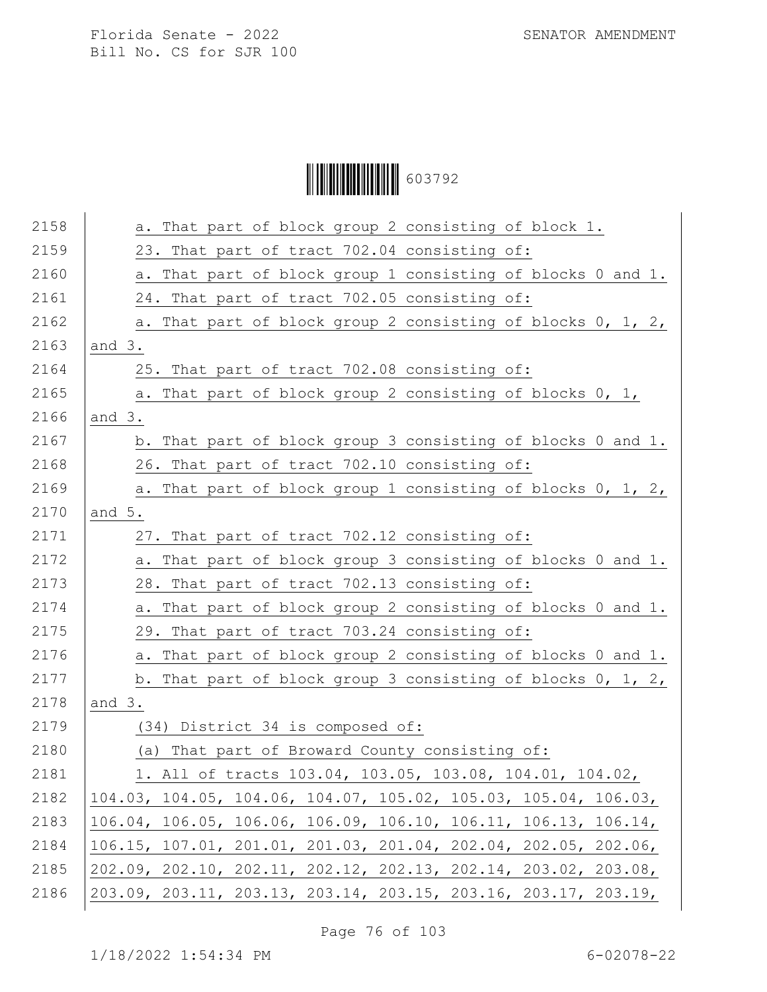# Ì6037929Î603792

| 2158 | a. That part of block group 2 consisting of block 1.            |
|------|-----------------------------------------------------------------|
| 2159 | 23. That part of tract 702.04 consisting of:                    |
| 2160 | a. That part of block group 1 consisting of blocks 0 and 1.     |
| 2161 | 24. That part of tract 702.05 consisting of:                    |
| 2162 | a. That part of block group 2 consisting of blocks 0, 1, 2,     |
| 2163 | and $3.$                                                        |
| 2164 | 25. That part of tract 702.08 consisting of:                    |
| 2165 | a. That part of block group 2 consisting of blocks 0, 1,        |
| 2166 | and $3.$                                                        |
| 2167 | b. That part of block group 3 consisting of blocks 0 and 1.     |
| 2168 | 26. That part of tract 702.10 consisting of:                    |
| 2169 | a. That part of block group 1 consisting of blocks 0, 1, 2,     |
| 2170 | and $5.$                                                        |
| 2171 | 27. That part of tract 702.12 consisting of:                    |
| 2172 | a. That part of block group 3 consisting of blocks 0 and 1.     |
| 2173 | 28. That part of tract 702.13 consisting of:                    |
| 2174 | a. That part of block group 2 consisting of blocks 0 and 1.     |
| 2175 | 29. That part of tract 703.24 consisting of:                    |
| 2176 | a. That part of block group 2 consisting of blocks 0 and 1.     |
| 2177 | b. That part of block group 3 consisting of blocks $0, 1, 2,$   |
| 2178 | and $3.$                                                        |
| 2179 | (34) District 34 is composed of:                                |
| 2180 | (a) That part of Broward County consisting of:                  |
| 2181 | 1. All of tracts 103.04, 103.05, 103.08, 104.01, 104.02,        |
| 2182 | 104.03, 104.05, 104.06, 104.07, 105.02, 105.03, 105.04, 106.03, |
| 2183 | 106.04, 106.05, 106.06, 106.09, 106.10, 106.11, 106.13, 106.14, |
| 2184 | 106.15, 107.01, 201.01, 201.03, 201.04, 202.04, 202.05, 202.06, |
| 2185 | 202.09, 202.10, 202.11, 202.12, 202.13, 202.14, 203.02, 203.08, |
| 2186 | 203.09, 203.11, 203.13, 203.14, 203.15, 203.16, 203.17, 203.19, |

Page 76 of 103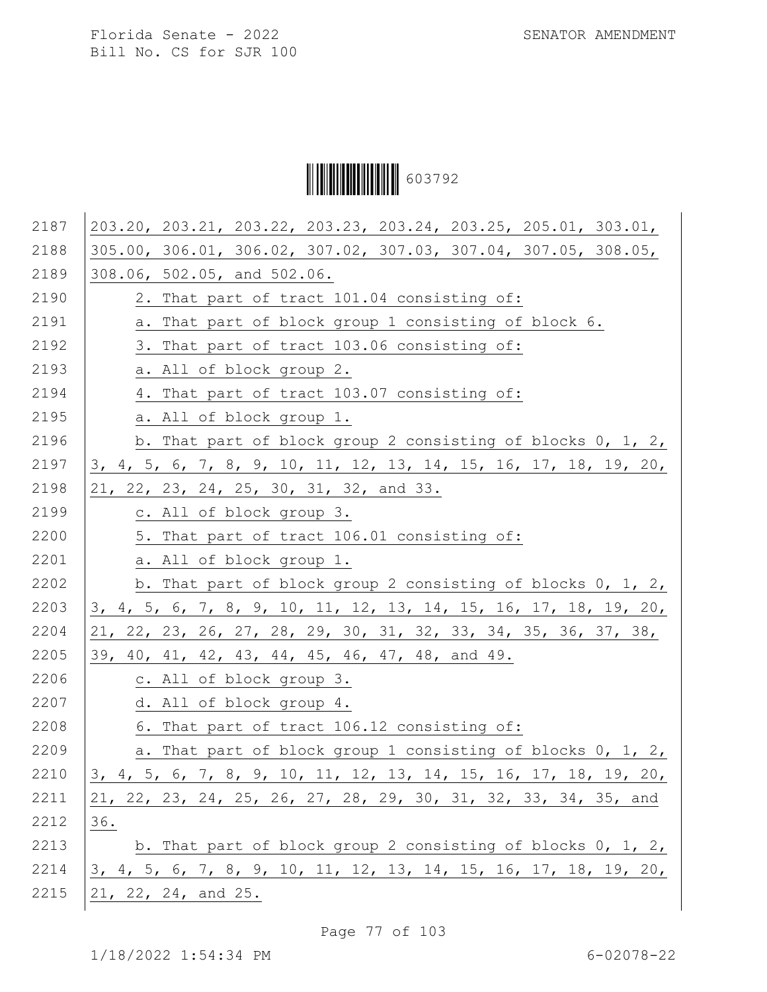Ì6037929Î603792

| 2187 | 203.20, 203.21, 203.22, 203.23, 203.24, 203.25, 205.01, 303.01,  |
|------|------------------------------------------------------------------|
| 2188 | 305.00, 306.01, 306.02, 307.02, 307.03, 307.04, 307.05, 308.05,  |
| 2189 | 308.06, 502.05, and 502.06.                                      |
| 2190 | 2. That part of tract 101.04 consisting of:                      |
| 2191 | a. That part of block group 1 consisting of block 6.             |
| 2192 | 3. That part of tract 103.06 consisting of:                      |
| 2193 | a. All of block group 2.                                         |
| 2194 | 4. That part of tract 103.07 consisting of:                      |
| 2195 | a. All of block group 1.                                         |
| 2196 | b. That part of block group 2 consisting of blocks 0, 1, 2,      |
| 2197 | 3, 4, 5, 6, 7, 8, 9, 10, 11, 12, 13, 14, 15, 16, 17, 18, 19, 20, |
| 2198 | 21, 22, 23, 24, 25, 30, 31, 32, and 33.                          |
| 2199 | c. All of block group 3.                                         |
| 2200 | 5. That part of tract 106.01 consisting of:                      |
| 2201 | a. All of block group 1.                                         |
| 2202 | b. That part of block group 2 consisting of blocks 0, 1, 2,      |
| 2203 | 3, 4, 5, 6, 7, 8, 9, 10, 11, 12, 13, 14, 15, 16, 17, 18, 19, 20, |
| 2204 | 21, 22, 23, 26, 27, 28, 29, 30, 31, 32, 33, 34, 35, 36, 37, 38,  |
| 2205 | 39, 40, 41, 42, 43, 44, 45, 46, 47, 48, and 49.                  |
| 2206 | c. All of block group 3.                                         |
| 2207 | d. All of block group 4.                                         |
| 2208 | 6. That part of tract 106.12 consisting of:                      |
| 2209 | a. That part of block group 1 consisting of blocks 0, 1, 2,      |
| 2210 | 3, 4, 5, 6, 7, 8, 9, 10, 11, 12, 13, 14, 15, 16, 17, 18, 19, 20, |
| 2211 | 21, 22, 23, 24, 25, 26, 27, 28, 29, 30, 31, 32, 33, 34, 35, and  |
| 2212 | 36.                                                              |
| 2213 | b. That part of block group 2 consisting of blocks 0, 1, 2,      |
| 2214 | 3, 4, 5, 6, 7, 8, 9, 10, 11, 12, 13, 14, 15, 16, 17, 18, 19, 20, |
| 2215 | $21, 22, 24,$ and $25.$                                          |

Page 77 of 103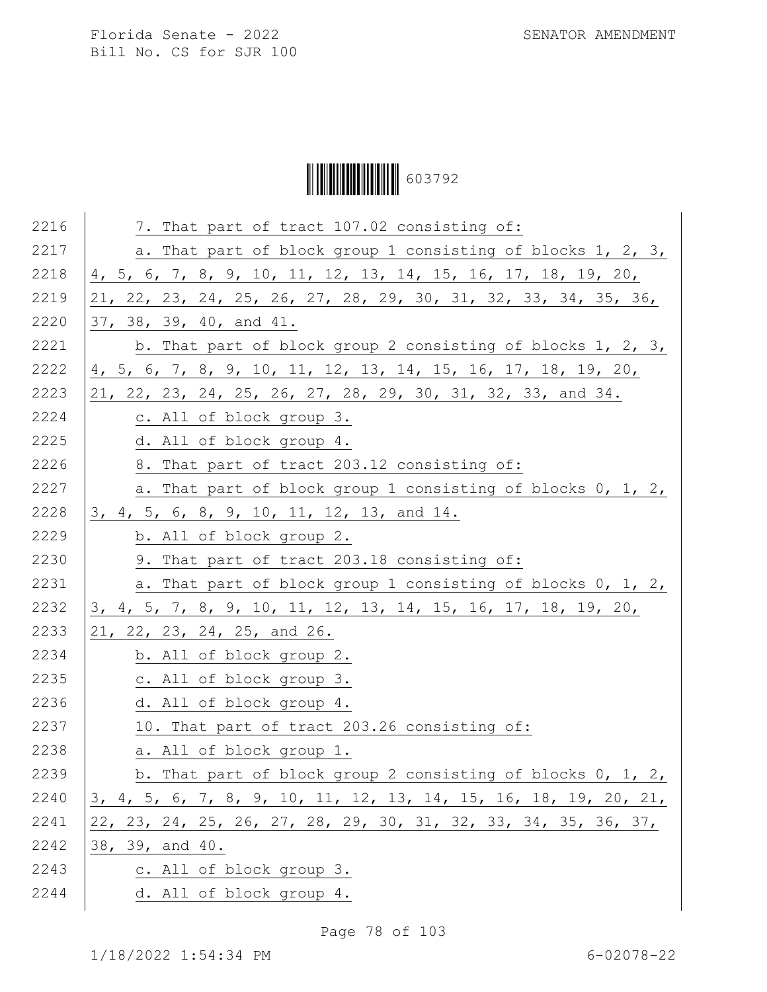# Ì6037929Î603792

| 2216 | 7. That part of tract 107.02 consisting of:                      |
|------|------------------------------------------------------------------|
| 2217 | a. That part of block group 1 consisting of blocks 1, 2, 3,      |
| 2218 | 4, 5, 6, 7, 8, 9, 10, 11, 12, 13, 14, 15, 16, 17, 18, 19, 20,    |
| 2219 | 21, 22, 23, 24, 25, 26, 27, 28, 29, 30, 31, 32, 33, 34, 35, 36,  |
| 2220 | 37, 38, 39, 40, and 41.                                          |
| 2221 | b. That part of block group 2 consisting of blocks 1, 2, 3,      |
| 2222 | 4, 5, 6, 7, 8, 9, 10, 11, 12, 13, 14, 15, 16, 17, 18, 19, 20,    |
| 2223 | 21, 22, 23, 24, 25, 26, 27, 28, 29, 30, 31, 32, 33, and 34.      |
| 2224 | c. All of block group 3.                                         |
| 2225 | d. All of block group 4.                                         |
| 2226 | 8. That part of tract 203.12 consisting of:                      |
| 2227 | a. That part of block group 1 consisting of blocks 0, 1, 2,      |
| 2228 | 3, 4, 5, 6, 8, 9, 10, 11, 12, 13, and 14.                        |
| 2229 | b. All of block group 2.                                         |
| 2230 | 9. That part of tract 203.18 consisting of:                      |
| 2231 | a. That part of block group 1 consisting of blocks 0, 1, 2,      |
| 2232 | 3, 4, 5, 7, 8, 9, 10, 11, 12, 13, 14, 15, 16, 17, 18, 19, 20,    |
| 2233 | 21, 22, 23, 24, 25, and 26.                                      |
| 2234 | b. All of block group 2.                                         |
| 2235 | c. All of block group 3.                                         |
| 2236 | d. All of block group 4.                                         |
| 2237 | 10. That part of tract 203.26 consisting of:                     |
| 2238 | a. All of block group 1.                                         |
| 2239 | b. That part of block group 2 consisting of blocks 0, 1, 2,      |
| 2240 | 3, 4, 5, 6, 7, 8, 9, 10, 11, 12, 13, 14, 15, 16, 18, 19, 20, 21, |
| 2241 | 22, 23, 24, 25, 26, 27, 28, 29, 30, 31, 32, 33, 34, 35, 36, 37,  |
| 2242 | 38, 39, and 40.                                                  |
| 2243 | c. All of block group 3.                                         |
| 2244 | d. All of block group 4.                                         |
|      |                                                                  |

Page 78 of 103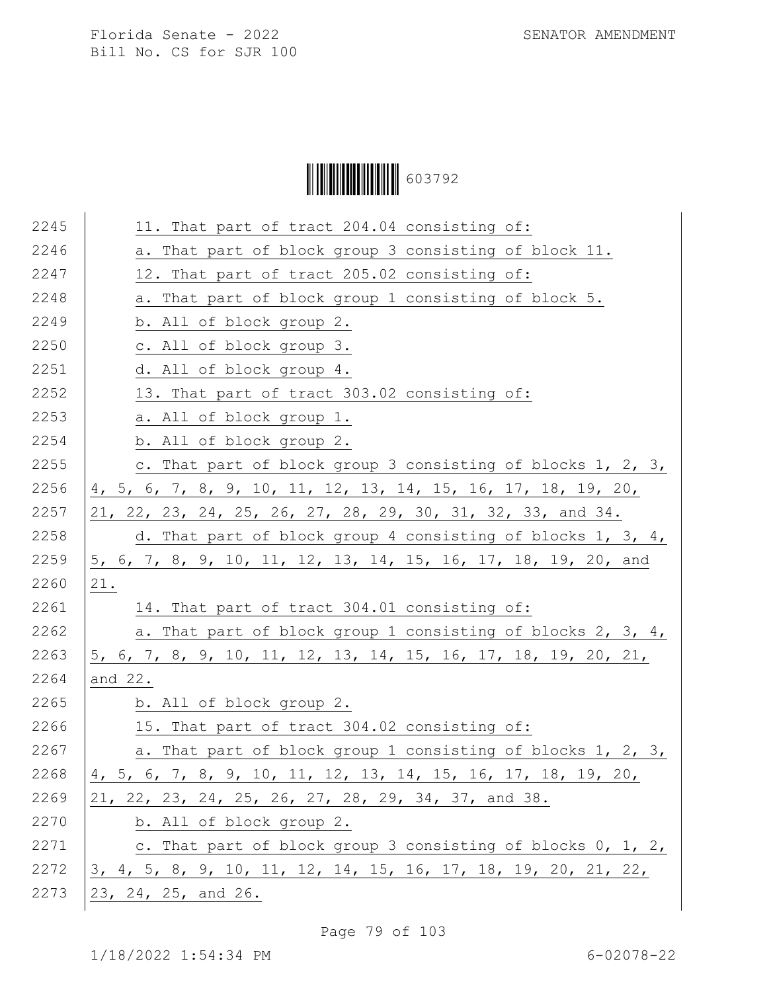|  | 603792 |
|--|--------|
|--|--------|

| 2245 | 11. That part of tract 204.04 consisting of:                   |
|------|----------------------------------------------------------------|
| 2246 | a. That part of block group 3 consisting of block 11.          |
| 2247 | 12. That part of tract 205.02 consisting of:                   |
| 2248 | a. That part of block group 1 consisting of block 5.           |
| 2249 | b. All of block group 2.                                       |
| 2250 | c. All of block group 3.                                       |
| 2251 | d. All of block group 4.                                       |
| 2252 | 13. That part of tract 303.02 consisting of:                   |
| 2253 | a. All of block group 1.                                       |
| 2254 | b. All of block group 2.                                       |
| 2255 | c. That part of block group 3 consisting of blocks 1, 2, 3,    |
| 2256 | 4, 5, 6, 7, 8, 9, 10, 11, 12, 13, 14, 15, 16, 17, 18, 19, 20,  |
| 2257 | 21, 22, 23, 24, 25, 26, 27, 28, 29, 30, 31, 32, 33, and 34.    |
| 2258 | d. That part of block group 4 consisting of blocks 1, 3, 4,    |
| 2259 | 5, 6, 7, 8, 9, 10, 11, 12, 13, 14, 15, 16, 17, 18, 19, 20, and |
| 2260 | 21.                                                            |
| 2261 | 14. That part of tract 304.01 consisting of:                   |
| 2262 | a. That part of block group 1 consisting of blocks 2, 3, 4,    |
| 2263 | 5, 6, 7, 8, 9, 10, 11, 12, 13, 14, 15, 16, 17, 18, 19, 20, 21, |
| 2264 | and 22.                                                        |
| 2265 | b. All of block group 2.                                       |
| 2266 | 15. That part of tract 304.02 consisting of:                   |
| 2267 | a. That part of block group 1 consisting of blocks 1, 2, 3,    |
| 2268 | 4, 5, 6, 7, 8, 9, 10, 11, 12, 13, 14, 15, 16, 17, 18, 19, 20,  |
| 2269 | 21, 22, 23, 24, 25, 26, 27, 28, 29, 34, 37, and 38.            |
| 2270 | b. All of block group 2.                                       |
| 2271 | c. That part of block group 3 consisting of blocks $0, 1, 2,$  |
| 2272 | 3, 4, 5, 8, 9, 10, 11, 12, 14, 15, 16, 17, 18, 19, 20, 21, 22, |
| 2273 | 23, 24, 25, and 26.                                            |
|      |                                                                |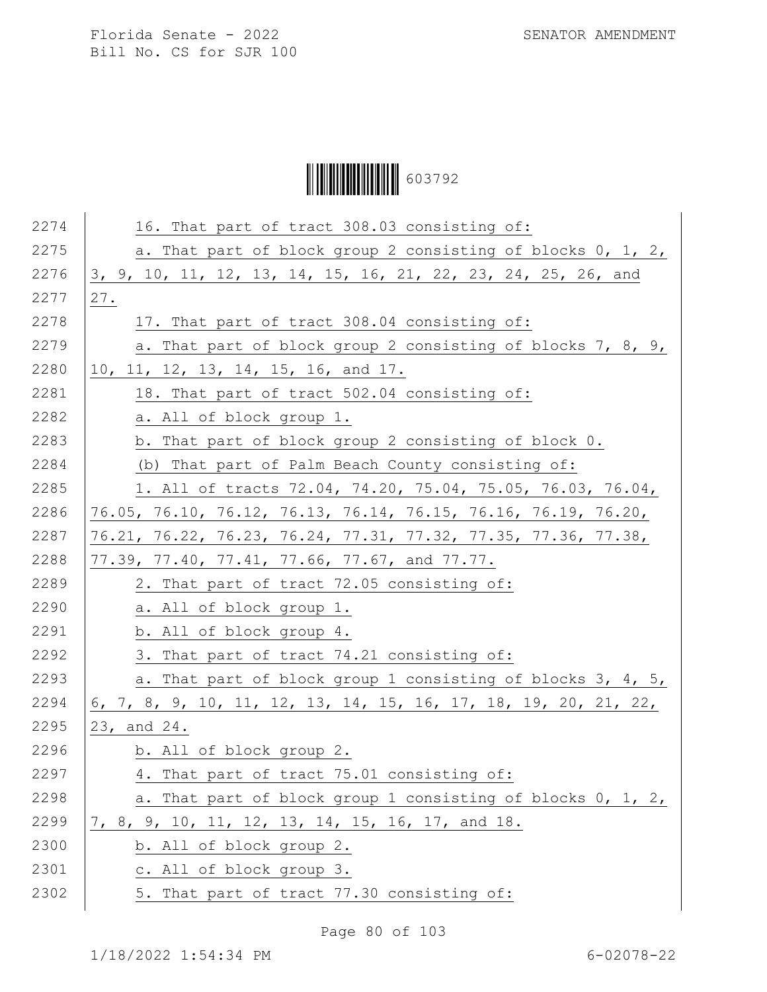Ì6037929Î603792

| 2274 | 16. That part of tract 308.03 consisting of:                    |
|------|-----------------------------------------------------------------|
| 2275 | a. That part of block group 2 consisting of blocks 0, 1, 2,     |
| 2276 | 3, 9, 10, 11, 12, 13, 14, 15, 16, 21, 22, 23, 24, 25, 26, and   |
| 2277 | 27.                                                             |
| 2278 | 17. That part of tract 308.04 consisting of:                    |
| 2279 | a. That part of block group 2 consisting of blocks 7, 8, 9,     |
| 2280 | 10, 11, 12, 13, 14, 15, 16, and 17.                             |
| 2281 | 18. That part of tract 502.04 consisting of:                    |
| 2282 | a. All of block group 1.                                        |
| 2283 | b. That part of block group 2 consisting of block 0.            |
| 2284 | (b) That part of Palm Beach County consisting of:               |
| 2285 | 1. All of tracts 72.04, 74.20, 75.04, 75.05, 76.03, 76.04,      |
| 2286 | 76.05, 76.10, 76.12, 76.13, 76.14, 76.15, 76.16, 76.19, 76.20,  |
| 2287 | 76.21, 76.22, 76.23, 76.24, 77.31, 77.32, 77.35, 77.36, 77.38,  |
| 2288 | 77.39, 77.40, 77.41, 77.66, 77.67, and 77.77.                   |
| 2289 | 2. That part of tract 72.05 consisting of:                      |
| 2290 | a. All of block group 1.                                        |
| 2291 | b. All of block group 4.                                        |
| 2292 | 3. That part of tract 74.21 consisting of:                      |
| 2293 | a. That part of block group 1 consisting of blocks 3, 4, 5,     |
| 2294 | 6, 7, 8, 9, 10, 11, 12, 13, 14, 15, 16, 17, 18, 19, 20, 21, 22, |
| 2295 | 23, and 24.                                                     |
| 2296 | b. All of block group 2.                                        |
| 2297 | 4. That part of tract 75.01 consisting of:                      |
| 2298 | a. That part of block group 1 consisting of blocks 0, 1, 2,     |
| 2299 | 7, 8, 9, 10, 11, 12, 13, 14, 15, 16, 17, and 18.                |
| 2300 | b. All of block group 2.                                        |
| 2301 | c. All of block group 3.                                        |
| 2302 | 5. That part of tract 77.30 consisting of:                      |
|      |                                                                 |

Page 80 of 103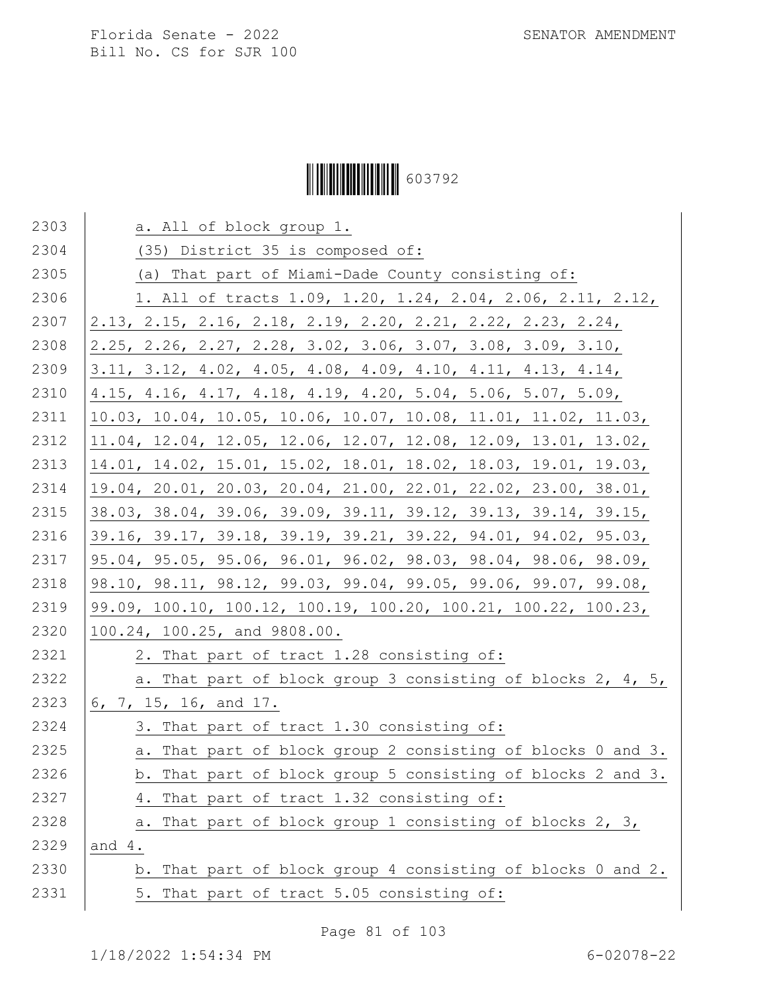# Ì6037929Î603792

| 2303 | a. All of block group 1.                                                                  |
|------|-------------------------------------------------------------------------------------------|
| 2304 | (35) District 35 is composed of:                                                          |
| 2305 | (a) That part of Miami-Dade County consisting of:                                         |
| 2306 | 1. All of tracts 1.09, 1.20, 1.24, 2.04, 2.06, 2.11, 2.12,                                |
| 2307 | 2.13, 2.15, 2.16, 2.18, 2.19, 2.20, 2.21, 2.22, 2.23, 2.24,                               |
| 2308 | $2.25$ , $2.26$ , $2.27$ , $2.28$ , $3.02$ , $3.06$ , $3.07$ , $3.08$ , $3.09$ , $3.10$ , |
| 2309 | $3.11, 3.12, 4.02, 4.05, 4.08, 4.09, 4.10, 4.11, 4.13, 4.14,$                             |
| 2310 | 4.15, 4.16, 4.17, 4.18, 4.19, 4.20, 5.04, 5.06, 5.07, 5.09,                               |
| 2311 | 10.03, 10.04, 10.05, 10.06, 10.07, 10.08, 11.01, 11.02, 11.03,                            |
| 2312 | 11.04, 12.04, 12.05, 12.06, 12.07, 12.08, 12.09, 13.01, 13.02,                            |
| 2313 | 14.01, 14.02, 15.01, 15.02, 18.01, 18.02, 18.03, 19.01, 19.03,                            |
| 2314 | 19.04, 20.01, 20.03, 20.04, 21.00, 22.01, 22.02, 23.00, 38.01,                            |
| 2315 | 38.03, 38.04, 39.06, 39.09, 39.11, 39.12, 39.13, 39.14, 39.15,                            |
| 2316 | 39.16, 39.17, 39.18, 39.19, 39.21, 39.22, 94.01, 94.02, 95.03,                            |
| 2317 | 95.04, 95.05, 95.06, 96.01, 96.02, 98.03, 98.04, 98.06, 98.09,                            |
| 2318 | 98.10, 98.11, 98.12, 99.03, 99.04, 99.05, 99.06, 99.07, 99.08,                            |
| 2319 | 99.09, 100.10, 100.12, 100.19, 100.20, 100.21, 100.22, 100.23,                            |
| 2320 | 100.24, 100.25, and 9808.00.                                                              |
| 2321 | 2. That part of tract 1.28 consisting of:                                                 |
| 2322 | a. That part of block group 3 consisting of blocks 2, 4, 5,                               |
| 2323 | 6, 7, 15, 16, and 17.                                                                     |
| 2324 | 3. That part of tract 1.30 consisting of:                                                 |
| 2325 | a. That part of block group 2 consisting of blocks 0 and 3.                               |
| 2326 | b. That part of block group 5 consisting of blocks 2 and 3.                               |
| 2327 | 4. That part of tract 1.32 consisting of:                                                 |
| 2328 | That part of block group 1 consisting of blocks 2, 3,<br>а.                               |
| 2329 | and $4.$                                                                                  |
| 2330 | b. That part of block group 4 consisting of blocks 0 and 2.                               |
| 2331 | 5. That part of tract 5.05 consisting of:                                                 |

Page 81 of 103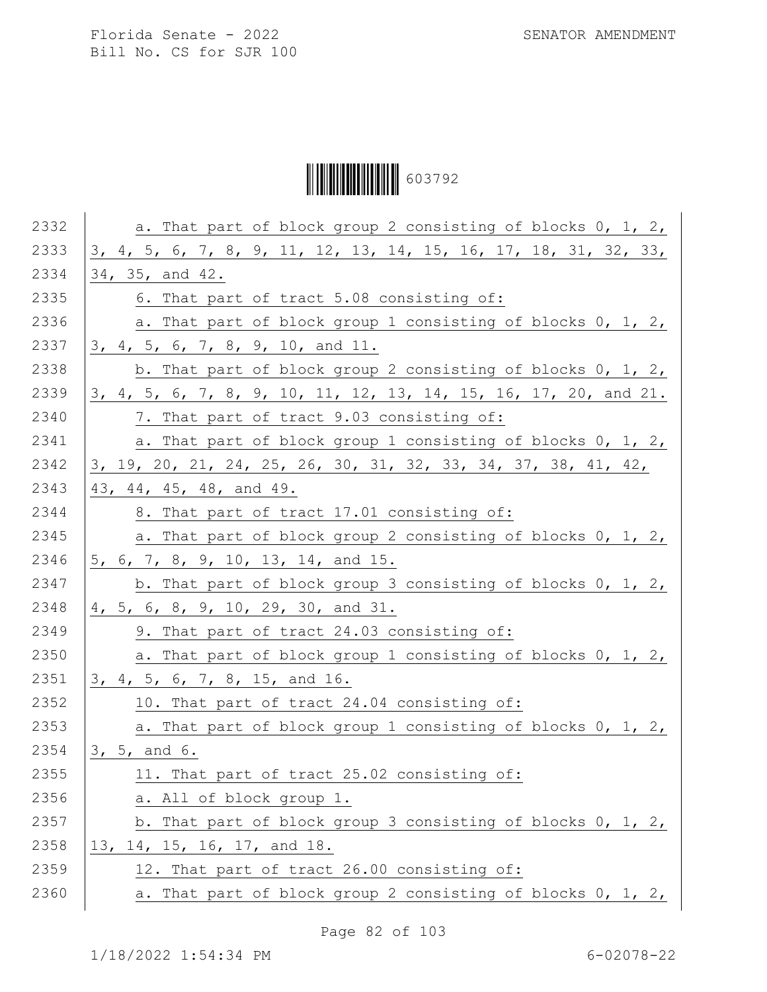Ì6037929Î603792

| 2332 | a. That part of block group 2 consisting of blocks 0, 1, 2,      |
|------|------------------------------------------------------------------|
| 2333 | 3, 4, 5, 6, 7, 8, 9, 11, 12, 13, 14, 15, 16, 17, 18, 31, 32, 33, |
| 2334 | 34, 35, and 42.                                                  |
| 2335 | 6. That part of tract 5.08 consisting of:                        |
| 2336 | a. That part of block group 1 consisting of blocks 0, 1, 2,      |
| 2337 | 3, 4, 5, 6, 7, 8, 9, 10, and 11.                                 |
| 2338 | b. That part of block group 2 consisting of blocks 0, 1, 2,      |
| 2339 | 3, 4, 5, 6, 7, 8, 9, 10, 11, 12, 13, 14, 15, 16, 17, 20, and 21. |
| 2340 | 7. That part of tract 9.03 consisting of:                        |
| 2341 | a. That part of block group 1 consisting of blocks 0, 1, 2,      |
| 2342 | 3, 19, 20, 21, 24, 25, 26, 30, 31, 32, 33, 34, 37, 38, 41, 42,   |
| 2343 | 43, 44, 45, 48, and 49.                                          |
| 2344 | 8. That part of tract 17.01 consisting of:                       |
| 2345 | a. That part of block group 2 consisting of blocks 0, 1, 2,      |
| 2346 | 5, 6, 7, 8, 9, 10, 13, 14, and 15.                               |
| 2347 | b. That part of block group 3 consisting of blocks $0, 1, 2, 1$  |
| 2348 | 4, 5, 6, 8, 9, 10, 29, 30, and 31.                               |
| 2349 | 9. That part of tract 24.03 consisting of:                       |
| 2350 | a. That part of block group 1 consisting of blocks 0, 1, 2,      |
| 2351 | 3, 4, 5, 6, 7, 8, 15, and 16.                                    |
| 2352 | 10. That part of tract 24.04 consisting of:                      |
| 2353 | a. That part of block group 1 consisting of blocks 0, 1, 2,      |
| 2354 | 3, 5, and 6.                                                     |
| 2355 | 11. That part of tract 25.02 consisting of:                      |
| 2356 | a. All of block group 1.                                         |
| 2357 | b. That part of block group 3 consisting of blocks 0, 1, 2,      |
| 2358 | 13, 14, 15, 16, 17, and 18.                                      |
| 2359 | 12. That part of tract 26.00 consisting of:                      |
| 2360 | a. That part of block group 2 consisting of blocks 0, 1, 2,      |
|      |                                                                  |

Page 82 of 103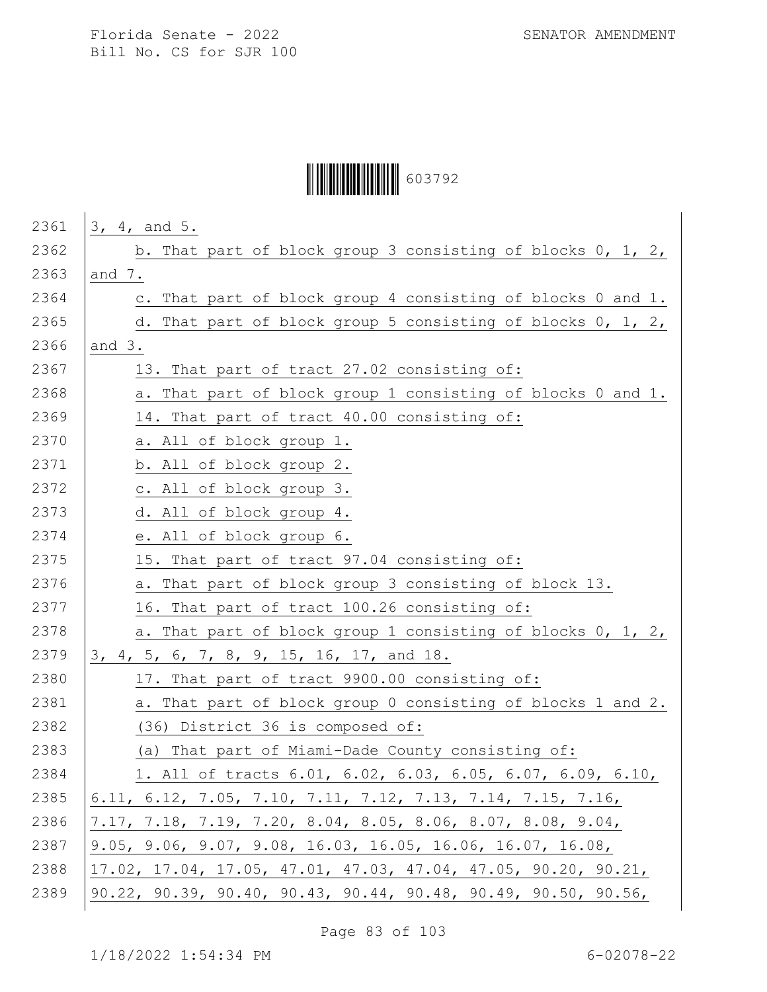# Ì6037929Î603792

| 2361 | 3, 4, and 5.                                                                              |
|------|-------------------------------------------------------------------------------------------|
| 2362 | b. That part of block group 3 consisting of blocks $0, 1, 2, 1$                           |
| 2363 | and 7.                                                                                    |
| 2364 | c. That part of block group 4 consisting of blocks 0 and 1.                               |
| 2365 | d. That part of block group 5 consisting of blocks 0, 1, 2,                               |
| 2366 | and $3.$                                                                                  |
| 2367 | 13. That part of tract 27.02 consisting of:                                               |
| 2368 | a. That part of block group 1 consisting of blocks 0 and 1.                               |
| 2369 | 14. That part of tract 40.00 consisting of:                                               |
| 2370 | a. All of block group 1.                                                                  |
| 2371 | b. All of block group 2.                                                                  |
| 2372 | c. All of block group 3.                                                                  |
| 2373 | d. All of block group 4.                                                                  |
| 2374 | e. All of block group 6.                                                                  |
| 2375 |                                                                                           |
| 2376 | 15. That part of tract 97.04 consisting of:                                               |
| 2377 | a. That part of block group 3 consisting of block 13.                                     |
|      | 16. That part of tract 100.26 consisting of:                                              |
| 2378 | a. That part of block group 1 consisting of blocks 0, 1, 2,                               |
| 2379 | 3, 4, 5, 6, 7, 8, 9, 15, 16, 17, and 18.                                                  |
| 2380 | 17. That part of tract 9900.00 consisting of:                                             |
| 2381 | a. That part of block group 0 consisting of blocks 1 and 2.                               |
| 2382 | (36) District 36 is composed of:                                                          |
| 2383 | That part of Miami-Dade County consisting of:<br>(a)                                      |
| 2384 | 1. All of tracts 6.01, 6.02, 6.03, 6.05, 6.07, 6.09, 6.10,                                |
| 2385 | 6.11, 6.12, 7.05, 7.10, 7.11, 7.12, 7.13, 7.14, 7.15, 7.16,                               |
| 2386 | $7.17, 7.18, 7.19, 7.20, 8.04, 8.05, 8.06, 8.07, 8.08, 9.04,$                             |
| 2387 | 9.05, 9.06, 9.07, 9.08, 16.03, 16.05, 16.06, 16.07, 16.08,                                |
| 2388 | $17.02$ , $17.04$ , $17.05$ , $47.01$ , $47.03$ , $47.04$ , $47.05$ , $90.20$ , $90.21$ , |
| 2389 | $90.22$ , $90.39$ , $90.40$ , $90.43$ , $90.44$ , $90.48$ , $90.49$ , $90.50$ , $90.56$ , |
|      |                                                                                           |

Page 83 of 103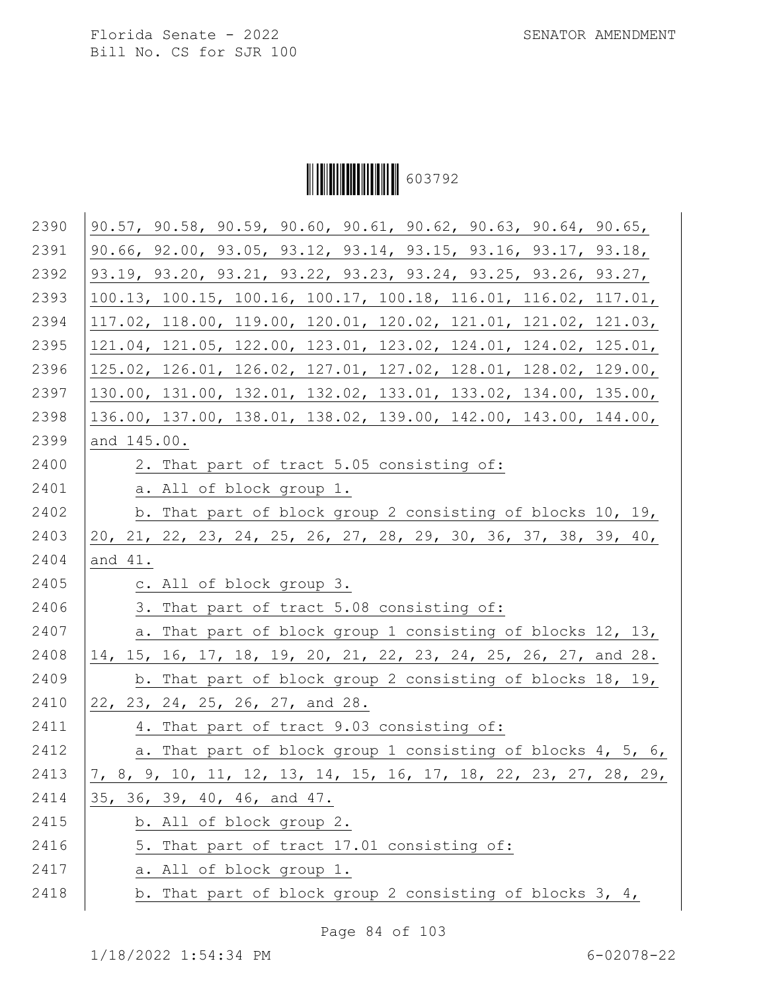

| 2390 | 90.57, 90.58, 90.59, 90.60, 90.61, 90.62, 90.63, 90.64, 90.65,   |
|------|------------------------------------------------------------------|
| 2391 | 90.66, 92.00, 93.05, 93.12, 93.14, 93.15, 93.16, 93.17, 93.18,   |
| 2392 | 93.19, 93.20, 93.21, 93.22, 93.23, 93.24, 93.25, 93.26, 93.27,   |
| 2393 | 100.13, 100.15, 100.16, 100.17, 100.18, 116.01, 116.02, 117.01,  |
| 2394 | 117.02, 118.00, 119.00, 120.01, 120.02, 121.01, 121.02, 121.03,  |
| 2395 | 121.04, 121.05, 122.00, 123.01, 123.02, 124.01, 124.02, 125.01,  |
| 2396 | 125.02, 126.01, 126.02, 127.01, 127.02, 128.01, 128.02, 129.00,  |
| 2397 | 130.00, 131.00, 132.01, 132.02, 133.01, 133.02, 134.00, 135.00,  |
| 2398 | 136.00, 137.00, 138.01, 138.02, 139.00, 142.00, 143.00, 144.00,  |
| 2399 | and 145.00.                                                      |
| 2400 | 2. That part of tract 5.05 consisting of:                        |
| 2401 | a. All of block group 1.                                         |
| 2402 | b. That part of block group 2 consisting of blocks 10, 19,       |
| 2403 | 20, 21, 22, 23, 24, 25, 26, 27, 28, 29, 30, 36, 37, 38, 39, 40,  |
| 2404 | and 41.                                                          |
| 2405 | c. All of block group 3.                                         |
| 2406 | 3. That part of tract 5.08 consisting of:                        |
| 2407 | a. That part of block group 1 consisting of blocks 12, 13,       |
| 2408 | 14, 15, 16, 17, 18, 19, 20, 21, 22, 23, 24, 25, 26, 27, and 28.  |
| 2409 | b. That part of block group 2 consisting of blocks 18, 19,       |
| 2410 | 22, 23, 24, 25, 26, 27, and 28.                                  |
| 2411 | 4. That part of tract 9.03 consisting of:                        |
| 2412 | a. That part of block group 1 consisting of blocks 4, 5, 6,      |
| 2413 | 7, 8, 9, 10, 11, 12, 13, 14, 15, 16, 17, 18, 22, 23, 27, 28, 29, |
| 2414 | 35, 36, 39, 40, 46, and 47.                                      |
| 2415 | b. All of block group 2.                                         |
| 2416 | 5. That part of tract 17.01 consisting of:                       |
| 2417 | a. All of block group 1.                                         |
| 2418 | b. That part of block group 2 consisting of blocks 3, 4,         |
|      |                                                                  |

Page 84 of 103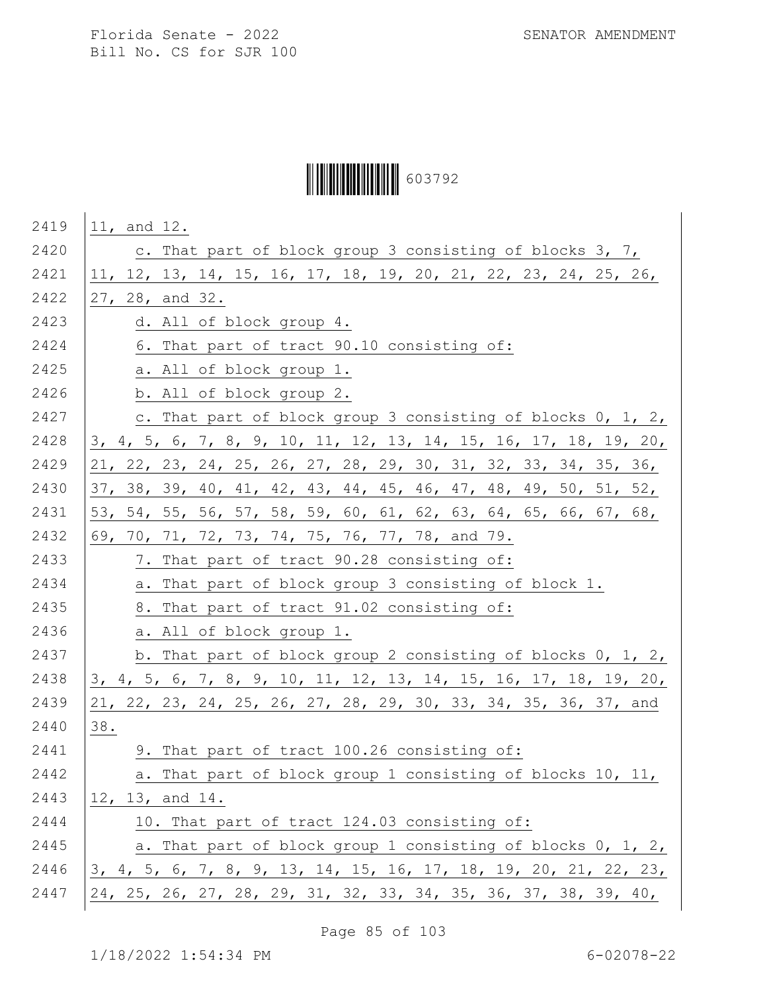# Ì6037929Î603792

| 2419 | 11, and 12.                                                      |
|------|------------------------------------------------------------------|
| 2420 | c. That part of block group 3 consisting of blocks 3, 7,         |
| 2421 | 11, 12, 13, 14, 15, 16, 17, 18, 19, 20, 21, 22, 23, 24, 25, 26,  |
| 2422 | 27, 28, and 32.                                                  |
| 2423 | d. All of block group 4.                                         |
| 2424 | 6. That part of tract 90.10 consisting of:                       |
| 2425 | a. All of block group 1.                                         |
| 2426 | b. All of block group 2.                                         |
| 2427 | c. That part of block group 3 consisting of blocks 0, 1, 2,      |
| 2428 | 3, 4, 5, 6, 7, 8, 9, 10, 11, 12, 13, 14, 15, 16, 17, 18, 19, 20, |
| 2429 | 21, 22, 23, 24, 25, 26, 27, 28, 29, 30, 31, 32, 33, 34, 35, 36,  |
| 2430 | 37, 38, 39, 40, 41, 42, 43, 44, 45, 46, 47, 48, 49, 50, 51, 52,  |
| 2431 | 53, 54, 55, 56, 57, 58, 59, 60, 61, 62, 63, 64, 65, 66, 67, 68,  |
| 2432 | 69, 70, 71, 72, 73, 74, 75, 76, 77, 78, and 79.                  |
| 2433 | 7. That part of tract 90.28 consisting of:                       |
| 2434 | a. That part of block group 3 consisting of block 1.             |
| 2435 | 8. That part of tract 91.02 consisting of:                       |
| 2436 | a. All of block group 1.                                         |
| 2437 | b. That part of block group 2 consisting of blocks 0, 1, 2,      |
| 2438 | 3, 4, 5, 6, 7, 8, 9, 10, 11, 12, 13, 14, 15, 16, 17, 18, 19, 20, |
| 2439 | 21, 22, 23, 24, 25, 26, 27, 28, 29, 30, 33, 34, 35, 36, 37, and  |
| 2440 | 38.                                                              |
| 2441 | 9. That part of tract 100.26 consisting of:                      |
| 2442 | a. That part of block group 1 consisting of blocks 10, 11,       |
| 2443 | 12, 13, and 14.                                                  |
| 2444 | 10. That part of tract 124.03 consisting of:                     |
| 2445 | a. That part of block group 1 consisting of blocks 0, 1, 2,      |
| 2446 | 3, 4, 5, 6, 7, 8, 9, 13, 14, 15, 16, 17, 18, 19, 20, 21, 22, 23, |
| 2447 | 24, 25, 26, 27, 28, 29, 31, 32, 33, 34, 35, 36, 37, 38, 39, 40,  |
|      |                                                                  |

Page 85 of 103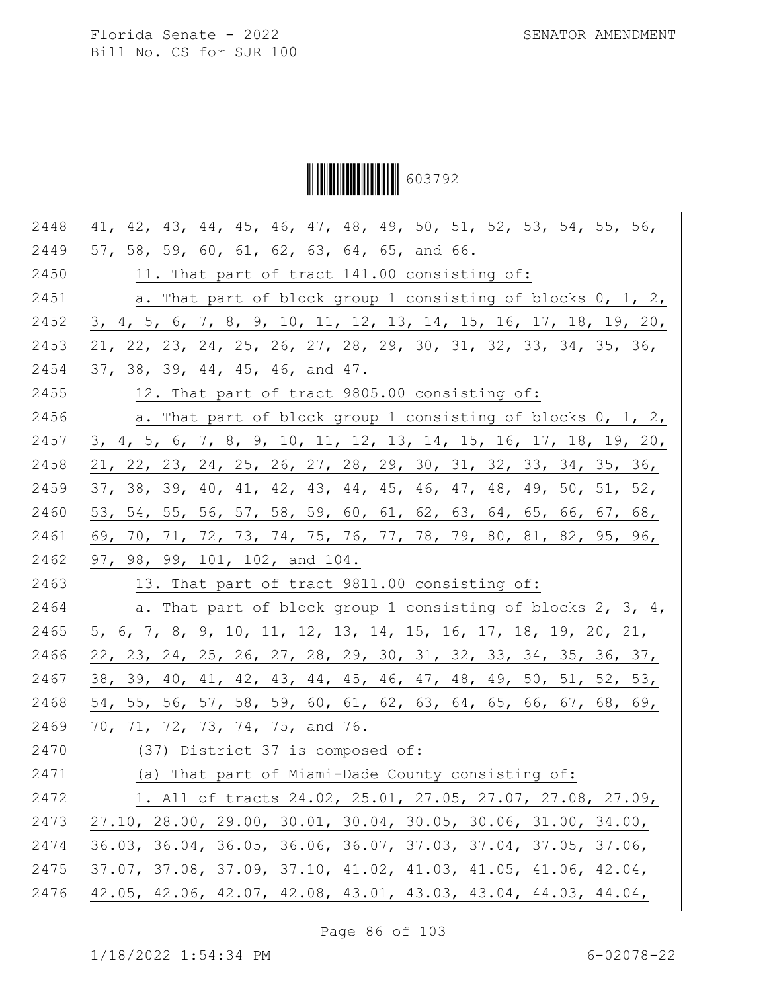Ì6037929Î603792

| 2448 | 41, 42, 43, 44, 45, 46, 47, 48, 49, 50, 51, 52, 53, 54, 55, 56,  |
|------|------------------------------------------------------------------|
| 2449 | 57, 58, 59, 60, 61, 62, 63, 64, 65, and 66.                      |
| 2450 | 11. That part of tract 141.00 consisting of:                     |
| 2451 | a. That part of block group 1 consisting of blocks 0, 1, 2,      |
| 2452 | 3, 4, 5, 6, 7, 8, 9, 10, 11, 12, 13, 14, 15, 16, 17, 18, 19, 20, |
| 2453 | 21, 22, 23, 24, 25, 26, 27, 28, 29, 30, 31, 32, 33, 34, 35, 36,  |
| 2454 | 37, 38, 39, 44, 45, 46, and 47.                                  |
| 2455 | 12. That part of tract 9805.00 consisting of:                    |
| 2456 | a. That part of block group 1 consisting of blocks 0, 1, 2,      |
| 2457 | 3, 4, 5, 6, 7, 8, 9, 10, 11, 12, 13, 14, 15, 16, 17, 18, 19, 20, |
| 2458 | 21, 22, 23, 24, 25, 26, 27, 28, 29, 30, 31, 32, 33, 34, 35, 36,  |
| 2459 | 37, 38, 39, 40, 41, 42, 43, 44, 45, 46, 47, 48, 49, 50, 51, 52,  |
| 2460 | 53, 54, 55, 56, 57, 58, 59, 60, 61, 62, 63, 64, 65, 66, 67, 68,  |
| 2461 | 69, 70, 71, 72, 73, 74, 75, 76, 77, 78, 79, 80, 81, 82, 95, 96,  |
| 2462 | 97, 98, 99, 101, 102, and 104.                                   |
| 2463 | 13. That part of tract 9811.00 consisting of:                    |
| 2464 | a. That part of block group 1 consisting of blocks 2, 3, 4,      |
| 2465 | 5, 6, 7, 8, 9, 10, 11, 12, 13, 14, 15, 16, 17, 18, 19, 20, 21,   |
| 2466 | 22, 23, 24, 25, 26, 27, 28, 29, 30, 31, 32, 33, 34, 35, 36, 37,  |
| 2467 | 38, 39, 40, 41, 42, 43, 44, 45, 46, 47, 48, 49, 50, 51, 52, 53,  |
| 2468 | 54, 55, 56, 57, 58, 59, 60, 61, 62, 63, 64, 65, 66, 67, 68, 69,  |
| 2469 | 70, 71, 72, 73, 74, 75, and 76.                                  |
| 2470 | (37) District 37 is composed of:                                 |
| 2471 | (a) That part of Miami-Dade County consisting of:                |
| 2472 | 1. All of tracts 24.02, 25.01, 27.05, 27.07, 27.08, 27.09,       |
| 2473 | 27.10, 28.00, 29.00, 30.01, 30.04, 30.05, 30.06, 31.00, 34.00,   |
| 2474 | 36.03, 36.04, 36.05, 36.06, 36.07, 37.03, 37.04, 37.05, 37.06,   |
| 2475 | 37.07, 37.08, 37.09, 37.10, 41.02, 41.03, 41.05, 41.06, 42.04,   |
| 2476 | 42.05, 42.06, 42.07, 42.08, 43.01, 43.03, 43.04, 44.03, 44.04,   |
|      |                                                                  |

Page 86 of 103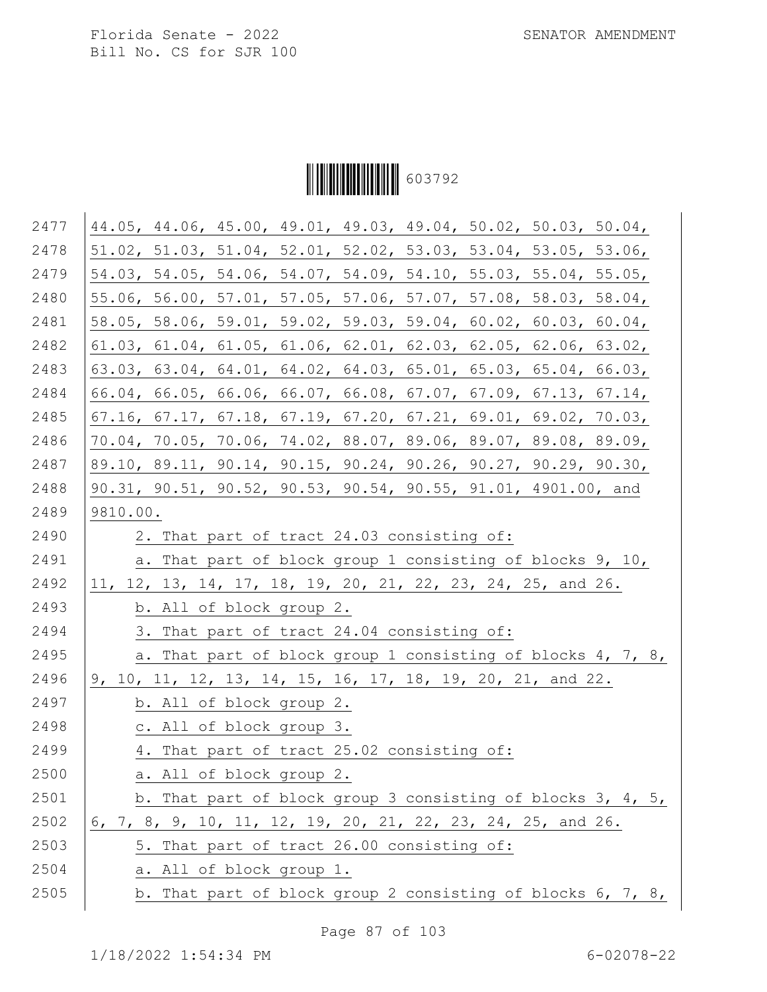

| 2477 | 44.05, 44.06, 45.00, 49.01, 49.03, 49.04, 50.02, 50.03, 50.04, |
|------|----------------------------------------------------------------|
| 2478 | 51.02, 51.03, 51.04, 52.01, 52.02, 53.03, 53.04, 53.05, 53.06, |
| 2479 | 54.03, 54.05, 54.06, 54.07, 54.09, 54.10, 55.03, 55.04, 55.05, |
| 2480 | 55.06, 56.00, 57.01, 57.05, 57.06, 57.07, 57.08, 58.03, 58.04, |
| 2481 | 58.05, 58.06, 59.01, 59.02, 59.03, 59.04, 60.02, 60.03, 60.04, |
| 2482 | 61.03, 61.04, 61.05, 61.06, 62.01, 62.03, 62.05, 62.06, 63.02, |
| 2483 | 63.03, 63.04, 64.01, 64.02, 64.03, 65.01, 65.03, 65.04, 66.03, |
| 2484 | 66.04, 66.05, 66.06, 66.07, 66.08, 67.07, 67.09, 67.13, 67.14, |
| 2485 | 67.16, 67.17, 67.18, 67.19, 67.20, 67.21, 69.01, 69.02, 70.03, |
| 2486 | 70.04, 70.05, 70.06, 74.02, 88.07, 89.06, 89.07, 89.08, 89.09, |
| 2487 | 89.10, 89.11, 90.14, 90.15, 90.24, 90.26, 90.27, 90.29, 90.30, |
| 2488 | 90.31, 90.51, 90.52, 90.53, 90.54, 90.55, 91.01, 4901.00, and  |
| 2489 | 9810.00.                                                       |
| 2490 | 2. That part of tract 24.03 consisting of:                     |
| 2491 | a. That part of block group 1 consisting of blocks 9, 10,      |
| 2492 | 11, 12, 13, 14, 17, 18, 19, 20, 21, 22, 23, 24, 25, and 26.    |
| 2493 | b. All of block group 2.                                       |
| 2494 | 3. That part of tract 24.04 consisting of:                     |
| 2495 | a. That part of block group 1 consisting of blocks 4, 7, 8,    |
| 2496 | 9, 10, 11, 12, 13, 14, 15, 16, 17, 18, 19, 20, 21, and 22.     |
| 2497 | b. All of block group 2.                                       |
| 2498 | c. All of block group 3.                                       |
| 2499 | 4. That part of tract 25.02 consisting of:                     |
| 2500 | a. All of block group 2.                                       |
| 2501 | b. That part of block group 3 consisting of blocks 3, 4, 5,    |
| 2502 | $6, 7, 8, 9, 10, 11, 12, 19, 20, 21, 22, 23, 24, 25, and 26.$  |
| 2503 | 5. That part of tract 26.00 consisting of:                     |
| 2504 | a. All of block group 1.                                       |
| 2505 | b. That part of block group 2 consisting of blocks $6, 7, 8,$  |

Page 87 of 103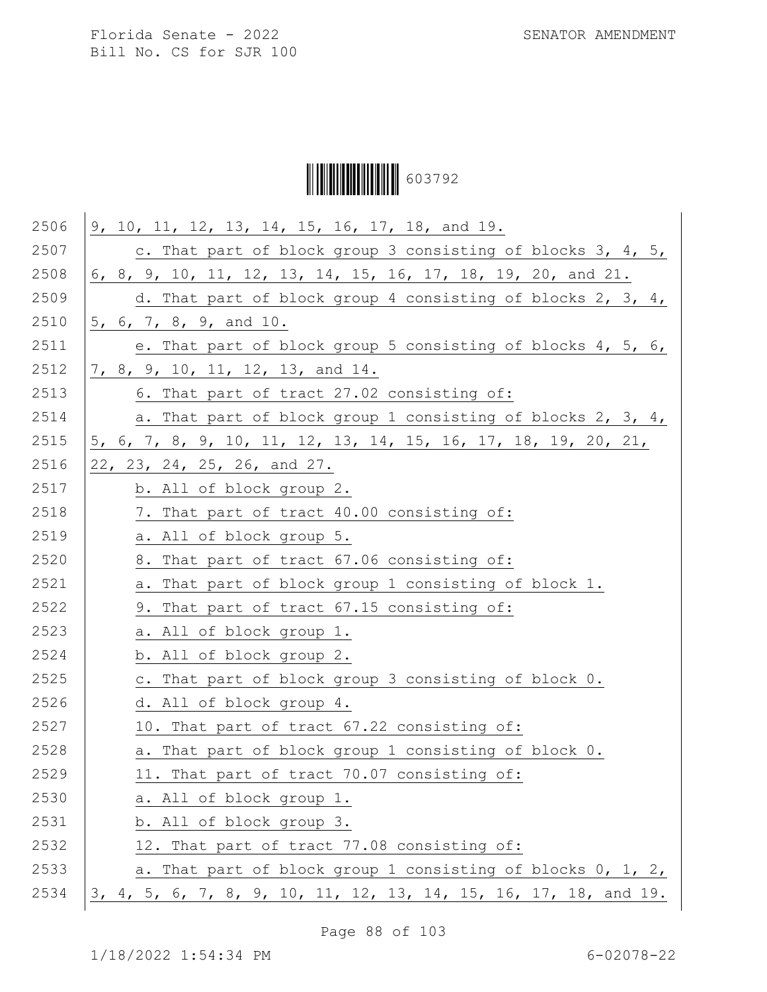Ì6037929Î603792

| 9, 10, 11, 12, 13, 14, 15, 16, 17, 18, and 19.                   |
|------------------------------------------------------------------|
| c. That part of block group 3 consisting of blocks 3, 4, 5,      |
| 6, 8, 9, 10, 11, 12, 13, 14, 15, 16, 17, 18, 19, 20, and 21.     |
| d. That part of block group 4 consisting of blocks 2, 3, 4,      |
| 5, 6, 7, 8, 9, and 10.                                           |
| e. That part of block group 5 consisting of blocks 4, 5, 6,      |
| 7, 8, 9, 10, 11, 12, 13, and 14.                                 |
| 6. That part of tract 27.02 consisting of:                       |
| a. That part of block group 1 consisting of blocks 2, 3, 4,      |
| 5, 6, 7, 8, 9, 10, 11, 12, 13, 14, 15, 16, 17, 18, 19, 20, 21,   |
| 22, 23, 24, 25, 26, and 27.                                      |
| b. All of block group 2.                                         |
| 7. That part of tract 40.00 consisting of:                       |
| a. All of block group 5.                                         |
| 8. That part of tract 67.06 consisting of:                       |
| a. That part of block group 1 consisting of block 1.             |
| 9. That part of tract 67.15 consisting of:                       |
| a. All of block group 1.                                         |
| b. All of block group 2.                                         |
| c. That part of block group 3 consisting of block 0.             |
| d. All of block group 4.                                         |
| 10. That part of tract 67.22 consisting of:                      |
| a. That part of block group 1 consisting of block 0.             |
| 11. That part of tract 70.07 consisting of:                      |
| a. All of block group 1.                                         |
| b. All of block group 3.                                         |
| 12. That part of tract 77.08 consisting of:                      |
| a. That part of block group 1 consisting of blocks 0, 1, 2,      |
| 3, 4, 5, 6, 7, 8, 9, 10, 11, 12, 13, 14, 15, 16, 17, 18, and 19. |
|                                                                  |

Page 88 of 103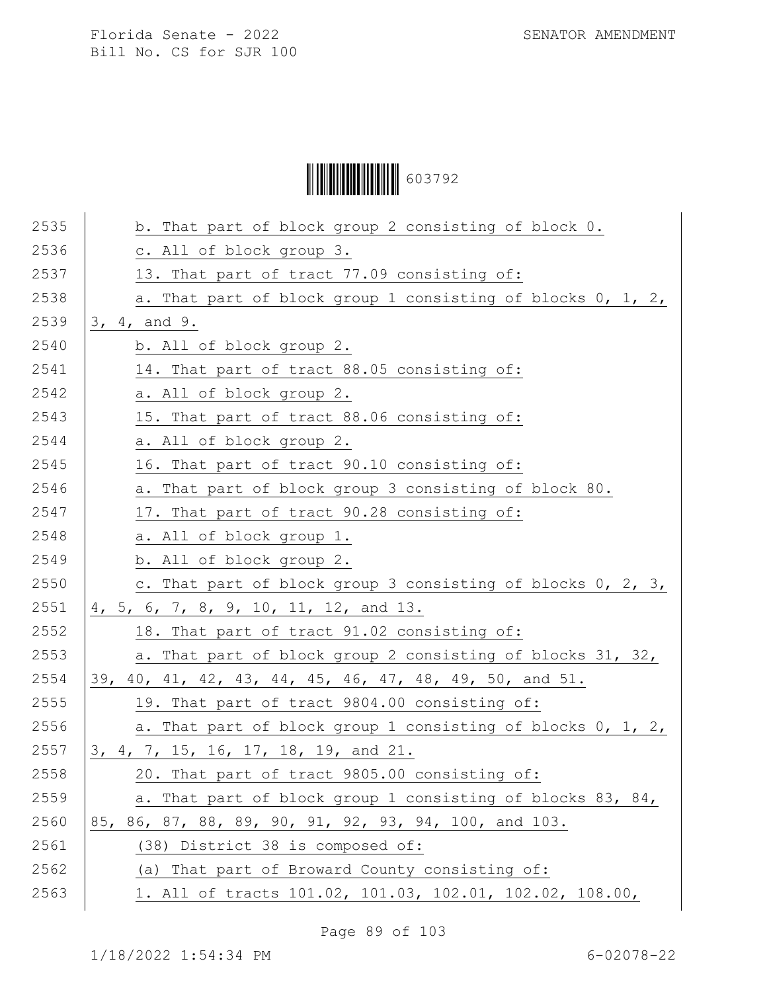# Ì6037929Î603792

| 2535 | b. That part of block group 2 consisting of block 0.        |
|------|-------------------------------------------------------------|
| 2536 | c. All of block group 3.                                    |
| 2537 | 13. That part of tract 77.09 consisting of:                 |
| 2538 | a. That part of block group 1 consisting of blocks 0, 1, 2, |
| 2539 | 3, 4, and 9.                                                |
| 2540 | b. All of block group 2.                                    |
| 2541 | 14. That part of tract 88.05 consisting of:                 |
| 2542 | a. All of block group 2.                                    |
| 2543 | 15. That part of tract 88.06 consisting of:                 |
| 2544 | a. All of block group 2.                                    |
| 2545 | 16. That part of tract 90.10 consisting of:                 |
| 2546 | a. That part of block group 3 consisting of block 80.       |
| 2547 | 17. That part of tract 90.28 consisting of:                 |
| 2548 | a. All of block group 1.                                    |
| 2549 | b. All of block group 2.                                    |
| 2550 | c. That part of block group 3 consisting of blocks 0, 2, 3, |
| 2551 | 4, 5, 6, 7, 8, 9, 10, 11, 12, and 13.                       |
| 2552 | 18. That part of tract 91.02 consisting of:                 |
| 2553 | a. That part of block group 2 consisting of blocks 31, 32,  |
| 2554 | 39, 40, 41, 42, 43, 44, 45, 46, 47, 48, 49, 50, and 51.     |
| 2555 | 19. That part of tract 9804.00 consisting of:               |
| 2556 | a. That part of block group 1 consisting of blocks 0, 1, 2, |
| 2557 | 3, 4, 7, 15, 16, 17, 18, 19, and 21.                        |
| 2558 | 20. That part of tract 9805.00 consisting of:               |
| 2559 | a. That part of block group 1 consisting of blocks 83, 84,  |
| 2560 | 85, 86, 87, 88, 89, 90, 91, 92, 93, 94, 100, and 103.       |
| 2561 | (38) District 38 is composed of:                            |
| 2562 | (a) That part of Broward County consisting of:              |
| 2563 | 1. All of tracts 101.02, 101.03, 102.01, 102.02, 108.00,    |
|      |                                                             |

Page 89 of 103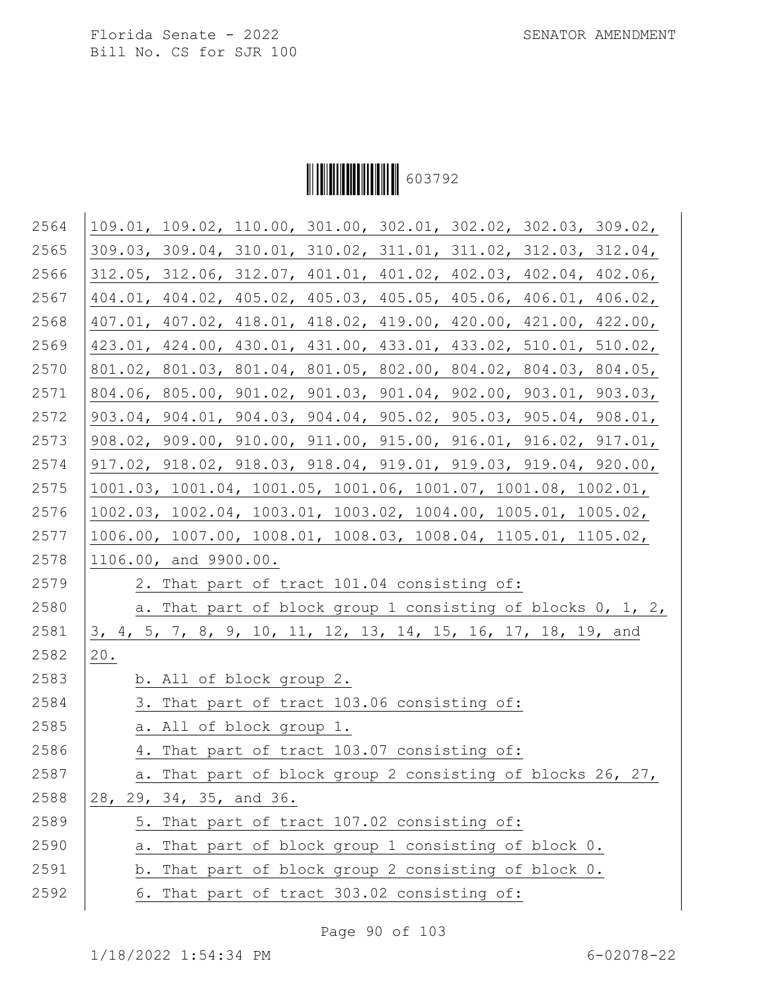

| 2564 | 109.01, 109.02, 110.00, 301.00, 302.01, 302.02, 302.03, 309.02,                         |
|------|-----------------------------------------------------------------------------------------|
| 2565 | 309.03, 309.04, 310.01, 310.02, 311.01, 311.02, 312.03, 312.04,                         |
| 2566 | 312.05, 312.06, 312.07, 401.01, 401.02, 402.03, 402.04, 402.06,                         |
| 2567 | 404.01, 404.02, 405.02, 405.03, 405.05, 405.06, 406.01, 406.02,                         |
| 2568 | 407.01, 407.02, 418.01, 418.02, 419.00, 420.00, 421.00, 422.00,                         |
| 2569 | 423.01, 424.00, 430.01, 431.00, 433.01, 433.02, 510.01, 510.02,                         |
| 2570 | 801.02, 801.03, 801.04, 801.05, 802.00, 804.02, 804.03, 804.05,                         |
| 2571 | 804.06, 805.00, 901.02, 901.03, 901.04, 902.00, 903.01, 903.03,                         |
| 2572 | 903.04, 904.01, 904.03, 904.04, 905.02, 905.03, 905.04, 908.01,                         |
| 2573 | 908.02, 909.00, 910.00, 911.00, 915.00, 916.01, 916.02, 917.01,                         |
| 2574 | $917.02$ , $918.02$ , $918.03$ , $918.04$ , $919.01$ , $919.03$ , $919.04$ , $920.00$ , |
| 2575 | 1001.03, 1001.04, 1001.05, 1001.06, 1001.07, 1001.08, 1002.01,                          |
| 2576 | 1002.03, 1002.04, 1003.01, 1003.02, 1004.00, 1005.01, 1005.02,                          |
| 2577 | 1006.00, 1007.00, 1008.01, 1008.03, 1008.04, 1105.01, 1105.02,                          |
| 2578 | 1106.00, and 9900.00.                                                                   |
| 2579 | 2. That part of tract 101.04 consisting of:                                             |
| 2580 | a. That part of block group 1 consisting of blocks 0, 1, 2,                             |
| 2581 | 3, 4, 5, 7, 8, 9, 10, 11, 12, 13, 14, 15, 16, 17, 18, 19, and                           |
| 2582 | $20$ .                                                                                  |
| 2583 | b. All of block group 2.                                                                |
| 2584 | 3. That part of tract 103.06 consisting of:                                             |
| 2585 | a. All of block group 1.                                                                |
| 2586 | 4. That part of tract 103.07 consisting of:                                             |
| 2587 | a. That part of block group 2 consisting of blocks 26, 27,                              |
| 2588 | 28, 29, 34, 35, and 36.                                                                 |
| 2589 | 5. That part of tract 107.02 consisting of:                                             |
| 2590 | That part of block group 1 consisting of block 0.<br>а.                                 |
| 2591 | b. That part of block group 2 consisting of block 0.                                    |
| 2592 | 6. That part of tract 303.02 consisting of:                                             |
|      |                                                                                         |

Page 90 of 103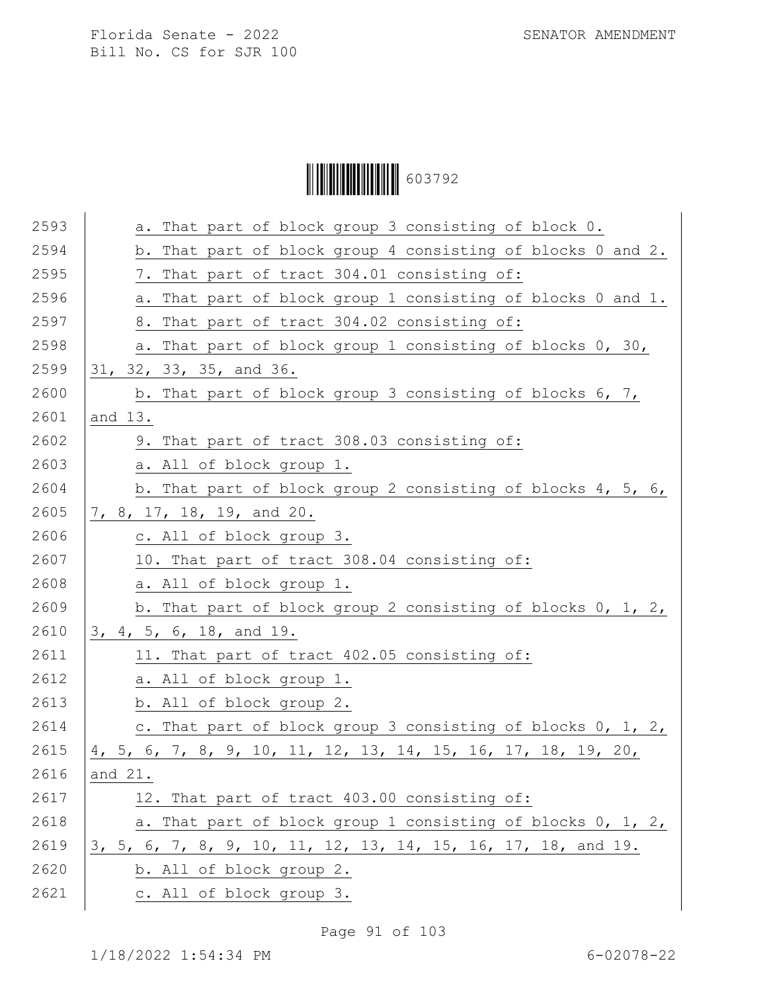Ì6037929Î603792

| 2593 | a. That part of block group 3 consisting of block 0.          |
|------|---------------------------------------------------------------|
| 2594 | b. That part of block group 4 consisting of blocks 0 and 2.   |
| 2595 | 7. That part of tract 304.01 consisting of:                   |
| 2596 | a. That part of block group 1 consisting of blocks 0 and 1.   |
| 2597 | 8. That part of tract 304.02 consisting of:                   |
| 2598 | a. That part of block group 1 consisting of blocks 0, 30,     |
| 2599 | 31, 32, 33, 35, and 36.                                       |
| 2600 | b. That part of block group 3 consisting of blocks 6, 7,      |
| 2601 | and 13.                                                       |
| 2602 | 9. That part of tract 308.03 consisting of:                   |
| 2603 | a. All of block group 1.                                      |
| 2604 | b. That part of block group 2 consisting of blocks 4, 5, 6,   |
| 2605 | 7, 8, 17, 18, 19, and 20.                                     |
| 2606 | c. All of block group 3.                                      |
| 2607 | 10. That part of tract 308.04 consisting of:                  |
| 2608 | a. All of block group 1.                                      |
| 2609 | b. That part of block group 2 consisting of blocks 0, 1, 2,   |
| 2610 | 3, 4, 5, 6, 18, and 19.                                       |
| 2611 | 11. That part of tract 402.05 consisting of:                  |
| 2612 | a. All of block group 1.                                      |
| 2613 | b. All of block group 2.                                      |
| 2614 | c. That part of block group 3 consisting of blocks 0, 1, 2,   |
| 2615 | 4, 5, 6, 7, 8, 9, 10, 11, 12, 13, 14, 15, 16, 17, 18, 19, 20, |
| 2616 | and 21.                                                       |
| 2617 | 12. That part of tract 403.00 consisting of:                  |
| 2618 | a. That part of block group 1 consisting of blocks 0, 1, 2,   |
| 2619 | 3, 5, 6, 7, 8, 9, 10, 11, 12, 13, 14, 15, 16, 17, 18, and 19. |
| 2620 | b. All of block group 2.                                      |
| 2621 | c. All of block group 3.                                      |
|      |                                                               |

Page 91 of 103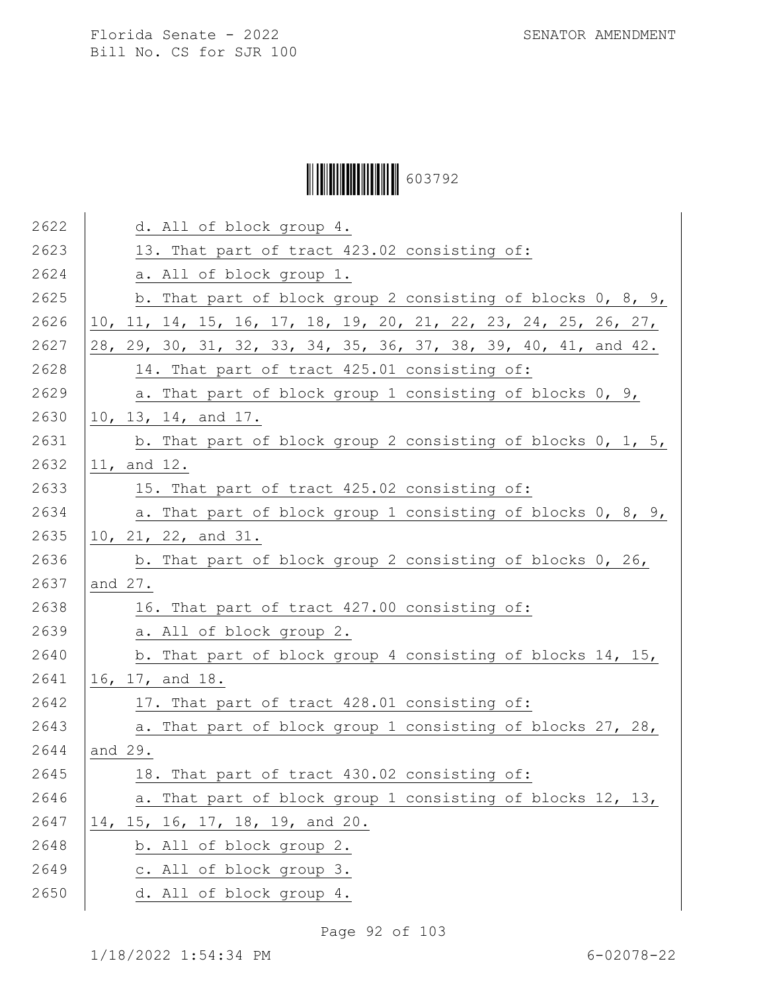# Ì6037929Î603792

| 2622 | d. All of block group 4.                                        |
|------|-----------------------------------------------------------------|
| 2623 | 13. That part of tract 423.02 consisting of:                    |
| 2624 | a. All of block group 1.                                        |
| 2625 | b. That part of block group 2 consisting of blocks 0, 8, 9,     |
| 2626 | 10, 11, 14, 15, 16, 17, 18, 19, 20, 21, 22, 23, 24, 25, 26, 27, |
| 2627 | 28, 29, 30, 31, 32, 33, 34, 35, 36, 37, 38, 39, 40, 41, and 42. |
| 2628 | 14. That part of tract 425.01 consisting of:                    |
| 2629 | a. That part of block group 1 consisting of blocks 0, 9,        |
| 2630 | 10, 13, 14, and 17.                                             |
| 2631 | b. That part of block group 2 consisting of blocks 0, 1, 5,     |
| 2632 | 11, and 12.                                                     |
| 2633 | 15. That part of tract 425.02 consisting of:                    |
| 2634 | a. That part of block group 1 consisting of blocks 0, 8, 9,     |
| 2635 | 10, 21, 22, and 31.                                             |
| 2636 | b. That part of block group 2 consisting of blocks 0, 26,       |
| 2637 | and 27.                                                         |
| 2638 | 16. That part of tract 427.00 consisting of:                    |
| 2639 | a. All of block group 2.                                        |
| 2640 | b. That part of block group 4 consisting of blocks 14, 15,      |
| 2641 | 16, 17, and 18.                                                 |
| 2642 | 17. That part of tract 428.01 consisting of:                    |
| 2643 | a. That part of block group 1 consisting of blocks 27, 28,      |
| 2644 | and 29.                                                         |
| 2645 | 18. That part of tract 430.02 consisting of:                    |
| 2646 | a. That part of block group 1 consisting of blocks 12, 13,      |
| 2647 | 14, 15, 16, 17, 18, 19, and 20.                                 |
| 2648 | b. All of block group 2.                                        |
| 2649 | c. All of block group 3.                                        |
| 2650 | d. All of block group 4.                                        |
|      |                                                                 |

Page 92 of 103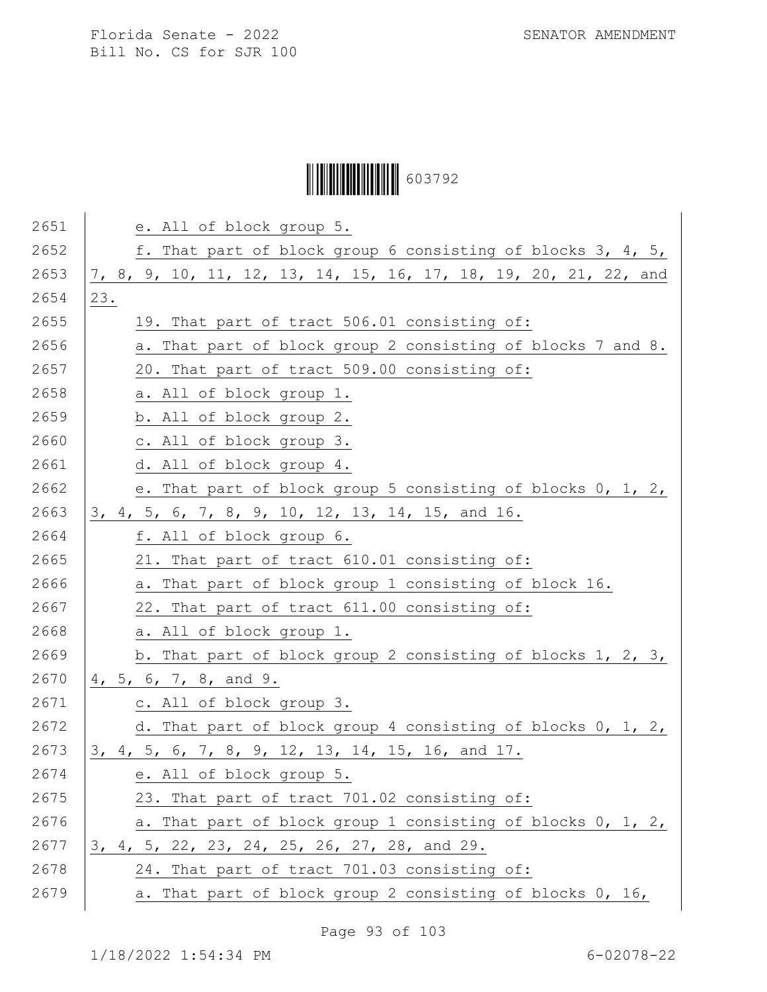# Ì6037929Î603792

| 2651 | e. All of block group 5.                                         |
|------|------------------------------------------------------------------|
| 2652 | f. That part of block group 6 consisting of blocks 3, 4, 5,      |
| 2653 | 7, 8, 9, 10, 11, 12, 13, 14, 15, 16, 17, 18, 19, 20, 21, 22, and |
| 2654 | 23.                                                              |
| 2655 | 19. That part of tract 506.01 consisting of:                     |
| 2656 | a. That part of block group 2 consisting of blocks 7 and 8.      |
| 2657 | 20. That part of tract 509.00 consisting of:                     |
| 2658 | a. All of block group 1.                                         |
| 2659 | b. All of block group 2.                                         |
| 2660 | c. All of block group 3.                                         |
| 2661 | d. All of block group 4.                                         |
| 2662 | e. That part of block group 5 consisting of blocks 0, 1, 2,      |
| 2663 | 3, 4, 5, 6, 7, 8, 9, 10, 12, 13, 14, 15, and 16.                 |
| 2664 | f. All of block group 6.                                         |
| 2665 | 21. That part of tract 610.01 consisting of:                     |
| 2666 | a. That part of block group 1 consisting of block 16.            |
| 2667 | 22. That part of tract 611.00 consisting of:                     |
| 2668 | a. All of block group 1.                                         |
| 2669 | b. That part of block group 2 consisting of blocks 1, 2, 3,      |
| 2670 | 4, 5, 6, 7, 8, and 9.                                            |
| 2671 | c. All of block group 3.                                         |
| 2672 | d. That part of block group 4 consisting of blocks 0, 1, 2,      |
| 2673 | 3, 4, 5, 6, 7, 8, 9, 12, 13, 14, 15, 16, and 17.                 |
| 2674 | e. All of block group 5.                                         |
| 2675 | 23. That part of tract 701.02 consisting of:                     |
| 2676 | a. That part of block group 1 consisting of blocks 0, 1, 2,      |
| 2677 | 3, 4, 5, 22, 23, 24, 25, 26, 27, 28, and 29.                     |
| 2678 | 24. That part of tract 701.03 consisting of:                     |
| 2679 | a. That part of block group 2 consisting of blocks 0, 16,        |

Page 93 of 103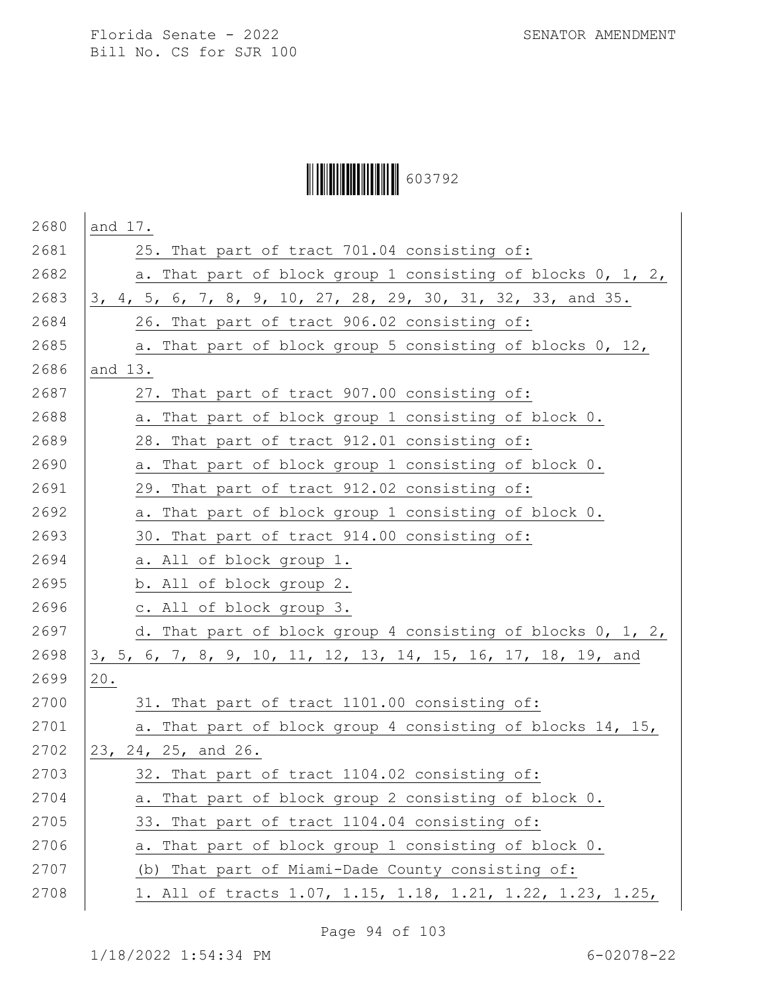# Ì6037929Î603792

| 2680 | and 17.                                                       |
|------|---------------------------------------------------------------|
| 2681 | 25. That part of tract 701.04 consisting of:                  |
| 2682 | a. That part of block group 1 consisting of blocks 0, 1, 2,   |
| 2683 | 3, 4, 5, 6, 7, 8, 9, 10, 27, 28, 29, 30, 31, 32, 33, and 35.  |
| 2684 | 26. That part of tract 906.02 consisting of:                  |
| 2685 | a. That part of block group 5 consisting of blocks 0, 12,     |
| 2686 | and 13.                                                       |
| 2687 | 27. That part of tract 907.00 consisting of:                  |
| 2688 | a. That part of block group 1 consisting of block 0.          |
| 2689 | 28. That part of tract 912.01 consisting of:                  |
| 2690 | a. That part of block group 1 consisting of block 0.          |
| 2691 | 29. That part of tract 912.02 consisting of:                  |
| 2692 | a. That part of block group 1 consisting of block 0.          |
| 2693 | 30. That part of tract 914.00 consisting of:                  |
| 2694 | a. All of block group 1.                                      |
| 2695 | b. All of block group 2.                                      |
| 2696 | c. All of block group 3.                                      |
| 2697 | d. That part of block group 4 consisting of blocks 0, 1, 2,   |
| 2698 | 3, 5, 6, 7, 8, 9, 10, 11, 12, 13, 14, 15, 16, 17, 18, 19, and |
| 2699 | 20.                                                           |
| 2700 | 31. That part of tract 1101.00 consisting of:                 |
| 2701 | a. That part of block group 4 consisting of blocks 14, 15,    |
| 2702 | 23, 24, 25, and 26.                                           |
| 2703 | 32. That part of tract 1104.02 consisting of:                 |
| 2704 | a. That part of block group 2 consisting of block 0.          |
| 2705 | 33. That part of tract 1104.04 consisting of:                 |
| 2706 | That part of block group 1 consisting of block 0.<br>а.       |
| 2707 | (b) That part of Miami-Dade County consisting of:             |
| 2708 | 1. All of tracts 1.07, 1.15, 1.18, 1.21, 1.22, 1.23, 1.25,    |

Page 94 of 103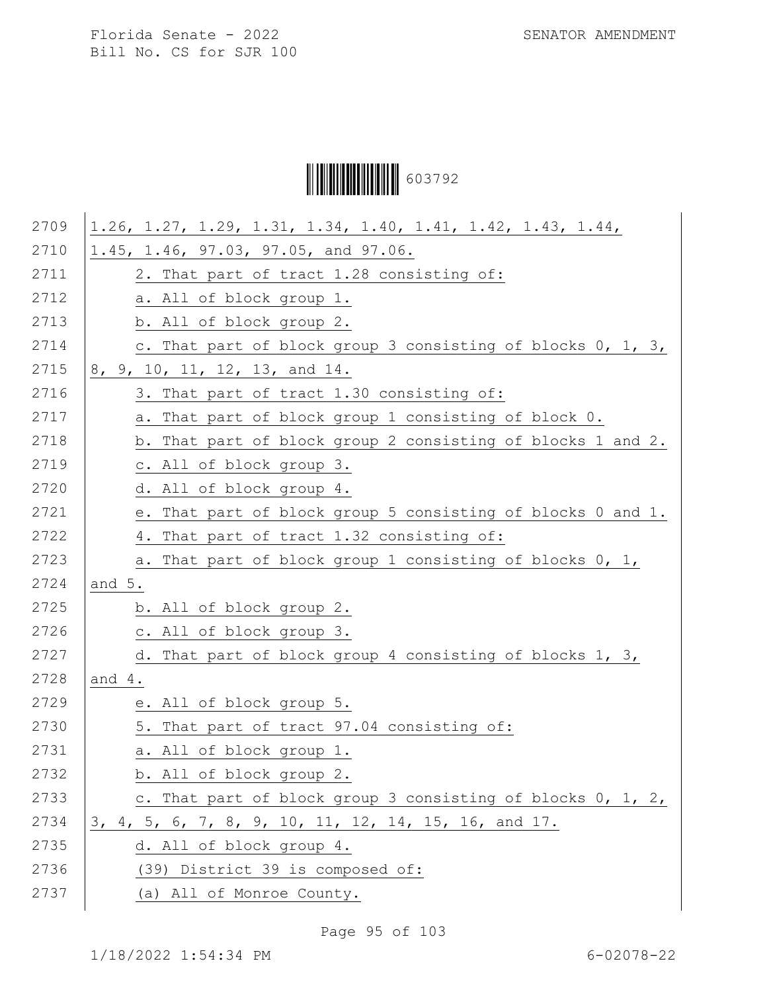Ì6037929Î603792

| 2709 | 1.26, 1.27, 1.29, 1.31, 1.34, 1.40, 1.41, 1.42, 1.43, 1.44, |
|------|-------------------------------------------------------------|
| 2710 | 1.45, 1.46, 97.03, 97.05, and 97.06.                        |
| 2711 | 2. That part of tract 1.28 consisting of:                   |
| 2712 | a. All of block group 1.                                    |
| 2713 | b. All of block group 2.                                    |
| 2714 | c. That part of block group 3 consisting of blocks 0, 1, 3, |
| 2715 | 8, 9, 10, 11, 12, 13, and 14.                               |
| 2716 | 3. That part of tract 1.30 consisting of:                   |
| 2717 | a. That part of block group 1 consisting of block 0.        |
| 2718 | b. That part of block group 2 consisting of blocks 1 and 2. |
| 2719 | c. All of block group 3.                                    |
| 2720 | d. All of block group 4.                                    |
| 2721 | e. That part of block group 5 consisting of blocks 0 and 1. |
| 2722 | 4. That part of tract 1.32 consisting of:                   |
| 2723 | a. That part of block group 1 consisting of blocks 0, 1,    |
| 2724 | and 5.                                                      |
| 2725 | b. All of block group 2.                                    |
| 2726 | c. All of block group 3.                                    |
| 2727 | d. That part of block group 4 consisting of blocks 1, 3,    |
| 2728 | and $4.$                                                    |
| 2729 | e. All of block group 5.                                    |
| 2730 | 5. That part of tract 97.04 consisting of:                  |
| 2731 | a. All of block group 1.                                    |
| 2732 | b. All of block group 2.                                    |
| 2733 | c. That part of block group 3 consisting of blocks 0, 1, 2, |
| 2734 | 3, 4, 5, 6, 7, 8, 9, 10, 11, 12, 14, 15, 16, and 17.        |
| 2735 | d. All of block group 4.                                    |
| 2736 | (39) District 39 is composed of:                            |
| 2737 | (a) All of Monroe County.                                   |
|      |                                                             |

Page 95 of 103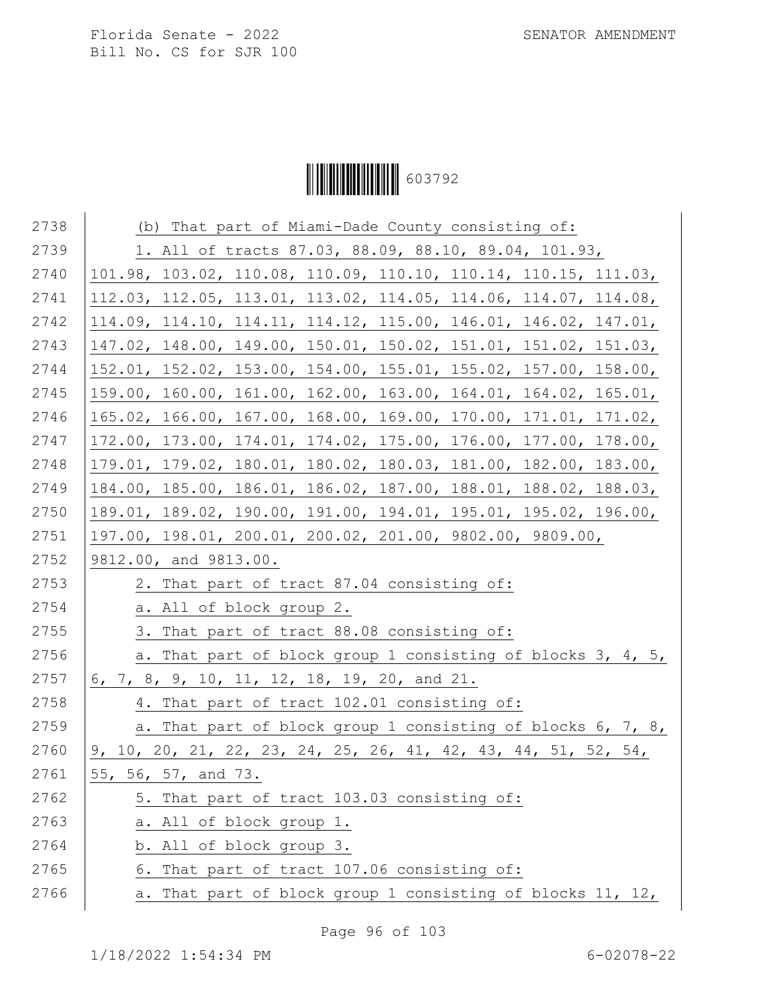# Ì6037929Î603792

| 2738 | (b) That part of Miami-Dade County consisting of:                |
|------|------------------------------------------------------------------|
| 2739 | 1. All of tracts 87.03, 88.09, 88.10, 89.04, 101.93,             |
| 2740 | 101.98, 103.02, 110.08, 110.09, 110.10, 110.14, 110.15, 111.03,  |
| 2741 | 112.03, 112.05, 113.01, 113.02, 114.05, 114.06, 114.07, 114.08,  |
| 2742 | 114.09, 114.10, 114.11, 114.12, 115.00, 146.01, 146.02, 147.01,  |
| 2743 | 147.02, 148.00, 149.00, 150.01, 150.02, 151.01, 151.02, 151.03,  |
| 2744 | 152.01, 152.02, 153.00, 154.00, 155.01, 155.02, 157.00, 158.00,  |
| 2745 | 159.00, 160.00, 161.00, 162.00, 163.00, 164.01, 164.02, 165.01,  |
| 2746 | 165.02, 166.00, 167.00, 168.00, 169.00, 170.00, 171.01, 171.02,  |
| 2747 | 172.00, 173.00, 174.01, 174.02, 175.00, 176.00, 177.00, 178.00,  |
| 2748 | 179.01, 179.02, 180.01, 180.02, 180.03, 181.00, 182.00, 183.00,  |
| 2749 | 184.00, 185.00, 186.01, 186.02, 187.00, 188.01, 188.02, 188.03,  |
| 2750 | 189.01, 189.02, 190.00, 191.00, 194.01, 195.01, 195.02, 196.00,  |
| 2751 | 197.00, 198.01, 200.01, 200.02, 201.00, 9802.00, 9809.00,        |
| 2752 | 9812.00, and 9813.00.                                            |
| 2753 | 2. That part of tract 87.04 consisting of:                       |
| 2754 | a. All of block group 2.                                         |
| 2755 | 3. That part of tract 88.08 consisting of:                       |
| 2756 | a. That part of block group 1 consisting of blocks 3, 4, 5,      |
| 2757 | 6, 7, 8, 9, 10, 11, 12, 18, 19, 20, and 21.                      |
| 2758 | 4. That part of tract 102.01 consisting of:                      |
| 2759 | a. That part of block group 1 consisting of blocks 6, 7, 8,      |
| 2760 | $9, 10, 20, 21, 22, 23, 24, 25, 26, 41, 42, 43, 44, 51, 52, 54,$ |
| 2761 | 55, 56, 57, and 73.                                              |
| 2762 | 5. That part of tract 103.03 consisting of:                      |
| 2763 | a. All of block group 1.                                         |
| 2764 | b. All of block group 3.                                         |
| 2765 | 6. That part of tract 107.06 consisting of:                      |
| 2766 | That part of block group 1 consisting of blocks 11, 12,<br>а.    |
|      |                                                                  |

Page 96 of 103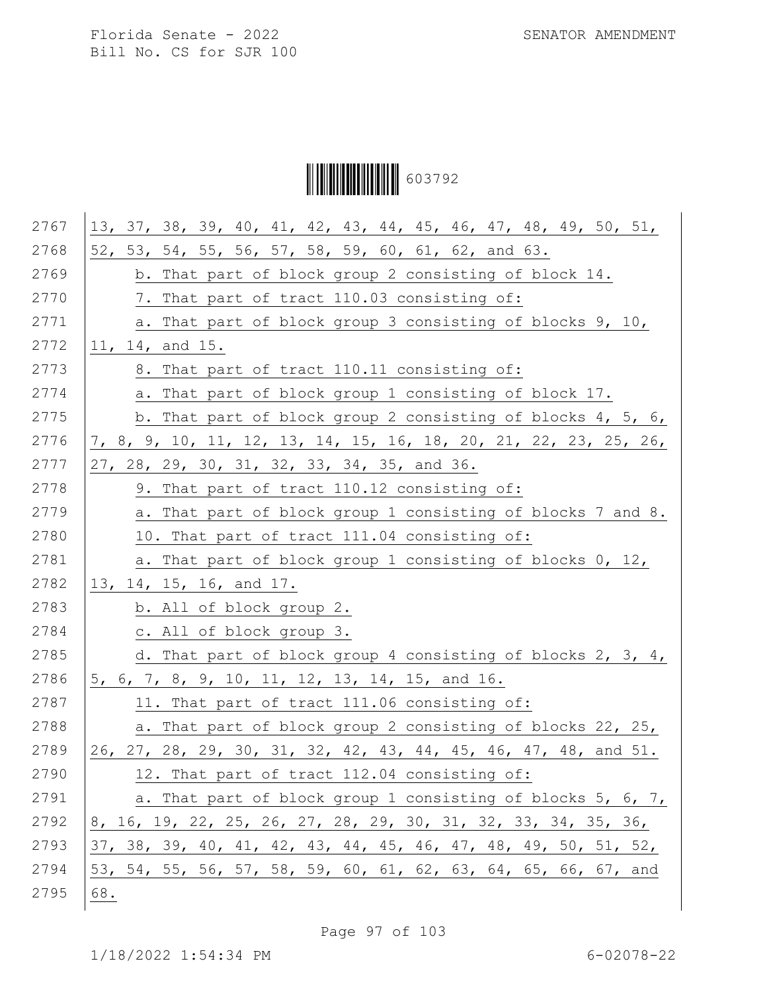Ì6037929Î603792

| 2767 | 13, 37, 38, 39, 40, 41, 42, 43, 44, 45, 46, 47, 48, 49, 50, 51,  |
|------|------------------------------------------------------------------|
| 2768 | 52, 53, 54, 55, 56, 57, 58, 59, 60, 61, 62, and 63.              |
| 2769 | b. That part of block group 2 consisting of block 14.            |
| 2770 | 7. That part of tract 110.03 consisting of:                      |
| 2771 | a. That part of block group 3 consisting of blocks 9, 10,        |
| 2772 | 11, 14, and 15.                                                  |
| 2773 | 8. That part of tract 110.11 consisting of:                      |
| 2774 | a. That part of block group 1 consisting of block 17.            |
| 2775 | b. That part of block group 2 consisting of blocks 4, 5, 6,      |
| 2776 | 7, 8, 9, 10, 11, 12, 13, 14, 15, 16, 18, 20, 21, 22, 23, 25, 26, |
| 2777 | 27, 28, 29, 30, 31, 32, 33, 34, 35, and 36.                      |
| 2778 | 9. That part of tract 110.12 consisting of:                      |
| 2779 | a. That part of block group 1 consisting of blocks 7 and 8.      |
| 2780 | 10. That part of tract 111.04 consisting of:                     |
| 2781 | a. That part of block group 1 consisting of blocks 0, 12,        |
| 2782 | 13, 14, 15, 16, and 17.                                          |
| 2783 | b. All of block group 2.                                         |
| 2784 | c. All of block group 3.                                         |
| 2785 | d. That part of block group 4 consisting of blocks 2, 3, 4,      |
| 2786 | 5, 6, 7, 8, 9, 10, 11, 12, 13, 14, 15, and 16.                   |
| 2787 | 11. That part of tract 111.06 consisting of:                     |
| 2788 | a. That part of block group 2 consisting of blocks 22, 25,       |
| 2789 | 26, 27, 28, 29, 30, 31, 32, 42, 43, 44, 45, 46, 47, 48, and 51.  |
| 2790 | 12. That part of tract 112.04 consisting of:                     |
| 2791 | a. That part of block group 1 consisting of blocks 5, 6, 7,      |
| 2792 | 8, 16, 19, 22, 25, 26, 27, 28, 29, 30, 31, 32, 33, 34, 35, 36,   |
| 2793 | 37, 38, 39, 40, 41, 42, 43, 44, 45, 46, 47, 48, 49, 50, 51, 52,  |
| 2794 | 53, 54, 55, 56, 57, 58, 59, 60, 61, 62, 63, 64, 65, 66, 67, and  |
| 2795 | 68.                                                              |
|      |                                                                  |

Page 97 of 103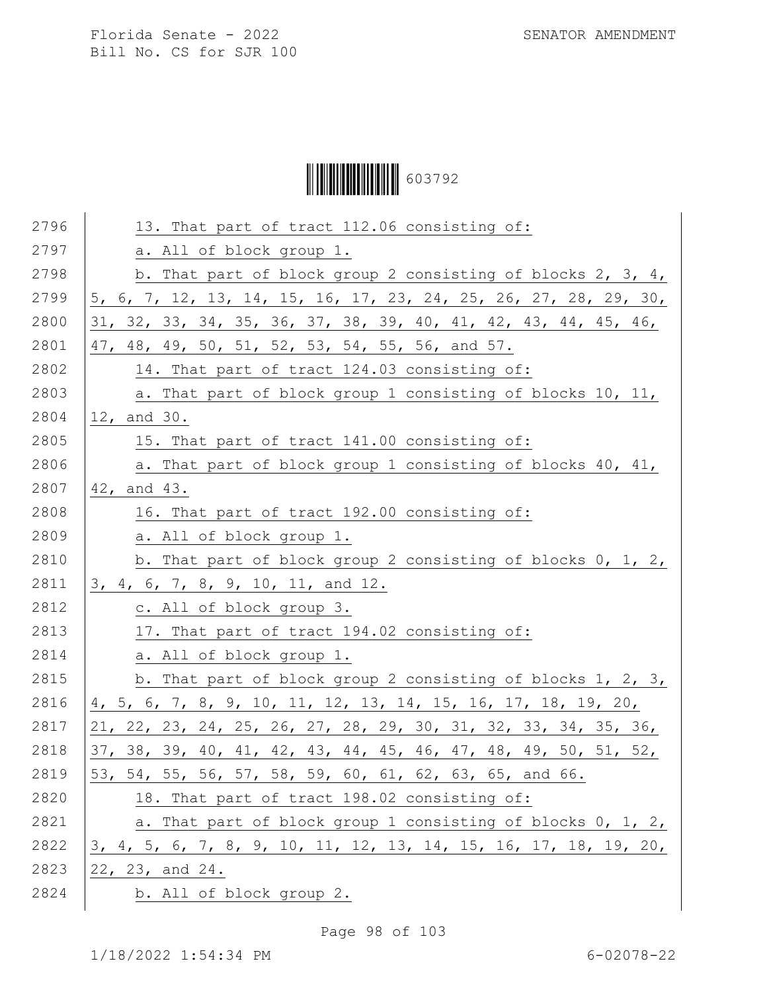Ì6037929Î603792

| 2796 | 13. That part of tract 112.06 consisting of:                     |
|------|------------------------------------------------------------------|
| 2797 | a. All of block group 1.                                         |
| 2798 | b. That part of block group 2 consisting of blocks 2, 3, 4,      |
| 2799 | 5, 6, 7, 12, 13, 14, 15, 16, 17, 23, 24, 25, 26, 27, 28, 29, 30, |
| 2800 | 31, 32, 33, 34, 35, 36, 37, 38, 39, 40, 41, 42, 43, 44, 45, 46,  |
| 2801 | 47, 48, 49, 50, 51, 52, 53, 54, 55, 56, and 57.                  |
| 2802 | 14. That part of tract 124.03 consisting of:                     |
| 2803 | a. That part of block group 1 consisting of blocks 10, 11,       |
| 2804 | 12, and 30.                                                      |
| 2805 | 15. That part of tract 141.00 consisting of:                     |
| 2806 | a. That part of block group 1 consisting of blocks 40, 41,       |
| 2807 | 42, and 43.                                                      |
| 2808 | 16. That part of tract 192.00 consisting of:                     |
| 2809 | a. All of block group 1.                                         |
| 2810 | b. That part of block group 2 consisting of blocks 0, 1, 2,      |
| 2811 | 3, 4, 6, 7, 8, 9, 10, 11, and 12.                                |
| 2812 | c. All of block group 3.                                         |
| 2813 | 17. That part of tract 194.02 consisting of:                     |
| 2814 | a. All of block group 1.                                         |
| 2815 | b. That part of block group 2 consisting of blocks 1, 2, 3,      |
| 2816 | 4, 5, 6, 7, 8, 9, 10, 11, 12, 13, 14, 15, 16, 17, 18, 19, 20,    |
| 2817 | 21, 22, 23, 24, 25, 26, 27, 28, 29, 30, 31, 32, 33, 34, 35, 36,  |
| 2818 | 37, 38, 39, 40, 41, 42, 43, 44, 45, 46, 47, 48, 49, 50, 51, 52,  |
| 2819 | 53, 54, 55, 56, 57, 58, 59, 60, 61, 62, 63, 65, and 66.          |
| 2820 | 18. That part of tract 198.02 consisting of:                     |
| 2821 | a. That part of block group 1 consisting of blocks 0, 1, 2,      |
| 2822 | 3, 4, 5, 6, 7, 8, 9, 10, 11, 12, 13, 14, 15, 16, 17, 18, 19, 20, |
| 2823 | 22, 23, and 24.                                                  |
| 2824 | b. All of block group 2.                                         |
|      |                                                                  |

Page 98 of 103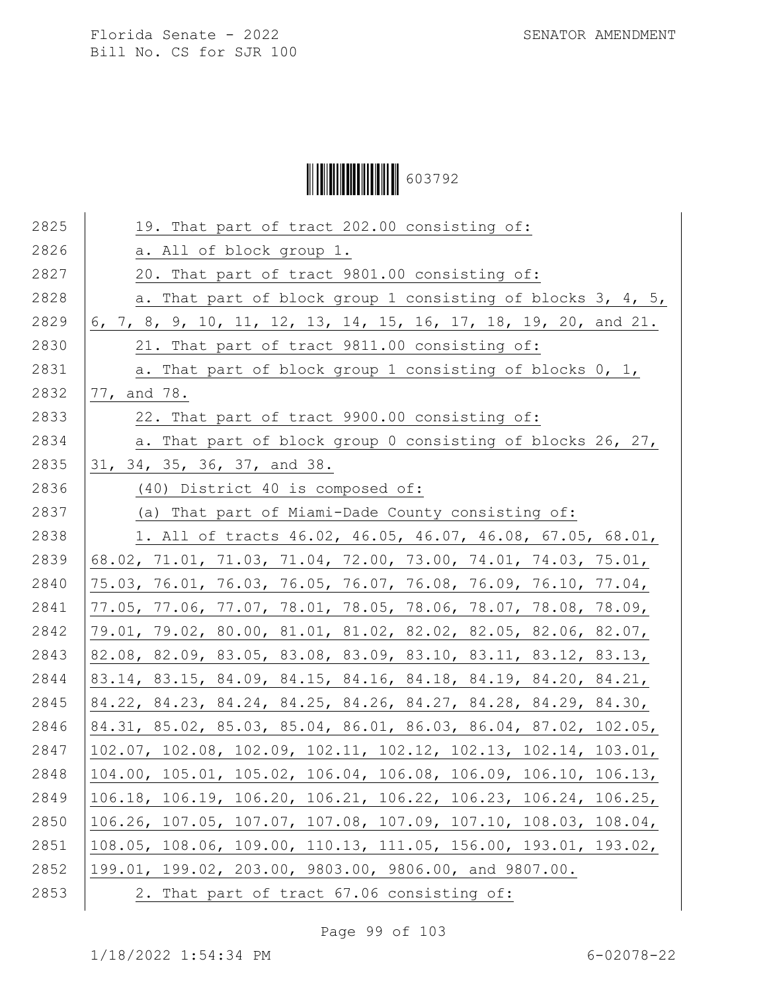# Ì6037929Î603792

| 2825 | 19. That part of tract 202.00 consisting of:                    |
|------|-----------------------------------------------------------------|
| 2826 | a. All of block group 1.                                        |
| 2827 | 20. That part of tract 9801.00 consisting of:                   |
| 2828 | a. That part of block group 1 consisting of blocks 3, 4, 5,     |
| 2829 | 6, 7, 8, 9, 10, 11, 12, 13, 14, 15, 16, 17, 18, 19, 20, and 21. |
| 2830 | 21. That part of tract 9811.00 consisting of:                   |
| 2831 | a. That part of block group 1 consisting of blocks 0, 1,        |
| 2832 | 77, and 78.                                                     |
| 2833 | 22. That part of tract 9900.00 consisting of:                   |
| 2834 | a. That part of block group 0 consisting of blocks 26, 27,      |
| 2835 | 31, 34, 35, 36, 37, and 38.                                     |
| 2836 | (40) District 40 is composed of:                                |
| 2837 | (a) That part of Miami-Dade County consisting of:               |
| 2838 | 1. All of tracts 46.02, 46.05, 46.07, 46.08, 67.05, 68.01,      |
| 2839 | 68.02, 71.01, 71.03, 71.04, 72.00, 73.00, 74.01, 74.03, 75.01,  |
| 2840 | 75.03, 76.01, 76.03, 76.05, 76.07, 76.08, 76.09, 76.10, 77.04,  |
| 2841 | 77.05, 77.06, 77.07, 78.01, 78.05, 78.06, 78.07, 78.08, 78.09,  |
| 2842 | 79.01, 79.02, 80.00, 81.01, 81.02, 82.02, 82.05, 82.06, 82.07,  |
| 2843 | 82.08, 82.09, 83.05, 83.08, 83.09, 83.10, 83.11, 83.12, 83.13,  |
| 2844 | 83.14, 83.15, 84.09, 84.15, 84.16, 84.18, 84.19, 84.20, 84.21,  |
| 2845 | 84.22, 84.23, 84.24, 84.25, 84.26, 84.27, 84.28, 84.29, 84.30,  |
| 2846 | 84.31, 85.02, 85.03, 85.04, 86.01, 86.03, 86.04, 87.02, 102.05, |
| 2847 | 102.07, 102.08, 102.09, 102.11, 102.12, 102.13, 102.14, 103.01, |
| 2848 | 104.00, 105.01, 105.02, 106.04, 106.08, 106.09, 106.10, 106.13, |
| 2849 | 106.18, 106.19, 106.20, 106.21, 106.22, 106.23, 106.24, 106.25, |
| 2850 | 106.26, 107.05, 107.07, 107.08, 107.09, 107.10, 108.03, 108.04, |
| 2851 | 108.05, 108.06, 109.00, 110.13, 111.05, 156.00, 193.01, 193.02, |
| 2852 | 199.01, 199.02, 203.00, 9803.00, 9806.00, and 9807.00.          |
| 2853 | 2. That part of tract 67.06 consisting of:                      |
|      |                                                                 |

Page 99 of 103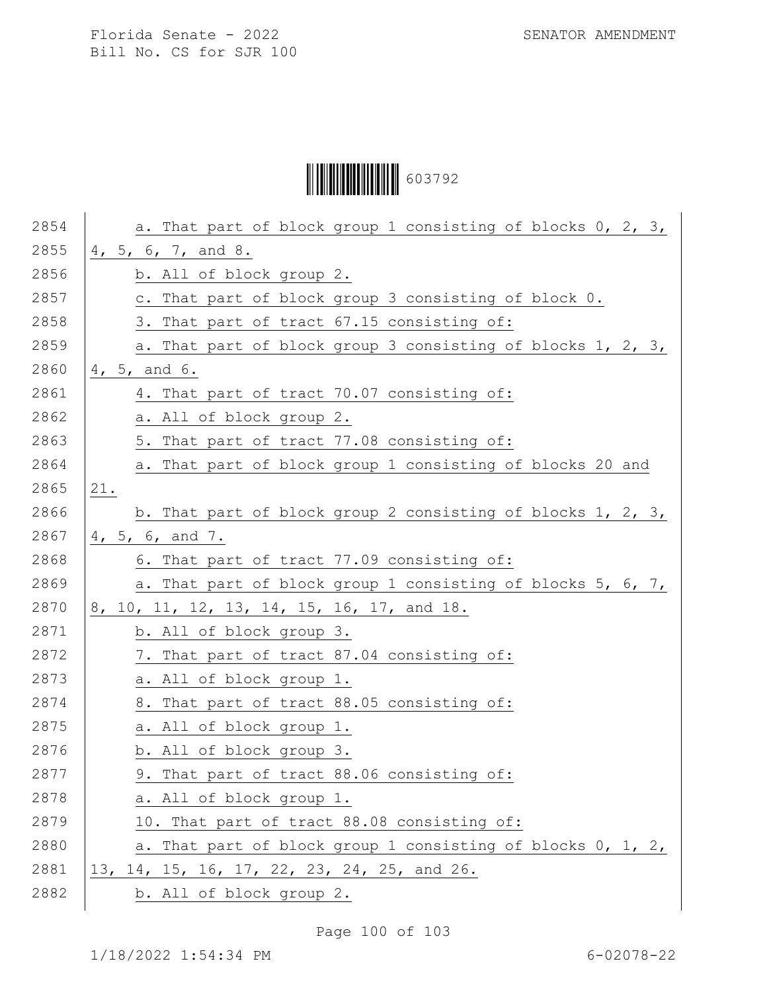Ì6037929Î603792

| 2854 | a. That part of block group 1 consisting of blocks 0, 2, 3, |
|------|-------------------------------------------------------------|
| 2855 | 4, 5, 6, 7, and 8.                                          |
| 2856 | b. All of block group 2.                                    |
| 2857 | c. That part of block group 3 consisting of block 0.        |
| 2858 | 3. That part of tract 67.15 consisting of:                  |
| 2859 | a. That part of block group 3 consisting of blocks 1, 2, 3, |
| 2860 | 4, 5, and 6.                                                |
| 2861 | 4. That part of tract 70.07 consisting of:                  |
| 2862 | a. All of block group 2.                                    |
| 2863 | 5. That part of tract 77.08 consisting of:                  |
| 2864 | a. That part of block group 1 consisting of blocks 20 and   |
| 2865 | 21.                                                         |
| 2866 | b. That part of block group 2 consisting of blocks 1, 2, 3, |
| 2867 | 4, 5, 6, and 7.                                             |
| 2868 | 6. That part of tract 77.09 consisting of:                  |
| 2869 | a. That part of block group 1 consisting of blocks 5, 6, 7, |
| 2870 | 8, 10, 11, 12, 13, 14, 15, 16, 17, and 18.                  |
| 2871 | b. All of block group 3.                                    |
| 2872 | 7. That part of tract 87.04 consisting of:                  |
| 2873 | a. All of block group 1.                                    |
| 2874 | 8. That part of tract 88.05 consisting of:                  |
| 2875 | a. All of block group 1.                                    |
| 2876 | b. All of block group 3.                                    |
| 2877 | 9. That part of tract 88.06 consisting of:                  |
| 2878 | a. All of block group 1.                                    |
| 2879 | 10. That part of tract 88.08 consisting of:                 |
| 2880 | a. That part of block group 1 consisting of blocks 0, 1, 2, |
| 2881 | 13, 14, 15, 16, 17, 22, 23, 24, 25, and 26.                 |
| 2882 | b. All of block group 2.                                    |
|      |                                                             |

Page 100 of 103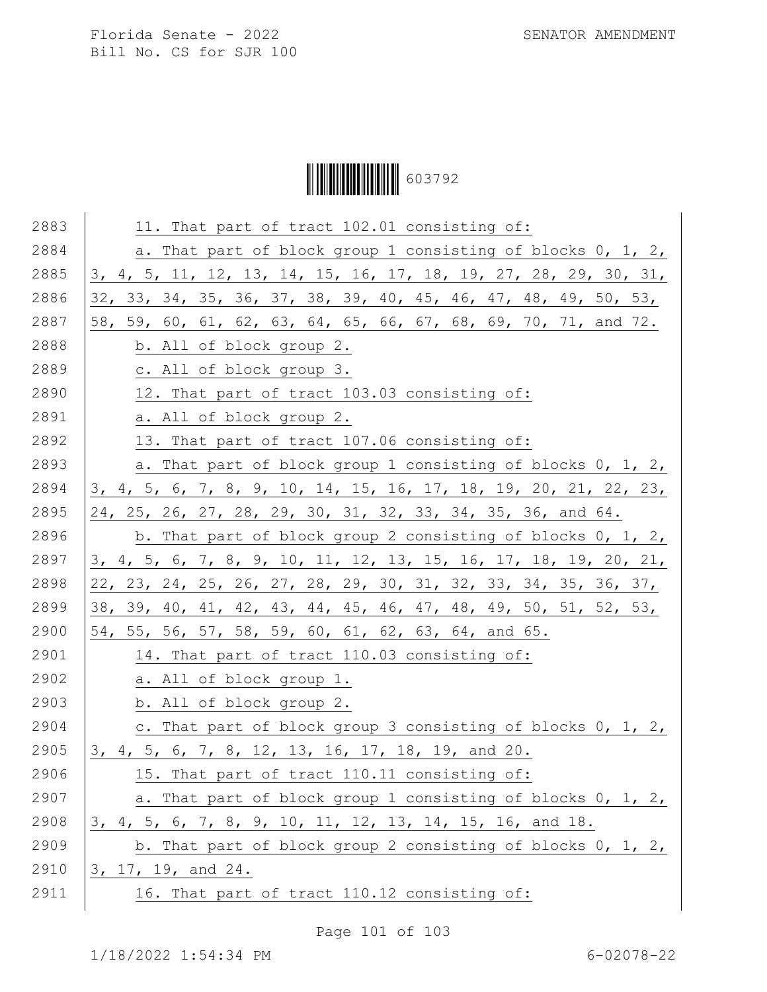Ì6037929Î603792

| 2883 | 11. That part of tract 102.01 consisting of:                     |
|------|------------------------------------------------------------------|
| 2884 | a. That part of block group 1 consisting of blocks 0, 1, 2,      |
| 2885 | 3, 4, 5, 11, 12, 13, 14, 15, 16, 17, 18, 19, 27, 28, 29, 30, 31, |
| 2886 | 32, 33, 34, 35, 36, 37, 38, 39, 40, 45, 46, 47, 48, 49, 50, 53,  |
| 2887 | 58, 59, 60, 61, 62, 63, 64, 65, 66, 67, 68, 69, 70, 71, and 72.  |
| 2888 | b. All of block group 2.                                         |
| 2889 | c. All of block group 3.                                         |
| 2890 | 12. That part of tract 103.03 consisting of:                     |
| 2891 | a. All of block group 2.                                         |
| 2892 | 13. That part of tract 107.06 consisting of:                     |
| 2893 | a. That part of block group 1 consisting of blocks 0, 1, 2,      |
| 2894 | 3, 4, 5, 6, 7, 8, 9, 10, 14, 15, 16, 17, 18, 19, 20, 21, 22, 23, |
| 2895 | 24, 25, 26, 27, 28, 29, 30, 31, 32, 33, 34, 35, 36, and 64.      |
| 2896 | b. That part of block group 2 consisting of blocks $0, 1, 2, 1$  |
| 2897 | 3, 4, 5, 6, 7, 8, 9, 10, 11, 12, 13, 15, 16, 17, 18, 19, 20, 21, |
| 2898 | 22, 23, 24, 25, 26, 27, 28, 29, 30, 31, 32, 33, 34, 35, 36, 37,  |
| 2899 | 38, 39, 40, 41, 42, 43, 44, 45, 46, 47, 48, 49, 50, 51, 52, 53,  |
| 2900 | 54, 55, 56, 57, 58, 59, 60, 61, 62, 63, 64, and 65.              |
| 2901 | 14. That part of tract 110.03 consisting of:                     |
| 2902 | a. All of block group 1.                                         |
| 2903 | b. All of block group 2.                                         |
| 2904 | c. That part of block group 3 consisting of blocks 0, 1, 2,      |
| 2905 | 3, 4, 5, 6, 7, 8, 12, 13, 16, 17, 18, 19, and 20.                |
| 2906 | 15. That part of tract 110.11 consisting of:                     |
| 2907 | a. That part of block group 1 consisting of blocks 0, 1, 2,      |
| 2908 | 3, 4, 5, 6, 7, 8, 9, 10, 11, 12, 13, 14, 15, 16, and 18.         |
| 2909 | b. That part of block group 2 consisting of blocks $0, 1, 2, 1$  |
| 2910 | 3, 17, 19, and 24.                                               |
| 2911 | 16. That part of tract 110.12 consisting of:                     |
|      |                                                                  |

Page 101 of 103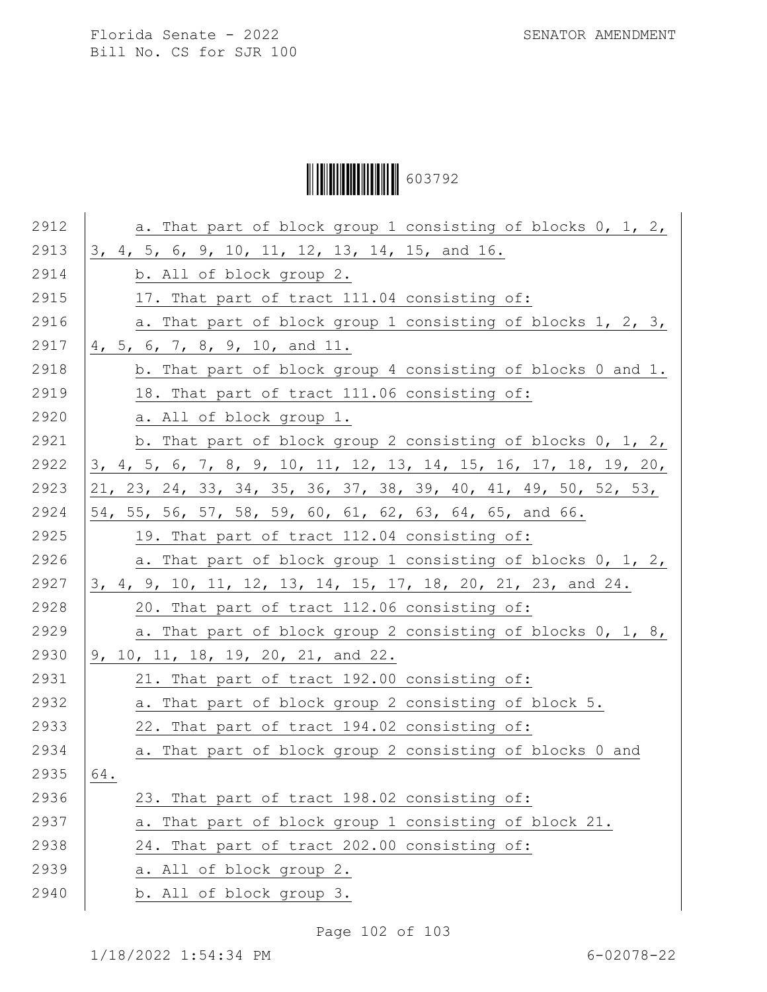# Ì6037929Î603792

| 2912 | a. That part of block group 1 consisting of blocks 0, 1, 2,      |
|------|------------------------------------------------------------------|
| 2913 | 3, 4, 5, 6, 9, 10, 11, 12, 13, 14, 15, and 16.                   |
| 2914 | b. All of block group 2.                                         |
| 2915 | 17. That part of tract 111.04 consisting of:                     |
| 2916 | a. That part of block group 1 consisting of blocks 1, 2, 3,      |
| 2917 | 4, 5, 6, 7, 8, 9, 10, and 11.                                    |
| 2918 | b. That part of block group 4 consisting of blocks 0 and 1.      |
| 2919 | 18. That part of tract 111.06 consisting of:                     |
| 2920 | a. All of block group 1.                                         |
| 2921 | b. That part of block group 2 consisting of blocks $0, 1, 2, 1$  |
| 2922 | 3, 4, 5, 6, 7, 8, 9, 10, 11, 12, 13, 14, 15, 16, 17, 18, 19, 20, |
| 2923 | 21, 23, 24, 33, 34, 35, 36, 37, 38, 39, 40, 41, 49, 50, 52, 53,  |
| 2924 | 54, 55, 56, 57, 58, 59, 60, 61, 62, 63, 64, 65, and 66.          |
| 2925 | 19. That part of tract 112.04 consisting of:                     |
| 2926 | a. That part of block group 1 consisting of blocks 0, 1, 2,      |
| 2927 | 3, 4, 9, 10, 11, 12, 13, 14, 15, 17, 18, 20, 21, 23, and 24.     |
| 2928 | 20. That part of tract 112.06 consisting of:                     |
| 2929 | a. That part of block group 2 consisting of blocks 0, 1, 8,      |
| 2930 | 9, 10, 11, 18, 19, 20, 21, and 22.                               |
| 2931 | 21. That part of tract 192.00 consisting of:                     |
| 2932 | a. That part of block group 2 consisting of block 5.             |
| 2933 | 22. That part of tract 194.02 consisting of:                     |
| 2934 | a. That part of block group 2 consisting of blocks 0 and         |
| 2935 | $64$ .                                                           |
| 2936 | 23. That part of tract 198.02 consisting of:                     |
| 2937 | a. That part of block group 1 consisting of block 21.            |
| 2938 | 24. That part of tract 202.00 consisting of:                     |
| 2939 | a. All of block group 2.                                         |
| 2940 | b. All of block group 3.                                         |

Page 102 of 103